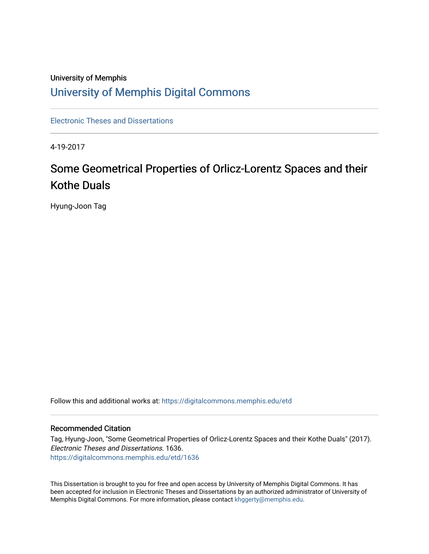### University of Memphis [University of Memphis Digital Commons](https://digitalcommons.memphis.edu/)

[Electronic Theses and Dissertations](https://digitalcommons.memphis.edu/etd)

4-19-2017

# Some Geometrical Properties of Orlicz-Lorentz Spaces and their Kothe Duals

Hyung-Joon Tag

Follow this and additional works at: [https://digitalcommons.memphis.edu/etd](https://digitalcommons.memphis.edu/etd?utm_source=digitalcommons.memphis.edu%2Fetd%2F1636&utm_medium=PDF&utm_campaign=PDFCoverPages) 

#### Recommended Citation

Tag, Hyung-Joon, "Some Geometrical Properties of Orlicz-Lorentz Spaces and their Kothe Duals" (2017). Electronic Theses and Dissertations. 1636. [https://digitalcommons.memphis.edu/etd/1636](https://digitalcommons.memphis.edu/etd/1636?utm_source=digitalcommons.memphis.edu%2Fetd%2F1636&utm_medium=PDF&utm_campaign=PDFCoverPages) 

This Dissertation is brought to you for free and open access by University of Memphis Digital Commons. It has been accepted for inclusion in Electronic Theses and Dissertations by an authorized administrator of University of Memphis Digital Commons. For more information, please contact [khggerty@memphis.edu.](mailto:khggerty@memphis.edu)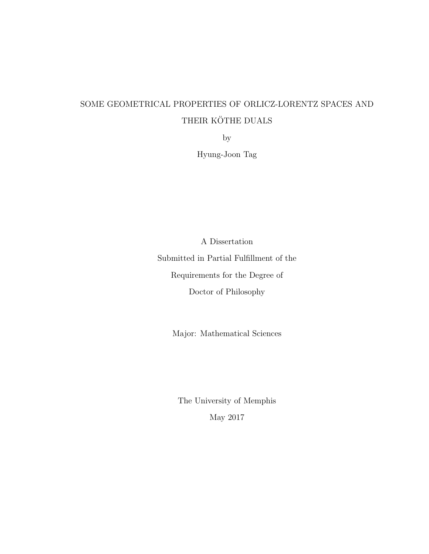## <span id="page-1-0"></span>SOME GEOMETRICAL PROPERTIES OF ORLICZ-LORENTZ SPACES AND THEIR KÖTHE DUALS

by

Hyung-Joon Tag

A Dissertation Submitted in Partial Fulfillment of the Requirements for the Degree of Doctor of Philosophy

Major: Mathematical Sciences

The University of Memphis May 2017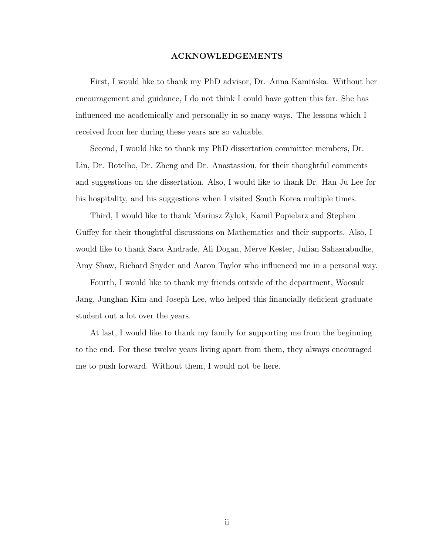#### ACKNOWLEDGEMENTS

First, I would like to thank my PhD advisor, Dr. Anna Kaminska. Without her encouragement and guidance, I do not think I could have gotten this far. She has influenced me academically and personally in so many ways. The lessons which I received from her during these years are so valuable.

Second, I would like to thank my PhD dissertation committee members, Dr. Lin, Dr. Botelho, Dr. Zheng and Dr. Anastassiou, for their thoughtful comments and suggestions on the dissertation. Also, I would like to thank Dr. Han Ju Lee for his hospitality, and his suggestions when I visited South Korea multiple times.

Third, I would like to thank Mariusz Zyluk, Kamil Popielarz and Stephen Guffey for their thoughtful discussions on Mathematics and their supports. Also, I would like to thank Sara Andrade, Ali Dogan, Merve Kester, Julian Sahasrabudhe, Amy Shaw, Richard Snyder and Aaron Taylor who influenced me in a personal way.

Fourth, I would like to thank my friends outside of the department, Woosuk Jang, Junghan Kim and Joseph Lee, who helped this financially deficient graduate student out a lot over the years.

At last, I would like to thank my family for supporting me from the beginning to the end. For these twelve years living apart from them, they always encouraged me to push forward. Without them, I would not be here.

ii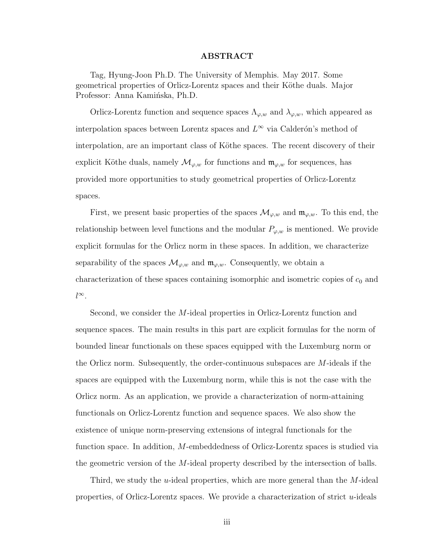#### ABSTRACT

Tag, Hyung-Joon Ph.D. The University of Memphis. May 2017. Some geometrical properties of Orlicz-Lorentz spaces and their Köthe duals. Major Professor: Anna Kamińska, Ph.D.

Orlicz-Lorentz function and sequence spaces  $\Lambda_{\varphi,w}$  and  $\lambda_{\varphi,w}$ , which appeared as interpolation spaces between Lorentz spaces and  $L^{\infty}$  via Calderón's method of interpolation, are an important class of Köthe spaces. The recent discovery of their explicit Köthe duals, namely  $\mathcal{M}_{\varphi,w}$  for functions and  $\mathfrak{m}_{\varphi,w}$  for sequences, has provided more opportunities to study geometrical properties of Orlicz-Lorentz spaces.

First, we present basic properties of the spaces  $\mathcal{M}_{\varphi,w}$  and  $\mathfrak{m}_{\varphi,w}$ . To this end, the relationship between level functions and the modular  $P_{\varphi,w}$  is mentioned. We provide explicit formulas for the Orlicz norm in these spaces. In addition, we characterize separability of the spaces  $\mathcal{M}_{\varphi,w}$  and  $\mathfrak{m}_{\varphi,w}$ . Consequently, we obtain a characterization of these spaces containing isomorphic and isometric copies of  $c_0$  and  $l^{\infty}$ .

Second, we consider the M-ideal properties in Orlicz-Lorentz function and sequence spaces. The main results in this part are explicit formulas for the norm of bounded linear functionals on these spaces equipped with the Luxemburg norm or the Orlicz norm. Subsequently, the order-continuous subspaces are M-ideals if the spaces are equipped with the Luxemburg norm, while this is not the case with the Orlicz norm. As an application, we provide a characterization of norm-attaining functionals on Orlicz-Lorentz function and sequence spaces. We also show the existence of unique norm-preserving extensions of integral functionals for the function space. In addition, M-embeddedness of Orlicz-Lorentz spaces is studied via the geometric version of the M-ideal property described by the intersection of balls.

Third, we study the *u*-ideal properties, which are more general than the  $M$ -ideal properties, of Orlicz-Lorentz spaces. We provide a characterization of strict  $u$ -ideals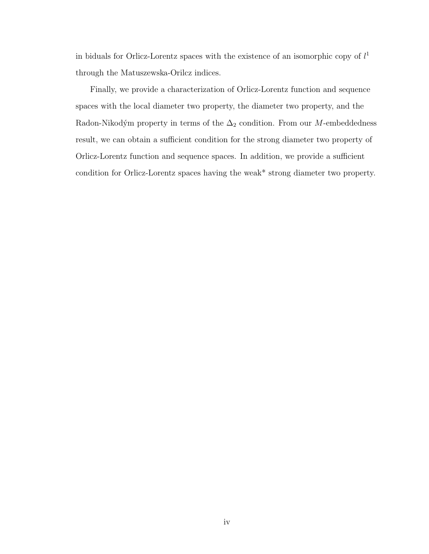in biduals for Orlicz-Lorentz spaces with the existence of an isomorphic copy of  $l<sup>1</sup>$ through the Matuszewska-Orilcz indices.

Finally, we provide a characterization of Orlicz-Lorentz function and sequence spaces with the local diameter two property, the diameter two property, and the Radon-Nikodým property in terms of the  $\Delta_2$  condition. From our M-embeddedness result, we can obtain a sufficient condition for the strong diameter two property of Orlicz-Lorentz function and sequence spaces. In addition, we provide a sufficient condition for Orlicz-Lorentz spaces having the weak\* strong diameter two property.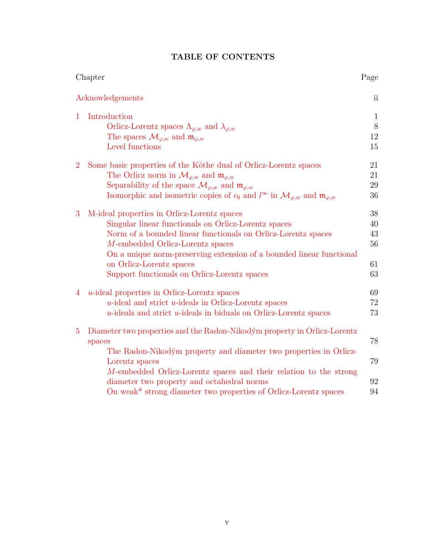|  | TABLE OF CONTENTS |
|--|-------------------|

|                | Chapter                                                                                                               | Page                   |
|----------------|-----------------------------------------------------------------------------------------------------------------------|------------------------|
|                | Acknowledgements                                                                                                      | $\overline{\text{ii}}$ |
| 1              | Introduction                                                                                                          | $\mathbf{1}$           |
|                | Orlicz-Lorentz spaces $\Lambda_{\varphi,w}$ and $\lambda_{\varphi,w}$                                                 | $8\,$                  |
|                | The spaces $\mathcal{M}_{\varphi,w}$ and $\mathfrak{m}_{\varphi,w}$                                                   | 12                     |
|                | Level functions                                                                                                       | 15                     |
| $\overline{2}$ | Some basic properties of the Köthe dual of Orlicz-Lorentz spaces                                                      | 21                     |
|                | The Orlicz norm in $\mathcal{M}_{\varphi,w}$ and $\mathfrak{m}_{\varphi,w}$                                           | 21                     |
|                | Separability of the space $\mathcal{M}_{\varphi,w}$ and $\mathfrak{m}_{\varphi,w}$                                    | 29                     |
|                | Isomorphic and isometric copies of $c_0$ and $l^{\infty}$ in $\mathcal{M}_{\varphi,w}$ and $\mathfrak{m}_{\varphi,w}$ | 36                     |
| 3              | M-ideal properties in Orlicz-Lorentz spaces                                                                           | 38                     |
|                | Singular linear functionals on Orlicz-Lorentz spaces                                                                  | 40                     |
|                | Norm of a bounded linear functionals on Orlicz-Lorentz spaces                                                         | 43                     |
|                | M-embedded Orlicz-Lorentz spaces                                                                                      | 56                     |
|                | On a unique norm-preserving extension of a bounded linear functional                                                  |                        |
|                | on Orlicz-Lorentz spaces                                                                                              | 61                     |
|                | Support functionals on Orlicz-Lorentz spaces                                                                          | 63                     |
| 4              | $u$ -ideal properties in Orlicz-Lorentz spaces                                                                        | 69                     |
|                | $u$ -ideal and strict $u$ -ideals in Orlicz-Lorentz spaces                                                            | 72                     |
|                | $u$ -ideals and strict $u$ -ideals in biduals on Orlicz-Lorentz spaces                                                | 73                     |
| $\overline{5}$ | Diameter two properties and the Radon-Nikodým property in Orlicz-Lorentz                                              |                        |
|                | spaces                                                                                                                | 78                     |
|                | The Radon-Nikodým property and diameter two properties in Orlicz-                                                     |                        |
|                | Lorentz spaces                                                                                                        | 79                     |
|                | M-embedded Orlicz-Lorentz spaces and their relation to the strong                                                     |                        |
|                | diameter two property and octahedral norms                                                                            | 92                     |
|                | On weak <sup>*</sup> strong diameter two properties of Orlicz-Lorentz spaces                                          | 94                     |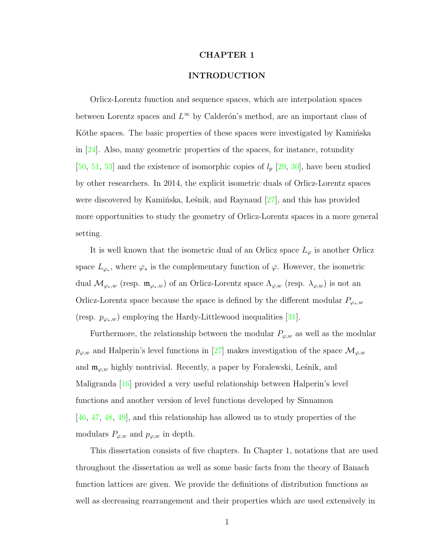#### CHAPTER 1

#### INTRODUCTION

<span id="page-6-0"></span>Orlicz-Lorentz function and sequence spaces, which are interpolation spaces between Lorentz spaces and  $L^{\infty}$  by Calderón's method, are an important class of Köthe spaces. The basic properties of these spaces were investigated by Kaminska in [\[24\]](#page-110-0). Also, many geometric properties of the spaces, for instance, rotundity [\[50,](#page-112-0) [51,](#page-112-1) [53\]](#page-112-2) and the existence of isomorphic copies of  $l_p$  [\[29,](#page-110-1) [30\]](#page-110-2), have been studied by other researchers. In 2014, the explicit isometric duals of Orlicz-Lorentz spaces were discovered by Kaminska, Lesnik, and Raynaud  $[27]$ , and this has provided more opportunities to study the geometry of Orlicz-Lorentz spaces in a more general setting.

It is well known that the isometric dual of an Orlicz space  $L<sub>\varphi</sub>$  is another Orlicz space  $L_{\varphi_*}$ , where  $\varphi_*$  is the complementary function of  $\varphi$ . However, the isometric dual  $\mathcal{M}_{\varphi_*,w}$  (resp.  $\mathfrak{m}_{\varphi_*,w}$ ) of an Orlicz-Lorentz space  $\Lambda_{\varphi,w}$  (resp.  $\lambda_{\varphi,w}$ ) is not an Orlicz-Lorentz space because the space is defined by the different modular  $P_{\varphi_*,w}$ (resp.  $p_{\varphi_*,w}$ ) employing the Hardy-Littlewood inequalities [\[31\]](#page-110-4).

Furthermore, the relationship between the modular  $P_{\varphi,w}$  as well as the modular  $p_{\varphi,w}$  and Halperin's level functions in [\[27\]](#page-110-3) makes investigation of the space  $\mathcal{M}_{\varphi,w}$ and  $\mathfrak{m}_{\varphi,w}$  highly nontrivial. Recently, a paper by Foralewski, Leśnik, and Maligranda [\[16\]](#page-109-0) provided a very useful relationship between Halperin's level functions and another version of level functions developed by Sinnamon [\[46,](#page-112-3) [47,](#page-112-4) [48,](#page-112-5) [49\]](#page-112-6), and this relationship has allowed us to study properties of the modulars  $P_{\varphi,w}$  and  $p_{\varphi,w}$  in depth.

This dissertation consists of five chapters. In Chapter 1, notations that are used throughout the dissertation as well as some basic facts from the theory of Banach function lattices are given. We provide the definitions of distribution functions as well as decreasing rearrangement and their properties which are used extensively in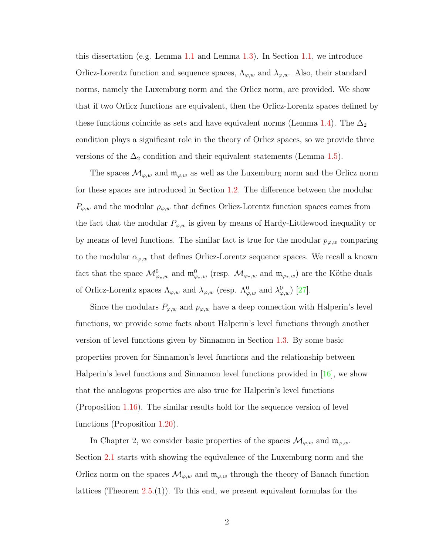this dissertation (e.g. Lemma [1.1](#page-12-0) and Lemma [1.3\)](#page-12-1). In Section [1.1,](#page-13-0) we introduce Orlicz-Lorentz function and sequence spaces,  $\Lambda_{\varphi,w}$  and  $\lambda_{\varphi,w}$ . Also, their standard norms, namely the Luxemburg norm and the Orlicz norm, are provided. We show that if two Orlicz functions are equivalent, then the Orlicz-Lorentz spaces defined by these functions coincide as sets and have equivalent norms (Lemma [1.4\)](#page-15-0). The  $\Delta_2$ condition plays a significant role in the theory of Orlicz spaces, so we provide three versions of the  $\Delta_2$  condition and their equivalent statements (Lemma [1.5\)](#page-17-1).

The spaces  $\mathcal{M}_{\varphi,w}$  and  $\mathfrak{m}_{\varphi,w}$  as well as the Luxemburg norm and the Orlicz norm for these spaces are introduced in Section [1.2.](#page-17-0) The difference between the modular  $P_{\varphi,w}$  and the modular  $\rho_{\varphi,w}$  that defines Orlicz-Lorentz function spaces comes from the fact that the modular  $P_{\varphi,w}$  is given by means of Hardy-Littlewood inequality or by means of level functions. The similar fact is true for the modular  $p_{\varphi,w}$  comparing to the modular  $\alpha_{\varphi,w}$  that defines Orlicz-Lorentz sequence spaces. We recall a known fact that the space  $\mathcal{M}^0_{\varphi_*,w}$  and  $\mathfrak{m}^0_{\varphi_*,w}$  (resp.  $\mathcal{M}_{\varphi_*,w}$  and  $\mathfrak{m}_{\varphi_*,w}$ ) are the Köthe duals of Orlicz-Lorentz spaces  $\Lambda_{\varphi,w}$  and  $\lambda_{\varphi,w}$  (resp.  $\Lambda_{\varphi,w}^0$  and  $\lambda_{\varphi,w}^0$ ) [\[27\]](#page-110-3).

Since the modulars  $P_{\varphi,w}$  and  $p_{\varphi,w}$  have a deep connection with Halperin's level functions, we provide some facts about Halperin's level functions through another version of level functions given by Sinnamon in Section [1.3.](#page-19-0) By some basic properties proven for Sinnamon's level functions and the relationship between Halperin's level functions and Sinnamon level functions provided in  $[16]$ , we show that the analogous properties are also true for Halperin's level functions (Proposition [1.16\)](#page-23-0). The similar results hold for the sequence version of level functions (Proposition [1.20\)](#page-25-0).

In Chapter 2, we consider basic properties of the spaces  $\mathcal{M}_{\varphi,w}$  and  $\mathfrak{m}_{\varphi,w}$ . Section [2.1](#page-27-1) starts with showing the equivalence of the Luxemburg norm and the Orlicz norm on the spaces  $\mathcal{M}_{\varphi,w}$  and  $\mathfrak{m}_{\varphi,w}$  through the theory of Banach function lattices (Theorem [2.5.](#page-30-0)(1)). To this end, we present equivalent formulas for the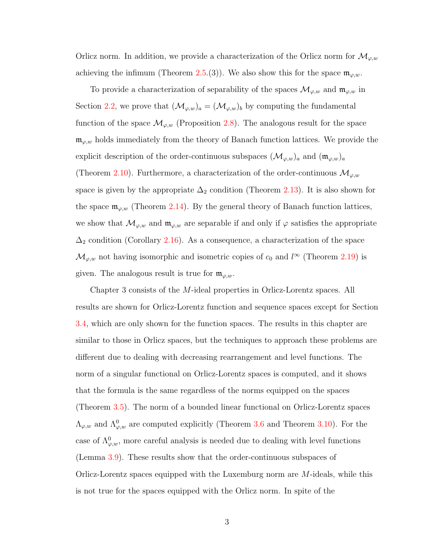Orlicz norm. In addition, we provide a characterization of the Orlicz norm for  $\mathcal{M}_{\varphi,w}$ achieving the infimum (Theorem [2.5.](#page-30-0)(3)). We also show this for the space  $\mathfrak{m}_{\varphi,w}$ .

To provide a characterization of separability of the spaces  $\mathcal{M}_{\varphi,w}$  and  $\mathfrak{m}_{\varphi,w}$  in Section [2.2,](#page-35-0) we prove that  $(\mathcal{M}_{\varphi,w})_a = (\mathcal{M}_{\varphi,w})_b$  by computing the fundamental function of the space  $\mathcal{M}_{\varphi,w}$  (Proposition [2.8\)](#page-36-0). The analogous result for the space  $\mathfrak{m}_{\varphi,w}$  holds immediately from the theory of Banach function lattices. We provide the explicit description of the order-continuous subspaces  $(\mathcal{M}_{\varphi,w})_a$  and  $(\mathfrak{m}_{\varphi,w})_a$ (Theorem [2.10\)](#page-38-0). Furthermore, a characterization of the order-continuous  $\mathcal{M}_{\varphi,w}$ space is given by the appropriate  $\Delta_2$  condition (Theorem [2.13\)](#page-40-0). It is also shown for the space  $\mathfrak{m}_{\varphi,w}$  (Theorem [2.14\)](#page-41-0). By the general theory of Banach function lattices, we show that  $\mathcal{M}_{\varphi,w}$  and  $\mathfrak{m}_{\varphi,w}$  are separable if and only if  $\varphi$  satisfies the appropriate  $\Delta_2$  condition (Corollary [2.16\)](#page-41-1). As a consequence, a characterization of the space  $\mathcal{M}_{\varphi,w}$  not having isomorphic and isometric copies of  $c_0$  and  $l^{\infty}$  (Theorem [2.19\)](#page-42-1) is given. The analogous result is true for  $\mathfrak{m}_{\varphi,w}$ .

Chapter 3 consists of the M-ideal properties in Orlicz-Lorentz spaces. All results are shown for Orlicz-Lorentz function and sequence spaces except for Section [3.4,](#page-67-0) which are only shown for the function spaces. The results in this chapter are similar to those in Orlicz spaces, but the techniques to approach these problems are different due to dealing with decreasing rearrangement and level functions. The norm of a singular functional on Orlicz-Lorentz spaces is computed, and it shows that the formula is the same regardless of the norms equipped on the spaces (Theorem [3.5\)](#page-47-0). The norm of a bounded linear functional on Orlicz-Lorentz spaces  $\Lambda_{\varphi,w}$  and  $\Lambda_{\varphi,w}^0$  are computed explicitly (Theorem [3.6](#page-49-0) and Theorem [3.10\)](#page-55-0). For the case of  $\Lambda^0_{\varphi,w}$ , more careful analysis is needed due to dealing with level functions (Lemma [3.9\)](#page-53-0). These results show that the order-continuous subspaces of Orlicz-Lorentz spaces equipped with the Luxemburg norm are M-ideals, while this is not true for the spaces equipped with the Orlicz norm. In spite of the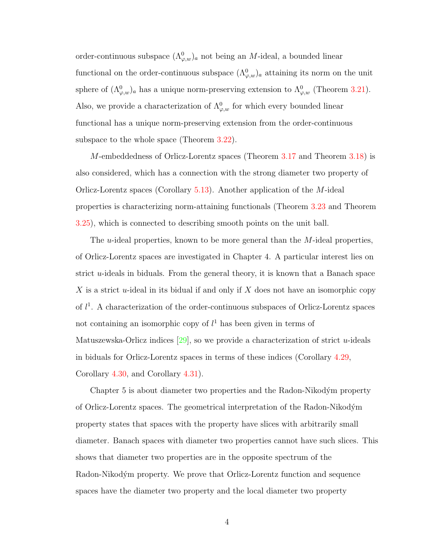order-continuous subspace  $(\Lambda^0_{\varphi,w})_a$  not being an *M*-ideal, a bounded linear functional on the order-continuous subspace  $(\Lambda^0_{\varphi,w})_a$  attaining its norm on the unit sphere of  $(\Lambda^0_{\varphi,w})_a$  has a unique norm-preserving extension to  $\Lambda^0_{\varphi,w}$  (Theorem [3.21\)](#page-68-0). Also, we provide a characterization of  $\Lambda^0_{\varphi,w}$  for which every bounded linear functional has a unique norm-preserving extension from the order-continuous subspace to the whole space (Theorem [3.22\)](#page-68-1).

M-embeddedness of Orlicz-Lorentz spaces (Theorem [3.17](#page-63-0) and Theorem [3.18\)](#page-65-0) is also considered, which has a connection with the strong diameter two property of Orlicz-Lorentz spaces (Corollary [5.13\)](#page-99-0). Another application of the M-ideal properties is characterizing norm-attaining functionals (Theorem [3.23](#page-70-0) and Theorem [3.25\)](#page-72-0), which is connected to describing smooth points on the unit ball.

The *u*-ideal properties, known to be more general than the *M*-ideal properties, of Orlicz-Lorentz spaces are investigated in Chapter 4. A particular interest lies on strict  $u$ -ideals in biduals. From the general theory, it is known that a Banach space X is a strict u-ideal in its bidual if and only if  $X$  does not have an isomorphic copy of  $l^1$ . A characterization of the order-continuous subspaces of Orlicz-Lorentz spaces not containing an isomorphic copy of  $l<sup>1</sup>$  has been given in terms of Matuszewska-Orlicz indices  $[29]$ , so we provide a characterization of strict *u*-ideals in biduals for Orlicz-Lorentz spaces in terms of these indices (Corollary [4.29,](#page-82-0) Corollary [4.30,](#page-82-1) and Corollary [4.31\)](#page-83-0).

Chapter 5 is about diameter two properties and the Radon-Nikodým property of Orlicz-Lorentz spaces. The geometrical interpretation of the Radon-Nikod´ym property states that spaces with the property have slices with arbitrarily small diameter. Banach spaces with diameter two properties cannot have such slices. This shows that diameter two properties are in the opposite spectrum of the Radon-Nikodým property. We prove that Orlicz-Lorentz function and sequence spaces have the diameter two property and the local diameter two property

4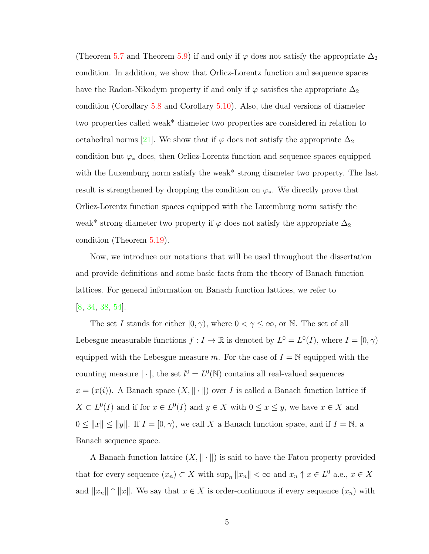(Theorem [5.7](#page-97-0) and Theorem [5.9\)](#page-97-1) if and only if  $\varphi$  does not satisfy the appropriate  $\Delta_2$ condition. In addition, we show that Orlicz-Lorentz function and sequence spaces have the Radon-Nikodym property if and only if  $\varphi$  satisfies the appropriate  $\Delta_2$ condition (Corollary [5.8](#page-97-2) and Corollary [5.10\)](#page-98-1). Also, the dual versions of diameter two properties called weak\* diameter two properties are considered in relation to octahedral norms [\[21\]](#page-109-1). We show that if  $\varphi$  does not satisfy the appropriate  $\Delta_2$ condition but  $\varphi_*$  does, then Orlicz-Lorentz function and sequence spaces equipped with the Luxemburg norm satisfy the weak<sup>\*</sup> strong diameter two property. The last result is strengthened by dropping the condition on  $\varphi_*$ . We directly prove that Orlicz-Lorentz function spaces equipped with the Luxemburg norm satisfy the weak\* strong diameter two property if  $\varphi$  does not satisfy the appropriate  $\Delta_2$ condition (Theorem [5.19\)](#page-100-1).

Now, we introduce our notations that will be used throughout the dissertation and provide definitions and some basic facts from the theory of Banach function lattices. For general information on Banach function lattices, we refer to [\[8,](#page-108-0) [34,](#page-111-0) [38,](#page-111-1) [54\]](#page-112-7).

The set I stands for either  $[0, \gamma)$ , where  $0 < \gamma \leq \infty$ , or N. The set of all Lebesgue measurable functions  $f: I \to \mathbb{R}$  is denoted by  $L^0 = L^0(I)$ , where  $I = [0, \gamma)$ equipped with the Lebesgue measure m. For the case of  $I = N$  equipped with the counting measure  $|\cdot|$ , the set  $l^0 = L^0(\mathbb{N})$  contains all real-valued sequences  $x = (x(i))$ . A Banach space  $(X, \|\cdot\|)$  over I is called a Banach function lattice if  $X \subset L^{0}(I)$  and if for  $x \in L^{0}(I)$  and  $y \in X$  with  $0 \leq x \leq y$ , we have  $x \in X$  and  $0 \le ||x|| \le ||y||$ . If  $I = [0, \gamma)$ , we call X a Banach function space, and if  $I = \mathbb{N}$ , a Banach sequence space.

A Banach function lattice  $(X, \|\cdot\|)$  is said to have the Fatou property provided that for every sequence  $(x_n) \subset X$  with  $\sup_n ||x_n|| < \infty$  and  $x_n \uparrow x \in L^0$  a.e.,  $x \in X$ and  $||x_n|| \uparrow ||x||$ . We say that  $x \in X$  is order-continuous if every sequence  $(x_n)$  with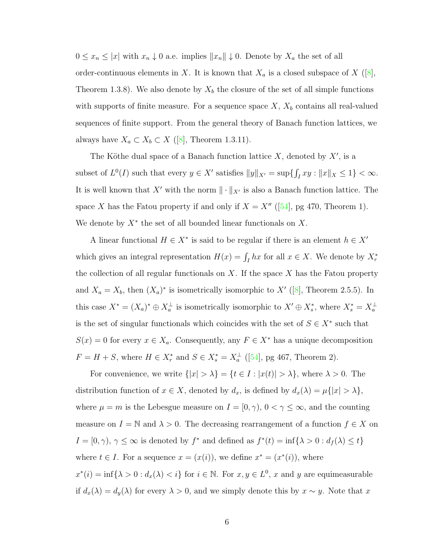$0 \leq x_n \leq |x|$  with  $x_n \downarrow 0$  a.e. implies  $||x_n|| \downarrow 0$ . Denote by  $X_a$  the set of all order-continuous elements in X. It is known that  $X_a$  is a closed subspace of X ([\[8\]](#page-108-0), Theorem 1.3.8). We also denote by  $X_b$  the closure of the set of all simple functions with supports of finite measure. For a sequence space  $X, X_b$  contains all real-valued sequences of finite support. From the general theory of Banach function lattices, we always have  $X_a \subset X_b \subset X$  ([\[8\]](#page-108-0), Theorem 1.3.11).

The Köthe dual space of a Banach function lattice  $X$ , denoted by  $X'$ , is a subset of  $L^0(I)$  such that every  $y \in X'$  satisfies  $||y||_{X'} = \sup\{\int_I xy : ||x||_X \le 1\} < \infty$ . It is well known that X' with the norm  $\|\cdot\|_{X'}$  is also a Banach function lattice. The space X has the Fatou property if and only if  $X = X''$  ([\[54\]](#page-112-7), pg 470, Theorem 1). We denote by  $X^*$  the set of all bounded linear functionals on  $X$ .

A linear functional  $H \in X^*$  is said to be regular if there is an element  $h \in X'$ which gives an integral representation  $H(x) = \int_I hx$  for all  $x \in X$ . We denote by  $X_r^*$ the collection of all regular functionals on  $X$ . If the space  $X$  has the Fatou property and  $X_a = X_b$ , then  $(X_a)^*$  is isometrically isomorphic to X' ([\[8\]](#page-108-0), Theorem 2.5.5). In this case  $X^* = (X_a)^* \oplus X_a^{\perp}$  is isometrically isomorphic to  $X' \oplus X_s^*$ , where  $X_s^* = X_a^{\perp}$ is the set of singular functionals which coincides with the set of  $S \in X^*$  such that  $S(x) = 0$  for every  $x \in X_a$ . Consequently, any  $F \in X^*$  has a unique decomposition  $F = H + S$ , where  $H \in X_r^*$  and  $S \in X_s^* = X_a^{\perp}$  ([\[54\]](#page-112-7), pg 467, Theorem 2).

For convenience, we write  $\{|x| > \lambda\} = \{t \in I : |x(t)| > \lambda\}$ , where  $\lambda > 0$ . The distribution function of  $x \in X$ , denoted by  $d_x$ , is defined by  $d_x(\lambda) = \mu\{|x| > \lambda\},$ where  $\mu = m$  is the Lebesgue measure on  $I = [0, \gamma), 0 < \gamma \leq \infty$ , and the counting measure on  $I = \mathbb{N}$  and  $\lambda > 0$ . The decreasing rearrangement of a function  $f \in X$  on  $I = [0, \gamma), \gamma \leq \infty$  is denoted by  $f^*$  and defined as  $f^*(t) = \inf\{\lambda > 0 : d_f(\lambda) \leq t\}$ where  $t \in I$ . For a sequence  $x = (x(i))$ , we define  $x^* = (x^*(i))$ , where  $x^*(i) = \inf\{\lambda > 0 : d_x(\lambda) < i\}$  for  $i \in \mathbb{N}$ . For  $x, y \in L^0$ , x and y are equimeasurable if  $d_x(\lambda) = d_y(\lambda)$  for every  $\lambda > 0$ , and we simply denote this by  $x \sim y$ . Note that x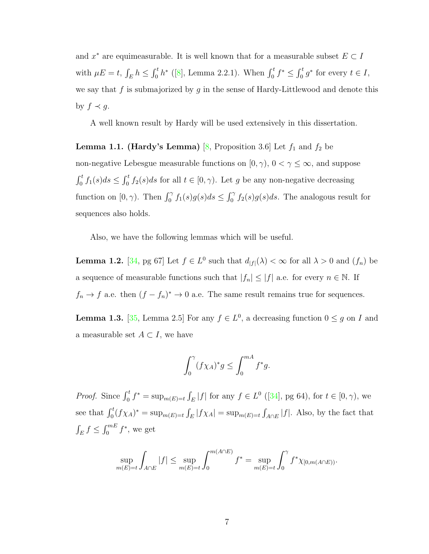and  $x^*$  are equimeasurable. It is well known that for a measurable subset  $E \subset I$ with  $\mu E = t$ ,  $\int_E h \le \int_0^t h^*$  ([\[8\]](#page-108-0), Lemma 2.2.1). When  $\int_0^t f^* \le \int_0^t g^*$  for every  $t \in I$ , we say that f is submajorized by  $g$  in the sense of Hardy-Littlewood and denote this by  $f \prec g$ .

A well known result by Hardy will be used extensively in this dissertation.

<span id="page-12-0"></span>**Lemma 1.1. (Hardy's Lemma)** [\[8,](#page-108-0) Proposition 3.6] Let  $f_1$  and  $f_2$  be non-negative Lebesgue measurable functions on  $[0, \gamma)$ ,  $0 < \gamma \leq \infty$ , and suppose  $\int_0^t f_1(s)ds \leq \int_0^t f_2(s)ds$  for all  $t \in [0, \gamma)$ . Let g be any non-negative decreasing function on  $[0, \gamma)$ . Then  $\int_0^{\gamma} f_1(s)g(s)ds \leq \int_0^{\gamma} f_2(s)g(s)ds$ . The analogous result for sequences also holds.

Also, we have the following lemmas which will be useful.

**Lemma 1.2.** [\[34,](#page-111-0) pg 67] Let  $f \in L^0$  such that  $d_{|f|}(\lambda) < \infty$  for all  $\lambda > 0$  and  $(f_n)$  be a sequence of measurable functions such that  $|f_n| \leq |f|$  a.e. for every  $n \in \mathbb{N}$ . If  $f_n \to f$  a.e. then  $(f - f_n)^* \to 0$  a.e. The same result remains true for sequences.

<span id="page-12-1"></span>**Lemma 1.3.** [\[35,](#page-111-2) Lemma 2.5] For any  $f \in L^0$ , a decreasing function  $0 \le g$  on I and a measurable set  $A \subset I$ , we have

$$
\int_0^\gamma (f\chi_A)^* g \le \int_0^{mA} f^* g.
$$

*Proof.* Since  $\int_0^t f^* = \sup_{m(E)=t} \int_E |f|$  for any  $f \in L^0$  ([\[34\]](#page-111-0), pg 64), for  $t \in [0, \gamma)$ , we see that  $\int_0^t (f\chi_A)^* = \sup_{m(E)=t} \int_E |f\chi_A| = \sup_{m(E)=t} \int_{A\cap E} |f|$ . Also, by the fact that  $\int_E f \leq \int_0^{mE} f^*$ , we get

$$
\sup_{m(E)=t} \int_{A \cap E} |f| \le \sup_{m(E)=t} \int_0^{m(A \cap E)} f^* = \sup_{m(E)=t} \int_0^{\gamma} f^* \chi_{[0,m(A \cap E))}.
$$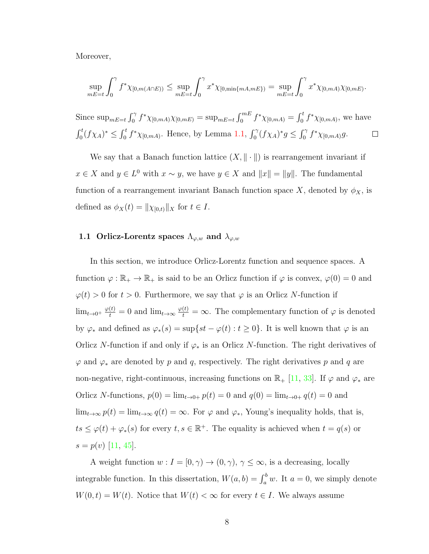Moreover,

$$
\sup_{mE=t} \int_0^{\gamma} f^* \chi_{[0,m(A \cap E))} \leq \sup_{mE=t} \int_0^{\gamma} x^* \chi_{[0,\min\{mA,mE\})} = \sup_{mE=t} \int_0^{\gamma} x^* \chi_{[0,mA)} \chi_{[0,mE)}.
$$

Since  $\sup_{mE=t} \int_0^{\gamma} f^* \chi_{[0,mA)} \chi_{[0,mE)} = \sup_{mE=t} \int_0^{mE} f^* \chi_{[0,mA)} = \int_0^t f^* \chi_{[0,mA)}$ , we have  $\int_0^t (f\chi_A)^* \leq \int_0^t f^* \chi_{[0,mA)}$ . Hence, by Lemma [1.1,](#page-12-0)  $\int_0^{\gamma} (f\chi_A)^* g \leq \int_0^{\gamma} f^* \chi_{[0,mA)} g$ .  $\Box$ 

We say that a Banach function lattice  $(X, \|\cdot\|)$  is rearrangement invariant if  $x \in X$  and  $y \in L^0$  with  $x \sim y$ , we have  $y \in X$  and  $||x|| = ||y||$ . The fundamental function of a rearrangement invariant Banach function space X, denoted by  $\phi_X$ , is defined as  $\phi_X(t) = ||\chi_{[0,t)}||_X$  for  $t \in I$ .

#### <span id="page-13-0"></span>1.1 Orlicz-Lorentz spaces  $\Lambda_{\varphi,w}$  and  $\lambda_{\varphi,w}$

In this section, we introduce Orlicz-Lorentz function and sequence spaces. A function  $\varphi : \mathbb{R}_+ \to \mathbb{R}_+$  is said to be an Orlicz function if  $\varphi$  is convex,  $\varphi(0) = 0$  and  $\varphi(t) > 0$  for  $t > 0$ . Furthermore, we say that  $\varphi$  is an Orlicz N-function if  $\lim_{t\to 0^+} \frac{\varphi(t)}{t} = 0$  and  $\lim_{t\to\infty} \frac{\varphi(t)}{t} = \infty$ . The complementary function of  $\varphi$  is denoted by  $\varphi_*$  and defined as  $\varphi_*(s) = \sup\{st - \varphi(t): t \geq 0\}$ . It is well known that  $\varphi$  is an Orlicz N-function if and only if  $\varphi_*$  is an Orlicz N-function. The right derivatives of  $\varphi$  and  $\varphi_*$  are denoted by p and q, respectively. The right derivatives p and q are non-negative, right-continuous, increasing functions on  $\mathbb{R}_+$  [\[11,](#page-108-1) [33\]](#page-111-3). If  $\varphi$  and  $\varphi_*$  are Orlicz N-functions,  $p(0) = \lim_{t \to 0+} p(t) = 0$  and  $q(0) = \lim_{t \to 0+} q(t) = 0$  and  $\lim_{t\to\infty} p(t) = \lim_{t\to\infty} q(t) = \infty$ . For  $\varphi$  and  $\varphi_*$ , Young's inequality holds, that is,  $ts \leq \varphi(t) + \varphi_*(s)$  for every  $t, s \in \mathbb{R}^+$ . The equality is achieved when  $t = q(s)$  or  $s = p(v)$  [\[11,](#page-108-1) [45\]](#page-112-8).

A weight function  $w: I = [0, \gamma) \to (0, \gamma), \gamma \leq \infty$ , is a decreasing, locally integrable function. In this dissertation,  $W(a, b) = \int_a^b w$ . It  $a = 0$ , we simply denote  $W(0, t) = W(t)$ . Notice that  $W(t) < \infty$  for every  $t \in I$ . We always assume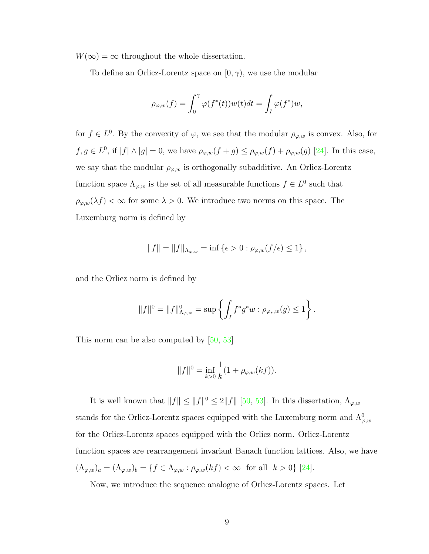$W(\infty) = \infty$  throughout the whole dissertation.

To define an Orlicz-Lorentz space on  $[0, \gamma)$ , we use the modular

$$
\rho_{\varphi,w}(f) = \int_0^\gamma \varphi(f^*(t))w(t)dt = \int_I \varphi(f^*)w,
$$

for  $f \in L^0$ . By the convexity of  $\varphi$ , we see that the modular  $\rho_{\varphi,w}$  is convex. Also, for  $f, g \in L^0$ , if  $|f| \wedge |g| = 0$ , we have  $\rho_{\varphi,w}(f+g) \leq \rho_{\varphi,w}(f) + \rho_{\varphi,w}(g)$  [\[24\]](#page-110-0). In this case, we say that the modular  $\rho_{\varphi,w}$  is orthogonally subadditive. An Orlicz-Lorentz function space  $\Lambda_{\varphi,w}$  is the set of all measurable functions  $f \in L^0$  such that  $\rho_{\varphi,w}(\lambda f) < \infty$  for some  $\lambda > 0$ . We introduce two norms on this space. The Luxemburg norm is defined by

$$
||f|| = ||f||_{\Lambda_{\varphi,w}} = \inf \{\epsilon > 0 : \rho_{\varphi,w}(f/\epsilon) \le 1\},\
$$

and the Orlicz norm is defined by

$$
||f||^{0} = ||f||^{0}_{\Lambda_{\varphi,w}} = \sup \left\{ \int_{I} f^{*} g^{*} w : \rho_{\varphi_{*},w}(g) \leq 1 \right\}.
$$

This norm can be also computed by [\[50,](#page-112-0) [53\]](#page-112-2)

$$
||f||^{0} = \inf_{k>0} \frac{1}{k} (1 + \rho_{\varphi,w}(kf)).
$$

It is well known that  $||f|| \le ||f||^0 \le 2||f||$  [\[50,](#page-112-0) [53\]](#page-112-2). In this dissertation,  $\Lambda_{\varphi,w}$ stands for the Orlicz-Lorentz spaces equipped with the Luxemburg norm and  $\Lambda_{\varphi,w}^0$ for the Orlicz-Lorentz spaces equipped with the Orlicz norm. Orlicz-Lorentz function spaces are rearrangement invariant Banach function lattices. Also, we have  $(\Lambda_{\varphi,w})_a = (\Lambda_{\varphi,w})_b = \{f \in \Lambda_{\varphi,w} : \rho_{\varphi,w}(kf) < \infty \text{ for all } k > 0\}$  [\[24\]](#page-110-0).

Now, we introduce the sequence analogue of Orlicz-Lorentz spaces. Let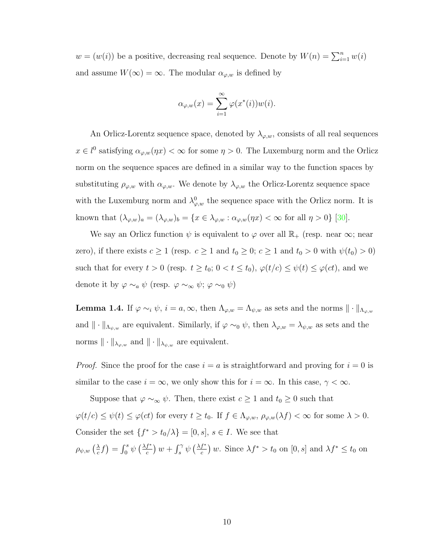$w = (w(i))$  be a positive, decreasing real sequence. Denote by  $W(n) = \sum_{i=1}^{n} w(i)$ and assume  $W(\infty) = \infty$ . The modular  $\alpha_{\varphi,w}$  is defined by

$$
\alpha_{\varphi,w}(x) = \sum_{i=1}^{\infty} \varphi(x^*(i))w(i).
$$

An Orlicz-Lorentz sequence space, denoted by  $\lambda_{\varphi,w}$ , consists of all real sequences  $x \in l^0$  satisfying  $\alpha_{\varphi,w}(\eta x) < \infty$  for some  $\eta > 0$ . The Luxemburg norm and the Orlicz norm on the sequence spaces are defined in a similar way to the function spaces by substituting  $\rho_{\varphi,w}$  with  $\alpha_{\varphi,w}$ . We denote by  $\lambda_{\varphi,w}$  the Orlicz-Lorentz sequence space with the Luxemburg norm and  $\lambda_{\varphi,w}^0$  the sequence space with the Orlicz norm. It is known that  $(\lambda_{\varphi,w})_a = (\lambda_{\varphi,w})_b = \{x \in \lambda_{\varphi,w} : \alpha_{\varphi,w}(\eta x) < \infty \text{ for all } \eta > 0\}$  [\[30\]](#page-110-2).

We say an Orlicz function  $\psi$  is equivalent to  $\varphi$  over all  $\mathbb{R}_+$  (resp. near  $\infty$ ; near zero), if there exists  $c \ge 1$  (resp.  $c \ge 1$  and  $t_0 \ge 0$ ;  $c \ge 1$  and  $t_0 > 0$  with  $\psi(t_0) > 0$ ) such that for every  $t > 0$  (resp.  $t \ge t_0$ ;  $0 < t \le t_0$ ),  $\varphi(t/c) \le \psi(t) \le \varphi(ct)$ , and we denote it by  $\varphi \sim_a \psi$  (resp.  $\varphi \sim_\infty \psi$ ;  $\varphi \sim_0 \psi$ )

<span id="page-15-0"></span>**Lemma 1.4.** If  $\varphi \sim_i \psi$ ,  $i = a, \infty$ , then  $\Lambda_{\varphi,w} = \Lambda_{\psi,w}$  as sets and the norms  $\|\cdot\|_{\Lambda_{\varphi,w}}$ and  $\|\cdot\|_{\Lambda_{\psi,w}}$  are equivalent. Similarly, if  $\varphi \sim_0 \psi$ , then  $\lambda_{\varphi,w} = \lambda_{\psi,w}$  as sets and the norms  $\|\cdot\|_{\lambda_{\varphi,w}}$  and  $\|\cdot\|_{\lambda_{\psi,w}}$  are equivalent.

*Proof.* Since the proof for the case  $i = a$  is straightforward and proving for  $i = 0$  is similar to the case  $i = \infty$ , we only show this for  $i = \infty$ . In this case,  $\gamma < \infty$ .

Suppose that  $\varphi \sim_{\infty} \psi$ . Then, there exist  $c \geq 1$  and  $t_0 \geq 0$  such that  $\varphi(t/c) \leq \psi(t) \leq \varphi(ct)$  for every  $t \geq t_0$ . If  $f \in \Lambda_{\varphi,w}$ ,  $\rho_{\varphi,w}(\lambda f) < \infty$  for some  $\lambda > 0$ . Consider the set  $\{f^* > t_0/\lambda\} = [0, s], s \in I$ . We see that  $\rho_{\psi, w}$   $\left(\frac{\lambda}{c}\right)$  $\frac{\lambda}{c}f$  =  $\int_0^s \psi\left(\frac{\lambda f^*}{c}\right)$  $\int_c^{\ast}$ )  $w + \int_s^{\gamma} \psi \left(\frac{\lambda f^*}{c}\right)$  $\frac{f^*}{c}$  w. Since  $\lambda f^* > t_0$  on  $[0, s]$  and  $\lambda f^* \le t_0$  on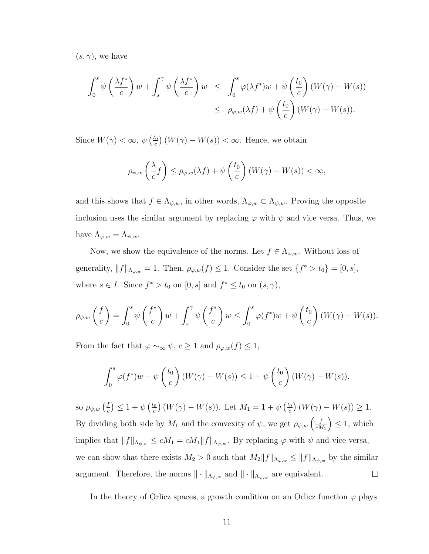$(s, \gamma)$ , we have

$$
\int_0^s \psi\left(\frac{\lambda f^*}{c}\right) w + \int_s^\gamma \psi\left(\frac{\lambda f^*}{c}\right) w \le \int_0^s \varphi(\lambda f^*) w + \psi\left(\frac{t_0}{c}\right) (W(\gamma) - W(s))
$$
  

$$
\le \rho_{\varphi,w}(\lambda f) + \psi\left(\frac{t_0}{c}\right) (W(\gamma) - W(s)).
$$

Since  $W(\gamma) < \infty$ ,  $\psi\left(\frac{t_0}{c}\right)$  $\binom{c_0}{c}(W(\gamma)-W(s))<\infty$ . Hence, we obtain

$$
\rho_{\psi,w}\left(\frac{\lambda}{c}f\right) \leq \rho_{\varphi,w}(\lambda f) + \psi\left(\frac{t_0}{c}\right)\left(W(\gamma) - W(s)\right) < \infty,
$$

and this shows that  $f \in \Lambda_{\psi,w}$ , in other words,  $\Lambda_{\varphi,w} \subset \Lambda_{\psi,w}$ . Proving the opposite inclusion uses the similar argument by replacing  $\varphi$  with  $\psi$  and vice versa. Thus, we have  $\Lambda_{\varphi,w} = \Lambda_{\psi,w}.$ 

Now, we show the equivalence of the norms. Let  $f \in \Lambda_{\varphi,w}$ . Without loss of generality,  $||f||_{\Lambda_{\varphi,w}} = 1$ . Then,  $\rho_{\varphi,w}(f) \leq 1$ . Consider the set  $\{f^* > t_0\} = [0, s]$ , where  $s \in I$ . Since  $f^* > t_0$  on  $[0, s]$  and  $f^* \leq t_0$  on  $(s, \gamma)$ ,

$$
\rho_{\psi,w}\left(\frac{f}{c}\right) = \int_0^s \psi\left(\frac{f^*}{c}\right)w + \int_s^\gamma \psi\left(\frac{f^*}{c}\right)w \le \int_0^s \varphi(f^*)w + \psi\left(\frac{t_0}{c}\right)(W(\gamma) - W(s)).
$$

From the fact that  $\varphi \sim_{\infty} \psi$ ,  $c \ge 1$  and  $\rho_{\varphi,w}(f) \le 1$ ,

$$
\int_0^s \varphi(f^*)w + \psi\left(\frac{t_0}{c}\right)(W(\gamma) - W(s)) \le 1 + \psi\left(\frac{t_0}{c}\right)(W(\gamma) - W(s)),
$$

so  $\rho_{\psi,w}$  ( $\frac{f}{c}$  $(\frac{f}{c}) \leq 1 + \psi \left( \frac{t_0}{c} \right)$  $\left(\frac{c_0}{c}\right)(W(\gamma)-W(s))$ . Let  $M_1=1+\psi\left(\frac{t_0}{c}\right)$  $\binom{c_0}{c}(W(\gamma)-W(s))\geq 1.$ By dividing both side by  $M_1$  and the convexity of  $\psi$ , we get  $\rho_{\psi,w} \left( \frac{f}{c \lambda} \right)$  $\Big) \leq 1$ , which  $cM_1$ implies that  $||f||_{\Lambda_{\psi,w}} \le cM_1 = cM_1||f||_{\Lambda_{\varphi,w}}$ . By replacing  $\varphi$  with  $\psi$  and vice versa, we can show that there exists  $M_2 > 0$  such that  $M_2 ||f||_{\Lambda_{\varphi,w}} \le ||f||_{\Lambda_{\psi,w}}$  by the similar argument. Therefore, the norms  $\|\cdot\|_{\Lambda_{\varphi,w}}$  and  $\|\cdot\|_{\Lambda_{\psi,w}}$  are equivalent.  $\Box$ 

In the theory of Orlicz spaces, a growth condition on an Orlicz function  $\varphi$  plays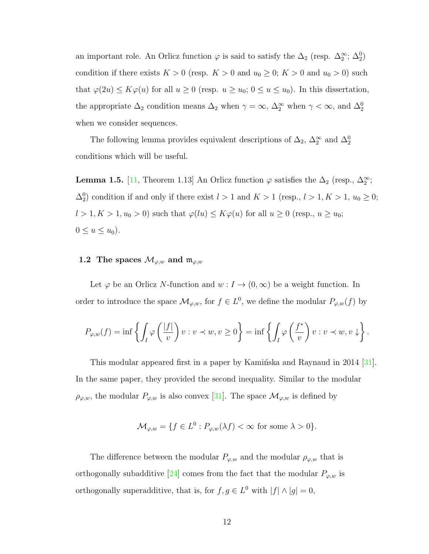an important role. An Orlicz function  $\varphi$  is said to satisfy the  $\Delta_2$  (resp.  $\Delta_2^{\infty}$ ;  $\Delta_2^0$ ) condition if there exists  $K > 0$  (resp.  $K > 0$  and  $u_0 \ge 0$ ;  $K > 0$  and  $u_0 > 0$ ) such that  $\varphi(2u) \leq K\varphi(u)$  for all  $u \geq 0$  (resp.  $u \geq u_0$ ;  $0 \leq u \leq u_0$ ). In this dissertation, the appropriate  $\Delta_2$  condition means  $\Delta_2$  when  $\gamma = \infty$ ,  $\Delta_2^{\infty}$  when  $\gamma < \infty$ , and  $\Delta_2^0$ when we consider sequences.

The following lemma provides equivalent descriptions of  $\Delta_2$ ,  $\Delta_2^{\infty}$  and  $\Delta_2^0$ conditions which will be useful.

<span id="page-17-1"></span>**Lemma 1.5.** [\[11,](#page-108-1) Theorem 1.13] An Orlicz function  $\varphi$  satisfies the  $\Delta_2$  (resp.,  $\Delta_2^{\infty}$ ;  $\Delta_2^0$  condition if and only if there exist  $l > 1$  and  $K > 1$  (resp.,  $l > 1, K > 1, u_0 \geq 0$ ;  $l > 1, K > 1, u_0 > 0$ ) such that  $\varphi(lu) \leq K\varphi(u)$  for all  $u \geq 0$  (resp.,  $u \geq u_0$ ;  $0 \leq u \leq u_0$ .

#### <span id="page-17-0"></span>1.2 The spaces  $\mathcal{M}_{\varphi,w}$  and  $\mathfrak{m}_{\varphi,w}$

Let  $\varphi$  be an Orlicz N-function and  $w: I \to (0, \infty)$  be a weight function. In order to introduce the space  $\mathcal{M}_{\varphi,w}$ , for  $f \in L^0$ , we define the modular  $P_{\varphi,w}(f)$  by

$$
P_{\varphi,w}(f) = \inf \left\{ \int_I \varphi\left(\frac{|f|}{v}\right) v : v \prec w, v \ge 0 \right\} = \inf \left\{ \int_I \varphi\left(\frac{f^*}{v}\right) v : v \prec w, v \downarrow \right\}.
$$

This modular appeared first in a paper by Kaminska and Raynaud in 2014 [\[31\]](#page-110-4). In the same paper, they provided the second inequality. Similar to the modular  $\rho_{\varphi,w}$ , the modular  $P_{\varphi,w}$  is also convex [\[31\]](#page-110-4). The space  $\mathcal{M}_{\varphi,w}$  is defined by

$$
\mathcal{M}_{\varphi,w} = \{ f \in L^0 : P_{\varphi,w}(\lambda f) < \infty \text{ for some } \lambda > 0 \}.
$$

The difference between the modular  $P_{\varphi,w}$  and the modular  $\rho_{\varphi,w}$  that is orthogonally subadditive [\[24\]](#page-110-0) comes from the fact that the modular  $P_{\varphi,w}$  is orthogonally superadditive, that is, for  $f, g \in L^0$  with  $|f| \wedge |g| = 0$ ,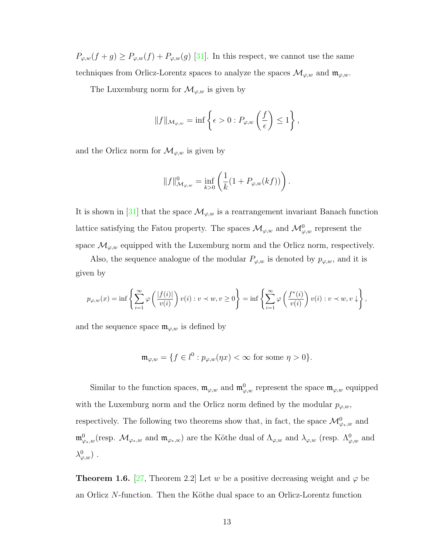$P_{\varphi,w}(f+g) \ge P_{\varphi,w}(f) + P_{\varphi,w}(g)$  [\[31\]](#page-110-4). In this respect, we cannot use the same techniques from Orlicz-Lorentz spaces to analyze the spaces  $\mathcal{M}_{\varphi,w}$  and  $\mathfrak{m}_{\varphi,w}$ .

The Luxemburg norm for  $\mathcal{M}_{\varphi,w}$  is given by

$$
||f||_{\mathcal{M}_{\varphi,w}} = \inf \left\{ \epsilon > 0 : P_{\varphi,w} \left( \frac{f}{\epsilon} \right) \le 1 \right\},\
$$

and the Orlicz norm for  $\mathcal{M}_{\varphi,w}$  is given by

$$
||f||^0_{\mathcal{M}_{\varphi,w}} = \inf_{k>0} \left( \frac{1}{k} (1 + P_{\varphi,w}(kf)) \right).
$$

It is shown in [\[31\]](#page-110-4) that the space  $\mathcal{M}_{\varphi,w}$  is a rearrangement invariant Banach function lattice satisfying the Fatou property. The spaces  $\mathcal{M}_{\varphi,w}$  and  $\mathcal{M}_{\varphi,w}^0$  represent the space  $\mathcal{M}_{\varphi,w}$  equipped with the Luxemburg norm and the Orlicz norm, respectively.

Also, the sequence analogue of the modular  $P_{\varphi,w}$  is denoted by  $p_{\varphi,w}$ , and it is given by

$$
p_{\varphi,w}(x) = \inf \left\{ \sum_{i=1}^{\infty} \varphi \left( \frac{|f(i)|}{v(i)} \right) v(i) : v \prec w, v \ge 0 \right\} = \inf \left\{ \sum_{i=1}^{\infty} \varphi \left( \frac{f^*(i)}{v(i)} \right) v(i) : v \prec w, v \downarrow \right\},\
$$

and the sequence space  $\mathfrak{m}_{\varphi,w}$  is defined by

$$
\mathfrak{m}_{\varphi,w} = \{ f \in l^0 : p_{\varphi,w}(\eta x) < \infty \text{ for some } \eta > 0 \}.
$$

Similar to the function spaces,  $\mathfrak{m}_{\varphi,w}$  and  $\mathfrak{m}_{\varphi,w}^0$  represent the space  $\mathfrak{m}_{\varphi,w}$  equipped with the Luxemburg norm and the Orlicz norm defined by the modular  $p_{\varphi,w}$ , respectively. The following two theorems show that, in fact, the space  $\mathcal{M}_{\varphi_*,w}^0$  and  $\mathfrak{m}_{\varphi_*,w}^0$  (resp.  $\mathcal{M}_{\varphi_*,w}$  and  $\mathfrak{m}_{\varphi_*,w}$ ) are the Köthe dual of  $\Lambda_{\varphi,w}$  and  $\lambda_{\varphi,w}$  (resp.  $\Lambda_{\varphi,w}^0$  and  $\lambda^0_{\varphi,w})$  .

<span id="page-18-0"></span>**Theorem 1.6.** [\[27,](#page-110-3) Theorem 2.2] Let w be a positive decreasing weight and  $\varphi$  be an Orlicz  $N$ -function. Then the Köthe dual space to an Orlicz-Lorentz function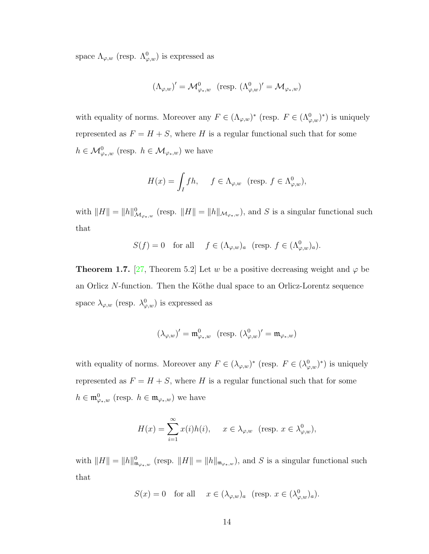space  $\Lambda_{\varphi,w}$  (resp.  $\Lambda_{\varphi,w}^0$ ) is expressed as

$$
(\Lambda_{\varphi,w})'=\mathcal{M}_{\varphi_*,w}^0\ \ (\text{resp.}\ (\Lambda_{\varphi,w}^0)'=\mathcal{M}_{\varphi_*,w})
$$

with equality of norms. Moreover any  $F \in (\Lambda_{\varphi,w})^*$  (resp.  $F \in (\Lambda_{\varphi,w}^0)^*$ ) is uniquely represented as  $F = H + S$ , where H is a regular functional such that for some  $h \in \mathcal{M}_{\varphi_*,w}^0$  (resp.  $h \in \mathcal{M}_{\varphi_*,w}$ ) we have

$$
H(x) = \int_I fh, \quad f \in \Lambda_{\varphi,w} \text{ (resp. } f \in \Lambda_{\varphi,w}^0),
$$

with  $||H|| = ||h||_{\mathcal{M}_{\varphi_*,w}}^0$  (resp.  $||H|| = ||h||_{\mathcal{M}_{\varphi_*,w}}$ ), and S is a singular functional such that

$$
S(f) = 0 \quad \text{for all} \quad f \in (\Lambda_{\varphi,w})_a \quad (\text{resp. } f \in (\Lambda_{\varphi,w}^0)_a).
$$

**Theorem 1.7.** [\[27,](#page-110-3) Theorem 5.2] Let w be a positive decreasing weight and  $\varphi$  be an Orlicz  $N$ -function. Then the Köthe dual space to an Orlicz-Lorentz sequence space  $\lambda_{\varphi,w}$  (resp.  $\lambda_{\varphi,w}^0$ ) is expressed as

$$
(\lambda_{\varphi,w})'=\mathfrak{m}_{\varphi_*,w}^0 \quad (\text{resp. } (\lambda_{\varphi,w}^0)'=\mathfrak{m}_{\varphi_*,w})
$$

with equality of norms. Moreover any  $F \in (\lambda_{\varphi,w})^*$  (resp.  $F \in (\lambda_{\varphi,w}^0)^*$ ) is uniquely represented as  $F = H + S$ , where H is a regular functional such that for some  $h \in \mathfrak{m}^0_{\varphi_*,w}$  (resp.  $h \in \mathfrak{m}_{\varphi_*,w}$ ) we have

$$
H(x) = \sum_{i=1}^{\infty} x(i)h(i), \quad x \in \lambda_{\varphi,w} \text{ (resp. } x \in \lambda_{\varphi,w}^0),
$$

<span id="page-19-0"></span>with  $||H|| = ||h||_{\mathfrak{m}_{\varphi_*,w}}^0$  (resp.  $||H|| = ||h||_{\mathfrak{m}_{\varphi_*,w}}$ ), and S is a singular functional such that

$$
S(x) = 0 \quad \text{for all} \quad x \in (\lambda_{\varphi,w})_a \ \ (\text{resp. } x \in (\lambda_{\varphi,w}^0)_a).
$$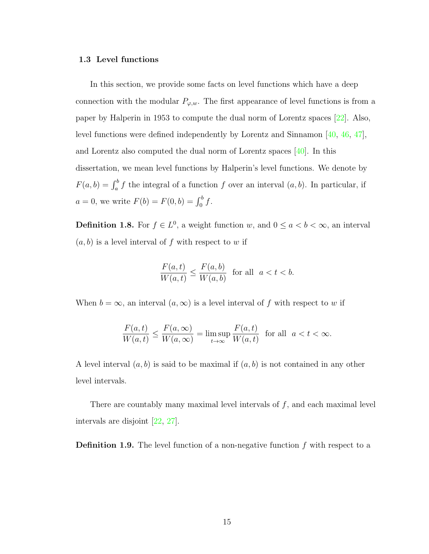#### 1.3 Level functions

In this section, we provide some facts on level functions which have a deep connection with the modular  $P_{\varphi,w}$ . The first appearance of level functions is from a paper by Halperin in 1953 to compute the dual norm of Lorentz spaces [\[22\]](#page-110-5). Also, level functions were defined independently by Lorentz and Sinnamon [\[40,](#page-111-4) [46,](#page-112-3) [47\]](#page-112-4), and Lorentz also computed the dual norm of Lorentz spaces [\[40\]](#page-111-4). In this dissertation, we mean level functions by Halperin's level functions. We denote by  $F(a, b) = \int_a^b f$  the integral of a function f over an interval  $(a, b)$ . In particular, if  $a = 0$ , we write  $F(b) = F(0, b) = \int_0^b f$ .

**Definition 1.8.** For  $f \in L^0$ , a weight function w, and  $0 \le a < b < \infty$ , an interval  $(a, b)$  is a level interval of f with respect to w if

$$
\frac{F(a,t)}{W(a,t)} \le \frac{F(a,b)}{W(a,b)} \quad \text{for all} \quad a < t < b.
$$

When  $b = \infty$ , an interval  $(a, \infty)$  is a level interval of f with respect to w if

$$
\frac{F(a,t)}{W(a,t)} \le \frac{F(a,\infty)}{W(a,\infty)} = \limsup_{t \to \infty} \frac{F(a,t)}{W(a,t)} \text{ for all } a < t < \infty.
$$

A level interval  $(a, b)$  is said to be maximal if  $(a, b)$  is not contained in any other level intervals.

There are countably many maximal level intervals of  $f$ , and each maximal level intervals are disjoint [\[22,](#page-110-5) [27\]](#page-110-3).

**Definition 1.9.** The level function of a non-negative function  $f$  with respect to a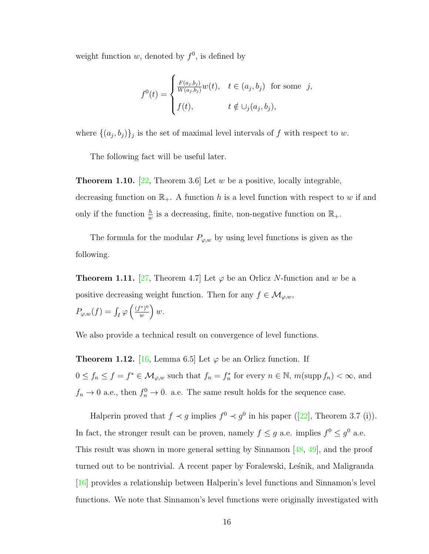weight function w, denoted by  $f^0$ , is defined by

$$
f^{0}(t) = \begin{cases} \frac{F(a_j, b_j)}{W(a_j, b_j)} w(t), & t \in (a_j, b_j) \text{ for some } j, \\ f(t), & t \notin \cup_j (a_j, b_j), \end{cases}
$$

where  $\{(a_j, b_j)\}_j$  is the set of maximal level intervals of f with respect to w.

The following fact will be useful later.

**Theorem 1.10.** [\[22,](#page-110-5) Theorem 3.6] Let w be a positive, locally integrable, decreasing function on  $\mathbb{R}_+$ . A function h is a level function with respect to w if and only if the function  $\frac{h}{w}$  is a decreasing, finite, non-negative function on  $\mathbb{R}_+$ .

The formula for the modular  $P_{\varphi,w}$  by using level functions is given as the following.

**Theorem 1.11.** [\[27,](#page-110-3) Theorem 4.7] Let  $\varphi$  be an Orlicz N-function and w be a positive decreasing weight function. Then for any  $f \in \mathcal{M}_{\varphi,w}$ ,  $P_{\varphi,w}(f) = \int_I \varphi \left( \frac{(f^*)^0}{w} \right)$  $\left(\frac{w^{*})^{0}}{w}\right)w.$ 

We also provide a technical result on convergence of level functions.

**Theorem 1.12.** [\[16,](#page-109-0) Lemma 6.5] Let  $\varphi$  be an Orlicz function. If  $0 \le f_n \le f = f^* \in \mathcal{M}_{\varphi,w}$  such that  $f_n = f_n^*$  for every  $n \in \mathbb{N}$ ,  $m(\text{supp } f_n) < \infty$ , and  $f_n \to 0$  a.e., then  $f_n^0 \to 0$ . a.e. The same result holds for the sequence case.

Halperin proved that  $f \prec g$  implies  $f^0 \prec g^0$  in his paper ([\[22\]](#page-110-5), Theorem 3.7 (i)). In fact, the stronger result can be proven, namely  $f \leq g$  a.e. implies  $f^0 \leq g^0$  a.e. This result was shown in more general setting by Sinnamon [\[48,](#page-112-5) [49\]](#page-112-6), and the proof turned out to be nontrivial. A recent paper by Foralewski, Leśnik, and Maligranda [\[16\]](#page-109-0) provides a relationship between Halperin's level functions and Sinnamon's level functions. We note that Sinnamon's level functions were originally investigated with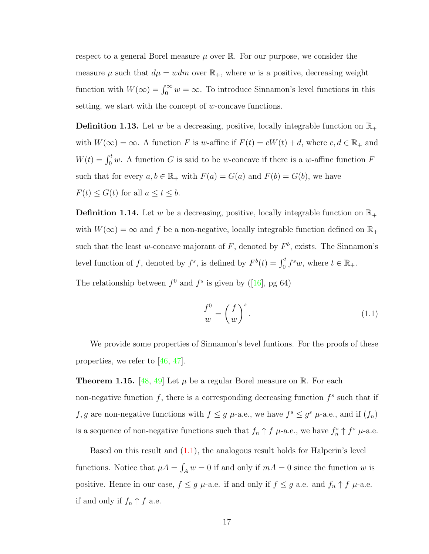respect to a general Borel measure  $\mu$  over  $\mathbb R$ . For our purpose, we consider the measure  $\mu$  such that  $d\mu = wdm$  over  $\mathbb{R}_+$ , where w is a positive, decreasing weight function with  $W(\infty) = \int_0^\infty w = \infty$ . To introduce Sinnamon's level functions in this setting, we start with the concept of  $w$ -concave functions.

**Definition 1.13.** Let w be a decreasing, positive, locally integrable function on  $\mathbb{R}_+$ with  $W(\infty) = \infty$ . A function F is w-affine if  $F(t) = cW(t) + d$ , where  $c, d \in \mathbb{R}_+$  and  $W(t) = \int_0^t w$ . A function G is said to be w-concave if there is a w-affine function F such that for every  $a, b \in \mathbb{R}_+$  with  $F(a) = G(a)$  and  $F(b) = G(b)$ , we have  $F(t) \leq G(t)$  for all  $a \leq t \leq b$ .

**Definition 1.14.** Let w be a decreasing, positive, locally integrable function on  $\mathbb{R}_+$ with  $W(\infty) = \infty$  and f be a non-negative, locally integrable function defined on  $\mathbb{R}_+$ such that the least w-concave majorant of  $F$ , denoted by  $F<sup>b</sup>$ , exists. The Sinnamon's level function of f, denoted by  $f^s$ , is defined by  $F^b(t) = \int_0^t f^s w$ , where  $t \in \mathbb{R}_+$ .

The relationship between  $f^0$  and  $f^s$  is given by ([\[16\]](#page-109-0), pg 64)

<span id="page-22-0"></span>
$$
\frac{f^0}{w} = \left(\frac{f}{w}\right)^s.
$$
\n(1.1)

We provide some properties of Sinnamon's level funtions. For the proofs of these properties, we refer to [\[46,](#page-112-3) [47\]](#page-112-4).

<span id="page-22-1"></span>**Theorem 1.15.** [\[48,](#page-112-5) [49\]](#page-112-6) Let  $\mu$  be a regular Borel measure on R. For each non-negative function  $f$ , there is a corresponding decreasing function  $f^s$  such that if f, g are non-negative functions with  $f \leq g$   $\mu$ -a.e., we have  $f^s \leq g^s$   $\mu$ -a.e., and if  $(f_n)$ is a sequence of non-negative functions such that  $f_n \uparrow f$   $\mu$ -a.e., we have  $f_n^s \uparrow f^s$   $\mu$ -a.e.

Based on this result and  $(1.1)$ , the analogous result holds for Halperin's level functions. Notice that  $\mu A = \int_A w = 0$  if and only if  $mA = 0$  since the function w is positive. Hence in our case,  $f \leq g$   $\mu$ -a.e. if and only if  $f \leq g$  a.e. and  $f_n \uparrow f$   $\mu$ -a.e. if and only if  $f_n \uparrow f$  a.e.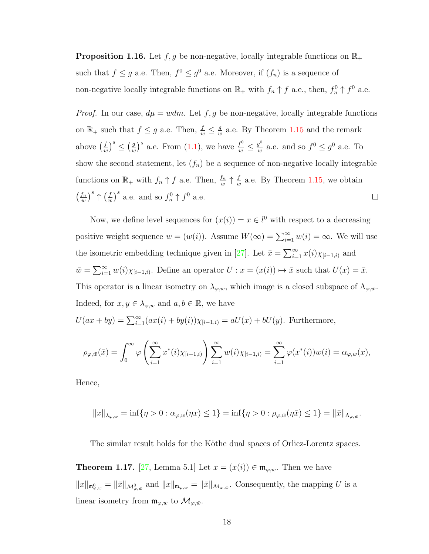<span id="page-23-0"></span>**Proposition 1.16.** Let  $f, g$  be non-negative, locally integrable functions on  $\mathbb{R}_+$ such that  $f \leq g$  a.e. Then,  $f^0 \leq g^0$  a.e. Moreover, if  $(f_n)$  is a sequence of non-negative locally integrable functions on  $\mathbb{R}_+$  with  $f_n \uparrow f$  a.e., then,  $f_n^0 \uparrow f^0$  a.e.

*Proof.* In our case,  $d\mu = wdm$ . Let  $f, g$  be non-negative, locally integrable functions on  $\mathbb{R}_+$  such that  $f \leq g$  a.e. Then,  $\frac{f}{w} \leq \frac{g}{u}$  $\frac{g}{w}$  a.e. By Theorem [1.15](#page-22-1) and the remark  $\left(\frac{f}{w}\right)^s \leq \left(\frac{g}{u}\right)^s$  $\left(\frac{g}{w}\right)^s$  a.e. From  $(1.1)$ , we have  $\frac{f^0}{w} \leq \frac{g^0}{w}$ above  $\left(\frac{f}{u}\right)$  $\frac{g^0}{w}$  a.e. and so  $f^0 \leq g^0$  a.e. To show the second statement, let  $(f_n)$  be a sequence of non-negative locally integrable functions on  $\mathbb{R}_+$  with  $f_n \uparrow f$  a.e. Then,  $\frac{f_n}{w} \uparrow \frac{f}{u}$  $\frac{f}{w}$  a.e. By Theorem [1.15,](#page-22-1) we obtain  $\left(\frac{f_n}{w}\right)^s \uparrow \left(\frac{f}{u}\right)$  $\left(\frac{f}{w}\right)^s$  a.e. and so  $f_n^0 \uparrow f^0$  a.e.  $\int \frac{f_n}{a}$  $\Box$ 

Now, we define level sequences for  $(x(i)) = x \in l^0$  with respect to a decreasing positive weight sequence  $w = (w(i))$ . Assume  $W(\infty) = \sum_{i=1}^{\infty} w(i) = \infty$ . We will use the isometric embedding technique given in [\[27\]](#page-110-3). Let  $\bar{x} = \sum_{i=1}^{\infty} x(i)\chi_{[i-1,i)}$  and  $\overline{w} = \sum_{i=1}^{\infty} w(i) \chi_{[i-1,i)}$ . Define an operator  $U : x = (x(i)) \mapsto \overline{x}$  such that  $U(x) = \overline{x}$ . This operator is a linear isometry on  $\lambda_{\varphi,w}$ , which image is a closed subspace of  $\Lambda_{\varphi,\bar{w}}$ . Indeed, for  $x, y \in \lambda_{\varphi, w}$  and  $a, b \in \mathbb{R}$ , we have

$$
U(ax + by) = \sum_{i=1}^{\infty} (ax(i) + by(i))\chi_{[i-1,i)} = aU(x) + bU(y).
$$
 Furthermore,

$$
\rho_{\varphi,\bar{w}}(\bar{x}) = \int_0^\infty \varphi\left(\sum_{i=1}^\infty x^*(i)\chi_{[i-1,i)}\right) \sum_{i=1}^\infty w(i)\chi_{[i-1,i)} = \sum_{i=1}^\infty \varphi(x^*(i))w(i) = \alpha_{\varphi,w}(x),
$$

Hence,

$$
||x||_{\lambda_{\varphi,w}} = \inf \{ \eta > 0 : \alpha_{\varphi,w}(\eta x) \le 1 \} = \inf \{ \eta > 0 : \rho_{\varphi,\bar{w}}(\eta \bar{x}) \le 1 \} = ||\bar{x}||_{\Lambda_{\varphi,\bar{w}}}.
$$

The similar result holds for the Köthe dual spaces of Orlicz-Lorentz spaces.

**Theorem 1.17.** [\[27,](#page-110-3) Lemma 5.1] Let  $x = (x(i)) \in \mathfrak{m}_{\varphi,w}$ . Then we have  $||x||_{\mathfrak{m}^0_{\varphi,w}} = ||\bar{x}||_{\mathcal{M}^0_{\varphi,\bar{w}}}$  and  $||x||_{\mathfrak{m}_{\varphi,w}} = ||\bar{x}||_{\mathcal{M}_{\varphi,\bar{w}}}$ . Consequently, the mapping U is a linear isometry from  $\mathfrak{m}_{\varphi,w}$  to  $\mathcal{M}_{\varphi,\bar{w}}$ .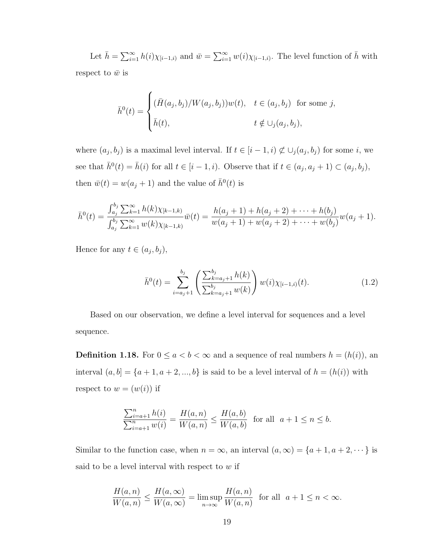Let  $\bar{h} = \sum_{i=1}^{\infty} h(i) \chi_{[i-1,i)}$  and  $\bar{w} = \sum_{i=1}^{\infty} w(i) \chi_{[i-1,i)}$ . The level function of  $\bar{h}$  with respect to  $\bar{w}$  is

$$
\bar{h}^{0}(t) = \begin{cases}\n(\bar{H}(a_j, b_j)/W(a_j, b_j))w(t), & t \in (a_j, b_j) \text{ for some } j, \\
\bar{h}(t), & t \notin \bigcup_j (a_j, b_j),\n\end{cases}
$$

where  $(a_j, b_j)$  is a maximal level interval. If  $t \in [i-1, i) \not\subset \cup_j (a_j, b_j)$  for some i, we see that  $\bar{h}^0(t) = \bar{h}(i)$  for all  $t \in [i-1, i)$ . Observe that if  $t \in (a_j, a_j + 1) \subset (a_j, b_j)$ , then  $\bar{w}(t) = w(a_j + 1)$  and the value of  $\bar{h}^0(t)$  is

$$
\bar{h}^{0}(t) = \frac{\int_{a_{j}}^{b_{j}} \sum_{k=1}^{\infty} h(k) \chi_{[k-1,k)}}{\int_{a_{j}}^{b_{j}} \sum_{k=1}^{\infty} w(k) \chi_{[k-1,k)}} \bar{w}(t) = \frac{h(a_{j}+1) + h(a_{j}+2) + \cdots + h(b_{j})}{w(a_{j}+1) + w(a_{j}+2) + \cdots + w(b_{j})} w(a_{j}+1).
$$

Hence for any  $t \in (a_j, b_j)$ ,

<span id="page-24-0"></span>
$$
\bar{h}^{0}(t) = \sum_{i=a_j+1}^{b_j} \left( \frac{\sum_{k=a_j+1}^{b_j} h(k)}{\sum_{k=a_j+1}^{b_j} w(k)} \right) w(i) \chi_{[i-1,i)}(t).
$$
\n(1.2)

Based on our observation, we define a level interval for sequences and a level sequence.

**Definition 1.18.** For  $0 \le a < b < \infty$  and a sequence of real numbers  $h = (h(i))$ , and interval  $(a, b] = \{a + 1, a + 2, ..., b\}$  is said to be a level interval of  $h = (h(i))$  with respect to  $w = (w(i))$  if

$$
\frac{\sum_{i=a+1}^{n} h(i)}{\sum_{i=a+1}^{n} w(i)} = \frac{H(a,n)}{W(a,n)} \le \frac{H(a,b)}{W(a,b)} \text{ for all } a+1 \le n \le b.
$$

Similar to the function case, when  $n = \infty$ , an interval  $(a, \infty) = \{a + 1, a + 2, \dots\}$  is said to be a level interval with respect to  $w$  if

$$
\frac{H(a,n)}{W(a,n)} \le \frac{H(a,\infty)}{W(a,\infty)} = \limsup_{n \to \infty} \frac{H(a,n)}{W(a,n)} \text{ for all } a+1 \le n < \infty.
$$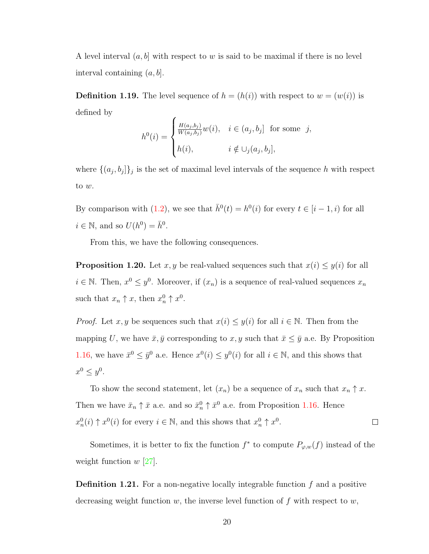A level interval  $(a, b]$  with respect to w is said to be maximal if there is no level interval containing  $(a, b]$ .

**Definition 1.19.** The level sequence of  $h = (h(i))$  with respect to  $w = (w(i))$  is defined by  $\overline{\phantom{0}}$ 

$$
h^{0}(i) = \begin{cases} \frac{H(a_j, b_j)}{W(a_j, b_j)} w(i), & i \in (a_j, b_j] \text{ for some } j, \\ h(i), & i \notin \cup_j (a_j, b_j], \end{cases}
$$

where  $\{(a_j, b_j)\}_j$  is the set of maximal level intervals of the sequence h with respect to w.

By comparison with [\(1.2\)](#page-24-0), we see that  $\bar{h}^0(t) = h^0(i)$  for every  $t \in [i-1, i)$  for all  $i \in \mathbb{N}$ , and so  $U(h^0) = \bar{h}^0$ .

From this, we have the following consequences.

<span id="page-25-0"></span>**Proposition 1.20.** Let x, y be real-valued sequences such that  $x(i) \leq y(i)$  for all  $i \in \mathbb{N}$ . Then,  $x^0 \leq y^0$ . Moreover, if  $(x_n)$  is a sequence of real-valued sequences  $x_n$ such that  $x_n \uparrow x$ , then  $x_n^0 \uparrow x^0$ .

*Proof.* Let x, y be sequences such that  $x(i) \leq y(i)$  for all  $i \in \mathbb{N}$ . Then from the mapping U, we have  $\bar{x}, \bar{y}$  corresponding to  $x, y$  such that  $\bar{x} \leq \bar{y}$  a.e. By Proposition [1.16,](#page-23-0) we have  $\bar{x}^0 \leq \bar{y}^0$  a.e. Hence  $x^0(i) \leq y^0(i)$  for all  $i \in \mathbb{N}$ , and this shows that  $x^0 \leq y^0$ .

To show the second statement, let  $(x_n)$  be a sequence of  $x_n$  such that  $x_n \uparrow x$ . Then we have  $\bar{x}_n \uparrow \bar{x}$  a.e. and so  $\bar{x}_n^0 \uparrow \bar{x}^0$  a.e. from Proposition [1.16.](#page-23-0) Hence  $x_n^0(i) \uparrow x^0(i)$  for every  $i \in \mathbb{N}$ , and this shows that  $x_n^0 \uparrow x^0$ .  $\Box$ 

Sometimes, it is better to fix the function  $f^*$  to compute  $P_{\varphi,w}(f)$  instead of the weight function  $w$  [\[27\]](#page-110-3).

<span id="page-25-1"></span>**Definition 1.21.** For a non-negative locally integrable function  $f$  and a positive decreasing weight function w, the inverse level function of f with respect to  $w$ ,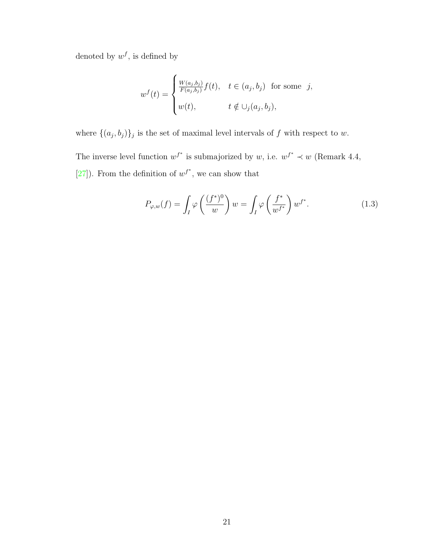denoted by  $w^f$ , is defined by

$$
w^{f}(t) = \begin{cases} \frac{W(a_j,b_j)}{F(a_j,b_j)}f(t), & t \in (a_j,b_j) \text{ for some } j, \\ w(t), & t \notin \cup_j(a_j,b_j), \end{cases}
$$

where  $\{(a_j, b_j)\}_j$  is the set of maximal level intervals of f with respect to w.

The inverse level function  $w^{f^*}$  is submajorized by w, i.e.  $w^{f^*} \prec w$  (Remark 4.4, [\[27\]](#page-110-3)). From the definition of  $w^{f^*}$ , we can show that

<span id="page-26-0"></span>
$$
P_{\varphi,w}(f) = \int_I \varphi\left(\frac{(f^*)^0}{w}\right)w = \int_I \varphi\left(\frac{f^*}{w^{f^*}}\right)w^{f^*}.
$$
 (1.3)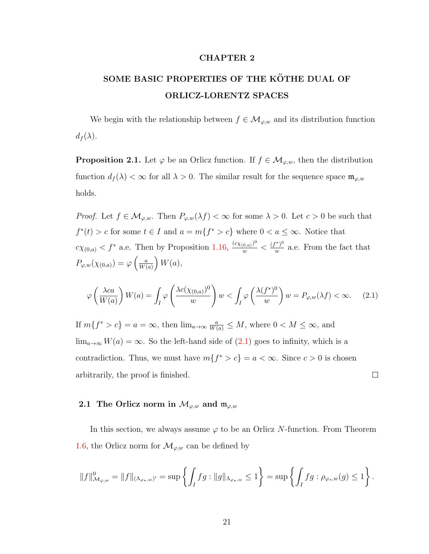#### CHAPTER 2

## <span id="page-27-0"></span>SOME BASIC PROPERTIES OF THE KÖTHE DUAL OF ORLICZ-LORENTZ SPACES

We begin with the relationship between  $f \in \mathcal{M}_{\varphi,w}$  and its distribution function  $d_f(\lambda)$ .

<span id="page-27-3"></span>**Proposition 2.1.** Let  $\varphi$  be an Orlicz function. If  $f \in \mathcal{M}_{\varphi,w}$ , then the distribution function  $d_f(\lambda) < \infty$  for all  $\lambda > 0$ . The similar result for the sequence space  $\mathfrak{m}_{\varphi,w}$ holds.

*Proof.* Let  $f \in M_{\varphi,w}$ . Then  $P_{\varphi,w}(\lambda f) < \infty$  for some  $\lambda > 0$ . Let  $c > 0$  be such that  $f^*(t) > c$  for some  $t \in I$  and  $a = m\{f^* > c\}$  where  $0 < a \leq \infty$ . Notice that  $c\chi_{(0,a)} < f^*$  a.e. Then by Proposition [1.16,](#page-23-0)  $\frac{(c\chi_{(0,a)})^0}{w} < \frac{(f^*)^0}{w}$  $\frac{f(x)}{w}$  a.e. From the fact that  $P_{\varphi,w}(\chi_{(0,a)})=\varphi\left(\frac{a}{W}\right)$  $\frac{a}{W(a)}\bigg) W(a),$ 

<span id="page-27-2"></span>
$$
\varphi\left(\frac{\lambda ca}{W(a)}\right)W(a) = \int_I \varphi\left(\frac{\lambda c(\chi_{(0,a)})^0}{w}\right)w < \int_I \varphi\left(\frac{\lambda(f^*)^0}{w}\right)w = P_{\varphi,w}(\lambda f) < \infty. \tag{2.1}
$$

If  $m\{f^* > c\} = a = \infty$ , then  $\lim_{a\to\infty} \frac{a}{W(a)} \leq M$ , where  $0 < M \leq \infty$ , and  $\lim_{a\to\infty}W(a)=\infty$ . So the left-hand side of  $(2.1)$  goes to infinity, which is a contradiction. Thus, we must have  $m\{f^* > c\} = a < \infty$ . Since  $c > 0$  is chosen arbitrarily, the proof is finished.  $\Box$ 

### <span id="page-27-1"></span>2.1 The Orlicz norm in  $\mathcal{M}_{\varphi,w}$  and  $\mathfrak{m}_{\varphi,w}$

In this section, we always assume  $\varphi$  to be an Orlicz N-function. From Theorem [1.6,](#page-18-0) the Orlicz norm for  $\mathcal{M}_{\varphi,w}$  can be defined by

$$
||f||^0_{\mathcal{M}_{\varphi,w}} = ||f||_{(\Lambda_{\varphi_*,w})'} = \sup \left\{ \int_I fg : ||g||_{\Lambda_{\varphi_*,w}} \le 1 \right\} = \sup \left\{ \int_I fg : \rho_{\varphi_*,w}(g) \le 1 \right\}.
$$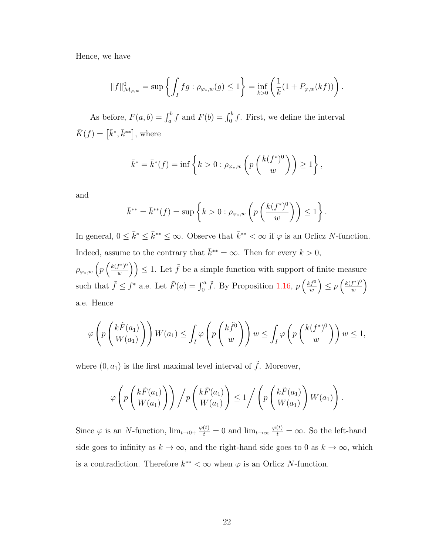Hence, we have

$$
||f||^0_{\mathcal{M}_{\varphi,w}} = \sup \left\{ \int_I fg : \rho_{\varphi_*,w}(g) \le 1 \right\} = \inf_{k>0} \left( \frac{1}{k} (1 + P_{\varphi,w}(kf)) \right).
$$

As before,  $F(a, b) = \int_a^b f$  and  $F(b) = \int_0^b f$ . First, we define the interval  $\bar{K}(f) = [\bar{k}^*, \bar{k}^{**}],$  where

$$
\bar{k}^* = \bar{k}^*(f) = \inf \left\{ k > 0 : \rho_{\varphi_*,w} \left( p \left( \frac{k(f^*)^0}{w} \right) \right) \ge 1 \right\},\,
$$

and

$$
\bar{k}^{**} = \bar{k}^{**}(f) = \sup \left\{ k > 0 : \rho_{\varphi_*,w} \left( p \left( \frac{k(f^*)^0}{w} \right) \right) \le 1 \right\}.
$$

In general,  $0 \leq \bar{k}^* \leq \bar{k}^{**} \leq \infty$ . Observe that  $\bar{k}^{**} < \infty$  if  $\varphi$  is an Orlicz N-function. Indeed, assume to the contrary that  $\bar{k}^* = \infty$ . Then for every  $k > 0$ ,

 $\rho_{\varphi_*,w} \left( p \left( \frac{k(f^*)^0}{w} \right) \right.$  $\left(\frac{f^*}{w}\right)^0\right)\leq 1.$  Let  $\tilde{f}$  be a simple function with support of finite measure such that  $\tilde{f} \leq f^*$  a.e. Let  $\tilde{F}(a) = \int_0^a \tilde{f}$ . By Proposition [1.16,](#page-23-0)  $p\left(\frac{k\tilde{f}^0}{w}\right)$  $\left(\frac{f}{w}\right)^{i} \leq p\left(\frac{k(f^*)^0}{w}\right)$  $rac{f^*)^0}{w}$ a.e. Hence

$$
\varphi\left(p\left(\frac{k\tilde{F}(a_1)}{W(a_1)}\right)\right)W(a_1) \leq \int_I \varphi\left(p\left(\frac{k\tilde{f}^0}{w}\right)\right)w \leq \int_I \varphi\left(p\left(\frac{k(f^*)^0}{w}\right)\right)w \leq 1,
$$

where  $(0, a_1)$  is the first maximal level interval of  $\tilde{f}$ . Moreover,

$$
\varphi\left(p\left(\frac{k\tilde{F}(a_1)}{W(a_1)}\right)\right)\Big/p\left(\frac{k\tilde{F}(a_1)}{W(a_1)}\right)\leq 1\Big/\left(p\left(\frac{k\tilde{F}(a_1)}{W(a_1)}\right)W(a_1)\right).
$$

Since  $\varphi$  is an N-function,  $\lim_{t\to 0^+} \frac{\varphi(t)}{t} = 0$  and  $\lim_{t\to\infty} \frac{\varphi(t)}{t} = \infty$ . So the left-hand side goes to infinity as  $k \to \infty$ , and the right-hand side goes to 0 as  $k \to \infty$ , which is a contradiction. Therefore  $k^{**} < \infty$  when  $\varphi$  is an Orlicz N-function.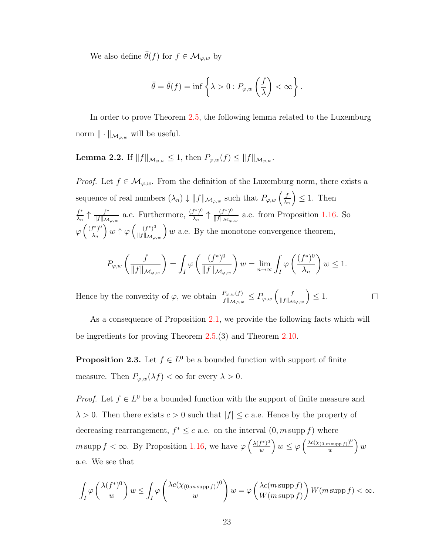We also define  $\bar{\theta}(f)$  for  $f \in \mathcal{M}_{\varphi,w}$  by

$$
\bar{\theta} = \bar{\theta}(f) = \inf \left\{ \lambda > 0 : P_{\varphi,w} \left( \frac{f}{\lambda} \right) < \infty \right\}.
$$

In order to prove Theorem [2.5,](#page-30-0) the following lemma related to the Luxemburg norm  $\|\cdot\|_{\mathcal{M}_{\varphi,w}}$  will be useful.

<span id="page-29-0"></span>**Lemma 2.2.** If  $||f||_{\mathcal{M}_{\varphi,w}} \leq 1$ , then  $P_{\varphi,w}(f) \leq ||f||_{\mathcal{M}_{\varphi,w}}$ .

*Proof.* Let  $f \in \mathcal{M}_{\varphi,w}$ . From the definition of the Luxemburg norm, there exists a sequence of real numbers  $(\lambda_n) \downarrow ||f||_{\mathcal{M}_{\varphi,w}}$  such that  $P_{\varphi,w}(\frac{f}{\lambda_n})$  $\lambda_n$  $\Big) \leq 1$ . Then f ∗  $rac{f^*}{\lambda_n} \uparrow \frac{f^*}{\|f\|_{\mathcal{M}}}$  $\frac{f^*}{\|f\|_{\mathcal{M}_{\varphi,w}}}$  a.e. Furthermore,  $\frac{(f^*)^0}{\lambda_n}$  $\frac{(f^*)^0}{\lambda_n} \uparrow \frac{(f^*)^0}{\|f\|_{\mathcal{M}_{\varphi}}}$  $\frac{(f^*)^{\circ}}{\|f\|_{\mathcal{M}_{\varphi,w}}}$  a.e. from Proposition [1.16.](#page-23-0) So  $\varphi\left(\frac{(f^*)^0}{\lambda}\right)$  $\lambda_n$  $\int w \uparrow \varphi \left( \frac{(f^*)^0}{\|f\|_{\mathcal{M}_{\varphi,w}}} \right) w$  a.e. By the monotone convergence theorem,

$$
P_{\varphi,w}\left(\frac{f}{\|f\|_{\mathcal{M}_{\varphi,w}}}\right) = \int_I \varphi\left(\frac{(f^*)^0}{\|f\|_{\mathcal{M}_{\varphi,w}}}\right)w = \lim_{n \to \infty} \int_I \varphi\left(\frac{(f^*)^0}{\lambda_n}\right)w \le 1.
$$

 $\Box$ 

Hence by the convexity of  $\varphi$ , we obtain  $\frac{P_{\varphi,w}(f)}{\|f\|_{\mathcal{M}_{\varphi,w}}}\leq P_{\varphi,w}\left(\frac{f}{\|f\|_{\mathcal{M}_{\varphi,w}}}\right)\leq 1.$ 

As a consequence of Proposition [2.1,](#page-27-3) we provide the following facts which will be ingredients for proving Theorem [2.5.](#page-30-0)(3) and Theorem [2.10.](#page-38-0)

**Proposition 2.3.** Let  $f \in L^0$  be a bounded function with support of finite measure. Then  $P_{\varphi,w}(\lambda f)<\infty$  for every  $\lambda>0$ .

*Proof.* Let  $f \in L^0$  be a bounded function with the support of finite measure and  $\lambda > 0$ . Then there exists  $c > 0$  such that  $|f| \leq c$  a.e. Hence by the property of decreasing rearrangement,  $f^* \leq c$  a.e. on the interval  $(0, m \text{ supp } f)$  where m supp  $f < \infty$ . By Proposition [1.16,](#page-23-0) we have  $\varphi \left( \frac{\lambda(f^*)^0}{m} \right)$  $\left(\frac{f^*)^0}{w}\right)w \leq \varphi\left(\frac{\lambda c(\chi_{(0,m\,\mathrm{supp}\,f)})^0}{w}\right)$  $\frac{u\sup p f)^{0}}{w}$   $\Big\} w$ a.e. We see that

$$
\int_I \varphi\left(\frac{\lambda(f^*)^0}{w}\right)w \le \int_I \varphi\left(\frac{\lambda c(\chi_{(0,m\sup p f)})^0}{w}\right)w = \varphi\left(\frac{\lambda c(m\sup p f)}{W(m\sup p f)}\right)W(m\sup p f) < \infty.
$$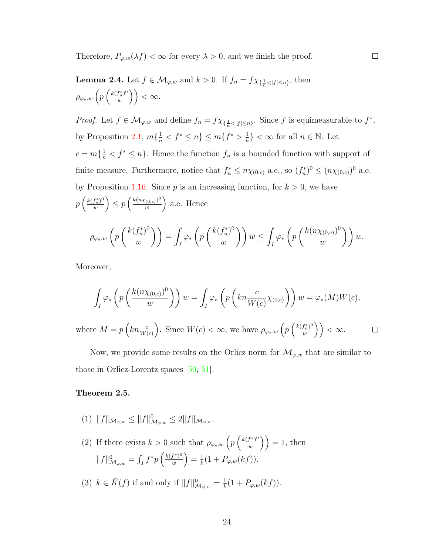Therefore,  $P_{\varphi,w}(\lambda f) < \infty$  for every  $\lambda > 0$ , and we finish the proof.

<span id="page-30-1"></span>**Lemma 2.4.** Let  $f \in M_{\varphi,w}$  and  $k > 0$ . If  $f_n = f \chi_{\{\frac{1}{n} < |f| \leq n\}}$ , then  $\rho_{\varphi_*,w} \left( p \left( \frac{k(f_n^*)^0}{w} \right) \right)$  $\left(\begin{smallmatrix} f_n^* \ 0\end{smallmatrix}\right)^0 \Bigg) < \infty.$ 

*Proof.* Let  $f \in \mathcal{M}_{\varphi,w}$  and define  $f_n = f \chi_{\{\frac{1}{n} < |f| \leq n\}}$ . Since f is equimeasurable to  $f^*$ , by Proposition [2.1,](#page-27-3)  $m\{\frac{1}{n} < f^* \le n\} \le m\{f^* > \frac{1}{n}\}$  $\frac{1}{n}$  <  $\infty$  for all  $n \in \mathbb{N}$ . Let  $c = m\{\frac{1}{n} < f^* \leq n\}$ . Hence the function  $f_n$  is a bounded function with support of finite measure. Furthermore, notice that  $f_n^* \leq n \chi_{(0,c)}$  a.e., so  $(f_n^*)^0 \leq (n \chi_{(0,c)})^0$  a.e. by Proposition [1.16.](#page-23-0) Since  $p$  is an increasing function, for  $k > 0$ , we have  $p\left(\frac{k(f_n^*)^0}{w}\right)$  $\binom{f_n^*)^0}{w}$   $\leq p \left( \frac{k(n \chi_{(0,c)})^0}{w} \right)$  $\left(\frac{(0,c)}{w}\right)^0$  a.e. Hence  $\rho_{\varphi_*,w} \left( \frac{}{p} \right)$  $\int k(f_n^*)^0$  $\omega$  $\bigg) =$ I ϕ∗  $\sqrt{ }$ p  $\int k(f_n^*)^0$  $\omega$  $\bigcup w \leq 1$ I ϕ∗  $\sqrt{ }$ p  $(k(n\chi_{(0,c)})^0$  $\omega$  $\bigg)\bigg) w.$ 

 $\Box$ 

Moreover,

$$
\int_{I} \varphi_{*}\left(p\left(\frac{k(n\chi_{(0,c)})^0}{w}\right)\right)w = \int_{I} \varphi_{*}\left(p\left(kn\frac{c}{W(c)}\chi_{(0,c)}\right)\right)w = \varphi_{*}(M)W(c),
$$
\nwhere  $M = p\left(kn\frac{c}{W(c)}\right)$ . Since  $W(c) < \infty$ , we have  $\rho_{\varphi_{*},w}\left(p\left(\frac{k(f_n^*)^0}{w}\right)\right) < \infty$ .

Now, we provide some results on the Orlicz norm for  $\mathcal{M}_{\varphi,w}$  that are similar to those in Orlicz-Lorentz spaces  $[50, 51]$  $[50, 51]$  $[50, 51]$ .

#### <span id="page-30-0"></span>Theorem 2.5.

- (1)  $||f||_{\mathcal{M}_{\varphi,w}} \leq ||f||_{\mathcal{M}_{\varphi,w}}^0 \leq 2||f||_{\mathcal{M}_{\varphi,w}}.$
- (2) If there exists  $k > 0$  such that  $\rho_{\varphi_*,w} \left( p \left( \frac{k(f^*)^0}{w} \right) \right)$  $\binom{f^*)^0}{w}$  = 1, then  $||f||^0_{\mathcal{M}_{\varphi,w}} = \int_I f^* p\left(\frac{k(f^*)^0}{w}\right)$  $\frac{(f^*)^0}{w}\Big) = \frac{1}{k}$  $\frac{1}{k}(1+P_{\varphi,w}(kf)).$
- (3)  $k \in \overline{K}(f)$  if and only if  $||f||_{\mathcal{M}_{\varphi,w}}^0 = \frac{1}{k}$  $\frac{1}{k}(1+P_{\varphi,w}(kf)).$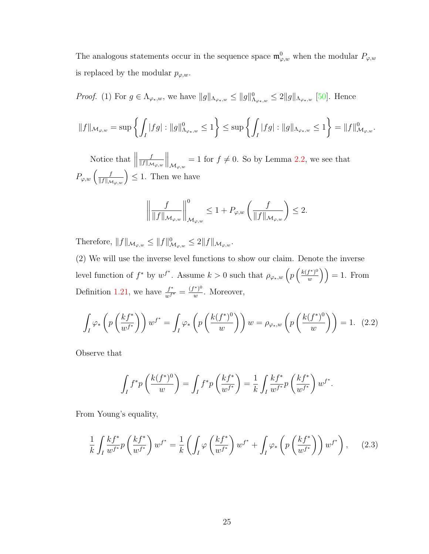The analogous statements occur in the sequence space  $\mathfrak{m}^0_{\varphi,w}$  when the modular  $P_{\varphi,w}$ is replaced by the modular  $p_{\varphi,w}$ .

*Proof.* (1) For  $g \in \Lambda_{\varphi_*,w}$ , we have  $||g||_{\Lambda_{\varphi_*,w}} \le ||g||_{\Lambda_{\varphi_*,w}}^0 \le 2||g||_{\Lambda_{\varphi_*,w}}$  [\[50\]](#page-112-0). Hence

$$
||f||_{\mathcal{M}_{\varphi,w}} = \sup \left\{ \int_I |fg| : ||g||^0_{\Lambda_{\varphi_*,w}} \le 1 \right\} \le \sup \left\{ \int_I |fg| : ||g||_{\Lambda_{\varphi_*,w}} \le 1 \right\} = ||f||^0_{\mathcal{M}_{\varphi,w}}.
$$

Notice that  $\parallel$ f  $||f||_{\mathcal{M}_{\varphi,w}}$  $\Big\|_{\mathcal{M}_{\varphi,w}} = 1$  for  $f \neq 0$ . So by Lemma [2.2,](#page-29-0) we see that  $P_{\varphi,w}\left(\frac{f}{\|f\|_{\mathcal{M}_{\varphi,w}}}\right) \leq 1$ . Then we have

$$
\left\| \frac{f}{\|f\|_{\mathcal{M}_{\varphi,w}}}\right\|_{\mathcal{M}_{\varphi,w}}^0 \leq 1 + P_{\varphi,w}\left(\frac{f}{\|f\|_{\mathcal{M}_{\varphi,w}}}\right) \leq 2.
$$

Therefore,  $||f||_{\mathcal{M}_{\varphi,w}} \leq ||f||_{\mathcal{M}_{\varphi,w}}^0 \leq 2||f||_{\mathcal{M}_{\varphi,w}}$ .

(2) We will use the inverse level functions to show our claim. Denote the inverse level function of  $f^*$  by  $w^{f^*}$ . Assume  $k > 0$  such that  $\rho_{\varphi_*,w} \left( p \left( \frac{k(f^*)^0}{w} \right) \right)$  $\left(\frac{f^{\ast})^{0}}{w}\right)$  = 1. From Definition [1.21,](#page-25-1) we have  $\frac{f^*}{w^{f^*}} = \frac{(f^*)^0}{w}$  $\frac{w}{w}$ . Moreover,

<span id="page-31-0"></span>
$$
\int_{I} \varphi_{*} \left( p \left( \frac{k f^{*}}{w^{f^{*}}} \right) \right) w^{f^{*}} = \int_{I} \varphi_{*} \left( p \left( \frac{k (f^{*})^{0}}{w} \right) \right) w = \rho_{\varphi_{*},w} \left( p \left( \frac{k (f^{*})^{0}}{w} \right) \right) = 1. \tag{2.2}
$$

Observe that

$$
\int_I f^* p\left(\frac{k(f^*)^0}{w}\right) = \int_I f^* p\left(\frac{kf^*}{w^{f^*}}\right) = \frac{1}{k} \int_I \frac{kf^*}{w^{f^*}} p\left(\frac{kf^*}{w^{f^*}}\right) w^{f^*}.
$$

From Young's equality,

<span id="page-31-1"></span>
$$
\frac{1}{k} \int_{I} \frac{k f^*}{w^{f^*}} p\left(\frac{k f^*}{w^{f^*}}\right) w^{f^*} = \frac{1}{k} \left( \int_{I} \varphi\left(\frac{k f^*}{w^{f^*}}\right) w^{f^*} + \int_{I} \varphi_* \left(p\left(\frac{k f^*}{w^{f^*}}\right)\right) w^{f^*} \right), \tag{2.3}
$$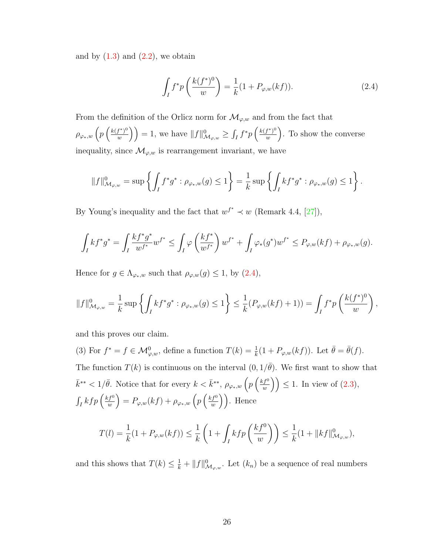and by  $(1.3)$  and  $(2.2)$ , we obtain

<span id="page-32-0"></span>
$$
\int_{I} f^* p\left(\frac{k(f^*)^0}{w}\right) = \frac{1}{k}(1 + P_{\varphi,w}(kf)).
$$
\n(2.4)

From the definition of the Orlicz norm for  $\mathcal{M}_{\varphi,w}$  and from the fact that  $\rho_{\varphi_*,w} \left(p\left(\frac{k(f^*)^0}{w}\right)\right)$  $\left(\frac{f^*)^0}{w}\right) = 1$ , we have  $||f||^0_{\mathcal{M}_{\varphi,w}} \geq \int_I f^* p\left(\frac{k(f^*)^0}{w}\right)$  $\left(\frac{f^*}{w}\right)^0$ . To show the converse inequality, since  $\mathcal{M}_{\varphi,w}$  is rearrangement invariant, we have

$$
||f||^0_{\mathcal{M}_{\varphi,w}} = \sup \left\{ \int_I f^* g^* : \rho_{\varphi_*,w}(g) \le 1 \right\} = \frac{1}{k} \sup \left\{ \int_I k f^* g^* : \rho_{\varphi_*,w}(g) \le 1 \right\}.
$$

By Young's inequality and the fact that  $w^{f^*} \prec w$  (Remark 4.4, [\[27\]](#page-110-3)),

$$
\int_I kf^*g^* = \int_I \frac{kf^*g^*}{w^{f^*}} w^{f^*} \le \int_I \varphi \left(\frac{kf^*}{w^{f^*}}\right) w^{f^*} + \int_I \varphi_*(g^*) w^{f^*} \le P_{\varphi,w}(kf) + \rho_{\varphi_*,w}(g).
$$

Hence for  $g \in \Lambda_{\varphi_*,w}$  such that  $\rho_{\varphi,w}(g) \leq 1$ , by  $(2.4)$ ,

$$
||f||^0_{\mathcal{M}_{\varphi,w}} = \frac{1}{k} \sup \left\{ \int_I k f^* g^* : \rho_{\varphi_*,w}(g) \le 1 \right\} \le \frac{1}{k} (P_{\varphi,w}(kf) + 1)) = \int_I f^* p\left( \frac{k(f^*)^0}{w} \right),
$$

and this proves our claim.

(3) For  $f^* = f \in \mathcal{M}_{\varphi,w}^0$ , define a function  $T(k) = \frac{1}{k}(1 + P_{\varphi,w}(kf))$ . Let  $\bar{\theta} = \bar{\theta}(f)$ . The function  $T(k)$  is continuous on the interval  $(0, 1/\bar{\theta})$ . We first want to show that  $\bar{k}^{**} < 1/\bar{\theta}$ . Notice that for every  $k < \bar{k}^{**}$ ,  $\rho_{\varphi_*,w} \left( p \left( \frac{k f^0}{w} \right)$  $\left(\frac{f^0}{w}\right)\right) \leq 1$ . In view of  $(2.3)$ ,  $\int_I kfp\left(\frac{k f^0}{w}\right)$  $\left(p\over w\right)^{f^0}\right)=P_{\varphi,w}(kf)+\rho_{\varphi_*,w}\left(p\left(\frac{k f^0}{w}\right)\right)$  $\binom{f^0}{w}$ . Hence

$$
T(l) = \frac{1}{k}(1 + P_{\varphi,w}(kf)) \le \frac{1}{k}\left(1 + \int_I kfp\left(\frac{kf^0}{w}\right)\right) \le \frac{1}{k}(1 + ||kf||^0_{\mathcal{M}_{\varphi,w}}),
$$

and this shows that  $T(k) \leq \frac{1}{k} + ||f||_{\mathcal{M}_{\varphi,w}}^0$ . Let  $(k_n)$  be a sequence of real numbers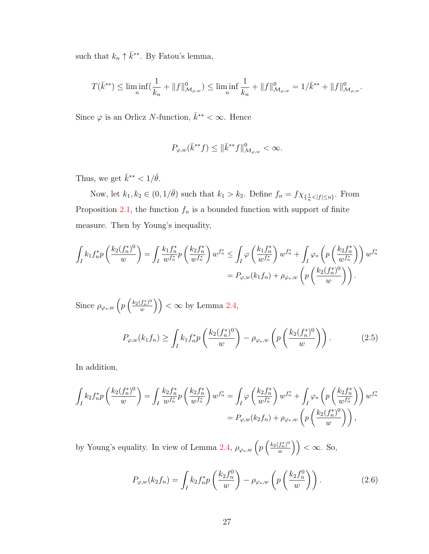such that  $k_n \uparrow \bar{k}^{**}$ . By Fatou's lemma,

$$
T(\bar{k}^{**}) \leq \liminf_{n} (\frac{1}{k_n} + \|f\|_{\mathcal{M}_{\varphi,w}}^0) \leq \liminf_{n} \frac{1}{k_n} + \|f\|_{\mathcal{M}_{\varphi,w}}^0 = 1/\bar{k}^{**} + \|f\|_{\mathcal{M}_{\varphi,w}}^0.
$$

Since  $\varphi$  is an Orlicz N-function,  $\bar{k}^{**} < \infty$ . Hence

$$
P_{\varphi,w}(\bar{k}^{**}f) \le \|\bar{k}^{**}f\|_{\mathcal{M}_{\varphi,w}}^0 < \infty.
$$

Thus, we get  $\bar{k}^{**} < 1/\bar{\theta}$ .

Now, let  $k_1, k_2 \in (0, 1/\bar{\theta})$  such that  $k_1 > k_2$ . Define  $f_n = f \chi_{\{\frac{1}{n} < |f| \le n\}}$ . From Proposition [2.1,](#page-27-3) the function  $f_n$  is a bounded function with support of finite measure. Then by Young's inequality,

$$
\int_I k_1 f_n^* p\left(\frac{k_2(f_n^*)^0}{w}\right) = \int_I \frac{k_1 f_n^*}{w^{f_n^*}} p\left(\frac{k_2 f_n^*}{w^{f_n^*}}\right) w^{f_n^*} \le \int_I \varphi\left(\frac{k_1 f_n^*}{w^{f_n^*}}\right) w^{f_n^*} + \int_I \varphi_* \left(p\left(\frac{k_2 f_n^*}{w^{f_n^*}}\right)\right) w^{f_n^*}
$$
\n
$$
= P_{\varphi,w}(k_1 f_n) + \rho_{\varphi_*,w} \left(p\left(\frac{k_2(f_n^*)^0}{w}\right)\right).
$$

Since  $\rho_{\varphi*,w}$   $\left(p\left(\frac{k_2(f_n^*)^0}{w}\right)\right)$  $\left(\frac{(f_n^*)^0}{w}\right)\right) < \infty$  by Lemma [2.4,](#page-30-1) ∗ 0

<span id="page-33-0"></span>
$$
P_{\varphi,w}(k_1 f_n) \ge \int_I k_1 f_n^* p\left(\frac{k_2(f_n^*)^0}{w}\right) - \rho_{\varphi_*,w}\left(p\left(\frac{k_2(f_n^*)^0}{w}\right)\right). \tag{2.5}
$$

In addition,

$$
\int_{I} k_{2} f_{n}^{*} p\left(\frac{k_{2}(f_{n}^{*})^{0}}{w}\right) = \int_{I} \frac{k_{2} f_{n}^{*}}{w^{f_{n}^{*}}} p\left(\frac{k_{2} f_{n}^{*}}{w^{f_{n}^{*}}}\right) w^{f_{n}^{*}} = \int_{I} \varphi\left(\frac{k_{2} f_{n}^{*}}{w^{f_{n}^{*}}}\right) w^{f_{n}^{*}} + \int_{I} \varphi_{*}\left(p\left(\frac{k_{2} f_{n}^{*}}{w^{f_{n}^{*}}}\right)\right) w^{f_{n}^{*}}
$$

$$
= P_{\varphi,w}(k_{2} f_{n}) + \rho_{\varphi_{*},w}\left(p\left(\frac{k_{2}(f_{n}^{*})^{0}}{w}\right)\right),
$$

by Young's equality. In view of Lemma [2.4,](#page-30-1)  $\rho_{\varphi_*,w} \left( p \left( \frac{k_2(f_n^*)^0}{w} \right) \right)$  $\left(\frac{(f_n^*)^0}{w}\right)\right) < \infty$ . So,

<span id="page-33-1"></span>
$$
P_{\varphi,w}(k_2 f_n) = \int_I k_2 f_n^* p\left(\frac{k_2 f_n^0}{w}\right) - \rho_{\varphi_*,w}\left(p\left(\frac{k_2 f_n^0}{w}\right)\right). \tag{2.6}
$$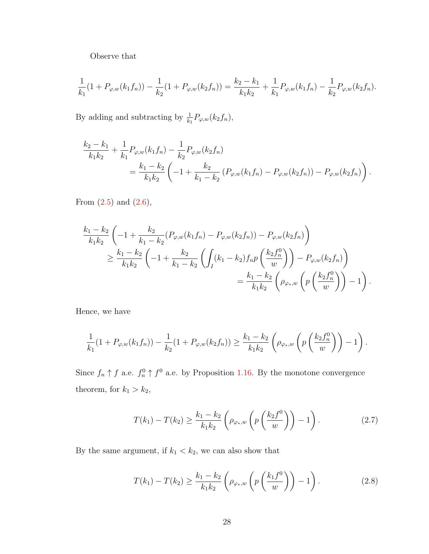Observe that

$$
\frac{1}{k_1}(1+P_{\varphi,w}(k_1f_n))-\frac{1}{k_2}(1+P_{\varphi,w}(k_2f_n))=\frac{k_2-k_1}{k_1k_2}+\frac{1}{k_1}P_{\varphi,w}(k_1f_n)-\frac{1}{k_2}P_{\varphi,w}(k_2f_n).
$$

By adding and subtracting by  $\frac{1}{k_1} P_{\varphi,w}(k_2 f_n)$ ,

$$
\frac{k_2 - k_1}{k_1 k_2} + \frac{1}{k_1} P_{\varphi, w}(k_1 f_n) - \frac{1}{k_2} P_{\varphi, w}(k_2 f_n)
$$
\n
$$
= \frac{k_1 - k_2}{k_1 k_2} \left( -1 + \frac{k_2}{k_1 - k_2} \left( P_{\varphi, w}(k_1 f_n) - P_{\varphi, w}(k_2 f_n) \right) - P_{\varphi, w}(k_2 f_n) \right).
$$

From  $(2.5)$  and  $(2.6)$ ,

$$
\frac{k_1 - k_2}{k_1 k_2} \left( -1 + \frac{k_2}{k_1 - k_2} (P_{\varphi, w}(k_1 f_n) - P_{\varphi, w}(k_2 f_n)) - P_{\varphi, w}(k_2 f_n) \right)
$$
\n
$$
\geq \frac{k_1 - k_2}{k_1 k_2} \left( -1 + \frac{k_2}{k_1 - k_2} \left( \int_I (k_1 - k_2) f_n p\left(\frac{k_2 f_n^0}{w}\right) \right) - P_{\varphi, w}(k_2 f_n) \right)
$$
\n
$$
= \frac{k_1 - k_2}{k_1 k_2} \left( \rho_{\varphi_*, w} \left( p\left(\frac{k_2 f_n^0}{w}\right) \right) - 1 \right).
$$

Hence, we have

$$
\frac{1}{k_1}(1+P_{\varphi,w}(k_1f_n))-\frac{1}{k_2}(1+P_{\varphi,w}(k_2f_n))\geq \frac{k_1-k_2}{k_1k_2}\left(\rho_{\varphi_*,w}\left(p\left(\frac{k_2f_n^0}{w}\right)\right)-1\right).
$$

Since  $f_n \uparrow f$  a.e.  $f_n^0 \uparrow f^0$  a.e. by Proposition [1.16.](#page-23-0) By the monotone convergence theorem, for  $k_1 > k_2$ ,

<span id="page-34-1"></span>
$$
T(k_1) - T(k_2) \ge \frac{k_1 - k_2}{k_1 k_2} \left( \rho_{\varphi_*,w} \left( p \left( \frac{k_2 f^0}{w} \right) \right) - 1 \right). \tag{2.7}
$$

By the same argument, if  $k_1 < k_2$ , we can also show that

<span id="page-34-0"></span>
$$
T(k_1) - T(k_2) \ge \frac{k_1 - k_2}{k_1 k_2} \left( \rho_{\varphi_*,w} \left( p \left( \frac{k_1 f^0}{w} \right) \right) - 1 \right). \tag{2.8}
$$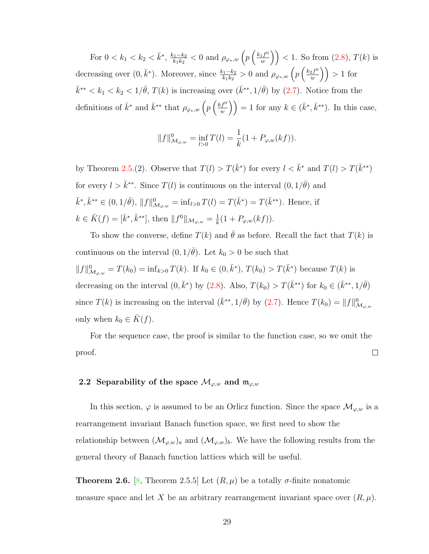For  $0 < k_1 < k_2 < \bar{k}^*$ ,  $\frac{k_1 - k_2}{k_1 k_2}$  $\frac{k_1-k_2}{k_1k_2} < 0 \text{ and } \rho_{\varphi_*,w}\left(p\left(\frac{k_1f^0}{w}\right)\right)$  $\binom{f^{(0)}}{w}$  > (1. So from  $(2.8), T(k)$  $(2.8), T(k)$  is decreasing over  $(0, \bar{k}^*)$ . Moreover, since  $\frac{k_1-k_2}{k_1k_2} > 0$  and  $\rho_{\varphi_*,w} \left( p \left( \frac{k_2 f^0}{w} \right) \right)$  $\left(\frac{2f^0}{w}\right)$  > 1 for  $\bar{k}^{**} < k_1 < k_2 < 1/\bar{\theta}$ ,  $T(k)$  is increasing over  $(\bar{k}^{**}, 1/\bar{\theta})$  by  $(2.7)$ . Notice from the definitions of  $\bar{k}^*$  and  $\bar{k}^{**}$  that  $\rho_{\varphi_*,w}$   $\left(p\left(\frac{k f^0}{w}\right)\right)$  $\left( \frac{f^0}{w} \right)$  = 1 for any  $k \in (\bar{k}^*, \bar{k}^{**})$ . In this case,

$$
||f||_{\mathcal{M}_{\varphi,w}}^0 = \inf_{l>0} T(l) = \frac{1}{k} (1 + P_{\varphi,w}(kf)).
$$

by Theorem [2.5.](#page-30-0)(2). Observe that  $T(l) > T(\bar{k}^*)$  for every  $l < \bar{k}^*$  and  $T(l) > T(\bar{k}^{**})$ for every  $l > \bar{k}^{**}$ . Since  $T(l)$  is continuous on the interval  $(0, 1/\bar{\theta})$  and  $\bar{k}^*, \bar{k}^{**} \in (0, 1/\bar{\theta}), \|f\|_{\mathcal{M}_{\varphi,w}}^0 = \inf_{l>0} T(l) = T(\bar{k}^*) = T(\bar{k}^{**}).$  Hence, if  $k \in \overline{K}(f) = [\overline{k}^*, \overline{k}^{**}],$  then  $||f^0||_{\mathcal{M}_{\varphi,w}} = \frac{1}{k}$  $\frac{1}{k}(1+P_{\varphi,w}(kf)).$ 

To show the converse, define  $T(k)$  and  $\bar{\theta}$  as before. Recall the fact that  $T(k)$  is continuous on the interval  $(0, 1/\bar{\theta})$ . Let  $k_0 > 0$  be such that  $||f||_{\mathcal{M}_{\varphi,w}}^0 = T(k_0) = \inf_{k>0} T(k)$ . If  $k_0 \in (0,\bar{k}^*)$ ,  $T(k_0) > T(\bar{k}^*)$  because  $T(k)$  is decreasing on the interval  $(0, \bar{k}^*)$  by  $(2.8)$ . Also,  $T(k_0) > T(\bar{k}^{**})$  for  $k_0 \in (\bar{k}^{**}, 1/\bar{\theta})$ since  $T(k)$  is increasing on the interval  $(\bar{k}^{**}, 1/\bar{\theta})$  by  $(2.7)$ . Hence  $T(k_0) = ||f||^0_{\mathcal{M}_{\varphi,w}}$ only when  $k_0 \in \overline{K}(f)$ .

For the sequence case, the proof is similar to the function case, so we omit the proof.  $\Box$ 

### <span id="page-35-0"></span>2.2 Separability of the space  $\mathcal{M}_{\varphi,w}$  and  $\mathfrak{m}_{\varphi,w}$

In this section,  $\varphi$  is assumed to be an Orlicz function. Since the space  $\mathcal{M}_{\varphi,w}$  is a rearrangement invariant Banach function space, we first need to show the relationship between  $(\mathcal{M}_{\varphi,w})_a$  and  $(\mathcal{M}_{\varphi,w})_b$ . We have the following results from the general theory of Banach function lattices which will be useful.

**Theorem 2.6.** [\[8,](#page-108-0) Theorem 2.5.5] Let  $(R, \mu)$  be a totally  $\sigma$ -finite nonatomic measure space and let X be an arbitrary rearrangement invariant space over  $(R, \mu)$ .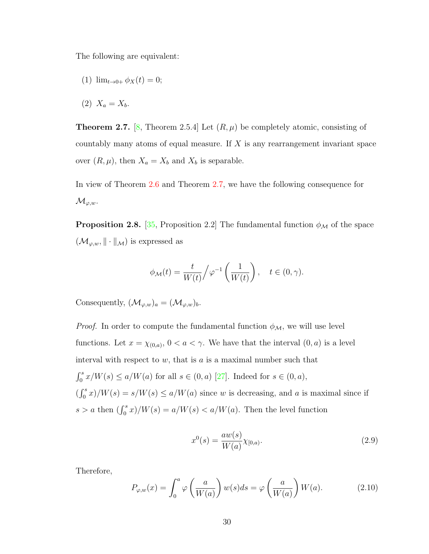The following are equivalent:

- (1)  $\lim_{t\to 0+} \phi_X(t) = 0;$
- (2)  $X_a = X_b$ .

<span id="page-36-0"></span>**Theorem 2.7.** [\[8,](#page-108-0) Theorem 2.5.4] Let  $(R, \mu)$  be completely atomic, consisting of countably many atoms of equal measure. If  $X$  is any rearrangement invariant space over  $(R, \mu)$ , then  $X_a = X_b$  and  $X_b$  is separable.

In view of Theorem [2.6](#page-35-0) and Theorem [2.7,](#page-36-0) we have the following consequence for  $\mathcal{M}_{\varphi,w}.$ 

<span id="page-36-1"></span>**Proposition 2.8.** [\[35,](#page-111-0) Proposition 2.2] The fundamental function  $\phi_{\mathcal{M}}$  of the space  $(\mathcal{M}_{\varphi,w},\|\cdot\|_{\mathcal{M}})$  is expressed as

$$
\phi_{\mathcal{M}}(t) = \frac{t}{W(t)} / \varphi^{-1}\left(\frac{1}{W(t)}\right), \quad t \in (0, \gamma).
$$

Consequently,  $(\mathcal{M}_{\varphi,w})_a = (\mathcal{M}_{\varphi,w})_b$ .

*Proof.* In order to compute the fundamental function  $\phi_{\mathcal{M}}$ , we will use level functions. Let  $x = \chi_{(0,a)}$ ,  $0 < a < \gamma$ . We have that the interval  $(0, a)$  is a level interval with respect to  $w$ , that is  $a$  is a maximal number such that  $\int_0^s x/W(s) \le a/W(a)$  for all  $s \in (0, a)$  [\[27\]](#page-110-0). Indeed for  $s \in (0, a)$ ,  $(\int_0^s x)/W(s) = s/W(s) \le a/W(a)$  since w is decreasing, and a is maximal since if  $s > a$  then  $\left(\int_0^s x\right)/W(s) = a/W(s) < a/W(a)$ . Then the level function

$$
x^{0}(s) = \frac{aw(s)}{W(a)} \chi_{[0,a)}.
$$
\n(2.9)

Therefore,

$$
P_{\varphi,w}(x) = \int_0^a \varphi\left(\frac{a}{W(a)}\right) w(s)ds = \varphi\left(\frac{a}{W(a)}\right) W(a). \tag{2.10}
$$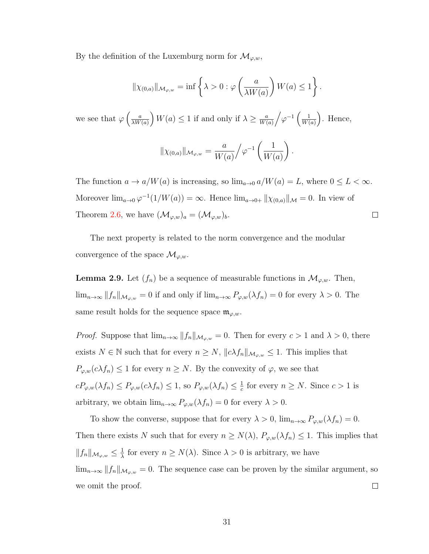By the definition of the Luxemburg norm for  $\mathcal{M}_{\varphi,w}$ ,

$$
\|\chi_{(0,a)}\|_{\mathcal{M}_{\varphi,w}} = \inf \left\{\lambda > 0 : \varphi\left(\frac{a}{\lambda W(a)}\right) W(a) \le 1\right\}.
$$

we see that  $\varphi\left(\frac{a}{\Delta W}\right)$  $\frac{a}{\lambda W(a)}$   $W(a) \leq 1$  if and only if  $\lambda \geq \frac{a}{W(a)}$  $\frac{a}{W(a)}\bigg/\varphi^{-1}\left(\frac{1}{W(a)}\right)$  $\frac{1}{W(a)}$ . Hence,

$$
\|\chi_{(0,a)}\|_{\mathcal{M}_{\varphi,w}} = \frac{a}{W(a)} \Big/ \varphi^{-1} \left( \frac{1}{W(a)} \right).
$$

The function  $a \to a/W(a)$  is increasing, so  $\lim_{a \to 0} a/W(a) = L$ , where  $0 \leq L < \infty$ . Moreover  $\lim_{a\to 0} \varphi^{-1}(1/W(a)) = \infty$ . Hence  $\lim_{a\to 0+} ||\chi_{(0,a)}||_{\mathcal{M}} = 0$ . In view of Theorem [2.6,](#page-35-0) we have  $(\mathcal{M}_{\varphi,w})_a = (\mathcal{M}_{\varphi,w})_b$ .  $\Box$ 

The next property is related to the norm convergence and the modular convergence of the space  $\mathcal{M}_{\varphi,w}$ .

<span id="page-37-0"></span>**Lemma 2.9.** Let  $(f_n)$  be a sequence of measurable functions in  $\mathcal{M}_{\varphi,w}$ . Then,  $\lim_{n\to\infty}||f_n||_{\mathcal{M}_{\varphi,w}} = 0$  if and only if  $\lim_{n\to\infty}P_{\varphi,w}(\lambda f_n) = 0$  for every  $\lambda > 0$ . The same result holds for the sequence space  $\mathfrak{m}_{\varphi,w}$ .

*Proof.* Suppose that  $\lim_{n\to\infty} ||f_n||_{\mathcal{M}_{\varphi,w}} = 0$ . Then for every  $c > 1$  and  $\lambda > 0$ , there exists  $N \in \mathbb{N}$  such that for every  $n \geq N$ ,  $||c\lambda f_n||_{\mathcal{M}_{\varphi,w}} \leq 1$ . This implies that  $P_{\varphi,w}(c\lambda f_n) \leq 1$  for every  $n \geq N$ . By the convexity of  $\varphi$ , we see that  $cP_{\varphi,w}(\lambda f_n) \leq P_{\varphi,w}(c\lambda f_n) \leq 1$ , so  $P_{\varphi,w}(\lambda f_n) \leq \frac{1}{c}$  $\frac{1}{c}$  for every  $n \geq N$ . Since  $c > 1$  is arbitrary, we obtain  $\lim_{n\to\infty} P_{\varphi,w}(\lambda f_n) = 0$  for every  $\lambda > 0$ .

To show the converse, suppose that for every  $\lambda > 0$ ,  $\lim_{n\to\infty} P_{\varphi,w}(\lambda f_n) = 0$ . Then there exists N such that for every  $n \geq N(\lambda)$ ,  $P_{\varphi,w}(\lambda f_n) \leq 1$ . This implies that  $||f_n||_{\mathcal{M}_{\varphi,w}} \leq \frac{1}{\lambda}$  $\frac{1}{\lambda}$  for every  $n \geq N(\lambda)$ . Since  $\lambda > 0$  is arbitrary, we have  $\lim_{n\to\infty}||f_n||_{\mathcal{M}_{\varphi,w}} = 0$ . The sequence case can be proven by the similar argument, so we omit the proof.  $\Box$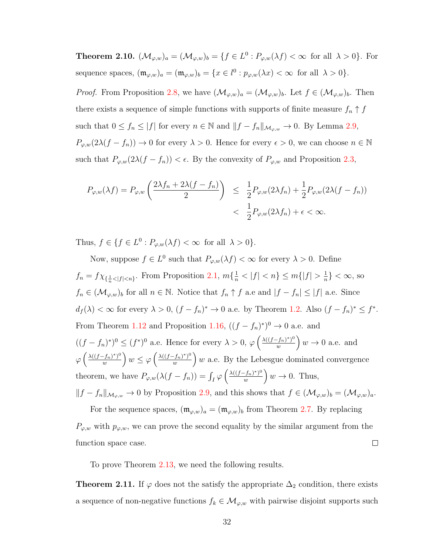<span id="page-38-1"></span>**Theorem 2.10.**  $(\mathcal{M}_{\varphi,w})_a = (\mathcal{M}_{\varphi,w})_b = \{f \in L^0 : P_{\varphi,w}(\lambda f) < \infty \text{ for all } \lambda > 0\}.$  For sequence spaces,  $(\mathfrak{m}_{\varphi,w})_a = (\mathfrak{m}_{\varphi,w})_b = \{x \in l^0 : p_{\varphi,w}(\lambda x) < \infty \text{ for all } \lambda > 0\}.$ 

*Proof.* From Proposition [2.8,](#page-36-1) we have  $(\mathcal{M}_{\varphi,w})_a = (\mathcal{M}_{\varphi,w})_b$ . Let  $f \in (\mathcal{M}_{\varphi,w})_b$ . Then there exists a sequence of simple functions with supports of finite measure  $f_n \uparrow f$ such that  $0 \le f_n \le |f|$  for every  $n \in \mathbb{N}$  and  $||f - f_n||_{\mathcal{M}_{\varphi,w}} \to 0$ . By Lemma [2.9,](#page-37-0)  $P_{\varphi,w}(2\lambda(f - f_n)) \to 0$  for every  $\lambda > 0$ . Hence for every  $\epsilon > 0$ , we can choose  $n \in \mathbb{N}$ such that  $P_{\varphi,w}(2\lambda(f - f_n)) < \epsilon$ . By the convexity of  $P_{\varphi,w}$  and Proposition [2.3,](#page-29-0)

$$
P_{\varphi,w}(\lambda f) = P_{\varphi,w}\left(\frac{2\lambda f_n + 2\lambda (f - f_n)}{2}\right) \le \frac{1}{2} P_{\varphi,w}(2\lambda f_n) + \frac{1}{2} P_{\varphi,w}(2\lambda (f - f_n))
$$
  
< 
$$
< \frac{1}{2} P_{\varphi,w}(2\lambda f_n) + \epsilon < \infty.
$$

Thus,  $f \in \{f \in L^0 : P_{\varphi,w}(\lambda f) < \infty \text{ for all } \lambda > 0\}.$ 

Now, suppose  $f \in L^0$  such that  $P_{\varphi,w}(\lambda f) < \infty$  for every  $\lambda > 0$ . Define  $f_n = f \chi_{\{\frac{1}{n} < |f| < n\}}$ . From Proposition [2.1,](#page-27-0)  $m\{\frac{1}{n} < |f| < n\} \le m\{|f| > \frac{1}{n}\}$  $\frac{1}{n}$ } < ∞, so  $f_n \in (\mathcal{M}_{\varphi,w})_b$  for all  $n \in \mathbb{N}$ . Notice that  $f_n \uparrow f$  a.e and  $|f - f_n| \leq |f|$  a.e. Since  $d_f(\lambda) < \infty$  for every  $\lambda > 0$ ,  $(f - f_n)^* \to 0$  a.e. by Theorem [1.2.](#page-12-0) Also  $(f - f_n)^* \leq f^*$ . From Theorem [1.12](#page-21-0) and Proposition [1.16,](#page-23-0)  $((f - f_n)^*)^0 \to 0$  a.e. and  $((f - f_n)^*)^0 \le (f^*)^0$  a.e. Hence for every  $\lambda > 0$ ,  $\varphi \left( \frac{\lambda ((f - f_n)^*)^0}{w} \right)$  $\left(\frac{(f_n)^*}{w}\right)w \to 0$  a.e. and  $\varphi\left(\frac{\lambda((f-f_n)^*)^0}{w}\right)$  $\left(\frac{f_n)^{*}}{w}\right)w \leq \varphi\left(\frac{\lambda((f-f_n)^*)^0}{w}\right)$  $\left(\frac{f_n(x)}{w}\right)w$  a.e. By the Lebesgue dominated convergence theorem, we have  $P_{\varphi,w}(\lambda(f - f_n)) = \int_I \varphi \left( \frac{\lambda((f - f_n))^s}{w} \right)$  $\left(\frac{(f_n)^*}{w}\right)^0 w \to 0$ . Thus,  $||f - f_n||_{\mathcal{M}_{\varphi, w}} \to 0$  by Proposition [2.9,](#page-37-0) and this shows that  $f \in (\mathcal{M}_{\varphi, w})_b = (\mathcal{M}_{\varphi, w})_a$ . For the sequence spaces,  $(\mathfrak{m}_{\varphi,w})_a = (\mathfrak{m}_{\varphi,w})_b$  from Theorem [2.7.](#page-36-0) By replacing

 $P_{\varphi,w}$  with  $p_{\varphi,w}$ , we can prove the second equality by the similar argument from the  $\Box$ function space case.

To prove Theorem [2.13,](#page-40-0) we need the following results.

<span id="page-38-0"></span>**Theorem 2.11.** If  $\varphi$  does not the satisfy the appropriate  $\Delta_2$  condition, there exists a sequence of non-negative functions  $f_k \in \mathcal{M}_{\varphi,w}$  with pairwise disjoint supports such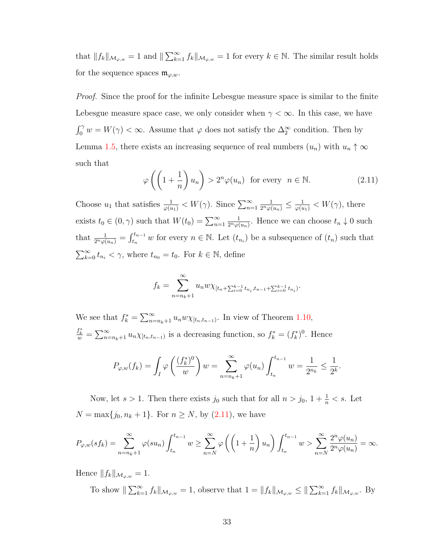that  $||f_k||_{\mathcal{M}_{\varphi,w}} = 1$  and  $||\sum_{k=1}^{\infty} f_k||_{\mathcal{M}_{\varphi,w}} = 1$  for every  $k \in \mathbb{N}$ . The similar result holds for the sequence spaces  $\mathfrak{m}_{\varphi,w}$ .

Proof. Since the proof for the infinite Lebesgue measure space is similar to the finite Lebesgue measure space case, we only consider when  $\gamma < \infty$ . In this case, we have  $\int_0^\gamma w = W(\gamma) < \infty$ . Assume that  $\varphi$  does not satisfy the  $\Delta_2^{\infty}$  condition. Then by Lemma [1.5,](#page-17-0) there exists an increasing sequence of real numbers  $(u_n)$  with  $u_n \uparrow \infty$ such that

<span id="page-39-0"></span>
$$
\varphi\left(\left(1+\frac{1}{n}\right)u_n\right) > 2^n \varphi(u_n) \text{ for every } n \in \mathbb{N}.
$$
 (2.11)

Choose  $u_1$  that satisfies  $\frac{1}{\varphi(u_1)} < W(\gamma)$ . Since  $\sum_{n=1}^{\infty}$  $\frac{1}{2^n \varphi(u_n)} \leq \frac{1}{\varphi(u_1)} < W(\gamma)$ , there exists  $t_0 \in (0, \gamma)$  such that  $W(t_0) = \sum_{n=1}^{\infty}$ 1  $\frac{1}{2^n\varphi(u_n)}$ . Hence we can choose  $t_n \downarrow 0$  such that  $\frac{1}{2^n \varphi(u_n)} = \int_{t_n}^{t_{n-1}} w$  for every  $n \in \mathbb{N}$ . Let  $(t_{n_i})$  be a subsequence of  $(t_n)$  such that  $\sum_{k=0}^{\infty} t_{n_k} < \gamma$ , where  $t_{n_0} = t_0$ . For  $k \in \mathbb{N}$ , define

$$
f_k = \sum_{n=n_k+1}^{\infty} u_n w \chi_{[t_n + \sum_{i=0}^{k-1} t_{n_i}, t_{n-1} + \sum_{i=0}^{k-1} t_{n_i})}.
$$

We see that  $f_k^* = \sum_{n=n_k+1}^{\infty} u_n w \chi_{[t_n,t_{n-1})}$ . In view of Theorem [1.10,](#page-21-1)  $\frac{f_k^*}{w} = \sum_{n=n_k+1}^{\infty} u_n \chi_{[t_n,t_{n-1})}$  is a decreasing function, so  $f_k^* = (f_k^*)^0$ . Hence

$$
P_{\varphi,w}(f_k) = \int_I \varphi\left(\frac{(f_k^*)^0}{w}\right)w = \sum_{n=n_k+1}^{\infty} \varphi(u_n) \int_{t_n}^{t_{n-1}} w = \frac{1}{2^{n_k}} \le \frac{1}{2^k}.
$$

Now, let  $s > 1$ . Then there exists  $j_0$  such that for all  $n > j_0$ ,  $1 + \frac{1}{n} < s$ . Let  $N = \max\{j_0, n_k + 1\}$ . For  $n \ge N$ , by  $(2.11)$ , we have

$$
P_{\varphi,w}(sf_k) = \sum_{n=n_k+1}^{\infty} \varphi(su_n) \int_{t_n}^{t_{n-1}} w \ge \sum_{n=N}^{\infty} \varphi\left(\left(1+\frac{1}{n}\right)u_n\right) \int_{t_n}^{t_{n-1}} w > \sum_{n=N}^{\infty} \frac{2^n \varphi(u_n)}{2^n \varphi(u_n)} = \infty.
$$

Hence  $||f_k||_{\mathcal{M}_{\varphi,w}} = 1.$ 

To show  $\|\sum_{k=1}^{\infty} f_k\|_{\mathcal{M}_{\varphi,w}} = 1$ , observe that  $1 = \|f_k\|_{\mathcal{M}_{\varphi,w}} \le \|\sum_{k=1}^{\infty} f_k\|_{\mathcal{M}_{\varphi,w}}$ . By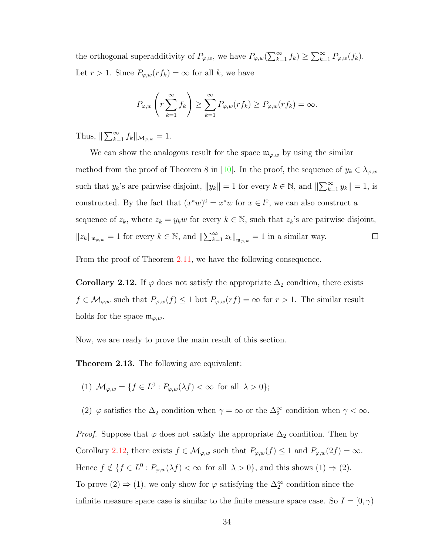the orthogonal superadditivity of  $P_{\varphi,w}$ , we have  $P_{\varphi,w}(\sum_{k=1}^{\infty} f_k) \geq \sum_{k=1}^{\infty} P_{\varphi,w}(f_k)$ . Let  $r > 1$ . Since  $P_{\varphi,w}(rf_k) = \infty$  for all k, we have

$$
P_{\varphi,w}\left(r\sum_{k=1}^{\infty}f_k\right) \ge \sum_{k=1}^{\infty}P_{\varphi,w}(rf_k) \ge P_{\varphi,w}(rf_k) = \infty.
$$

Thus,  $\|\sum_{k=1}^{\infty} f_k\|_{\mathcal{M}_{\varphi,w}} = 1.$ 

We can show the analogous result for the space  $\mathfrak{m}_{\varphi,w}$  by using the similar method from the proof of Theorem 8 in [\[10\]](#page-108-1). In the proof, the sequence of  $y_k \in \lambda_{\varphi,w}$ such that  $y_k$ 's are pairwise disjoint,  $||y_k|| = 1$  for every  $k \in \mathbb{N}$ , and  $\|\sum_{k=1}^{\infty} y_k\| = 1$ , is constructed. By the fact that  $(x^*w)^0 = x^*w$  for  $x \in l^0$ , we can also construct a sequence of  $z_k$ , where  $z_k = y_k w$  for every  $k \in \mathbb{N}$ , such that  $z_k$ 's are pairwise disjoint,  $||z_k||_{\mathfrak{m}_{\varphi,w}} = 1$  for every  $k \in \mathbb{N}$ , and  $\|\sum_{k=1}^{\infty} z_k\|_{\mathfrak{m}_{\varphi,w}} = 1$  in a similar way.  $\Box$ 

From the proof of Theorem [2.11,](#page-38-0) we have the following consequence.

<span id="page-40-1"></span>Corollary 2.12. If  $\varphi$  does not satisfy the appropriate  $\Delta_2$  condtion, there exists  $f \in \mathcal{M}_{\varphi,w}$  such that  $P_{\varphi,w}(f) \leq 1$  but  $P_{\varphi,w}(rf) = \infty$  for  $r > 1$ . The similar result holds for the space  $\mathfrak{m}_{\varphi,w}$ .

Now, we are ready to prove the main result of this section.

<span id="page-40-0"></span>Theorem 2.13. The following are equivalent:

- (1)  $\mathcal{M}_{\varphi,w} = \{f \in L^0 : P_{\varphi,w}(\lambda f) < \infty \text{ for all } \lambda > 0\};$
- (2)  $\varphi$  satisfies the  $\Delta_2$  condition when  $\gamma = \infty$  or the  $\Delta_2^{\infty}$  condition when  $\gamma < \infty$ .

*Proof.* Suppose that  $\varphi$  does not satisfy the appropriate  $\Delta_2$  condition. Then by Corollary [2.12,](#page-40-1) there exists  $f \in \mathcal{M}_{\varphi,w}$  such that  $P_{\varphi,w}(f) \leq 1$  and  $P_{\varphi,w}(2f) = \infty$ . Hence  $f \notin \{f \in L^0 : P_{\varphi,w}(\lambda f) < \infty \text{ for all } \lambda > 0\}$ , and this shows  $(1) \Rightarrow (2)$ . To prove  $(2) \Rightarrow (1)$ , we only show for  $\varphi$  satisfying the  $\Delta_2^{\infty}$  condition since the infinite measure space case is similar to the finite measure space case. So  $I = [0, \gamma)$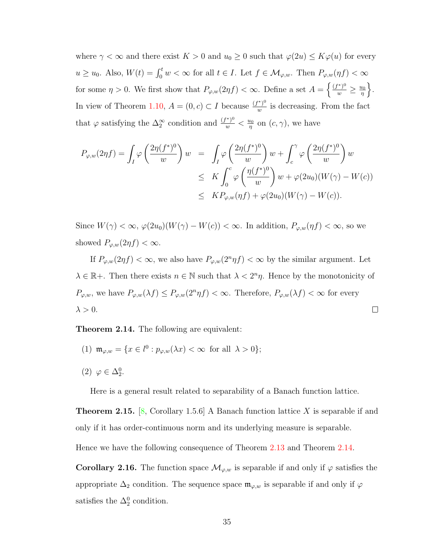where  $\gamma < \infty$  and there exist  $K > 0$  and  $u_0 \geq 0$  such that  $\varphi(2u) \leq K\varphi(u)$  for every  $u \geq u_0$ . Also,  $W(t) = \int_0^t w < \infty$  for all  $t \in I$ . Let  $f \in \mathcal{M}_{\varphi,w}$ . Then  $P_{\varphi,w}(\eta f) < \infty$ for some  $\eta > 0$ . We first show that  $P_{\varphi,w}(2\eta f) < \infty$ . Define a set  $A = \left\{\frac{(f^*)^0}{w} \ge \frac{u_0}{\eta}\right\}$  $\frac{u_0}{\eta}$ . In view of Theorem [1.10,](#page-21-1)  $A = (0, c) \subset I$  because  $\frac{(f^*)^0}{m}$  $\frac{y}{w}$  is decreasing. From the fact that  $\varphi$  satisfying the  $\Delta_2^{\infty}$  condition and  $\frac{(f^*)^0}{w} < \frac{u_0}{\eta}$  $\frac{\mu_0}{\eta}$  on  $(c, \gamma)$ , we have

$$
P_{\varphi,w}(2\eta f) = \int_I \varphi\left(\frac{2\eta(f^*)^0}{w}\right)w = \int_I \varphi\left(\frac{2\eta(f^*)^0}{w}\right)w + \int_c^{\gamma} \varphi\left(\frac{2\eta(f^*)^0}{w}\right)w
$$
  

$$
\leq K \int_0^c \varphi\left(\frac{\eta(f^*)^0}{w}\right)w + \varphi(2u_0)(W(\gamma) - W(c))
$$
  

$$
\leq KP_{\varphi,w}(\eta f) + \varphi(2u_0)(W(\gamma) - W(c)).
$$

Since  $W(\gamma) < \infty$ ,  $\varphi(2u_0)(W(\gamma) - W(c)) < \infty$ . In addition,  $P_{\varphi,w}(\eta f) < \infty$ , so we showed  $P_{\varphi,w}(2\eta f) < \infty$ .

If  $P_{\varphi,w}(2\eta f) < \infty$ , we also have  $P_{\varphi,w}(2^n\eta f) < \infty$  by the similar argument. Let  $\lambda \in \mathbb{R}^+$ . Then there exists  $n \in \mathbb{N}$  such that  $\lambda < 2^n \eta$ . Hence by the monotonicity of  $P_{\varphi,w}$ , we have  $P_{\varphi,w}(\lambda f) \leq P_{\varphi,w}(2^n \eta f) < \infty$ . Therefore,  $P_{\varphi,w}(\lambda f) < \infty$  for every  $\lambda > 0$ .  $\Box$ 

<span id="page-41-0"></span>Theorem 2.14. The following are equivalent:

- (1)  $\mathfrak{m}_{\varphi,w} = \{x \in l^0 : p_{\varphi,w}(\lambda x) < \infty \text{ for all } \lambda > 0\};$
- (2)  $\varphi \in \Delta_2^0$ .

Here is a general result related to separability of a Banach function lattice.

<span id="page-41-2"></span>**Theorem 2.15.** [\[8,](#page-108-0) Corollary 1.5.6] A Banach function lattice X is separable if and only if it has order-continuous norm and its underlying measure is separable.

<span id="page-41-1"></span>Hence we have the following consequence of Theorem [2.13](#page-40-0) and Theorem [2.14.](#page-41-0)

**Corollary 2.16.** The function space  $\mathcal{M}_{\varphi,w}$  is separable if and only if  $\varphi$  satisfies the appropriate  $\Delta_2$  condition. The sequence space  $\mathfrak{m}_{\varphi,w}$  is separable if and only if  $\varphi$ satisfies the  $\Delta_2^0$  condition.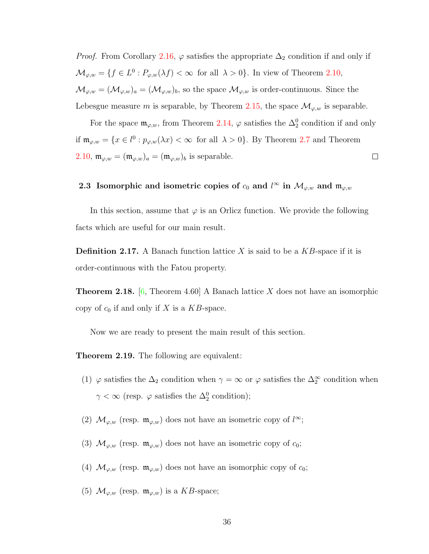*Proof.* From Corollary [2.16,](#page-41-1)  $\varphi$  satisfies the appropriate  $\Delta_2$  condition if and only if  $\mathcal{M}_{\varphi,w} = \{f \in L^0 : P_{\varphi,w}(\lambda f) < \infty \text{ for all } \lambda > 0\}.$  In view of Theorem [2.10,](#page-38-1)  $\mathcal{M}_{\varphi,w} = (\mathcal{M}_{\varphi,w})_a = (\mathcal{M}_{\varphi,w})_b$ , so the space  $\mathcal{M}_{\varphi,w}$  is order-continuous. Since the Lebesgue measure m is separable, by Theorem [2.15,](#page-41-2) the space  $\mathcal{M}_{\varphi,w}$  is separable.

For the space  $\mathfrak{m}_{\varphi,w}$ , from Theorem [2.14,](#page-41-0)  $\varphi$  satisfies the  $\Delta_2^0$  condition if and only if  $\mathfrak{m}_{\varphi,w} = \{x \in l^0 : p_{\varphi,w}(\lambda x) < \infty \text{ for all } \lambda > 0\}$ . By Theorem [2.7](#page-36-0) and Theorem [2.10,](#page-38-1)  $\mathfrak{m}_{\varphi,w} = (\mathfrak{m}_{\varphi,w})_a = (\mathfrak{m}_{\varphi,w})_b$  is separable.  $\Box$ 

# 2.3 Isomorphic and isometric copies of  $c_0$  and  $l^{\infty}$  in  $\mathcal{M}_{\varphi,w}$  and  $\mathfrak{m}_{\varphi,w}$

In this section, assume that  $\varphi$  is an Orlicz function. We provide the following facts which are useful for our main result.

**Definition 2.17.** A Banach function lattice X is said to be a  $KB$ -space if it is order-continuous with the Fatou property.

<span id="page-42-0"></span>**Theorem 2.18.** [\[6,](#page-108-2) Theorem 4.60] A Banach lattice X does not have an isomorphic copy of  $c_0$  if and only if X is a  $KB$ -space.

Now we are ready to present the main result of this section.

Theorem 2.19. The following are equivalent:

- (1)  $\varphi$  satisfies the  $\Delta_2$  condition when  $\gamma = \infty$  or  $\varphi$  satisfies the  $\Delta_2^{\infty}$  condition when  $\gamma < \infty$  (resp.  $\varphi$  satisfies the  $\Delta_2^0$  condition);
- (2)  $\mathcal{M}_{\varphi,w}$  (resp.  $\mathfrak{m}_{\varphi,w}$ ) does not have an isometric copy of  $l^{\infty}$ ;
- (3)  $\mathcal{M}_{\varphi,w}$  (resp.  $\mathfrak{m}_{\varphi,w}$ ) does not have an isometric copy of  $c_0$ ;
- (4)  $\mathcal{M}_{\varphi,w}$  (resp.  $\mathfrak{m}_{\varphi,w}$ ) does not have an isomorphic copy of  $c_0$ ;
- (5)  $\mathcal{M}_{\varphi,w}$  (resp.  $\mathfrak{m}_{\varphi,w}$ ) is a KB-space;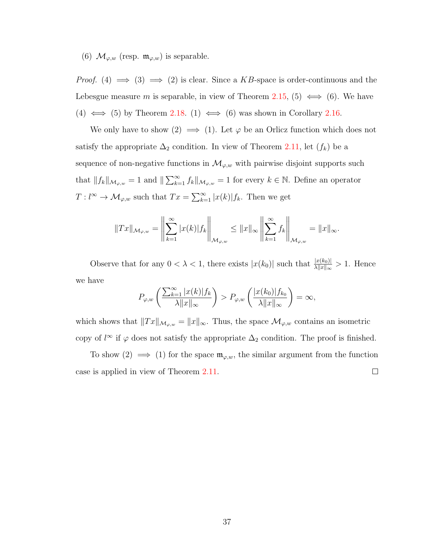(6)  $\mathcal{M}_{\varphi,w}$  (resp.  $\mathfrak{m}_{\varphi,w}$ ) is separable.

*Proof.* (4)  $\implies$  (3)  $\implies$  (2) is clear. Since a KB-space is order-continuous and the Lebesgue measure m is separable, in view of Theorem [2.15,](#page-41-2) (5)  $\iff$  (6). We have (4)  $\iff$  (5) by Theorem [2.18.](#page-42-0) (1)  $\iff$  (6) was shown in Corollary [2.16.](#page-41-1)

We only have to show (2)  $\implies$  (1). Let  $\varphi$  be an Orlicz function which does not satisfy the appropriate  $\Delta_2$  condition. In view of Theorem [2.11,](#page-38-0) let  $(f_k)$  be a sequence of non-negative functions in  $\mathcal{M}_{\varphi,w}$  with pairwise disjoint supports such that  $||f_k||_{\mathcal{M}_{\varphi,w}} = 1$  and  $||\sum_{k=1}^{\infty} f_k||_{\mathcal{M}_{\varphi,w}} = 1$  for every  $k \in \mathbb{N}$ . Define an operator  $T: l^{\infty} \to \mathcal{M}_{\varphi,w}$  such that  $Tx = \sum_{k=1}^{\infty} |x(k)| f_k$ . Then we get

$$
||Tx||_{\mathcal{M}_{\varphi,w}} = \left\|\sum_{k=1}^{\infty} |x(k)| f_k\right\|_{\mathcal{M}_{\varphi,w}} \leq ||x||_{\infty} \left\|\sum_{k=1}^{\infty} f_k\right\|_{\mathcal{M}_{\varphi,w}} = ||x||_{\infty}.
$$

Observe that for any  $0 < \lambda < 1$ , there exists  $|x(k_0)|$  such that  $\frac{|x(k_0)|}{\lambda ||x||_{\infty}} > 1$ . Hence we have

$$
P_{\varphi,w}\left(\frac{\sum_{k=1}^{\infty}|x(k)|f_k}{\lambda\|x\|_{\infty}}\right) > P_{\varphi,w}\left(\frac{|x(k_0)|f_{k_0}}{\lambda\|x\|_{\infty}}\right) = \infty,
$$

which shows that  $||Tx||_{\mathcal{M}_{\varphi,w}} = ||x||_{\infty}$ . Thus, the space  $\mathcal{M}_{\varphi,w}$  contains an isometric copy of  $l^{\infty}$  if  $\varphi$  does not satisfy the appropriate  $\Delta_2$  condition. The proof is finished.

To show (2)  $\implies$  (1) for the space  $\mathfrak{m}_{\varphi,w}$ , the similar argument from the function case is applied in view of Theorem [2.11.](#page-38-0)  $\Box$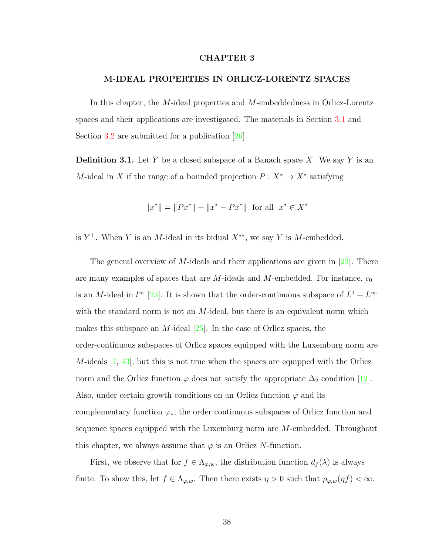## CHAPTER 3

#### M-IDEAL PROPERTIES IN ORLICZ-LORENTZ SPACES

In this chapter, the M-ideal properties and M-embeddedness in Orlicz-Lorentz spaces and their applications are investigated. The materials in Section [3.1](#page-45-0) and Section [3.2](#page-48-0) are submitted for a publication [\[26\]](#page-110-1).

<span id="page-44-0"></span>**Definition 3.1.** Let Y be a closed subspace of a Banach space X. We say Y is an M-ideal in X if the range of a bounded projection  $P: X^* \to X^*$  satisfying

$$
||x^*|| = ||Px^*|| + ||x^* - Px^*|| \text{ for all } x^* \in X^*
$$

is  $Y^{\perp}$ . When Y is an M-ideal in its bidual  $X^{**}$ , we say Y is M-embedded.

The general overview of M-ideals and their applications are given in [\[23\]](#page-110-2). There are many examples of spaces that are  $M$ -ideals and  $M$ -embedded. For instance,  $c_0$ is an M-ideal in  $l^{\infty}$  [\[23\]](#page-110-2). It is shown that the order-continuous subspace of  $L^1 + L^{\infty}$ with the standard norm is not an  $M$ -ideal, but there is an equivalent norm which makes this subspace an *M*-ideal  $[25]$ . In the case of Orlicz spaces, the order-continuous subspaces of Orlicz spaces equipped with the Luxemburg norm are  $M$ -ideals  $[7, 43]$  $[7, 43]$  $[7, 43]$ , but this is not true when the spaces are equipped with the Orlicz norm and the Orlicz function  $\varphi$  does not satisfy the appropriate  $\Delta_2$  condition [\[12\]](#page-109-0). Also, under certain growth conditions on an Orlicz function  $\varphi$  and its complementary function  $\varphi_*$ , the order continuous subspaces of Orlicz function and sequence spaces equipped with the Luxemburg norm are M-embedded. Throughout this chapter, we always assume that  $\varphi$  is an Orlicz N-function.

First, we observe that for  $f \in \Lambda_{\varphi,w}$ , the distribution function  $d_f(\lambda)$  is always finite. To show this, let  $f \in \Lambda_{\varphi,w}$ . Then there exists  $\eta > 0$  such that  $\rho_{\varphi,w}(\eta f) < \infty$ .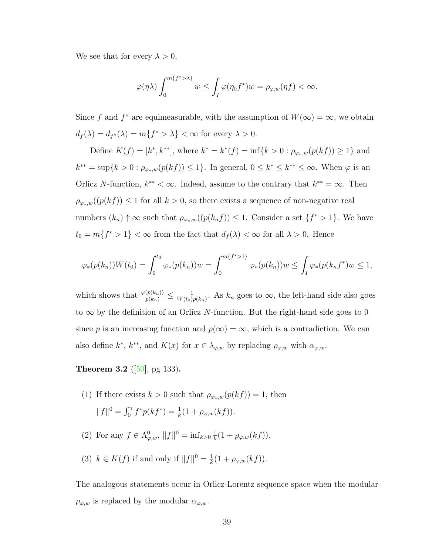We see that for every  $\lambda > 0$ ,

$$
\varphi(\eta \lambda) \int_0^{m\{f^* > \lambda\}} w \le \int_I \varphi(\eta_0 f^*) w = \rho_{\varphi,w}(\eta f) < \infty.
$$

Since f and  $f^*$  are equimeasurable, with the assumption of  $W(\infty) = \infty$ , we obtain  $d_f(\lambda) = d_{f^*}(\lambda) = m\{f^* > \lambda\} < \infty$  for every  $\lambda > 0$ .

Define  $K(f) = [k^*, k^{**}]$ , where  $k^* = k^*(f) = \inf\{k > 0 : \rho_{\varphi_*,w}(p(kf)) \ge 1\}$  and  $k^{**} = \sup\{k > 0 : \rho_{\varphi_*,w}(p(kf)) \leq 1\}.$  In general,  $0 \leq k^* \leq k^{**} \leq \infty$ . When  $\varphi$  is an Orlicz N-function,  $k^{**} < \infty$ . Indeed, assume to the contrary that  $k^{**} = \infty$ . Then  $\rho_{\varphi_*,w}((p(kf)) \leq 1$  for all  $k > 0$ , so there exists a sequence of non-negative real numbers  $(k_n) \uparrow \infty$  such that  $\rho_{\varphi_*,w}((p(k_nf)) \leq 1$ . Consider a set  $\{f^* > 1\}$ . We have  $t_0 = m\{f^* > 1\} < \infty$  from the fact that  $d_f(\lambda) < \infty$  for all  $\lambda > 0$ . Hence

$$
\varphi_*(p(k_n))W(t_0) = \int_0^{t_0} \varphi_*(p(k_n))w = \int_0^{m\{f^*>1\}} \varphi_*(p(k_n))w \le \int_I \varphi_*(p(k_nf^*)w \le 1,
$$

which shows that  $\frac{\varphi(p(k_n))}{p(k_n)} \leq \frac{1}{W(t_0)}$  $\frac{1}{W(t_0)p(k_n)}$ . As  $k_n$  goes to  $\infty$ , the left-hand side also goes to  $\infty$  by the definition of an Orlicz N-function. But the right-hand side goes to 0 since p is an increasing function and  $p(\infty) = \infty$ , which is a contradiction. We can also define  $k^*, k^{**}$ , and  $K(x)$  for  $x \in \lambda_{\varphi,w}$  by replacing  $\rho_{\varphi,w}$  with  $\alpha_{\varphi,w}$ .

<span id="page-45-1"></span>**Theorem 3.2** ([\[50\]](#page-112-0), pg 133).

- (1) If there exists  $k > 0$  such that  $\rho_{\varphi_*,w}(p(kf)) = 1$ , then  $||f||^0 = \int_0^{\gamma} f^* p(kf^*) = \frac{1}{k} (1 + \rho_{\varphi,w}(kf)).$
- (2) For any  $f \in \Lambda^0_{\varphi,w}, \|f\|^0 = \inf_{k>0} \frac{1}{k}$  $\frac{1}{k}(1+\rho_{\varphi,w}(kf)).$
- (3)  $k \in K(f)$  if and only if  $||f||^0 = \frac{1}{k}$  $\frac{1}{k}(1+\rho_{\varphi,w}(kf)).$

<span id="page-45-0"></span>The analogous statements occur in Orlicz-Lorentz sequence space when the modular  $\rho_{\varphi,w}$  is replaced by the modular  $\alpha_{\varphi,w}$ .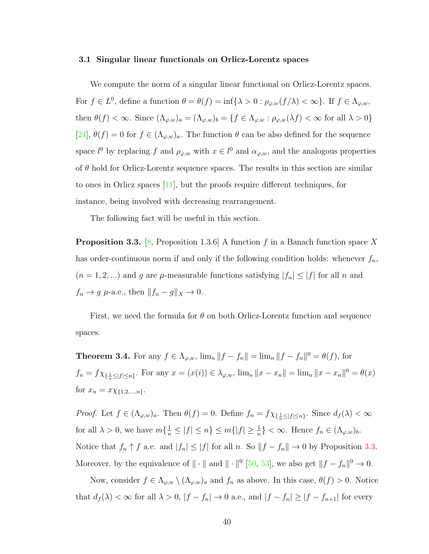#### 3.1 Singular linear functionals on Orlicz-Lorentz spaces

We compute the norm of a singular linear functional on Orlicz-Lorentz spaces. For  $f \in L^0$ , define a function  $\theta = \theta(f) = \inf \{ \lambda > 0 : \rho_{\varphi,w}(f/\lambda) < \infty \}$ . If  $f \in \Lambda_{\varphi,w}$ , then  $\theta(f) < \infty$ . Since  $(\Lambda_{\varphi,w})_a = (\Lambda_{\varphi,w})_b = \{f \in \Lambda_{\varphi,w} : \rho_{\varphi,w}(\lambda f) < \infty \text{ for all } \lambda > 0\}$ [\[24\]](#page-110-4),  $\theta(f) = 0$  for  $f \in (\Lambda_{\varphi,w})_a$ . The function  $\theta$  can be also defined for the sequence space  $l^0$  by replacing f and  $\rho_{\varphi,w}$  with  $x \in l^0$  and  $\alpha_{\varphi,w}$ , and the analogous properties of  $\theta$  hold for Orlicz-Lorentz sequence spaces. The results in this section are similar to ones in Orlicz spaces [\[11\]](#page-108-4), but the proofs require different techniques, for instance, being involved with decreasing rearrangement.

The following fact will be useful in this section.

<span id="page-46-0"></span>**Proposition 3.3.** [\[8,](#page-108-0) Proposition 1.3.6] A function f in a Banach function space X has order-continuous norm if and only if the following condition holds: whenever  $f_n$ ,  $(n = 1, 2, ...)$  and g are  $\mu$ -measurable functions satisfying  $|f_n| \leq |f|$  for all n and  $f_n \to g \mu$ -a.e., then  $||f_n - g||_X \to 0$ .

First, we need the formula for  $\theta$  on both Orlicz-Lorentz function and sequence spaces.

<span id="page-46-1"></span>**Theorem 3.4.** For any  $f \in \Lambda_{\varphi,w}$ ,  $\lim_n ||f - f_n|| = \lim_n ||f - f_n||^0 = \theta(f)$ , for  $f_n = f \chi_{\{\frac{1}{n} \leq |f| \leq n\}}$ . For any  $x = (x(i)) \in \lambda_{\varphi,w}$ ,  $\lim_n ||x - x_n|| = \lim_n ||x - x_n||^0 = \theta(x)$ for  $x_n = x \chi_{\{1,2,...,n\}}$ .

*Proof.* Let  $f \in (\Lambda_{\varphi,w})_a$ . Then  $\theta(f) = 0$ . Define  $f_n = f \chi_{\{\frac{1}{n} \leq |f| \leq n\}}$ . Since  $d_f(\lambda) < \infty$ for all  $\lambda > 0$ , we have  $m\{\frac{1}{n} \leq |f| \leq n\} \leq m\{|f| \geq \frac{1}{n}\} < \infty$ . Hence  $f_n \in (\Lambda_{\varphi,w})_b$ . Notice that  $f_n \uparrow f$  a.e. and  $|f_n| \leq |f|$  for all n. So  $||f - f_n|| \to 0$  by Proposition [3.3.](#page-46-0) Moreover, by the equivalence of  $\|\cdot\|$  and  $\|\cdot\|^{0}$  [\[50,](#page-112-0) [53\]](#page-112-1), we also get  $\|f - f_{n}\|^{0} \to 0$ .

Now, consider  $f \in \Lambda_{\varphi,w} \setminus (\Lambda_{\varphi,w})_a$  and  $f_n$  as above. In this case,  $\theta(f) > 0$ . Notice that  $d_f(\lambda) < \infty$  for all  $\lambda > 0$ ,  $|f - f_n| \to 0$  a.e., and  $|f - f_n| \geq |f - f_{n+1}|$  for every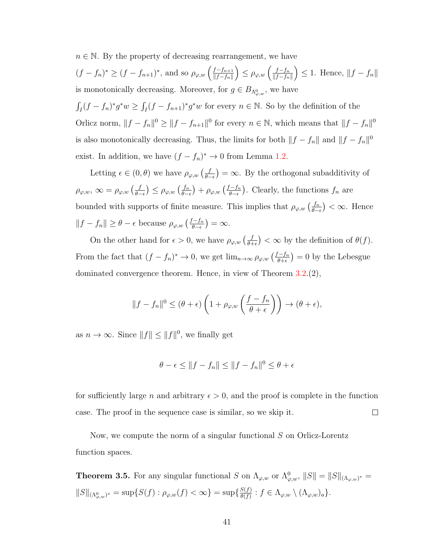$n \in \mathbb{N}$ . By the property of decreasing rearrangement, we have

 $(f - f_n)^* \ge (f - f_{n+1})^*$ , and so  $\rho_{\varphi, w} \left( \frac{f - f_{n+1}}{\|f - f_n\|} \right)$  $||f-f_n||$  $\left(\right) \leq \rho_{\varphi,w} \left(\frac{f-f_n}{\|f-f_n\|}\right)$  $||f-f_n||$  $\Big) \leq 1.$  Hence,  $||f - f_n||$ is monotonically decreasing. Moreover, for  $g \in B_{\Lambda_{\varphi,w}^0}$ , we have

 $\int_I (f - f_n)^* g^* w \ge \int_I (f - f_{n+1})^* g^* w$  for every  $n \in \mathbb{N}$ . So by the definition of the Orlicz norm,  $||f - f_n||^0 \ge ||f - f_{n+1}||^0$  for every  $n \in \mathbb{N}$ , which means that  $||f - f_n||^0$ is also monotonically decreasing. Thus, the limits for both  $||f - f_n||$  and  $||f - f_n||^0$ exist. In addition, we have  $(f - f_n)^* \to 0$  from Lemma [1.2.](#page-12-0)

Letting  $\epsilon \in (0, \theta)$  we have  $\rho_{\varphi, w} \left( \frac{f}{\theta - \theta} \right)$  $\left(\frac{f}{\theta-\epsilon}\right) = \infty$ . By the orthogonal subadditivity of  $\rho_{\varphi,w},\, \infty = \rho_{\varphi,w}\left(\frac{f}{\theta -}\right)$  $\frac{f}{\theta-\epsilon}$ ) ≤  $\rho_{\varphi,w}$   $\left(\frac{f_n}{\theta-\epsilon}\right)$  $\frac{f_n}{\theta-\epsilon}$ ) +  $\rho_{\varphi,w}$   $\left(\frac{f-f_n}{\theta-\epsilon}\right)$  $\frac{f-f_n}{\theta-\epsilon}$ ). Clearly, the functions  $f_n$  are bounded with supports of finite measure. This implies that  $\rho_{\varphi,w}\left(\frac{f_n}{\theta-1}\right)$  $\frac{f_n}{\theta - \epsilon}$  <  $\infty$ . Hence  $||f - f_n|| \geq \theta - \epsilon$  because  $\rho_{\varphi, w} \left( \frac{f - f_n}{\theta - \epsilon} \right)$  $\left(\frac{f-f_n}{\theta-\epsilon}\right)=\infty.$ 

On the other hand for  $\epsilon > 0$ , we have  $\rho_{\varphi,w} \left( \frac{f}{\theta + \epsilon} \right)$  $\left(\frac{f}{\theta+\epsilon}\right)<\infty$  by the definition of  $\theta(f)$ . From the fact that  $(f - f_n)^* \to 0$ , we get  $\lim_{n \to \infty} \rho_{\varphi, w} \left( \frac{f - f_n}{\theta + \epsilon} \right)$  $\left(\frac{f-f_n}{\theta+\epsilon}\right)=0$  by the Lebesgue dominated convergence theorem. Hence, in view of Theorem [3.2.](#page-45-1)(2),

$$
||f - f_n||^0 \le (\theta + \epsilon) \left( 1 + \rho_{\varphi,w} \left( \frac{f - f_n}{\theta + \epsilon} \right) \right) \to (\theta + \epsilon),
$$

as  $n \to \infty$ . Since  $||f|| \le ||f||^0$ , we finally get

$$
\theta - \epsilon \le ||f - f_n|| \le ||f - f_n||^0 \le \theta + \epsilon
$$

for sufficiently large n and arbitrary  $\epsilon > 0$ , and the proof is complete in the function case. The proof in the sequence case is similar, so we skip it.  $\Box$ 

Now, we compute the norm of a singular functional S on Orlicz-Lorentz function spaces.

<span id="page-47-0"></span>**Theorem 3.5.** For any singular functional S on  $\Lambda_{\varphi,w}$  or  $\Lambda_{\varphi,w}^0$ ,  $||S|| = ||S||_{(\Lambda_{\varphi,w})^*}$  $||S||_{(\Lambda^0_{\varphi,w})^*} = \sup\{S(f) : \rho_{\varphi,w}(f) < \infty\} = \sup\{\frac{S(f)}{\theta(f)}\}$  $\frac{S(f)}{\theta(f)}: f \in \Lambda_{\varphi,w} \setminus (\Lambda_{\varphi,w})_a\}.$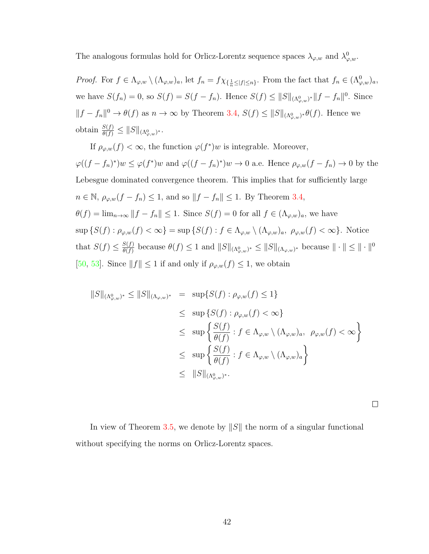The analogous formulas hold for Orlicz-Lorentz sequence spaces  $\lambda_{\varphi,w}$  and  $\lambda_{\varphi,w}^0$ .

*Proof.* For  $f \in \Lambda_{\varphi,w} \setminus (\Lambda_{\varphi,w})_a$ , let  $f_n = f \chi_{\{\frac{1}{n} \leq |f| \leq n\}}$ . From the fact that  $f_n \in (\Lambda_{\varphi,w}^0)_a$ , we have  $S(f_n) = 0$ , so  $S(f) = S(f - f_n)$ . Hence  $S(f) \leq ||S||_{(\Lambda^0_{\varphi,w})^*} ||f - f_n||^0$ . Since  $||f - f_n||^0 \to \theta(f)$  as  $n \to \infty$  by Theorem [3.4,](#page-46-1)  $S(f) \leq ||S||_{(\Lambda^0_{\varphi,w})^*} \theta(f)$ . Hence we obtain  $\frac{S(f)}{\theta(f)} \leq ||S||_{(\Lambda^0_{\varphi,w})^*}.$ 

If  $\rho_{\varphi,w}(f) < \infty$ , the function  $\varphi(f^*)w$  is integrable. Moreover,  $\varphi((f-f_n)^*)w \leq \varphi(f^*)w$  and  $\varphi((f-f_n)^*)w \to 0$  a.e. Hence  $\rho_{\varphi,w}(f-f_n) \to 0$  by the Lebesgue dominated convergence theorem. This implies that for sufficiently large  $n \in \mathbb{N}$ ,  $\rho_{\varphi,w}(f - f_n) \leq 1$ , and so  $||f - f_n|| \leq 1$ . By Theorem [3.4,](#page-46-1)  $\theta(f) = \lim_{n \to \infty} ||f - f_n|| \leq 1$ . Since  $S(f) = 0$  for all  $f \in (\Lambda_{\varphi,w})_a$ , we have  $\sup \{S(f) : \rho_{\varphi,w}(f) < \infty\} = \sup \{S(f) : f \in \Lambda_{\varphi,w} \setminus (\Lambda_{\varphi,w})_a, \ \rho_{\varphi,w}(f) < \infty\}.$  Notice that  $S(f) \leq \frac{S(f)}{\theta(f)}$  $\frac{S(f)}{\theta(f)}$  because  $\theta(f) \leq 1$  and  $||S||_{(\Lambda^0_{\varphi,w})^*} \leq ||S||_{(\Lambda_{\varphi,w})^*}$  because  $|| \cdot || \leq || \cdot ||^0$ [\[50,](#page-112-0) [53\]](#page-112-1). Since  $||f|| \leq 1$  if and only if  $\rho_{\varphi,w}(f) \leq 1$ , we obtain

$$
||S||_{(\Lambda^0_{\varphi,w})^*} \le ||S||_{(\Lambda_{\varphi,w})^*} = \sup \{ S(f) : \rho_{\varphi,w}(f) \le 1 \}
$$
  
\n
$$
\le \sup \{ S(f) : \rho_{\varphi,w}(f) < \infty \}
$$
  
\n
$$
\le \sup \left\{ \frac{S(f)}{\theta(f)} : f \in \Lambda_{\varphi,w} \setminus (\Lambda_{\varphi,w})_a, \ \rho_{\varphi,w}(f) < \infty \right\}
$$
  
\n
$$
\le \sup \left\{ \frac{S(f)}{\theta(f)} : f \in \Lambda_{\varphi,w} \setminus (\Lambda_{\varphi,w})_a \right\}
$$
  
\n
$$
\le ||S||_{(\Lambda^0_{\varphi,w})^*}.
$$

 $\Box$ 

<span id="page-48-0"></span>In view of Theorem [3.5,](#page-47-0) we denote by  $||S||$  the norm of a singular functional without specifying the norms on Orlicz-Lorentz spaces.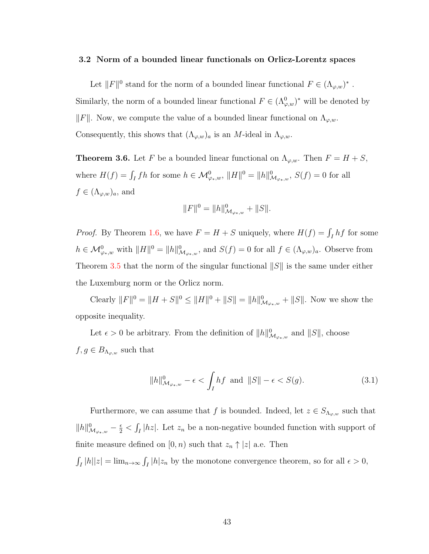#### 3.2 Norm of a bounded linear functionals on Orlicz-Lorentz spaces

Let  $||F||^0$  stand for the norm of a bounded linear functional  $F \in (\Lambda_{\varphi,w})^*$ . Similarly, the norm of a bounded linear functional  $F \in (\Lambda^0_{\varphi,w})^*$  will be denoted by  $\Vert F \Vert$ . Now, we compute the value of a bounded linear functional on  $\Lambda_{\varphi,w}$ . Consequently, this shows that  $(\Lambda_{\varphi,w})_a$  is an *M*-ideal in  $\Lambda_{\varphi,w}$ .

<span id="page-49-1"></span>**Theorem 3.6.** Let F be a bounded linear functional on  $\Lambda_{\varphi,w}$ . Then  $F = H + S$ , where  $H(f) = \int_I fh$  for some  $h \in \mathcal{M}_{\varphi_*,w}^0$ ,  $||H||^0 = ||h||_{\mathcal{M}_{\varphi_*,w}}^0$ ,  $S(f) = 0$  for all  $f \in (\Lambda_{\varphi,w})_a$ , and

$$
||F||^{0} = ||h||_{\mathcal{M}_{\varphi_*,w}}^{0} + ||S||.
$$

*Proof.* By Theorem [1.6,](#page-18-0) we have  $F = H + S$  uniquely, where  $H(f) = \int_I hf$  for some  $h \in \mathcal{M}_{\varphi_*,w}^0$  with  $||H||^0 = ||h||_{\mathcal{M}_{\varphi_*,w}}^0$ , and  $S(f) = 0$  for all  $f \in (\Lambda_{\varphi,w})_a$ . Observe from Theorem [3.5](#page-47-0) that the norm of the singular functional  $||S||$  is the same under either the Luxemburg norm or the Orlicz norm.

Clearly  $||F||^0 = ||H + S||^0 \le ||H||^0 + ||S|| = ||h||^0_{\mathcal{M}_{\varphi_*,w}} + ||S||$ . Now we show the opposite inequality.

Let  $\epsilon > 0$  be arbitrary. From the definition of  $||h||^0_{\mathcal{M}_{\varphi_*,w}}$  and  $||S||$ , choose  $f, g \in B_{\Lambda_{\varphi,w}}$  such that

<span id="page-49-0"></span>
$$
||h||^0_{\mathcal{M}_{\varphi_*,w}} - \epsilon < \int_I hf \text{ and } ||S|| - \epsilon < S(g). \tag{3.1}
$$

Furthermore, we can assume that f is bounded. Indeed, let  $z \in S_{\Lambda_{\varphi,w}}$  such that  $||h||_{\mathcal{M}_{\varphi_*,w}}^0 - \frac{\epsilon}{2} < \int_I |hz|$ . Let  $z_n$  be a non-negative bounded function with support of finite measure defined on  $[0, n)$  such that  $z_n \uparrow |z|$  a.e. Then

 $\int_I |h||z| = \lim_{n \to \infty} \int_I |h|z_n$  by the monotone convergence theorem, so for all  $\epsilon > 0$ ,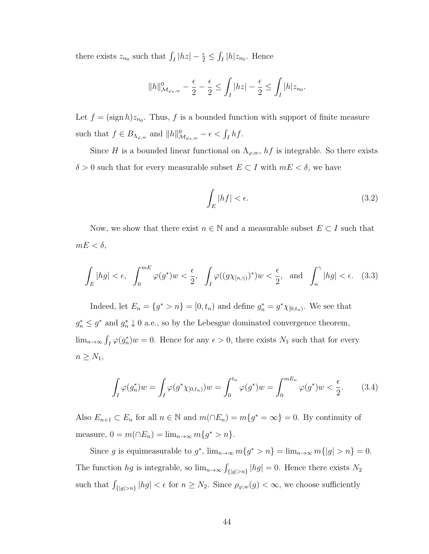there exists  $z_{n_0}$  such that  $\int_I |hz| - \frac{\epsilon}{2} \leq \int_I |h| z_{n_0}$ . Hence

$$
||h||^0_{\mathcal{M}_{\varphi_*,w}} - \frac{\epsilon}{2} - \frac{\epsilon}{2} \le \int_I |hz| - \frac{\epsilon}{2} \le \int_I |h| z_{n_0}.
$$

Let  $f = (\text{sign } h)z_{n_0}$ . Thus, f is a bounded function with support of finite measure such that  $f \in B_{\Lambda_{\varphi,w}}$  and  $||h||^0_{\mathcal{M}_{\varphi_*,w}} - \epsilon < \int_I hf$ .

Since H is a bounded linear functional on  $\Lambda_{\varphi,w}$ ,  $hf$  is integrable. So there exists  $\delta > 0$  such that for every measurable subset  $E \subset I$  with  $mE < \delta$ , we have

<span id="page-50-1"></span>
$$
\int_{E}|hf|<\epsilon.\tag{3.2}
$$

Now, we show that there exist  $n \in \mathbb{N}$  and a measurable subset  $E \subset I$  such that  $mE < \delta$ ,

<span id="page-50-0"></span>
$$
\int_{E} |hg| < \epsilon, \quad \int_{0}^{mE} \varphi(g^*) w < \frac{\epsilon}{2}, \quad \int_{I} \varphi((g\chi_{[n,\gamma)})^*) w < \frac{\epsilon}{2}, \quad \text{and} \quad \int_{n}^{\gamma} |hg| < \epsilon. \quad (3.3)
$$

Indeed, let  $E_n = \{g^* > n\} = [0, t_n)$  and define  $g_n^* = g^* \chi_{[0, t_n)}$ . We see that  $g_n^* \leq g^*$  and  $g_n^* \downarrow 0$  a.e., so by the Lebesgue dominated convergence theorem,  $\lim_{n\to\infty} \int_I \varphi(g_n^*)w = 0.$  Hence for any  $\epsilon > 0$ , there exists  $N_1$  such that for every  $n \geq N_1$ ,

$$
\int_{I} \varphi(g_n^*) w = \int_{I} \varphi(g^* \chi_{[0, t_n)}) w = \int_{0}^{t_n} \varphi(g^*) w = \int_{0}^{mE_n} \varphi(g^*) w < \frac{\epsilon}{2}.
$$
 (3.4)

Also  $E_{n+1} \subset E_n$  for all  $n \in \mathbb{N}$  and  $m(\cap E_n) = m\{g^* = \infty\} = 0$ . By continuity of measure,  $0 = m(\bigcap E_n) = \lim_{n \to \infty} m\{g^* > n\}.$ 

Since g is equimeasurable to  $g^*$ ,  $\lim_{n\to\infty} m\{g^* > n\} = \lim_{n\to\infty} m\{|g| > n\} = 0$ . The function hg is integrable, so  $\lim_{n\to\infty} \int_{\{|g|>n\}} |hg| = 0$ . Hence there exists N<sub>2</sub> such that  $\int_{\{|g|>n\}} |hg| < \epsilon$  for  $n \geq N_2$ . Since  $\rho_{\varphi,w}(g) < \infty$ , we choose sufficiently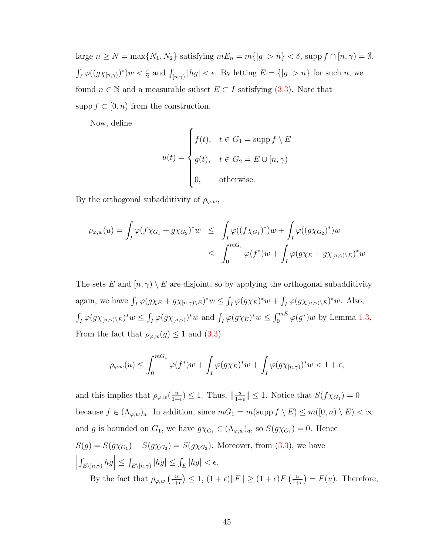large  $n \geq N = \max\{N_1, N_2\}$  satisfying  $mE_n = m\{|g| > n\} < \delta$ , supp  $f \cap [n, \gamma) = \emptyset$ ,  $\int_I \varphi((g\chi_{[n,\gamma)})^*)w < \frac{\epsilon}{2}$  and  $\int_{[n,\gamma)} |hg| < \epsilon$ . By letting  $E = \{|g| > n\}$  for such n, we found  $n \in \mathbb{N}$  and a measurable subset  $E \subset I$  satisfying [\(3.3\)](#page-50-0). Note that supp  $f \subset [0, n)$  from the construction.

Now, define

$$
u(t) = \begin{cases} f(t), & t \in G_1 = \text{supp } f \setminus E \\ g(t), & t \in G_2 = E \cup [n, \gamma) \\ 0, & \text{otherwise.} \end{cases}
$$

By the orthogonal subadditivity of  $\rho_{\varphi,w}$ ,

$$
\rho_{\varphi,w}(u) = \int_I \varphi(f\chi_{G_1} + g\chi_{G_2})^* w \le \int_I \varphi((f\chi_{G_1})^*)w + \int_I \varphi((g\chi_{G_2})^*)w
$$
  

$$
\le \int_0^{mG_1} \varphi(f^*)w + \int_I \varphi(g\chi_E + g\chi_{[n,\gamma)\setminus E})^*w
$$

The sets E and  $[n, \gamma) \setminus E$  are disjoint, so by applying the orthogonal subadditivity again, we have  $\int_I \varphi(g\chi_E + g\chi_{[n,\gamma)\setminus E})^*w \leq \int_I \varphi(g\chi_E)^*w + \int_I \varphi(g\chi_{[n,\gamma)\setminus E})^*w$ . Also,  $\int_I \varphi(g\chi_{[n,\gamma)}\xi)^*w \leq \int_I \varphi(g\chi_{[n,\gamma)})^*w$  and  $\int_I \varphi(g\chi_E)^*w \leq \int_0^{mE} \varphi(g^*)w$  by Lemma [1.3.](#page-12-1) From the fact that  $\rho_{\varphi,w}(g) \leq 1$  and  $(3.3)$ 

$$
\rho_{\varphi,w}(u) \le \int_0^{mG_1} \varphi(f^*)w + \int_I \varphi(g\chi_E)^*w + \int_I \varphi(g\chi_{[n,\gamma)})^*w < 1 + \epsilon,
$$

and this implies that  $\rho_{\varphi,w}(\frac{u}{1+h})$  $\frac{u}{1+\epsilon}$ )  $\leq 1$ . Thus,  $\left\|\frac{u}{1+\epsilon}\right\|$  $\frac{u}{1+\epsilon}$ ||  $\leq 1$ . Notice that  $S(f\chi_{G_1})=0$ because  $f \in (\Lambda_{\varphi,w})_a$ . In addition, since  $mG_1 = m(\mathrm{supp}\, f \setminus E) \le m([0,n) \setminus E) < \infty$ and g is bounded on  $G_1$ , we have  $g\chi_{G_1} \in (\Lambda_{\varphi,w})_a$ , so  $S(g\chi_{G_1})=0$ . Hence  $S(g) = S(g\chi_{G_1}) + S(g\chi_{G_2}) = S(g\chi_{G_2})$ . Moreover, from [\(3.3\)](#page-50-0), we have  $\left| \int_{E \setminus [n,\gamma)} hg \right| \leq \int_{E \setminus [n,\gamma)} |hg| \leq \int_E |hg| < \epsilon.$ By the fact that  $\rho_{\varphi,w}$   $\left(\frac{u}{1+}\right)$  $\left(\frac{u}{1+\epsilon}\right) \leq 1, (1+\epsilon)\|F\| \geq (1+\epsilon)F\left(\frac{u}{1+\epsilon}\right)$  $\frac{u}{1+\epsilon}$  =  $F(u)$ . Therefore,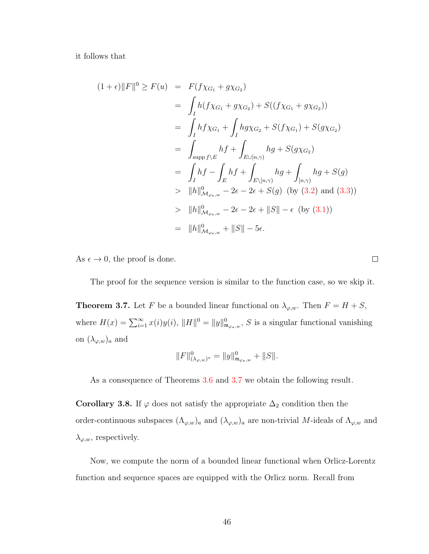it follows that

$$
(1 + \epsilon) \|F\|^0 \ge F(u) = F(f\chi_{G_1} + g\chi_{G_2})
$$
  
\n
$$
= \int_I h(f\chi_{G_1} + g\chi_{G_2}) + S((f\chi_{G_1} + g\chi_{G_2}))
$$
  
\n
$$
= \int_I h f\chi_{G_1} + \int_I h g\chi_{G_2} + S(f\chi_{G_1}) + S(g\chi_{G_2})
$$
  
\n
$$
= \int_{supp f\backslash E} hf + \int_{E\cup[n,\gamma)} hg + S(g\chi_{G_2})
$$
  
\n
$$
= \int_I hf - \int_E hf + \int_{E\backslash[n,\gamma)} hg + \int_{[n,\gamma)} hg + S(g)
$$
  
\n
$$
= \|h\|_{\mathcal{M}_{\varphi_*,w}}^0 - 2\epsilon - 2\epsilon + S(g) \text{ (by (3.2) and (3.3))}
$$
  
\n
$$
> \|h\|_{\mathcal{M}_{\varphi_*,w}}^0 - 2\epsilon - 2\epsilon + \|S\| - \epsilon \text{ (by (3.1))}
$$
  
\n
$$
= \|h\|_{\mathcal{M}_{\varphi_*,w}}^0 + \|S\| - 5\epsilon.
$$

As  $\epsilon \to 0$ , the proof is done.

The proof for the sequence version is similar to the function case, so we skip it.

 $\Box$ 

<span id="page-52-0"></span>**Theorem 3.7.** Let F be a bounded linear functional on  $\lambda_{\varphi,w}$ . Then  $F = H + S$ , where  $H(x) = \sum_{i=1}^{\infty} x(i)y(i)$ ,  $||H||^0 = ||y||^0_{\mathfrak{m}_{\varphi*,w}}$ , S is a singular functional vanishing on  $(\lambda_{\varphi,w})_a$  and

$$
||F||_{(\lambda_{\varphi,w})^*}^0 = ||y||_{\mathfrak{m}_{\varphi_*,w}}^0 + ||S||.
$$

As a consequence of Theorems [3.6](#page-49-1) and [3.7](#page-52-0) we obtain the following result.

<span id="page-52-1"></span>Corollary 3.8. If  $\varphi$  does not satisfy the appropriate  $\Delta_2$  condition then the order-continuous subspaces  $(\Lambda_{\varphi,w})_a$  and  $(\lambda_{\varphi,w})_a$  are non-trivial M-ideals of  $\Lambda_{\varphi,w}$  and  $\lambda_{\varphi,w}$ , respectively.

Now, we compute the norm of a bounded linear functional when Orlicz-Lorentz function and sequence spaces are equipped with the Orlicz norm. Recall from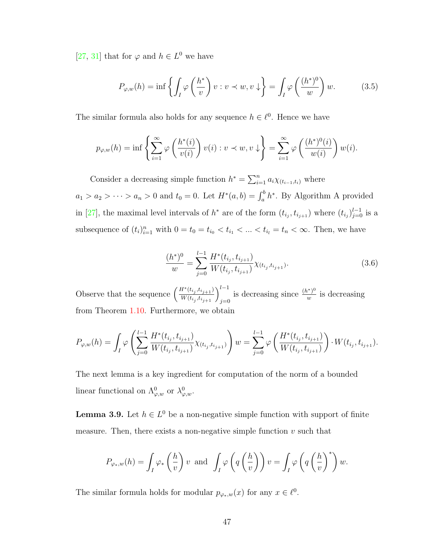[\[27,](#page-110-0) [31\]](#page-110-5) that for  $\varphi$  and  $h \in L^0$  we have

<span id="page-53-1"></span>
$$
P_{\varphi,w}(h) = \inf \left\{ \int_I \varphi \left( \frac{h^*}{v} \right) v : v \prec w, v \downarrow \right\} = \int_I \varphi \left( \frac{(h^*)^0}{w} \right) w. \tag{3.5}
$$

The similar formula also holds for any sequence  $h \in \ell^0$ . Hence we have

$$
p_{\varphi,w}(h) = \inf \left\{ \sum_{i=1}^{\infty} \varphi \left( \frac{h^*(i)}{v(i)} \right) v(i) : v \prec w, v \downarrow \right\} = \sum_{i=1}^{\infty} \varphi \left( \frac{(h^*)^0(i)}{w(i)} \right) w(i).
$$

Consider a decreasing simple function  $h^* = \sum_{i=1}^n a_i \chi_{(t_{i-1},t_i)}$  where  $a_1 > a_2 > \cdots > a_n > 0$  and  $t_0 = 0$ . Let  $H^*(a, b) = \int_a^b h^*$ . By Algorithm A provided in [\[27\]](#page-110-0), the maximal level intervals of  $h^*$  are of the form  $(t_{i_j}, t_{i_{j+1}})$  where  $(t_{i_j})_{j=0}^{l-1}$  is a subsequence of  $(t_i)_{i=1}^n$  with  $0 = t_0 = t_{i_0} < t_{i_1} < ... < t_{i_l} = t_n < \infty$ . Then, we have

<span id="page-53-0"></span>
$$
\frac{(h^*)^0}{w} = \sum_{j=0}^{l-1} \frac{H^*(t_{i_j}, t_{i_{j+1}})}{W(t_{i_j}, t_{i_{j+1}})} \chi_{(t_{i_j}, t_{i_{j+1}})}.
$$
\n(3.6)

Observe that the sequence  $\left(\frac{H^*(t_{i_j}, t_{i_{j+1}})}{W(t_{i_j}, t_{i_j})}\right)$  $\frac{H^*(t_{i_j}, t_{i_{j+1}})}{W(t_{i_j}, t_{i_{j+1}})}\Big)^{l-1}_{j=0}$ is decreasing since  $\frac{(h^*)^0}{w}$  $\frac{v^{\varphi}\,y^{\varphi}}{w}$  is decreasing from Theorem [1.10.](#page-21-1) Furthermore, we obtain

$$
P_{\varphi,w}(h) = \int_I \varphi \left( \sum_{j=0}^{l-1} \frac{H^*(t_{i_j}, t_{i_{j+1}})}{W(t_{i_j}, t_{i_{j+1}})} \chi_{(t_{i_j}, t_{i_{j+1}})} \right) w = \sum_{j=0}^{l-1} \varphi \left( \frac{H^*(t_{i_j}, t_{i_{j+1}})}{W(t_{i_j}, t_{i_{j+1}})} \right) \cdot W(t_{i_j}, t_{i_{j+1}}).
$$

The next lemma is a key ingredient for computation of the norm of a bounded linear functional on  $\Lambda^0_{\varphi,w}$  or  $\lambda^0_{\varphi,w}$ .

<span id="page-53-2"></span>**Lemma 3.9.** Let  $h \in L^0$  be a non-negative simple function with support of finite measure. Then, there exists a non-negative simple function  $v$  such that

$$
P_{\varphi_*,w}(h) = \int_I \varphi_*\left(\frac{h}{v}\right)v \text{ and } \int_I \varphi\left(q\left(\frac{h}{v}\right)\right)v = \int_I \varphi\left(q\left(\frac{h}{v}\right)^*\right)w.
$$

The similar formula holds for modular  $p_{\varphi_*,w}(x)$  for any  $x \in \ell^0$ .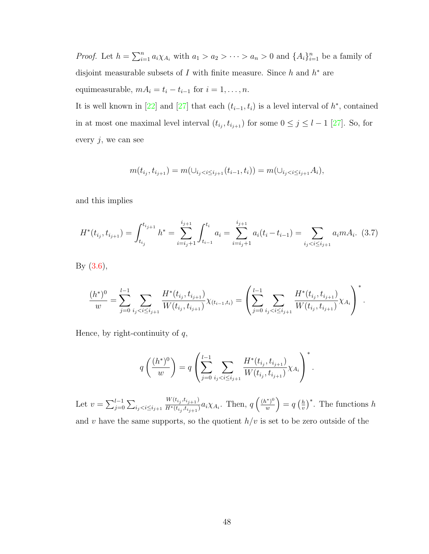*Proof.* Let  $h = \sum_{i=1}^n a_i \chi_{A_i}$  with  $a_1 > a_2 > \cdots > a_n > 0$  and  $\{A_i\}_{i=1}^n$  be a family of disjoint measurable subsets of I with finite measure. Since  $h$  and  $h^*$  are equimeasurable,  $mA_i = t_i - t_{i-1}$  for  $i = 1, ..., n$ .

It is well known in [\[22\]](#page-110-6) and [\[27\]](#page-110-0) that each  $(t_{i-1}, t_i)$  is a level interval of  $h^*$ , contained in at most one maximal level interval  $(t_{i_j}, t_{i_{j+1}})$  for some  $0 \leq j \leq l-1$  [\[27\]](#page-110-0). So, for every  $j$ , we can see

$$
m(t_{i_j}, t_{i_{j+1}}) = m(\cup_{i_j < i \le i_{j+1}} (t_{i-1}, t_i)) = m(\cup_{i_j < i \le i_{j+1}} A_i),
$$

and this implies

<span id="page-54-0"></span>
$$
H^*(t_{i_j}, t_{i_{j+1}}) = \int_{t_{i_j}}^{t_{i_{j+1}}} h^* = \sum_{i=i_j+1}^{i_{j+1}} \int_{t_{i-1}}^{t_i} a_i = \sum_{i=i_j+1}^{i_{j+1}} a_i (t_i - t_{i-1}) = \sum_{i_j < i \le i_{j+1}} a_i m A_i. \tag{3.7}
$$

By [\(3.6\)](#page-53-0),

$$
\frac{(h^*)^0}{w} = \sum_{j=0}^{l-1} \sum_{i_j < i \le i_{j+1}} \frac{H^*(t_{i_j}, t_{i_{j+1}})}{W(t_{i_j}, t_{i_{j+1}})} \chi_{(t_{i-1}, t_i)} = \left(\sum_{j=0}^{l-1} \sum_{i_j < i \le i_{j+1}} \frac{H^*(t_{i_j}, t_{i_{j+1}})}{W(t_{i_j}, t_{i_{j+1}})} \chi_{A_i}\right)^*.
$$

Hence, by right-continuity of  $q$ ,

$$
q\left(\frac{(h^*)^0}{w}\right) = q\left(\sum_{j=0}^{l-1} \sum_{i_j
$$

Let  $v = \sum_{j=0}^{l-1} \sum_{i_j < i \le i_{j+1}}$  $W(t_{i_j}, t_{i_{j+1}})$  $\frac{W(t_{i_j}, t_{i_{j+1}})}{H^*(t_{i_j}, t_{i_{j+1}})} a_i \chi_{A_i}$ . Then,  $q\left(\frac{(h^*)^0}{w}\right)$  $\left(\frac{u^{*}}{w}\right)^{0} = q\left(\frac{h}{v}\right)$  $\left(\frac{h}{v}\right)^*$ . The functions h and v have the same supports, so the quotient  $h/v$  is set to be zero outside of the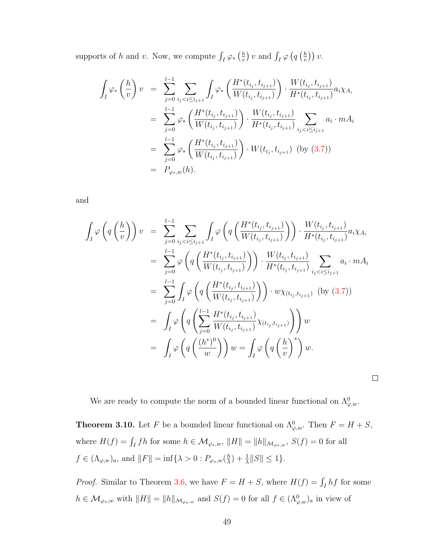supports of h and v. Now, we compute  $\int_I \varphi_* \left(\frac{h}{v}\right)$  $\frac{h}{v}$ ) v and  $\int_I \varphi \left( q \left( \frac{h}{v} \right) \right)$  $(\frac{h}{v})\big) v.$ 

$$
\int_{I} \varphi_{*} \left( \frac{h}{v} \right) v = \sum_{j=0}^{l-1} \sum_{i_{j} < i \leq i_{j+1}} \int_{I} \varphi_{*} \left( \frac{H^{*}(t_{i_{j}}, t_{i_{j+1}})}{W(t_{i_{j}}, t_{i_{j+1}})} \right) \cdot \frac{W(t_{i_{j}}, t_{i_{j+1}})}{H^{*}(t_{i_{j}}, t_{i_{j+1}})} a_{i} \chi_{A_{i}}
$$
\n
$$
= \sum_{j=0}^{l-1} \varphi_{*} \left( \frac{H^{*}(t_{i_{j}}, t_{i_{j+1}})}{W(t_{i_{j}}, t_{i_{j+1}})} \right) \cdot \frac{W(t_{i_{j}}, t_{i_{j+1}})}{H^{*}(t_{i_{j}}, t_{i_{j+1}})} \sum_{i_{j} < i \leq i_{j+1}} a_{i} \cdot m A_{i}
$$
\n
$$
= \sum_{j=0}^{l-1} \varphi_{*} \left( \frac{H^{*}(t_{i_{j}}, t_{i_{j+1}})}{W(t_{i_{j}}, t_{i_{j+1}})} \right) \cdot W(t_{i_{j}}, t_{i_{j+1}}) \text{ (by (3.7))}
$$
\n
$$
= P_{\varphi_{*},w}(h).
$$

and

$$
\int_{I} \varphi \left( q \left( \frac{h}{v} \right) \right) v = \sum_{j=0}^{l-1} \sum_{i_{j} < i \leq i_{j+1}} \int_{I} \varphi \left( q \left( \frac{H^{*}(t_{i_{j}}, t_{i_{j+1}})}{W(t_{i_{j}}, t_{i_{j+1}})} \right) \right) \cdot \frac{W(t_{i_{j}}, t_{i_{j+1}})}{H^{*}(t_{i_{j}}, t_{i_{j+1}})} a_{i} \chi_{A_{i}}
$$
\n
$$
= \sum_{j=0}^{l-1} \varphi \left( q \left( \frac{H^{*}(t_{i_{j}}, t_{i_{j+1}})}{W(t_{i_{j}}, t_{i_{j+1}})} \right) \right) \cdot \frac{W(t_{i_{j}}, t_{i_{j+1}})}{H^{*}(t_{i_{j}}, t_{i_{j+1}})} \sum_{i_{j} < i \leq i_{j+1}} a_{i} \cdot m A_{i}
$$
\n
$$
= \sum_{j=0}^{l-1} \int_{I} \varphi \left( q \left( \frac{H^{*}(t_{i_{j}}, t_{i_{j+1}})}{W(t_{i_{j}}, t_{i_{j+1}})} \right) \right) \cdot w \chi_{(t_{i_{j}}, t_{i_{j+1}})} \text{ (by (3.7))}
$$
\n
$$
= \int_{I} \varphi \left( q \left( \sum_{j=0}^{l-1} \frac{H^{*}(t_{i_{j}}, t_{i_{j+1}})}{W(t_{i_{j}}, t_{i_{j+1}})} \chi_{(t_{i_{j}}, t_{i_{j+1}})} \right) \right) w
$$
\n
$$
= \int_{I} \varphi \left( q \left( \frac{(h^{*})^{0}}{w} \right) \right) w = \int_{I} \varphi \left( q \left( \frac{h}{v} \right)^{*} \right) w.
$$

We are ready to compute the norm of a bounded linear functional on  $\Lambda^0_{\varphi,w}$ .

 $\Box$ 

<span id="page-55-0"></span>**Theorem 3.10.** Let F be a bounded linear functional on  $\Lambda^0_{\varphi,w}$ . Then  $F = H + S$ , where  $H(f) = \int_I fh$  for some  $h \in \mathcal{M}_{\varphi_*,w}$ ,  $||H|| = ||h||_{\mathcal{M}_{\varphi_*,w}}$ ,  $S(f) = 0$  for all  $f \in (\Lambda_{\varphi,w})_a$ , and  $||F|| = \inf{\lambda > 0 : P_{\varphi_*,w}(\frac{h}{\lambda})}$  $\frac{h}{\lambda}$ ) +  $\frac{1}{\lambda}$ ||S||  $\leq 1$  }.

*Proof.* Similar to Theorem [3.6,](#page-49-1) we have  $F = H + S$ , where  $H(f) = \int_I hf$  for some  $h \in \mathcal{M}_{\varphi_*,w}$  with  $||H|| = ||h||_{\mathcal{M}_{\varphi_*,w}}$  and  $S(f) = 0$  for all  $f \in (\Lambda_{\varphi,w}^0)_a$  in view of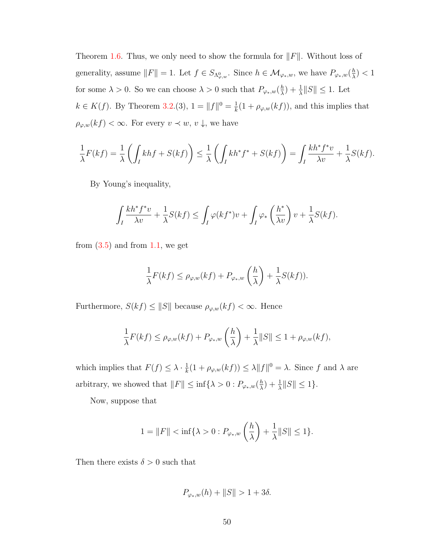Theorem [1.6.](#page-18-0) Thus, we only need to show the formula for  $||F||$ . Without loss of generality, assume  $||F|| = 1$ . Let  $f \in S_{\Lambda^0_{\varphi,w}}$ . Since  $h \in \mathcal{M}_{\varphi_*,w}$ , we have  $P_{\varphi_*,w}(\frac{h}{\lambda})$  $\frac{h}{\lambda}$ )  $< 1$ for some  $\lambda > 0$ . So we can choose  $\lambda > 0$  such that  $P_{\varphi_*,w}(\frac{h}{\lambda})$  $\frac{h}{\lambda}$ ) +  $\frac{1}{\lambda}$ ||S||  $\leq$  1. Let  $k \in K(f)$ . By Theorem [3.2.](#page-45-1)(3),  $1 = ||f||^0 = \frac{1}{k}$  $\frac{1}{k}(1+\rho_{\varphi,w}(kf)),$  and this implies that  $\rho_{\varphi,w}(kf) < \infty$ . For every  $v \prec w, v \downarrow$ , we have

$$
\frac{1}{\lambda}F(kf) = \frac{1}{\lambda} \left( \int_I khf + S(kf) \right) \le \frac{1}{\lambda} \left( \int_I kh^*f^* + S(kf) \right) = \int_I \frac{kh^*f^*v}{\lambda v} + \frac{1}{\lambda}S(kf).
$$

By Young's inequality,

$$
\int_I \frac{k h^* f^* v}{\lambda v} + \frac{1}{\lambda} S(k f) \le \int_I \varphi(k f^*) v + \int_I \varphi_* \left(\frac{h^*}{\lambda v}\right) v + \frac{1}{\lambda} S(k f).
$$

from  $(3.5)$  and from [1.1,](#page-12-2) we get

$$
\frac{1}{\lambda}F(kf) \le \rho_{\varphi,w}(kf) + P_{\varphi_*,w}\left(\frac{h}{\lambda}\right) + \frac{1}{\lambda}S(kf)).
$$

Furthermore,  $S(kf) \leq ||S||$  because  $\rho_{\varphi,w}(kf) < \infty$ . Hence

$$
\frac{1}{\lambda}F(kf) \le \rho_{\varphi,w}(kf) + P_{\varphi_*,w}\left(\frac{h}{\lambda}\right) + \frac{1}{\lambda}||S|| \le 1 + \rho_{\varphi,w}(kf),
$$

which implies that  $F(f) \leq \lambda \cdot \frac{1}{k}$  $\frac{1}{k}(1 + \rho_{\varphi,w}(kf)) \leq \lambda \|f\|^0 = \lambda$ . Since f and  $\lambda$  are arbitrary, we showed that  $||F|| \leq \inf \{\lambda > 0 : P_{\varphi_*,w}(\frac{\hbar}{\lambda})\}$  $\frac{h}{\lambda}$ ) +  $\frac{1}{\lambda}$ ||S||  $\leq 1$  }.

Now, suppose that

$$
1 = ||F|| < \inf \{ \lambda > 0 : P_{\varphi_*,w} \left( \frac{h}{\lambda} \right) + \frac{1}{\lambda} ||S|| \le 1 \}.
$$

Then there exists  $\delta > 0$  such that

$$
P_{\varphi_*,w}(h) + \|S\| > 1 + 3\delta.
$$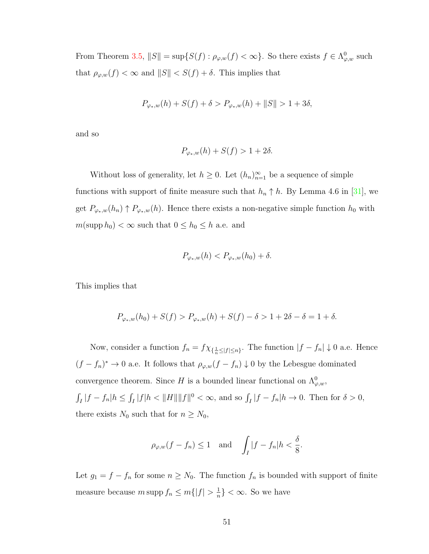From Theorem [3.5,](#page-47-0)  $||S|| = \sup\{S(f) : \rho_{\varphi,w}(f) < \infty\}$ . So there exists  $f \in \Lambda^0_{\varphi,w}$  such that  $\rho_{\varphi,w}(f) < \infty$  and  $||S|| < S(f) + \delta$ . This implies that

$$
P_{\varphi_*,w}(h) + S(f) + \delta > P_{\varphi_*,w}(h) + \|S\| > 1 + 3\delta,
$$

and so

$$
P_{\varphi_*,w}(h) + S(f) > 1 + 2\delta.
$$

Without loss of generality, let  $h \geq 0$ . Let  $(h_n)_{n=1}^{\infty}$  be a sequence of simple functions with support of finite measure such that  $h_n \uparrow h$ . By Lemma 4.6 in [\[31\]](#page-110-5), we get  $P_{\varphi_*,w}(h_n) \uparrow P_{\varphi_*,w}(h)$ . Hence there exists a non-negative simple function  $h_0$  with  $m(\text{supp } h_0) < \infty$  such that  $0 \leq h_0 \leq h$  a.e. and

$$
P_{\varphi_*,w}(h) < P_{\varphi_*,w}(h_0) + \delta.
$$

This implies that

$$
P_{\varphi_*,w}(h_0) + S(f) > P_{\varphi_*,w}(h) + S(f) - \delta > 1 + 2\delta - \delta = 1 + \delta.
$$

Now, consider a function  $f_n = f \chi_{\{\frac{1}{n} \leq |f| \leq n\}}$ . The function  $|f - f_n| \downarrow 0$  a.e. Hence  $(f - f_n)^* \to 0$  a.e. It follows that  $\rho_{\varphi,w}(f - f_n) \downarrow 0$  by the Lebesgue dominated convergence theorem. Since H is a bounded linear functional on  $\Lambda_{\varphi,w}^0$ ,  $\int_I |f - f_n| h \leq \int_I |f| h < ||H|| ||f||^0 < \infty$ , and so  $\int_I |f - f_n| h \to 0$ . Then for  $\delta > 0$ , there exists  $N_0$  such that for  $n \geq N_0$ ,

$$
\rho_{\varphi,w}(f - f_n) \le 1
$$
 and  $\int_I |f - f_n| h < \frac{\delta}{8}$ .

Let  $g_1 = f - f_n$  for some  $n \geq N_0$ . The function  $f_n$  is bounded with support of finite measure because m supp  $f_n \leq m\{|f| > \frac{1}{n}\}$  $\frac{1}{n}$  <  $\infty$ . So we have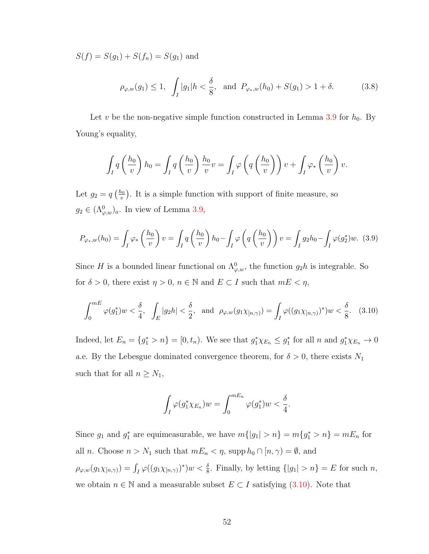$S(f) = S(g_1) + S(f_n) = S(g_1)$  and

$$
\rho_{\varphi,w}(g_1) \le 1, \int_I |g_1| h < \frac{\delta}{8}, \text{ and } P_{\varphi_*,w}(h_0) + S(g_1) > 1 + \delta.
$$
 (3.8)

Let v be the non-negative simple function constructed in Lemma [3.9](#page-53-2) for  $h_0$ . By Young's equality,

$$
\int_I q\left(\frac{h_0}{v}\right)h_0 = \int_I q\left(\frac{h_0}{v}\right)\frac{h_0}{v}v = \int_I \varphi\left(q\left(\frac{h_0}{v}\right)\right)v + \int_I \varphi_*\left(\frac{h_0}{v}\right)v.
$$

Let  $g_2 = q \left(\frac{h_0}{v}\right)$  $\frac{\partial v}{\partial v}$ . It is a simple function with support of finite measure, so  $g_2 \in (\Lambda^0_{\varphi,w})_a$ . In view of Lemma [3.9,](#page-53-2)

$$
P_{\varphi_*,w}(h_0) = \int_I \varphi_*\left(\frac{h_0}{v}\right)v = \int_I q\left(\frac{h_0}{v}\right)h_0 - \int_I \varphi\left(q\left(\frac{h_0}{v}\right)\right)v = \int_I g_2h_0 - \int_I \varphi(g_2^*)w. \tag{3.9}
$$

Since H is a bounded linear functional on  $\Lambda^0_{\varphi,w}$ , the function  $g_2h$  is integrable. So for  $\delta > 0$ , there exist  $\eta > 0$ ,  $n \in \mathbb{N}$  and  $E \subset I$  such that  $mE < \eta$ ,

<span id="page-58-0"></span>
$$
\int_0^{mE} \varphi(g_1^*) w < \frac{\delta}{4}, \quad \int_E |g_2 h| < \frac{\delta}{2}, \quad \text{and} \quad \rho_{\varphi,w}(g_1 \chi_{[n,\gamma)}) = \int_I \varphi((g_1 \chi_{[n,\gamma)})^*) w < \frac{\delta}{8}.\tag{3.10}
$$

Indeed, let  $E_n = \{g_1^* > n\} = [0, t_n)$ . We see that  $g_1^* \chi_{E_n} \leq g_1^*$  for all n and  $g_1^* \chi_{E_n} \to 0$ a.e. By the Lebesgue dominated convergence theorem, for  $\delta > 0$ , there exists  $N_1$ such that for all  $n \geq N_1$ ,

$$
\int_I \varphi(g_1^* \chi_{E_n}) w = \int_0^{mE_n} \varphi(g_1^*) w < \frac{\delta}{4}.
$$

Since  $g_1$  and  $g_1^*$  are equimeasurable, we have  $m\{|g_1| > n\} = m\{g_1^* > n\} = mE_n$  for all *n*. Choose  $n > N_1$  such that  $mE_n < \eta$ , supp  $h_0 \cap [n, \gamma) = \emptyset$ , and  $\rho_{\varphi,w}(g_1\chi_{[n,\gamma)})=\int_I\varphi((g_1\chi_{[n,\gamma)})^*)w<\frac{\delta}{8}$ . Finally, by letting  $\{|g_1|>n\}=E$  for such n, we obtain  $n \in \mathbb{N}$  and a measurable subset  $E \subset I$  satisfying  $(3.10)$ . Note that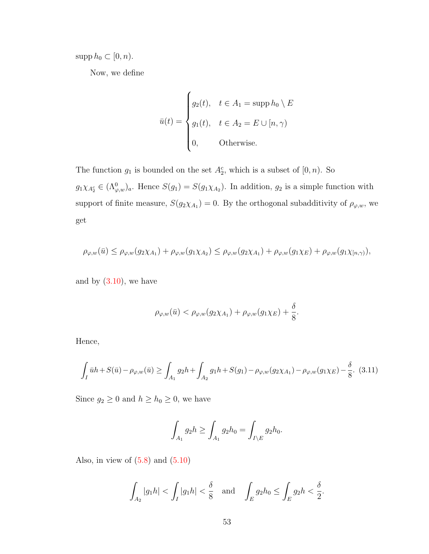$\mathrm{supp}\,h_0\subset[0,n).$ 

Now, we define

$$
\bar{u}(t) = \begin{cases}\ng_2(t), & t \in A_1 = \text{supp } h_0 \setminus E \\
g_1(t), & t \in A_2 = E \cup [n, \gamma) \\
0, & \text{Otherwise.} \n\end{cases}
$$

The function  $g_1$  is bounded on the set  $A_2^c$ , which is a subset of  $[0, n)$ . So  $g_1\chi_{A_2^c} \in (\Lambda_{\varphi,w}^0)_a$ . Hence  $S(g_1) = S(g_1\chi_{A_2})$ . In addition,  $g_2$  is a simple function with support of finite measure,  $S(g_2 \chi_{A_1}) = 0$ . By the orthogonal subadditivity of  $\rho_{\varphi,w}$ , we get

$$
\rho_{\varphi,w}(\bar{u}) \leq \rho_{\varphi,w}(g_2\chi_{A_1}) + \rho_{\varphi,w}(g_1\chi_{A_2}) \leq \rho_{\varphi,w}(g_2\chi_{A_1}) + \rho_{\varphi,w}(g_1\chi_E) + \rho_{\varphi,w}(g_1\chi_{[n,\gamma)}),
$$

and by  $(3.10)$ , we have

$$
\rho_{\varphi,w}(\bar{u}) < \rho_{\varphi,w}(g_2 \chi_{A_1}) + \rho_{\varphi,w}(g_1 \chi_E) + \frac{\delta}{8}.
$$

Hence,

<span id="page-59-0"></span>
$$
\int_{I} \bar{u}h + S(\bar{u}) - \rho_{\varphi,w}(\bar{u}) \ge \int_{A_1} g_2h + \int_{A_2} g_1h + S(g_1) - \rho_{\varphi,w}(g_2\chi_{A_1}) - \rho_{\varphi,w}(g_1\chi_E) - \frac{\delta}{8}.
$$
 (3.11)

Since  $g_2 \geq 0$  and  $h \geq h_0 \geq 0$ , we have

$$
\int_{A_1} g_2 h \ge \int_{A_1} g_2 h_0 = \int_{I \setminus E} g_2 h_0.
$$

Also, in view of  $(5.8)$  and  $(5.10)$ 

$$
\int_{A_2} |g_1 h| < \int_I |g_1 h| < \frac{\delta}{8} \quad \text{and} \quad \int_E g_2 h_0 \le \int_E g_2 h < \frac{\delta}{2}.
$$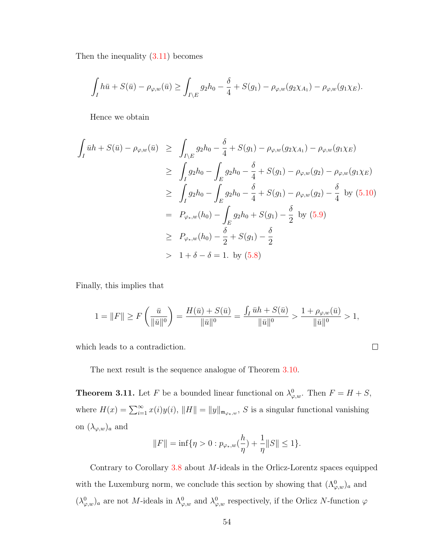Then the inequality  $(3.11)$  becomes

$$
\int_I h\bar{u} + S(\bar{u}) - \rho_{\varphi,w}(\bar{u}) \ge \int_{I \setminus E} g_2 h_0 - \frac{\delta}{4} + S(g_1) - \rho_{\varphi,w}(g_2 \chi_{A_1}) - \rho_{\varphi,w}(g_1 \chi_E).
$$

Hence we obtain

$$
\int_{I} \bar{u}h + S(\bar{u}) - \rho_{\varphi,w}(\bar{u}) \ge \int_{I \setminus E} g_2 h_0 - \frac{\delta}{4} + S(g_1) - \rho_{\varphi,w}(g_2 \chi_{A_1}) - \rho_{\varphi,w}(g_1 \chi_E)
$$
\n
$$
\ge \int_{I} g_2 h_0 - \int_{E} g_2 h_0 - \frac{\delta}{4} + S(g_1) - \rho_{\varphi,w}(g_2) - \rho_{\varphi,w}(g_1 \chi_E)
$$
\n
$$
\ge \int_{I} g_2 h_0 - \int_{E} g_2 h_0 - \frac{\delta}{4} + S(g_1) - \rho_{\varphi,w}(g_2) - \frac{\delta}{4} \text{ by (5.10)}
$$
\n
$$
= P_{\varphi_*,w}(h_0) - \int_{E} g_2 h_0 + S(g_1) - \frac{\delta}{2} \text{ by (5.9)}
$$
\n
$$
\ge P_{\varphi_*,w}(h_0) - \frac{\delta}{2} + S(g_1) - \frac{\delta}{2}
$$
\n
$$
> 1 + \delta - \delta = 1. \text{ by (5.8)}
$$

Finally, this implies that

$$
1 = ||F|| \ge F\left(\frac{\bar{u}}{||\bar{u}||^0}\right) = \frac{H(\bar{u}) + S(\bar{u})}{||\bar{u}||^0} = \frac{\int_I \bar{u}h + S(\bar{u})}{||\bar{u}||^0} > \frac{1 + \rho_{\varphi,w}(\bar{u})}{||\bar{u}||^0} > 1,
$$

 $\Box$ 

which leads to a contradiction.

The next result is the sequence analogue of Theorem [3.10.](#page-55-0)

**Theorem 3.11.** Let F be a bounded linear functional on  $\lambda_{\varphi,w}^0$ . Then  $F = H + S$ , where  $H(x) = \sum_{i=1}^{\infty} x(i)y(i)$ ,  $||H|| = ||y||_{\mathfrak{m}_{\varphi_*,w}}$ , S is a singular functional vanishing on  $(\lambda_{\varphi,w})_a$  and

$$
||F|| = \inf \{ \eta > 0 : p_{\varphi_*,w}(\frac{h}{\eta}) + \frac{1}{\eta} ||S|| \le 1 \}.
$$

Contrary to Corollary  $3.8$  about M-ideals in the Orlicz-Lorentz spaces equipped with the Luxemburg norm, we conclude this section by showing that  $(\Lambda^0_{\varphi,w})_a$  and  $(\lambda_{\varphi,w}^0)_a$  are not M-ideals in  $\Lambda_{\varphi,w}^0$  and  $\lambda_{\varphi,w}^0$  respectively, if the Orlicz N-function  $\varphi$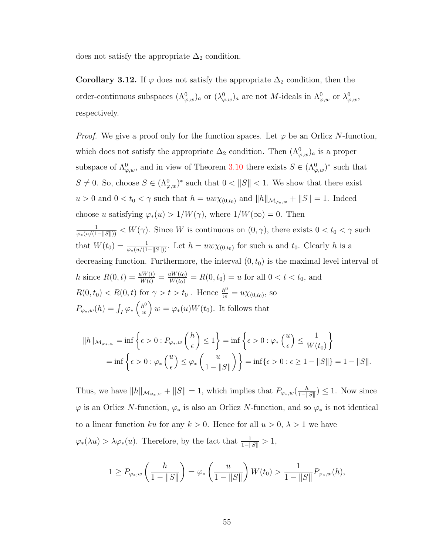does not satisfy the appropriate  $\Delta_2$  condition.

Corollary 3.12. If  $\varphi$  does not satisfy the appropriate  $\Delta_2$  condition, then the order-continuous subspaces  $(\Lambda^0_{\varphi,w})_a$  or  $(\lambda^0_{\varphi,w})_a$  are not M-ideals in  $\Lambda^0_{\varphi,w}$  or  $\lambda^0_{\varphi,w}$ , respectively.

*Proof.* We give a proof only for the function spaces. Let  $\varphi$  be an Orlicz N-function, which does not satisfy the appropriate  $\Delta_2$  condition. Then  $(\Lambda^0_{\varphi,w})_a$  is a proper subspace of  $\Lambda^0_{\varphi,w}$ , and in view of Theorem [3.10](#page-55-0) there exists  $S \in (\Lambda^0_{\varphi,w})^*$  such that  $S \neq 0$ . So, choose  $S \in (\Lambda^0_{\varphi,w})^*$  such that  $0 < ||S|| < 1$ . We show that there exist  $u > 0$  and  $0 < t_0 < \gamma$  such that  $h = uw\chi_{(0,t_0)}$  and  $||h||_{\mathcal{M}_{\varphi_*,w}} + ||S|| = 1$ . Indeed choose u satisfying  $\varphi_*(u) > 1/W(\gamma)$ , where  $1/W(\infty) = 0$ . Then  $\frac{1}{\varphi_*(u/(1-||S||))} < W(\gamma)$ . Since W is continuous on  $(0, \gamma)$ , there exists  $0 < t_0 < \gamma$  such that  $W(t_0) = \frac{1}{\varphi_*(u/(1-||S||))}$ . Let  $h = uw\chi_{(0,t_0)}$  for such u and  $t_0$ . Clearly h is a decreasing function. Furthermore, the interval  $(0, t_0)$  is the maximal level interval of h since  $R(0,t) = \frac{uW(t)}{W(t)} = \frac{uW(t_0)}{W(t_0)} = R(0,t_0) = u$  for all  $0 < t < t_0$ , and  $R(0, t_0) < R(0, t)$  for  $\gamma > t > t_0$ . Hence  $\frac{h^0}{w} = u \chi_{(0, t_0)},$  so  $P_{\varphi_*,w}(h)=\int_I\varphi_*\left(\frac{h^0}{w}\right)$  $\left(\frac{h^0}{w}\right)w = \varphi_*(u)W(t_0)$ . It follows that

$$
||h||_{\mathcal{M}_{\varphi_*,w}} = \inf \left\{ \epsilon > 0 : P_{\varphi_*,w} \left( \frac{h}{\epsilon} \right) \le 1 \right\} = \inf \left\{ \epsilon > 0 : \varphi_* \left( \frac{u}{\epsilon} \right) \le \frac{1}{W(t_0)} \right\}
$$
  
= 
$$
\inf \left\{ \epsilon > 0 : \varphi_* \left( \frac{u}{\epsilon} \right) \le \varphi_* \left( \frac{u}{1 - ||S||} \right) \right\} = \inf \left\{ \epsilon > 0 : \epsilon \ge 1 - ||S|| \right\} = 1 - ||S||.
$$

Thus, we have  $||h||_{\mathcal{M}_{\varphi_*,w}} + ||S|| = 1$ , which implies that  $P_{\varphi_*,w}(\frac{h}{1-||\varphi_*,w)}$  $\frac{h}{1-\|S\|}$ ) ≤ 1. Now since  $\varphi$  is an Orlicz N-function,  $\varphi_*$  is also an Orlicz N-function, and so  $\varphi_*$  is not identical to a linear function ku for any  $k > 0$ . Hence for all  $u > 0$ ,  $\lambda > 1$  we have  $\varphi_*(\lambda u) > \lambda \varphi_*(u)$ . Therefore, by the fact that  $\frac{1}{1-||S||} > 1$ ,

$$
1 \ge P_{\varphi_*,w} \left( \frac{h}{1 - \|S\|} \right) = \varphi_* \left( \frac{u}{1 - \|S\|} \right) W(t_0) > \frac{1}{1 - \|S\|} P_{\varphi_*,w}(h),
$$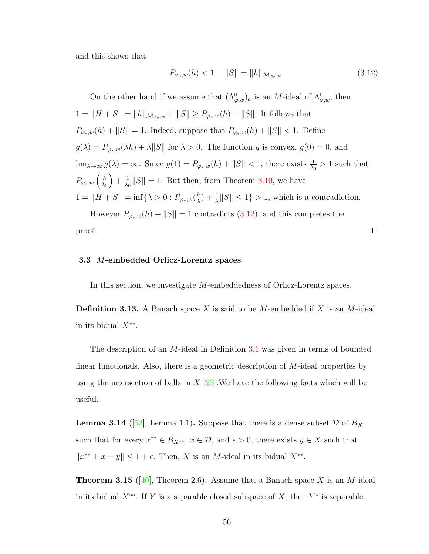and this shows that

<span id="page-62-0"></span>
$$
P_{\varphi_*,w}(h) < 1 - \|S\| = \|h\|_{\mathcal{M}_{\varphi_*,w}}.\tag{3.12}
$$

 $\Box$ 

On the other hand if we assume that  $(\Lambda^0_{\varphi,w})_a$  is an M-ideal of  $\Lambda^0_{\varphi,w}$ , then  $1 = \|H + S\| = \|h\|_{\mathcal{M}_{\varphi_*,w}} + \|S\| \ge P_{\varphi_*,w}(h) + \|S\|$ . It follows that  $P_{\varphi_*,w}(h) + \|S\| = 1.$  Indeed, suppose that  $P_{\varphi_*,w}(h) + \|S\| < 1.$  Define  $g(\lambda) = P_{\varphi_*,w}(\lambda h) + \lambda ||S||$  for  $\lambda > 0$ . The function g is convex,  $g(0) = 0$ , and  $\lim_{\lambda \to \infty} g(\lambda) = \infty$ . Since  $g(1) = P_{\varphi_*,w}(h) + ||S|| < 1$ , there exists  $\frac{1}{\lambda_0} > 1$  such that  $P_{\varphi_*,w} \left( \frac{h}{\lambda_0} \right)$  $\lambda_0$  $+ \frac{1}{\lambda}$  $\frac{1}{\lambda_0} \|S\| = 1$ . But then, from Theorem [3.10,](#page-55-0) we have  $1 = \|H + S\| = \inf\{\lambda > 0 : P_{\varphi_*,w}(\frac{h}{\lambda})\}$  $\frac{h}{\lambda}$  +  $\frac{1}{\lambda}$  ||S||  $\leq 1$ } > 1, which is a contradiction.

However  $P_{\varphi_*,w}(h) + ||S|| = 1$  contradicts [\(3.12\)](#page-62-0), and this completes the proof.

#### 3.3 M-embedded Orlicz-Lorentz spaces

In this section, we investigate M-embeddedness of Orlicz-Lorentz spaces.

**Definition 3.13.** A Banach space X is said to be M-embedded if X is an M-ideal in its bidual  $X^{**}$ .

The description of an M-ideal in Definition [3.1](#page-44-0) was given in terms of bounded linear functionals. Also, there is a geometric description of M-ideal properties by using the intersection of balls in  $X$  [\[23\]](#page-110-2). We have the following facts which will be useful.

<span id="page-62-2"></span>**Lemma 3.14** ([\[52\]](#page-112-2), Lemma 1.1). Suppose that there is a dense subset  $\mathcal{D}$  of  $B_X$ such that for every  $x^{**} \in B_{X^{**}}, x \in \mathcal{D}$ , and  $\epsilon > 0$ , there exists  $y \in X$  such that  $||x^{**} \pm x - y|| \le 1 + \epsilon$ . Then, X is an M-ideal in its bidual  $X^{**}$ .

<span id="page-62-1"></span>**Theorem 3.15** ([\[40\]](#page-111-2), Theorem 2.6). Assume that a Banach space X is an M-ideal in its bidual  $X^{**}$ . If Y is a separable closed subspace of X, then  $Y^*$  is separable.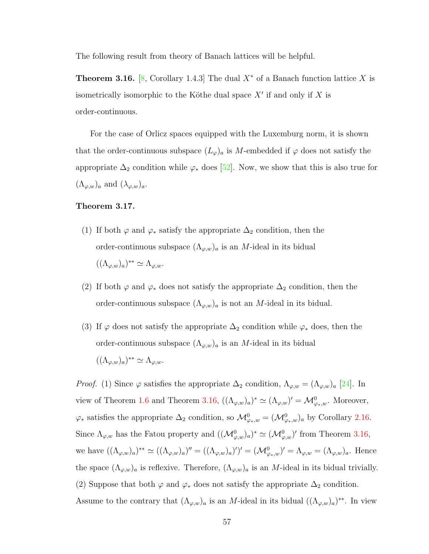The following result from theory of Banach lattices will be helpful.

<span id="page-63-0"></span>**Theorem 3.16.** [\[8,](#page-108-0) Corollary 1.4.3] The dual  $X^*$  of a Banach function lattice X is isometrically isomorphic to the Köthe dual space  $X'$  if and only if X is order-continuous.

For the case of Orlicz spaces equipped with the Luxemburg norm, it is shown that the order-continuous subspace  $(L_{\varphi})_a$  is M-embedded if  $\varphi$  does not satisfy the appropriate  $\Delta_2$  condition while  $\varphi_*$  does [\[52\]](#page-112-2). Now, we show that this is also true for  $(\Lambda_{\varphi,w})_a$  and  $(\lambda_{\varphi,w})_a$ .

## <span id="page-63-1"></span>Theorem 3.17.

- (1) If both  $\varphi$  and  $\varphi_*$  satisfy the appropriate  $\Delta_2$  condition, then the order-continuous subspace  $(\Lambda_{\varphi,w})_a$  is an M-ideal in its bidual  $((\Lambda_{\varphi,w})_a)^{**} \simeq \Lambda_{\varphi,w}.$
- (2) If both  $\varphi$  and  $\varphi_*$  does not satisfy the appropriate  $\Delta_2$  condition, then the order-continuous subspace  $(\Lambda_{\varphi,w})_a$  is not an *M*-ideal in its bidual.
- (3) If  $\varphi$  does not satisfy the appropriate  $\Delta_2$  condition while  $\varphi_*$  does, then the order-continuous subspace  $(\Lambda_{\varphi,w})_a$  is an *M*-ideal in its bidual  $((\Lambda_{\varphi,w})_a)^{**} \simeq \Lambda_{\varphi,w}.$

*Proof.* (1) Since  $\varphi$  satisfies the appropriate  $\Delta_2$  condition,  $\Lambda_{\varphi,w} = (\Lambda_{\varphi,w})_a$  [\[24\]](#page-110-4). In view of Theorem [1.6](#page-18-0) and Theorem [3.16,](#page-63-0)  $((\Lambda_{\varphi,w})_a)^* \simeq (\Lambda_{\varphi,w})' = \mathcal{M}_{\varphi_*,w}^0$ . Moreover,  $\varphi_*$  satisfies the appropriate  $\Delta_2$  condition, so  $\mathcal{M}_{\varphi_*,w}^0 = (\mathcal{M}_{\varphi_*,w}^0)_a$  by Corollary [2.16.](#page-41-1) Since  $\Lambda_{\varphi,w}$  has the Fatou property and  $((\mathcal{M}_{\varphi,w}^0)_a)^* \simeq (\mathcal{M}_{\varphi,w}^0)'$  from Theorem [3.16,](#page-63-0) we have  $((\Lambda_{\varphi,w})_a)^{**} \simeq ((\Lambda_{\varphi,w})_a)^{\prime\prime} = ((\Lambda_{\varphi,w})_a)^{\prime\prime} = (\mathcal{M}_{\varphi,w})^{\prime\prime} = (\Lambda_{\varphi,w})_a$ . Hence the space  $(\Lambda_{\varphi,w})_a$  is reflexive. Therefore,  $(\Lambda_{\varphi,w})_a$  is an M-ideal in its bidual trivially. (2) Suppose that both  $\varphi$  and  $\varphi_*$  does not satisfy the appropriate  $\Delta_2$  condition. Assume to the contrary that  $(\Lambda_{\varphi,w})_a$  is an M-ideal in its bidual  $((\Lambda_{\varphi,w})_a)^{**}$ . In view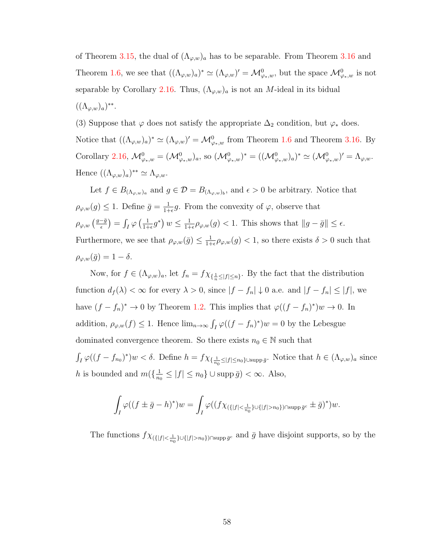of Theorem [3.15,](#page-62-1) the dual of  $(\Lambda_{\varphi,w})_a$  has to be separable. From Theorem [3.16](#page-63-0) and Theorem [1.6,](#page-18-0) we see that  $((\Lambda_{\varphi,w})_a)^* \simeq (\Lambda_{\varphi,w})' = \mathcal{M}_{\varphi_*,w}^0$ , but the space  $\mathcal{M}_{\varphi_*,w}^0$  is not separable by Corollary [2.16.](#page-41-1) Thus,  $(\Lambda_{\varphi,w})_a$  is not an *M*-ideal in its bidual  $((\Lambda_{\varphi,w})_a)^{**}.$ 

(3) Suppose that  $\varphi$  does not satisfy the appropriate  $\Delta_2$  condition, but  $\varphi_*$  does. Notice that  $((\Lambda_{\varphi,w})_a)^* \simeq (\Lambda_{\varphi,w})' = \mathcal{M}_{\varphi_*,w}^0$  from Theorem [1.6](#page-18-0) and Theorem [3.16.](#page-63-0) By Corollary [2.16,](#page-41-1)  $\mathcal{M}^0_{\varphi_*,w} = (\mathcal{M}^0_{\varphi_*,w})_a$ , so  $(\mathcal{M}^0_{\varphi_*,w})^* = ((\mathcal{M}^0_{\varphi_*,w})_a)^* \simeq (\mathcal{M}^0_{\varphi_*,w})' = \Lambda_{\varphi,w}.$ Hence  $((\Lambda_{\varphi,w})_a)^{**} \simeq \Lambda_{\varphi,w}.$ 

Let  $f \in B_{(\Lambda_{\varphi,w})_a}$  and  $g \in \mathcal{D} = B_{(\Lambda_{\varphi,w})_b}$ , and  $\epsilon > 0$  be arbitrary. Notice that  $\rho_{\varphi,w}(g) \leq 1$ . Define  $\bar{g} = \frac{1}{1+h}$  $\frac{1}{1+\epsilon}g$ . From the convexity of  $\varphi$ , observe that  $\rho_{\varphi,w} \left( \frac{g-\bar{g}}{\epsilon} \right)$  $\frac{\overline{-\bar{g}}}{\epsilon})=\int_{I}\varphi\left(\frac{1}{1+\epsilon}\right)$  $\frac{1}{1+\epsilon}g^*\big) w \leq \frac{1}{1+\epsilon}$  $\frac{1}{1+\epsilon}\rho_{\varphi,w}(g) < 1.$  This shows that  $||g-\bar{g}|| \leq \epsilon.$ Furthermore, we see that  $\rho_{\varphi,w}(\bar{g}) \leq \frac{1}{1+}$  $\frac{1}{1+\epsilon}\rho_{\varphi,w}(g) < 1$ , so there exists  $\delta > 0$  such that  $\rho_{\varphi,w}(\bar{g}) = 1 - \delta.$ 

Now, for  $f \in (\Lambda_{\varphi,w})_a$ , let  $f_n = f \chi_{\{\frac{1}{n} \leq |f| \leq n\}}$ . By the fact that the distribution function  $d_f(\lambda) < \infty$  for every  $\lambda > 0$ , since  $|f - f_n| \downarrow 0$  a.e. and  $|f - f_n| \leq |f|$ , we have  $(f - f_n)^* \to 0$  by Theorem [1.2.](#page-12-0) This implies that  $\varphi((f - f_n)^*)w \to 0$ . In addition,  $\rho_{\varphi,w}(f) \leq 1$ . Hence  $\lim_{n\to\infty} \int_I \varphi((f-f_n)^*)w = 0$  by the Lebesgue dominated convergence theorem. So there exists  $n_0 \in \mathbb{N}$  such that  $\int_I \varphi((f - f_{n_0})^*) w < \delta$ . Define  $h = f \chi_{\{\frac{1}{n_0} \leq |f| \leq n_0\} \cup \text{supp }\bar{g}}$ . Notice that  $h \in (\Lambda_{\varphi,w})_a$  since h is bounded and  $m(\frac{1}{n})$  $\frac{1}{n_0} \leq |f| \leq n_0$   $\cup$  supp  $\bar{g}$  $) < \infty$ . Also,

$$
\int_I \varphi((f \pm \bar{g} - h)^*)w = \int_I \varphi((f \chi_{(\{|f| < \frac{1}{n_0}\} \cup \{|f| > n_0\}) \cap \text{supp}\,\bar{g}^c} \pm \bar{g})^*)w.
$$

The functions  $f \chi_{(\{|f| < \frac{1}{n_0}\} \cup \{|f| > n_0\}) \cap \text{supp}\bar{g}^c}$  and  $\bar{g}$  have disjoint supports, so by the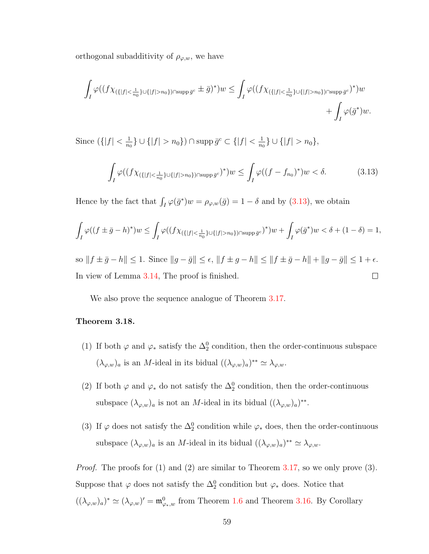orthogonal subadditivity of  $\rho_{\varphi,w}$ , we have

$$
\int_{I} \varphi((f\chi_{(\{|f| < \frac{1}{n_0}\} \cup \{|f| > n_0\}) \cap \operatorname{supp} \bar{g}^c} \pm \bar{g})^*)w \leq \int_{I} \varphi((f\chi_{(\{|f| < \frac{1}{n_0}\} \cup \{|f| > n_0\}) \cap \operatorname{supp} \bar{g}^c})^*)w + \int_{I} \varphi(\bar{g}^*)w.
$$

Since  $(|f| < \frac{1}{n}$  $\frac{1}{n_0}\}\cup\{|f|>n_0\})\cap\operatorname{supp}\bar g^c\subset\{|f|<\frac{1}{n_0}$  $\frac{1}{n_0}\}\cup\{|f|>n_0\},\$ 

<span id="page-65-0"></span>
$$
\int_{I} \varphi((f\chi_{(\{|f| < \frac{1}{n_0}\} \cup \{|f| > n_0\}) \cap \text{supp}\,\bar{g}^c})^*)w \le \int_{I} \varphi((f - f_{n_0})^*)w < \delta. \tag{3.13}
$$

Hence by the fact that  $\int_I \varphi(\bar{g}^*) w = \rho_{\varphi,w}(\bar{g}) = 1 - \delta$  and by [\(3.13\)](#page-65-0), we obtain

$$
\int_I \varphi((f \pm \bar{g} - h)^*)w \leq \int_I \varphi((f \chi_{(\{|f| < \frac{1}{n_0}\} \cup \{|f| > n_0\}) \cap \operatorname{supp} \bar{g}^c})^*)w + \int_I \varphi(\bar{g}^*)w < \delta + (1 - \delta) = 1,
$$

so  $|| f \pm \bar{g} - h|| \le 1$ . Since  $||g - \bar{g}|| \le \epsilon$ ,  $||f \pm g - h|| \le ||f \pm \bar{g} - h|| + ||g - \bar{g}|| \le 1 + \epsilon$ . In view of Lemma [3.14,](#page-62-2) The proof is finished.  $\Box$ 

We also prove the sequence analogue of Theorem [3.17.](#page-63-1)

# Theorem 3.18.

- (1) If both  $\varphi$  and  $\varphi_*$  satisfy the  $\Delta_2^0$  condition, then the order-continuous subspace  $(\lambda_{\varphi,w})_a$  is an *M*-ideal in its bidual  $((\lambda_{\varphi,w})_a)^{**} \simeq \lambda_{\varphi,w}.$
- (2) If both  $\varphi$  and  $\varphi_*$  do not satisfy the  $\Delta_2^0$  condition, then the order-continuous subspace  $(\lambda_{\varphi,w})_a$  is not an *M*-ideal in its bidual  $((\lambda_{\varphi,w})_a)^{**}$ .
- (3) If  $\varphi$  does not satisfy the  $\Delta_2^0$  condition while  $\varphi_*$  does, then the order-continuous subspace  $(\lambda_{\varphi,w})_a$  is an M-ideal in its bidual  $((\lambda_{\varphi,w})_a)^{**} \simeq \lambda_{\varphi,w}$ .

Proof. The proofs for (1) and (2) are similar to Theorem [3.17,](#page-63-1) so we only prove (3). Suppose that  $\varphi$  does not satisfy the  $\Delta_2^0$  condition but  $\varphi_*$  does. Notice that  $((\lambda_{\varphi,w})_a)^* \simeq (\lambda_{\varphi,w})' = \mathfrak{m}_{\varphi_*,w}^0$  from Theorem [1.6](#page-18-0) and Theorem [3.16.](#page-63-0) By Corollary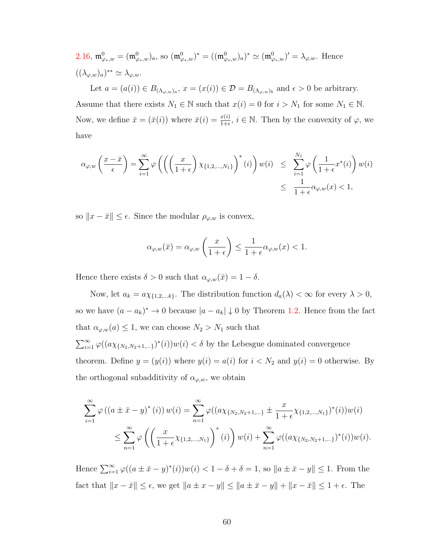2.16, 
$$
\mathfrak{m}^0_{\varphi_*,w} = (\mathfrak{m}^0_{\varphi_*,w})_a
$$
, so  $(\mathfrak{m}^0_{\varphi_*,w})^* = ((\mathfrak{m}^0_{\varphi_*,w})_a)^* \simeq (\mathfrak{m}^0_{\varphi_*,w})' = \lambda_{\varphi,w}$ . Hence  $((\lambda_{\varphi,w})_a)^{**} \simeq \lambda_{\varphi,w}$ .

Let  $a = (a(i)) \in B_{(\Lambda_{\varphi,w})_a}$ ,  $x = (x(i)) \in \mathcal{D} = B_{(\Lambda_{\varphi,w})_b}$  and  $\epsilon > 0$  be arbitrary. Assume that there exists  $N_1 \in \mathbb{N}$  such that  $x(i) = 0$  for  $i > N_1$  for some  $N_1 \in \mathbb{N}$ . Now, we define  $\bar{x} = (\bar{x}(i))$  where  $\bar{x}(i) = \frac{x(i)}{1+\epsilon}$ ,  $i \in \mathbb{N}$ . Then by the convexity of  $\varphi$ , we have

$$
\alpha_{\varphi,w}\left(\frac{x-\bar{x}}{\epsilon}\right) = \sum_{i=1}^{\infty} \varphi\left(\left(\left(\frac{x}{1+\epsilon}\right) \chi_{\{1,2,\ldots,N_1\}}\right)^*(i)\right) w(i) \le \sum_{i=1}^{N_1} \varphi\left(\frac{1}{1+\epsilon} x^*(i)\right) w(i) \le \frac{1}{1+\epsilon} \alpha_{\varphi,w}(x) < 1,
$$

so  $||x - \bar{x}|| \leq \epsilon$ . Since the modular  $\rho_{\varphi,w}$  is convex,

$$
\alpha_{\varphi,w}(\bar{x}) = \alpha_{\varphi,w}\left(\frac{x}{1+\epsilon}\right) \le \frac{1}{1+\epsilon} \alpha_{\varphi,w}(x) < 1.
$$

Hence there exists  $\delta > 0$  such that  $\alpha_{\varphi,w}(\bar{x}) = 1 - \delta$ .

Now, let  $a_k = a \chi_{\{1,2,\dots k\}}$ . The distribution function  $d_a(\lambda) < \infty$  for every  $\lambda > 0$ , so we have  $(a - a_k)^* \to 0$  because  $|a - a_k| \downarrow 0$  by Theorem [1.2.](#page-12-0) Hence from the fact that  $\alpha_{\varphi,w}(a) \leq 1$ , we can choose  $N_2 > N_1$  such that  $\sum_{i=1}^{\infty} \varphi((a\chi_{\{N_2,N_2+1,...\}})^*(i))w(i) < \delta$  by the Lebesgue dominated convergence theorem. Define  $y = (y(i))$  where  $y(i) = a(i)$  for  $i < N_2$  and  $y(i) = 0$  otherwise. By the orthogonal subadditivity of  $\alpha_{\varphi,w}$ , we obtain

$$
\sum_{i=1}^{\infty} \varphi\left((a\pm \bar{x}-y)^{*}(i)\right)w(i) = \sum_{n=1}^{\infty} \varphi((a\chi_{\{N_{2},N_{2}+1,\ldots\}}\pm \frac{x}{1+\epsilon}\chi_{\{1,2,\ldots,N_{1}\}})^{*}(i))w(i)
$$
  

$$
\leq \sum_{n=1}^{\infty} \varphi\left(\left(\frac{x}{1+\epsilon}\chi_{\{1,2,\ldots,N_{1}\}}\right)^{*}(i)\right)w(i) + \sum_{n=1}^{\infty} \varphi((a\chi_{\{N_{2},N_{2}+1,\ldots\}})^{*}(i))w(i).
$$

Hence  $\sum_{i=1}^{\infty} \varphi((a \pm \bar{x} - y)^*(i))w(i) < 1 - \delta + \delta = 1$ , so  $||a \pm \bar{x} - y|| \le 1$ . From the fact that  $||x - \bar{x}|| \le \epsilon$ , we get  $||a \pm x - y|| \le ||a \pm \bar{x} - y|| + ||x - \bar{x}|| \le 1 + \epsilon$ . The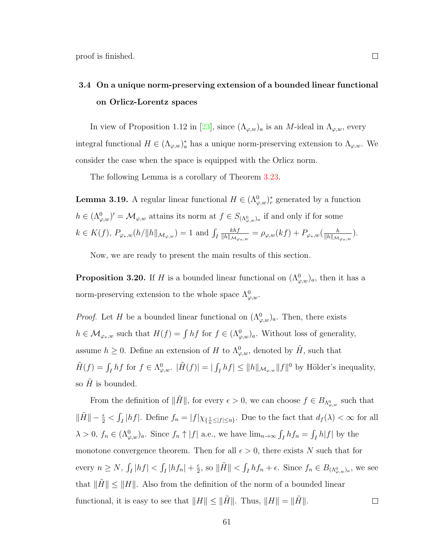# 3.4 On a unique norm-preserving extension of a bounded linear functional on Orlicz-Lorentz spaces

In view of Proposition 1.12 in [\[23\]](#page-110-2), since  $(\Lambda_{\varphi,w})_a$  is an *M*-ideal in  $\Lambda_{\varphi,w}$ , every integral functional  $H \in (\Lambda_{\varphi,w})_a^*$  has a unique norm-preserving extension to  $\Lambda_{\varphi,w}$ . We consider the case when the space is equipped with the Orlicz norm.

The following Lemma is a corollary of Theorem [3.23.](#page-70-0)

<span id="page-67-1"></span>**Lemma 3.19.** A regular linear functional  $H \in (\Lambda^0_{\varphi,w})^*_{r}$  generated by a function  $h \in (\Lambda^0_{\varphi,w})' = \mathcal{M}_{\varphi,w}$  attains its norm at  $f \in S_{(\Lambda^0_{\varphi,w})_a}$  if and only if for some  $k \in K(f)$ ,  $P_{\varphi_*,w}(h/\|h\|_{\mathcal{M}_{\varphi,w}}) = 1$  and  $\int_I$  $khf$  $\frac{khf}{\|h\|_{{\cal M}_{\varphi_*,w}}} = \rho_{\varphi,w}(kf) + P_{\varphi_*,w}(\frac{h}{\|h\|_{{\cal M}}}$  $\frac{h}{\|h\|_{{\mathcal M}_{\varphi_*,w}}}).$ 

Now, we are ready to present the main results of this section.

<span id="page-67-0"></span>**Proposition 3.20.** If H is a bounded linear functional on  $(\Lambda^0_{\varphi,w})_a$ , then it has a norm-preserving extension to the whole space  $\Lambda^0_{\varphi,w}$ .

*Proof.* Let H be a bounded linear functional on  $(\Lambda^0_{\varphi,w})_a$ . Then, there exists  $h \in \mathcal{M}_{\varphi_*,w}$  such that  $H(f) = \int hf$  for  $f \in (\Lambda^0_{\varphi,w})_a$ . Without loss of generality, assume  $h \geq 0$ . Define an extension of H to  $\Lambda^0_{\varphi,w}$ , denoted by  $\tilde{H}$ , such that  $\tilde{H}(f) = \int_I hf$  for  $f \in \Lambda^0_{\varphi,w}$ .  $|\tilde{H}(f)| = |\int_I hf| \le ||h||_{\mathcal{M}_{\varphi,w}} ||f||^0$  by Hölder's inequality, so  $H$  is bounded.

From the definition of  $\|\tilde{H}\|$ , for every  $\epsilon > 0$ , we can choose  $f \in B_{\Lambda^0_{\varphi,w}}$  such that  $\|\tilde{H}\| - \frac{\epsilon}{2} < \int_I |hf|$ . Define  $f_n = |f|\chi_{\{\frac{1}{n}\leq |f|\leq n\}}$ . Due to the fact that  $d_f(\lambda) < \infty$  for all  $\lambda > 0$ ,  $f_n \in (\Lambda^0_{\varphi,w})_a$ . Since  $f_n \uparrow |f|$  a.e., we have  $\lim_{n\to\infty} \int_I hf_n = \int_I h|f|$  by the monotone convergence theorem. Then for all  $\epsilon > 0$ , there exists N such that for  $\frac{\epsilon}{2}$ , so  $\|\tilde{H}\| < \int_I hf_n + \epsilon$ . Since  $f_n \in B_{(\Lambda^0_{\varphi,w})_a}$ , we see every  $n \ge N$ ,  $\int_I |hf| < \int_I |hf_n| + \frac{\epsilon}{2}$ that  $||H|| \le ||H||$ . Also from the definition of the norm of a bounded linear functional, it is easy to see that  $||H|| \le ||\tilde{H}||$ . Thus,  $||H|| = ||\tilde{H}||$ .  $\Box$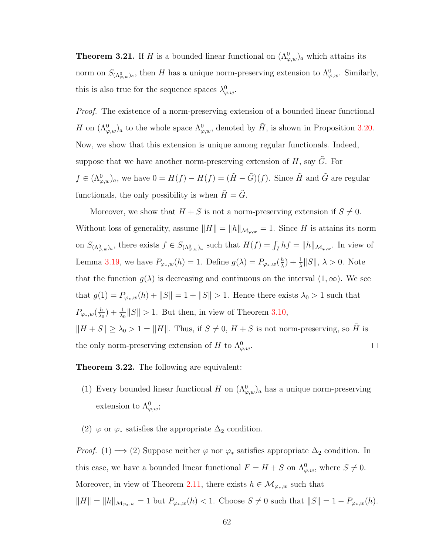**Theorem 3.21.** If H is a bounded linear functional on  $(\Lambda^0_{\varphi,w})_a$  which attains its norm on  $S_{(\Lambda^0_{\varphi,w})_a}$ , then H has a unique norm-preserving extension to  $\Lambda^0_{\varphi,w}$ . Similarly, this is also true for the sequence spaces  $\lambda_{\varphi,w}^0$ .

Proof. The existence of a norm-preserving extension of a bounded linear functional H on  $(\Lambda^0_{\varphi,w})_a$  to the whole space  $\Lambda^0_{\varphi,w}$ , denoted by  $\tilde{H}$ , is shown in Proposition [3.20.](#page-67-0) Now, we show that this extension is unique among regular functionals. Indeed, suppose that we have another norm-preserving extension of  $H$ , say  $\tilde{G}$ . For  $f \in (\Lambda^0_{\varphi,w})_a$ , we have  $0 = H(f) - H(f) = (\tilde{H} - \tilde{G})(f)$ . Since  $\tilde{H}$  and  $\tilde{G}$  are regular functionals, the only possibility is when  $\tilde{H}=\tilde{G}.$ 

Moreover, we show that  $H + S$  is not a norm-preserving extension if  $S \neq 0$ . Without loss of generality, assume  $||H|| = ||h||_{\mathcal{M}_{\varphi,w}} = 1$ . Since H is attains its norm on  $S_{(\Lambda^0_{\varphi,w})_a}$ , there exists  $f \in S_{(\Lambda^0_{\varphi,w})_a}$  such that  $H(f) = \int_I hf = ||h||_{\mathcal{M}_{\varphi,w}}$ . In view of Lemma [3.19,](#page-67-1) we have  $P_{\varphi_*,w}(h) = 1$ . Define  $g(\lambda) = P_{\varphi_*,w}(\frac{h}{\lambda})$  $\frac{h}{\lambda}$  $+ \frac{1}{\lambda}$  $||S||$ ,  $\lambda > 0$ . Note that the function  $g(\lambda)$  is decreasing and continuous on the interval  $(1,\infty)$ . We see that  $g(1) = P_{\varphi_*,w}(h) + ||S|| = 1 + ||S|| > 1$ . Hence there exists  $\lambda_0 > 1$  such that  $P_{\varphi_*,w}(\frac{h}{\lambda_0})$  $\frac{h}{\lambda_0}$  +  $\frac{1}{\lambda_0}$  || S|| > 1. But then, in view of Theorem [3.10,](#page-55-0)  $||H + S|| \geq \lambda_0 > 1 = ||H||$ . Thus, if  $S \neq 0$ ,  $H + S$  is not norm-preserving, so  $H$  is the only norm-preserving extension of H to  $\Lambda_{\varphi,w}^0$ .  $\Box$ 

Theorem 3.22. The following are equivalent:

- (1) Every bounded linear functional H on  $(\Lambda^0_{\varphi,w})_a$  has a unique norm-preserving extension to  $\Lambda^0_{\varphi,w};$
- (2)  $\varphi$  or  $\varphi_*$  satisfies the appropriate  $\Delta_2$  condition.

*Proof.* (1)  $\implies$  (2) Suppose neither  $\varphi$  nor  $\varphi_*$  satisfies appropriate  $\Delta_2$  condition. In this case, we have a bounded linear functional  $F = H + S$  on  $\Lambda^0_{\varphi,w}$ , where  $S \neq 0$ . Moreover, in view of Theorem [2.11,](#page-38-0) there exists  $h \in \mathcal{M}_{\varphi_*,w}$  such that  $||H|| = ||h||_{\mathcal{M}_{\varphi_*,w}} = 1$  but  $P_{\varphi_*,w}(h) < 1$ . Choose  $S \neq 0$  such that  $||S|| = 1 - P_{\varphi_*,w}(h)$ .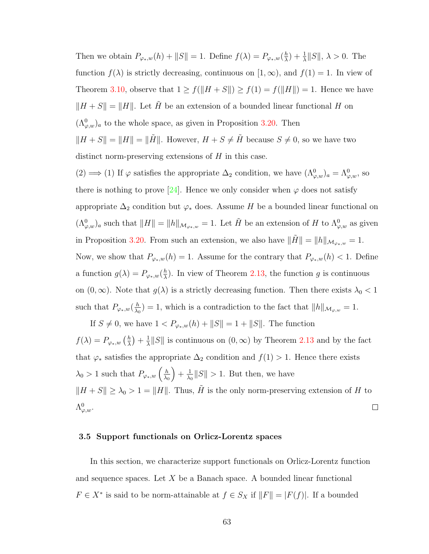Then we obtain  $P_{\varphi_*,w}(h) + ||S|| = 1$ . Define  $f(\lambda) = P_{\varphi_*,w}(\frac{h}{\lambda})$  $\frac{h}{\lambda}$  $+ \frac{1}{\lambda}$  $||S||$ ,  $\lambda > 0$ . The function  $f(\lambda)$  is strictly decreasing, continuous on  $[1,\infty)$ , and  $f(1) = 1$ . In view of Theorem [3.10,](#page-55-0) observe that  $1 \ge f(||H + S||) \ge f(1) = f(||H||) = 1$ . Hence we have  $||H + S|| = ||H||$ . Let  $\tilde{H}$  be an extension of a bounded linear functional H on  $(\Lambda^0_{\varphi,w})_a$  to the whole space, as given in Proposition [3.20.](#page-67-0) Then  $||H + S|| = ||H|| = ||\tilde{H}||$ . However,  $H + S \neq \tilde{H}$  because  $S \neq 0$ , so we have two distinct norm-preserving extensions of  $H$  in this case.

(2) ⇒ (1) If  $\varphi$  satisfies the appropriate  $\Delta_2$  condition, we have  $(\Lambda^0_{\varphi,w})_a = \Lambda^0_{\varphi,w}$ , so there is nothing to prove [\[24\]](#page-110-4). Hence we only consider when  $\varphi$  does not satisfy appropriate  $\Delta_2$  condition but  $\varphi_*$  does. Assume H be a bounded linear functional on  $(\Lambda^0_{\varphi,w})_a$  such that  $||H|| = ||h||_{\mathcal{M}_{\varphi_*,w}} = 1$ . Let  $\tilde{H}$  be an extension of H to  $\Lambda^0_{\varphi,w}$  as given in Proposition [3.20.](#page-67-0) From such an extension, we also have  $\|\tilde{H}\| = \|h\|_{\mathcal{M}_{\varphi_*,w}} = 1$ . Now, we show that  $P_{\varphi_*,w}(h) = 1$ . Assume for the contrary that  $P_{\varphi_*,w}(h) < 1$ . Define a function  $g(\lambda) = P_{\varphi_*,w}(\frac{h}{\lambda})$  $\frac{h}{\lambda}$ ). In view of Theorem [2.13,](#page-40-0) the function g is continuous on  $(0, \infty)$ . Note that  $g(\lambda)$  is a strictly decreasing function. Then there exists  $\lambda_0 < 1$ such that  $P_{\varphi_*,w}(\frac{h}{\lambda_0})$  $\frac{h}{\lambda_0}$  = 1, which is a contradiction to the fact that  $||h||_{\mathcal{M}_{\varphi,w}} = 1$ .

If *S* ≠ 0, we have  $1 < P_{\varphi_*,w}(h) + ||S|| = 1 + ||S||$ . The function  $f(\lambda) = P_{\varphi_*,w} \left( \frac{h}{\lambda} \right)$  $\frac{h}{\lambda}$  ) +  $\frac{1}{\lambda}$  $\frac{1}{\lambda}||S||$  is continuous on  $(0, \infty)$  by Theorem [2.13](#page-40-0) and by the fact that  $\varphi_*$  satisfies the appropriate  $\Delta_2$  condition and  $f(1) > 1$ . Hence there exists  $\lambda_0 > 1$  such that  $P_{\varphi_*,w} \left( \frac{h}{\lambda_0} \right)$  $+ \frac{1}{\lambda}$  $\frac{1}{\lambda_0} \|S\| > 1$ . But then, we have  $\lambda_0$  $||H + S|| \geq \lambda_0 > 1 = ||H||$ . Thus,  $\tilde{H}$  is the only norm-preserving extension of H to  $\Lambda^0_{\varphi,w}.$  $\Box$ 

#### 3.5 Support functionals on Orlicz-Lorentz spaces

In this section, we characterize support functionals on Orlicz-Lorentz function and sequence spaces. Let  $X$  be a Banach space. A bounded linear functional  $F \in X^*$  is said to be norm-attainable at  $f \in S_X$  if  $||F|| = |F(f)|$ . If a bounded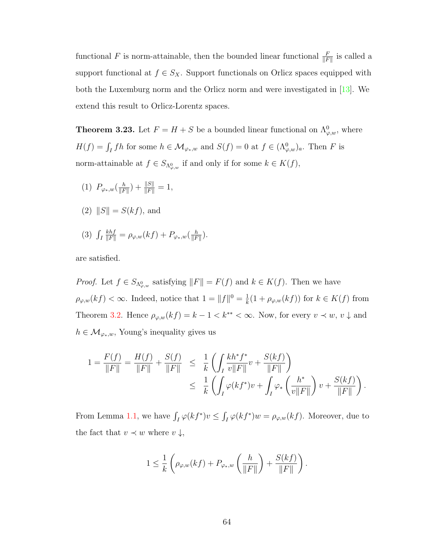functional F is norm-attainable, then the bounded linear functional  $\frac{F}{\|F\|}$  is called a support functional at  $f \in S_X$ . Support functionals on Orlicz spaces equipped with both the Luxemburg norm and the Orlicz norm and were investigated in [\[13\]](#page-109-1). We extend this result to Orlicz-Lorentz spaces.

<span id="page-70-0"></span>**Theorem 3.23.** Let  $F = H + S$  be a bounded linear functional on  $\Lambda^0_{\varphi,w}$ , where  $H(f) = \int_I fh$  for some  $h \in \mathcal{M}_{\varphi_*,w}$  and  $S(f) = 0$  at  $f \in (\Lambda^0_{\varphi,w})_a$ . Then F is norm-attainable at  $f \in S_{\Lambda_{\varphi,w}^0}$  if and only if for some  $k \in K(f)$ ,

- (1)  $P_{\varphi_*,w}(\frac{h}{\|F\|})$  $\frac{h}{\|F\|}$  ) +  $\frac{\|S\|}{\|F\|} = 1$ ,
- (2)  $||S|| = S(kf)$ , and
- $(3)$   $\int_I$  $\frac{khf}{\|F\|} = \rho_{\varphi,w}(kf) + P_{\varphi_*,w}(\frac{h}{\|F\|})$  $\frac{h}{\|F\|}\Big).$

are satisfied.

*Proof.* Let  $f \in S_{\Lambda_{\varphi,w}^0}$  satisfying  $||F|| = F(f)$  and  $k \in K(f)$ . Then we have  $\rho_{\varphi,w}(kf) < \infty$ . Indeed, notice that  $1 = ||f||^0 = \frac{1}{k}$  $\frac{1}{k}(1+\rho_{\varphi,w}(kf))$  for  $k \in K(f)$  from Theorem [3.2.](#page-45-1) Hence  $\rho_{\varphi,w}(kf) = k - 1 < k^{**} < \infty$ . Now, for every  $v \prec w, v \downarrow$  and  $h \in \mathcal{M}_{\varphi_*,w}$ , Young's inequality gives us

$$
1 = \frac{F(f)}{\|F\|} = \frac{H(f)}{\|F\|} + \frac{S(f)}{\|F\|} \le \frac{1}{k} \left( \int_I \frac{k h^* f^*}{v \|F\|} v + \frac{S(kf)}{\|F\|} \right) \le \frac{1}{k} \left( \int_I \varphi(k f^*) v + \int_I \varphi_* \left( \frac{h^*}{v \|F\|} \right) v + \frac{S(kf)}{\|F\|} \right).
$$

From Lemma [1.1,](#page-12-2) we have  $\int_I \varphi(kf^*)v \leq \int_I \varphi(kf^*)w = \rho_{\varphi,w}(kf)$ . Moreover, due to the fact that  $v \prec w$  where  $v \downarrow$ ,

$$
1 \leq \frac{1}{k} \left( \rho_{\varphi,w}(kf) + P_{\varphi_*,w} \left( \frac{h}{\|F\|} \right) + \frac{S(kf)}{\|F\|} \right).
$$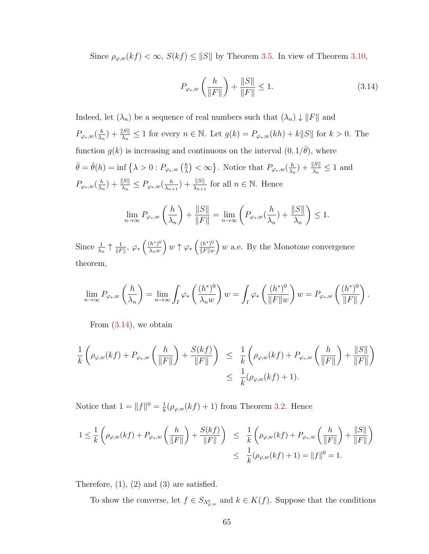Since  $\rho_{\varphi,w}(kf) < \infty$ ,  $S(kf) \leq ||S||$  by Theorem [3.5.](#page-47-0) In view of Theorem [3.10,](#page-55-0)

<span id="page-71-0"></span>
$$
P_{\varphi_*,w} \left( \frac{h}{\|F\|} \right) + \frac{\|S\|}{\|F\|} \le 1.
$$
 (3.14)

Indeed, let  $(\lambda_n)$  be a sequence of real numbers such that  $(\lambda_n) \downarrow ||F||$  and  $P_{\varphi_*,w}(\frac{h}{\lambda_*})$  $\frac{h}{\lambda_n}$  +  $\frac{\|S\|}{\lambda_n} \leq 1$  for every  $n \in \mathbb{N}$ . Let  $g(k) = P_{\varphi_*,w}(kh) + k \|S\|$  for  $k > 0$ . The function  $g(k)$  is increasing and continuous on the interval  $(0, 1/\bar{\theta})$ , where  $\bar{\theta} = \bar{\theta}(h) = \inf \{ \lambda > 0 : P_{\varphi_*,w} \left( \frac{h}{\lambda} \right)$  $\left(\frac{h}{\lambda}\right) < \infty$ . Notice that  $P_{\varphi_*,w}(\frac{h}{\lambda_*})$  $\frac{h}{\lambda_n}$ ) +  $\frac{\|S\|}{\lambda_n} \leq 1$  and  $P_{\varphi_*,w}(\frac{h}{\lambda_*})$  $\frac{h}{\lambda_n}$ ) +  $\frac{\|S\|}{\lambda_n} \leq P_{\varphi_*,w}(\frac{h}{\lambda_{n-1}})$  $\frac{h}{\lambda_{n+1}}$  +  $\frac{\|S\|}{\lambda_{n+1}}$  for all  $n \in \mathbb{N}$ . Hence

$$
\lim_{n \to \infty} P_{\varphi_*,w} \left(\frac{h}{\lambda_n}\right) + \frac{\|S\|}{\|F\|} = \lim_{n \to \infty} \left( P_{\varphi_*,w}(\frac{h}{\lambda_n}) + \frac{\|S\|}{\lambda_n} \right) \le 1.
$$

Since  $\frac{1}{\lambda_n} \uparrow \frac{1}{\Vert F}$  $\frac{1}{\|F\|}, \ \varphi_*\left(\frac{(h^*)^0}{\lambda_n w}\right)$  $\lambda_n w$  $\int w \uparrow \varphi_* \left( \frac{(h^*)^0}{\|F\|_{\mathcal{H}}} \right)$  $\frac{(h^*)^0}{\|F\|w}$  w a.e. By the Monotone convergence theorem,

$$
\lim_{n \to \infty} P_{\varphi_*,w} \left( \frac{h}{\lambda_n} \right) = \lim_{n \to \infty} \int_I \varphi_* \left( \frac{(h^*)^0}{\lambda_n w} \right) w = \int_I \varphi_* \left( \frac{(h^*)^0}{\|F\|w} \right) w = P_{\varphi_*,w} \left( \frac{(h^*)^0}{\|F\|} \right).
$$

From  $(3.14)$ , we obtain

$$
\frac{1}{k} \left( \rho_{\varphi,w}(kf) + P_{\varphi_*,w} \left( \frac{h}{\|F\|} \right) + \frac{S(kf)}{\|F\|} \right) \leq \frac{1}{k} \left( \rho_{\varphi,w}(kf) + P_{\varphi_*,w} \left( \frac{h}{\|F\|} \right) + \frac{\|S\|}{\|F\|} \right)
$$
  

$$
\leq \frac{1}{k} (\rho_{\varphi,w}(kf) + 1).
$$

Notice that  $1 = ||f||^0 = \frac{1}{k}$  $\frac{1}{k}(\rho_{\varphi,w}(kf)+1)$  from Theorem [3.2.](#page-45-1) Hence

$$
1 \leq \frac{1}{k} \left( \rho_{\varphi,w}(kf) + P_{\varphi_*,w} \left( \frac{h}{\|F\|} \right) + \frac{S(kf)}{\|F\|} \right) \leq \frac{1}{k} \left( \rho_{\varphi,w}(kf) + P_{\varphi_*,w} \left( \frac{h}{\|F\|} \right) + \frac{\|S\|}{\|F\|} \right)
$$
  

$$
\leq \frac{1}{k} (\rho_{\varphi,w}(kf) + 1) = \|f\|^0 = 1.
$$

Therefore,  $(1)$ ,  $(2)$  and  $(3)$  are satisfied.

To show the converse, let  $f \in S_{\Lambda_{\varphi,w}^0}$  and  $k \in K(f)$ . Suppose that the conditions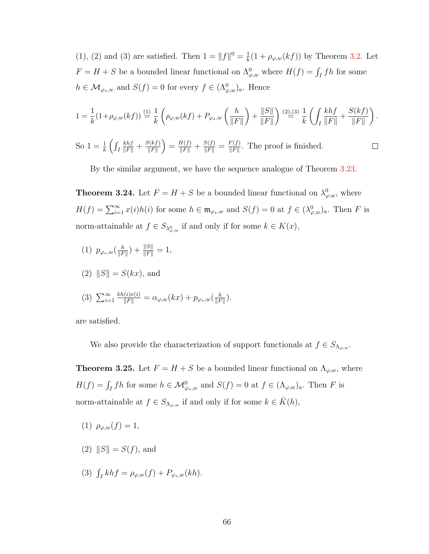(1), (2) and (3) are satisfied. Then  $1 = ||f||^0 = \frac{1}{k}$  $\frac{1}{k}(1+\rho_{\varphi,w}(kf))$  by Theorem [3.2.](#page-45-0) Let  $F = H + S$  be a bounded linear functional on  $\Lambda^0_{\varphi,w}$  where  $H(f) = \int_I fh$  for some  $h \in \mathcal{M}_{\varphi_*,w}$  and  $S(f) = 0$  for every  $f \in (\Lambda_{\varphi,w}^0)_a$ . Hence

$$
1 = \frac{1}{k} (1 + \rho_{\varphi,w}(kf)) \stackrel{(1)}{=} \frac{1}{k} \left( \rho_{\varphi,w}(kf) + P_{\varphi_*,w} \left( \frac{h}{\|F\|} \right) + \frac{\|S\|}{\|F\|} \right) \stackrel{(2),(3)}{=} \frac{1}{k} \left( \int_I \frac{khf}{\|F\|} + \frac{S(kf)}{\|F\|} \right).
$$

So  $1 = \frac{1}{k} \left( \int_I$  $\frac{S(kf)}{\|F\|}$  =  $\frac{H(f)}{\|F\|}$  +  $\frac{S(f)}{\|F\|}$  =  $\frac{F(f)}{\|F\|}$  $\frac{khf}{\|F\|}+\frac{S(kf)}{\|F\|}$  $\frac{F(f)}{\|F\|}$ . The proof is finished.  $\Box$ 

By the similar argument, we have the sequence analogue of Theorem [3.23.](#page-70-0)

**Theorem 3.24.** Let  $F = H + S$  be a bounded linear functional on  $\lambda_{\varphi,w}^0$ , where  $H(f) = \sum_{i=1}^{\infty} x(i)h(i)$  for some  $h \in \mathfrak{m}_{\varphi_*,w}$  and  $S(f) = 0$  at  $f \in (\lambda_{\varphi,w}^0)_a$ . Then F is norm-attainable at  $f \in S_{\lambda_{\varphi,w}^0}$  if and only if for some  $k \in K(x)$ ,

(1)  $p_{\varphi_*,w}(\frac{h}{\|\overline{F}\|})$  $\frac{h}{\|F\|}$  +  $\frac{\|S\|}{\|F\|} = 1$ ,

$$
(2) \|S\| = S(kx), \text{ and}
$$

(3) 
$$
\sum_{i=1}^{\infty} \frac{kh(i)x(i)}{\|F\|} = \alpha_{\varphi,w}(kx) + p_{\varphi_*,w}(\frac{h}{\|F\|}).
$$

are satisfied.

We also provide the characterization of support functionals at  $f \in S_{\Lambda_{\varphi,w}}$ .

<span id="page-72-0"></span>**Theorem 3.25.** Let  $F = H + S$  be a bounded linear functional on  $\Lambda_{\varphi,w}$ , where  $H(f) = \int_I fh$  for some  $h \in \mathcal{M}_{\varphi_*,w}^0$  and  $S(f) = 0$  at  $f \in (\Lambda_{\varphi,w})_a$ . Then F is norm-attainable at  $f \in S_{\Lambda_{\varphi,w}}$  if and only if for some  $k \in \overline{K}(h)$ ,

- (1)  $\rho_{\varphi,w}(f) = 1$ ,
- (2)  $||S|| = S(f)$ , and
- (3)  $\int_I khf = \rho_{\varphi,w}(f) + P_{\varphi_*,w}(kh).$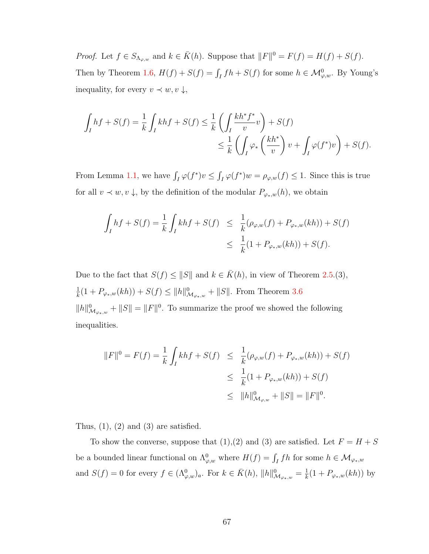*Proof.* Let  $f \in S_{\Lambda_{\varphi,w}}$  and  $k \in \overline{K}(h)$ . Suppose that  $||F||^0 = F(f) = H(f) + S(f)$ . Then by Theorem [1.6,](#page-18-0)  $H(f) + S(f) = \int_I fh + S(f)$  for some  $h \in \mathcal{M}_{\varphi,w}^0$ . By Young's inequality, for every  $v \prec w, v \downarrow$ ,

$$
\int_I hf + S(f) = \frac{1}{k} \int_I khf + S(f) \le \frac{1}{k} \left( \int_I \frac{kh^* f^*}{v} v \right) + S(f)
$$
  

$$
\le \frac{1}{k} \left( \int_I \varphi_* \left( \frac{kh^*}{v} \right) v + \int_I \varphi(f^*)v \right) + S(f).
$$

From Lemma [1.1,](#page-12-0) we have  $\int_I \varphi(f^*)v \leq \int_I \varphi(f^*)w = \rho_{\varphi,w}(f) \leq 1$ . Since this is true for all  $v \prec w, v \downarrow$ , by the definition of the modular  $P_{\varphi_*,w}(h)$ , we obtain

$$
\int_I hf + S(f) = \frac{1}{k} \int_I khf + S(f) \leq \frac{1}{k} (\rho_{\varphi,w}(f) + P_{\varphi_*,w}(kh)) + S(f)
$$
  

$$
\leq \frac{1}{k} (1 + P_{\varphi_*,w}(kh)) + S(f).
$$

Due to the fact that  $S(f) \leq ||S||$  and  $k \in \overline{K}(h)$ , in view of Theorem [2.5.](#page-30-0)(3), 1  $\frac{1}{k}(1 + P_{\varphi_*,w}(kh)) + S(f) \le ||h||^0_{\mathcal{M}_{\varphi_*,w}} + ||S||.$  From Theorem [3.6](#page-49-0)  $||h||^0_{\mathcal{M}_{\varphi_*,w}} + ||S|| = ||F||^0$ . To summarize the proof we showed the following inequalities.

$$
||F||^{0} = F(f) = \frac{1}{k} \int_{I} khf + S(f) \leq \frac{1}{k} (\rho_{\varphi,w}(f) + P_{\varphi_{*,w}}(kh)) + S(f)
$$
  

$$
\leq \frac{1}{k} (1 + P_{\varphi_{*,w}}(kh)) + S(f)
$$
  

$$
\leq ||h||^{0}_{\mathcal{M}_{\varphi,w}} + ||S|| = ||F||^{0}.
$$

Thus,  $(1)$ ,  $(2)$  and  $(3)$  are satisfied.

To show the converse, suppose that (1),(2) and (3) are satisfied. Let  $F = H + S$ be a bounded linear functional on  $\Lambda^0_{\varphi,w}$  where  $H(f) = \int_I fh$  for some  $h \in \mathcal{M}_{\varphi_*,w}$ and  $S(f) = 0$  for every  $f \in (\Lambda^0_{\varphi,w})_a$ . For  $k \in \overline{K}(h)$ ,  $||h||^0_{\mathcal{M}_{\varphi_*,w}} = \frac{1}{k}$  $\frac{1}{k}(1 + P_{\varphi_*,w}(kh))$  by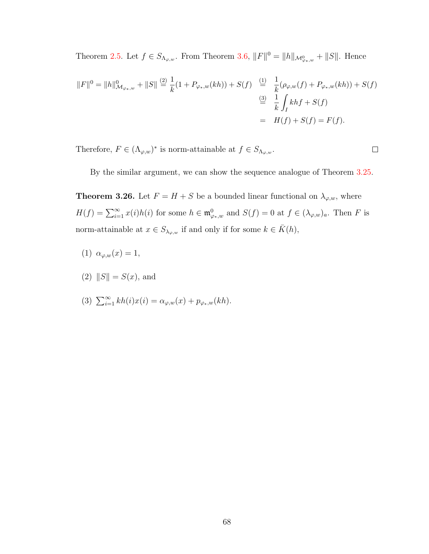Theorem [2.5.](#page-30-0) Let  $f \in S_{\Lambda_{\varphi,w}}$ . From Theorem [3.6,](#page-49-0)  $||F||^0 = ||h||_{\mathcal{M}_{\varphi_{*,w}}^0} + ||S||$ . Hence

$$
||F||^{0} = ||h||_{\mathcal{M}_{\varphi_*,w}}^{0} + ||S|| \stackrel{(2)}{=} \frac{1}{k}(1 + P_{\varphi_*,w}(kh)) + S(f) \stackrel{(1)}{=} \frac{1}{k}(\rho_{\varphi,w}(f) + P_{\varphi_*,w}(kh)) + S(f)
$$
  

$$
\stackrel{(3)}{=} \frac{1}{k} \int_{I} khf + S(f)
$$
  

$$
= H(f) + S(f) = F(f).
$$

Therefore,  $F \in (\Lambda_{\varphi,w})^*$  is norm-attainable at  $f \in S_{\Lambda_{\varphi,w}}$ .

By the similar argument, we can show the sequence analogue of Theorem [3.25.](#page-72-0)

 $\Box$ 

**Theorem 3.26.** Let  $F = H + S$  be a bounded linear functional on  $\lambda_{\varphi,w}$ , where  $H(f) = \sum_{i=1}^{\infty} x(i)h(i)$  for some  $h \in \mathfrak{m}_{\varphi_*,w}^0$  and  $S(f) = 0$  at  $f \in (\lambda_{\varphi,w})_a$ . Then F is norm-attainable at  $x \in S_{\lambda_{\varphi,w}}$  if and only if for some  $k \in \overline{K}(h)$ ,

- (1)  $\alpha_{\varphi,w}(x) = 1$ ,
- (2)  $||S|| = S(x)$ , and
- (3)  $\sum_{i=1}^{\infty} kh(i)x(i) = \alpha_{\varphi,w}(x) + p_{\varphi_*,w}(kh)$ .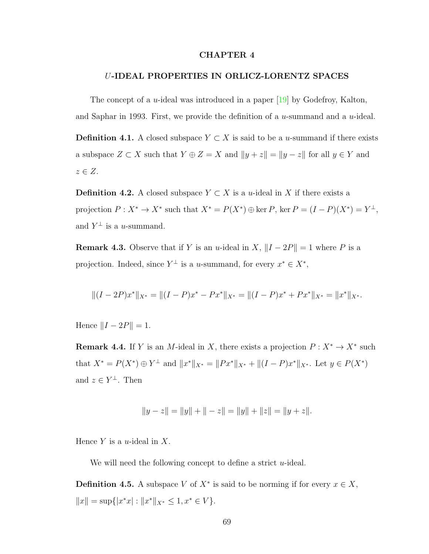### CHAPTER 4

#### U-IDEAL PROPERTIES IN ORLICZ-LORENTZ SPACES

The concept of a *u*-ideal was introduced in a paper  $[19]$  by Godefroy, Kalton, and Saphar in 1993. First, we provide the definition of a  $u$ -summand and a  $u$ -ideal.

**Definition 4.1.** A closed subspace  $Y \subset X$  is said to be a u-summand if there exists a subspace  $Z \subset X$  such that  $Y \oplus Z = X$  and  $\|y + z\| = \|y - z\|$  for all  $y \in Y$  and  $z \in Z$ .

**Definition 4.2.** A closed subspace  $Y \subset X$  is a u-ideal in X if there exists a projection  $P: X^* \to X^*$  such that  $X^* = P(X^*) \oplus \ker P$ ,  $\ker P = (I - P)(X^*) = Y^{\perp}$ , and  $Y^{\perp}$  is a *u*-summand.

**Remark 4.3.** Observe that if Y is an u-ideal in X,  $||I - 2P|| = 1$  where P is a projection. Indeed, since  $Y^{\perp}$  is a *u*-summand, for every  $x^* \in X^*$ ,

$$
||(I - 2P)x^*||_{X^*} = ||(I - P)x^* - Px^*||_{X^*} = ||(I - P)x^* + Px^*||_{X^*} = ||x^*||_{X^*}.
$$

Hence  $||I - 2P|| = 1$ .

<span id="page-75-0"></span>**Remark 4.4.** If Y is an M-ideal in X, there exists a projection  $P: X^* \to X^*$  such that  $X^* = P(X^*) \oplus Y^{\perp}$  and  $||x^*||_{X^*} = ||Px^*||_{X^*} + ||(I - P)x^*||_{X^*}$ . Let  $y \in P(X^*)$ and  $z \in Y^{\perp}$ . Then

$$
||y - z|| = ||y|| + || - z|| = ||y|| + ||z|| = ||y + z||.
$$

Hence  $Y$  is a *u*-ideal in  $X$ .

We will need the following concept to define a strict  $u$ -ideal.

**Definition 4.5.** A subspace V of  $X^*$  is said to be norming if for every  $x \in X$ ,  $||x|| = \sup{ |x^*x| : ||x^*||_{X^*} \leq 1, x^* \in V }$ .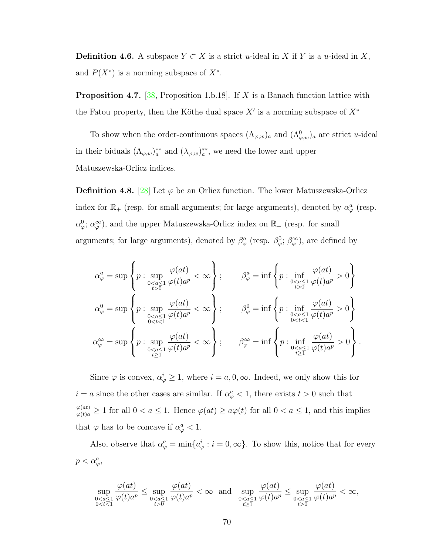**Definition 4.6.** A subspace  $Y \subset X$  is a strict u-ideal in X if Y is a u-ideal in X, and  $P(X^*)$  is a norming subspace of  $X^*$ .

<span id="page-76-0"></span>**Proposition 4.7.** [\[38,](#page-111-0) Proposition 1.b.18]. If X is a Banach function lattice with the Fatou property, then the Köthe dual space  $X'$  is a norming subspace of  $X^*$ 

To show when the order-continuous spaces  $(\Lambda_{\varphi,w})_a$  and  $(\Lambda_{\varphi,w}^0)_a$  are strict u-ideal in their biduals  $(\Lambda_{\varphi,w})_a^{**}$  and  $(\lambda_{\varphi,w})_a^{**}$ , we need the lower and upper Matuszewska-Orlicz indices.

**Definition 4.8.** [\[28\]](#page-110-0) Let  $\varphi$  be an Orlicz function. The lower Matuszewska-Orlicz index for  $\mathbb{R}_+$  (resp. for small arguments; for large arguments), denoted by  $\alpha_\varphi^a$  (resp.  $\alpha_{\varphi}^{0}$ ;  $\alpha_{\varphi}^{\infty}$ ), and the upper Matuszewska-Orlicz index on  $\mathbb{R}_{+}$  (resp. for small arguments; for large arguments), denoted by  $\beta^a_\varphi$  (resp.  $\beta^0_\varphi$ ;  $\beta^{\infty}_\varphi$ ), are defined by

$$
\alpha_{\varphi}^{a} = \sup \left\{ p : \sup_{\substack{0 < a \le 1 \\ t > 0}} \frac{\varphi(at)}{\varphi(t)a^{p}} < \infty \right\}; \qquad \beta_{\varphi}^{a} = \inf \left\{ p : \inf_{\substack{0 < a \le 1 \\ t > 0}} \frac{\varphi(at)}{\varphi(t)a^{p}} > 0 \right\}
$$
\n
$$
\alpha_{\varphi}^{0} = \sup \left\{ p : \sup_{\substack{0 < a \le 1 \\ 0 < t < 1}} \frac{\varphi(at)}{\varphi(t)a^{p}} < \infty \right\}; \qquad \beta_{\varphi}^{0} = \inf \left\{ p : \inf_{\substack{0 < a \le 1 \\ 0 < t < 1}} \frac{\varphi(at)}{\varphi(t)a^{p}} > 0 \right\}
$$
\n
$$
\alpha_{\varphi}^{\infty} = \sup \left\{ p : \sup_{\substack{0 < a \le 1 \\ t \ge 1}} \frac{\varphi(at)}{\varphi(t)a^{p}} < \infty \right\}; \qquad \beta_{\varphi}^{\infty} = \inf \left\{ p : \inf_{\substack{0 < a \le 1 \\ t \ge 1}} \frac{\varphi(at)}{\varphi(t)a^{p}} > 0 \right\}.
$$

Since  $\varphi$  is convex,  $\alpha_{\varphi}^{i} \geq 1$ , where  $i = a, 0, \infty$ . Indeed, we only show this for  $i = a$  since the other cases are similar. If  $\alpha_{\varphi}^a < 1$ , there exists  $t > 0$  such that  $\frac{\varphi(at)}{\varphi(t)a} \ge 1$  for all  $0 < a \le 1$ . Hence  $\varphi(at) \ge a\varphi(t)$  for all  $0 < a \le 1$ , and this implies that  $\varphi$  has to be concave if  $\alpha_{\varphi}^a < 1$ .

Also, observe that  $\alpha_{\varphi}^a = \min\{a_{\varphi}^i : i = 0, \infty\}$ . To show this, notice that for every  $p < \alpha_{\varphi}^a$ 

$$
\sup_{\substack{00}}\frac{\varphi(at)}{\varphi(t)a^p}<\infty \ \ \text{and} \ \ \sup_{\substack{00}}\frac{\varphi(at)}{\varphi(t)a^p}<\infty,
$$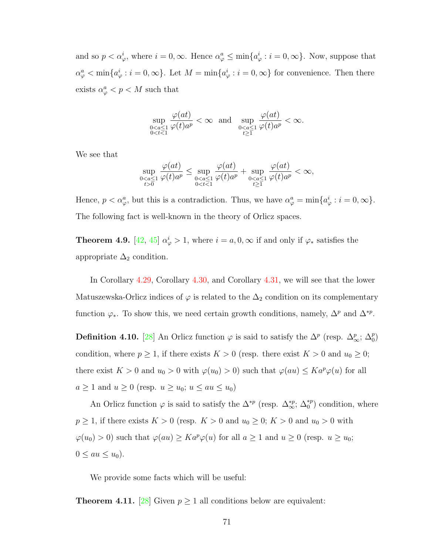and so  $p < \alpha_{\varphi}^i$ , where  $i = 0, \infty$ . Hence  $\alpha_{\varphi}^a \le \min\{a_{\varphi}^i : i = 0, \infty\}$ . Now, suppose that  $\alpha_{\varphi}^a < \min\{a_{\varphi}^i : i = 0, \infty\}$ . Let  $M = \min\{a_{\varphi}^i : i = 0, \infty\}$  for convenience. Then there exists  $\alpha_{\varphi}^a < p < M$  such that

$$
\sup_{\substack{0
$$

We see that

$$
\sup_{\substack{00}}\frac{\varphi(at)}{\varphi(t)a^p}\leq \sup_{\substack{0
$$

Hence,  $p < \alpha_{\varphi}^a$ , but this is a contradiction. Thus, we have  $\alpha_{\varphi}^a = \min\{a_{\varphi}^i : i = 0, \infty\}.$ The following fact is well-known in the theory of Orlicz spaces.

<span id="page-77-0"></span>**Theorem 4.9.** [\[42,](#page-111-1) [45\]](#page-112-0)  $\alpha_{\varphi}^{i} > 1$ , where  $i = a, 0, \infty$  if and only if  $\varphi_{*}$  satisfies the appropriate  $\Delta_2$  condition.

In Corollary [4.29,](#page-82-0) Corollary [4.30,](#page-82-1) and Corollary [4.31,](#page-83-0) we will see that the lower Matuszewska-Orlicz indices of  $\varphi$  is related to the  $\Delta_2$  condition on its complementary function  $\varphi_*$ . To show this, we need certain growth conditions, namely,  $\Delta^p$  and  $\Delta^{*p}$ .

**Definition 4.10.** [\[28\]](#page-110-0) An Orlicz function  $\varphi$  is said to satisfy the  $\Delta^p$  (resp.  $\Delta^p_{\infty}$ ;  $\Delta^p_{0}$ ) condition, where  $p \ge 1$ , if there exists  $K > 0$  (resp. there exist  $K > 0$  and  $u_0 \ge 0$ ; there exist  $K > 0$  and  $u_0 > 0$  with  $\varphi(u_0) > 0$ ) such that  $\varphi(au) \leq Ka^p\varphi(u)$  for all  $a \ge 1$  and  $u \ge 0$  (resp.  $u \ge u_0$ ;  $u \le au \le u_0$ )

An Orlicz function  $\varphi$  is said to satisfy the  $\Delta^{*p}$  (resp.  $\Delta^{*p}_{\infty}$ ;  $\Delta^{*p}_{0}$ ) condition, where  $p \ge 1$ , if there exists  $K > 0$  (resp.  $K > 0$  and  $u_0 \ge 0$ ;  $K > 0$  and  $u_0 > 0$  with  $\varphi(u_0) > 0$ ) such that  $\varphi(au) \geq Ka^p\varphi(u)$  for all  $a \geq 1$  and  $u \geq 0$  (resp.  $u \geq u_0$ ;  $0 \le au \le u_0$ ).

We provide some facts which will be useful:

<span id="page-77-1"></span>**Theorem 4.11.** [\[28\]](#page-110-0) Given  $p \ge 1$  all conditions below are equivalent: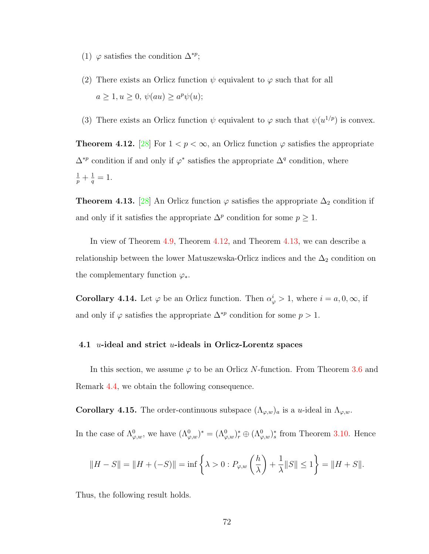- (1)  $\varphi$  satisfies the condition  $\Delta^{*p}$ ;
- (2) There exists an Orlicz function  $\psi$  equivalent to  $\varphi$  such that for all  $a \geq 1, u \geq 0, \psi(au) \geq a^p \psi(u);$
- (3) There exists an Orlicz function  $\psi$  equivalent to  $\varphi$  such that  $\psi(u^{1/p})$  is convex.

<span id="page-78-0"></span>**Theorem 4.12.** [\[28\]](#page-110-0) For  $1 < p < \infty$ , an Orlicz function  $\varphi$  satisfies the appropriate  $\Delta^{*p}$  condition if and only if  $\varphi^*$  satisfies the appropriate  $\Delta^q$  condition, where  $rac{1}{p} + \frac{1}{q}$  $\frac{1}{q} = 1.$ 

<span id="page-78-1"></span>**Theorem 4.13.** [\[28\]](#page-110-0) An Orlicz function  $\varphi$  satisfies the appropriate  $\Delta_2$  condition if and only if it satisfies the appropriate  $\Delta^p$  condition for some  $p \geq 1$ .

In view of Theorem [4.9,](#page-77-0) Theorem [4.12,](#page-78-0) and Theorem [4.13,](#page-78-1) we can describe a relationship between the lower Matuszewska-Orlicz indices and the  $\Delta_2$  condition on the complementary function  $\varphi_*$ .

<span id="page-78-2"></span>**Corollary 4.14.** Let  $\varphi$  be an Orlicz function. Then  $\alpha_{\varphi}^{i} > 1$ , where  $i = a, 0, \infty$ , if and only if  $\varphi$  satisfies the appropriate  $\Delta^{*p}$  condition for some  $p > 1$ .

#### 4.1 *u*-ideal and strict *u*-ideals in Orlicz-Lorentz spaces

In this section, we assume  $\varphi$  to be an Orlicz N-function. From Theorem [3.6](#page-49-0) and Remark [4.4,](#page-75-0) we obtain the following consequence.

**Corollary 4.15.** The order-continuous subspace  $(\Lambda_{\varphi,w})_a$  is a u-ideal in  $\Lambda_{\varphi,w}$ .

In the case of  $\Lambda^0_{\varphi,w}$ , we have  $(\Lambda^0_{\varphi,w})^* = (\Lambda^0_{\varphi,w})^* \oplus (\Lambda^0_{\varphi,w})^*$  from Theorem [3.10.](#page-55-0) Hence

$$
||H - S|| = ||H + (-S)|| = \inf \left\{ \lambda > 0 : P_{\varphi, w} \left( \frac{h}{\lambda} \right) + \frac{1}{\lambda} ||S|| \le 1 \right\} = ||H + S||.
$$

Thus, the following result holds.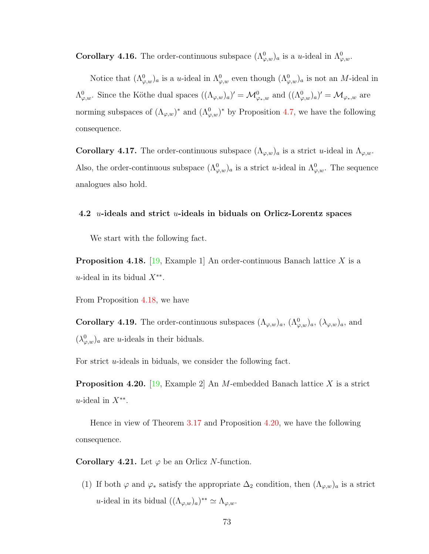**Corollary 4.16.** The order-continuous subspace  $(\Lambda^0_{\varphi,w})_a$  is a *u*-ideal in  $\Lambda^0_{\varphi,w}$ .

Notice that  $(\Lambda^0_{\varphi,w})_a$  is a u-ideal in  $\Lambda^0_{\varphi,w}$  even though  $(\Lambda^0_{\varphi,w})_a$  is not an M-ideal in  $\Lambda^0_{\varphi,w}$ . Since the Köthe dual spaces  $((\Lambda_{\varphi,w})_a)' = \mathcal{M}_{\varphi_*,w}^0$  and  $((\Lambda^0_{\varphi,w})_a)' = \mathcal{M}_{\varphi_*,w}$  are norming subspaces of  $(\Lambda_{\varphi,w})^*$  and  $(\Lambda_{\varphi,w}^0)^*$  by Proposition [4.7,](#page-76-0) we have the following consequence.

**Corollary 4.17.** The order-continuous subspace  $(\Lambda_{\varphi,w})_a$  is a strict u-ideal in  $\Lambda_{\varphi,w}$ . Also, the order-continuous subspace  $(\Lambda^0_{\varphi,w})_a$  is a strict u-ideal in  $\Lambda^0_{\varphi,w}$ . The sequence analogues also hold.

### 4.2 *u*-ideals and strict *u*-ideals in biduals on Orlicz-Lorentz spaces

We start with the following fact.

<span id="page-79-0"></span>**Proposition 4.18.** [\[19,](#page-109-0) Example 1] An order-continuous Banach lattice X is a u-ideal in its bidual  $X^{**}$ .

From Proposition [4.18,](#page-79-0) we have

**Corollary 4.19.** The order-continuous subspaces  $(\Lambda_{\varphi,w})_a$ ,  $(\Lambda_{\varphi,w})_a$ ,  $(\lambda_{\varphi,w})_a$ , and  $(\lambda_{\varphi,w}^0)_a$  are *u*-ideals in their biduals.

<span id="page-79-1"></span>For strict  $u$ -ideals in biduals, we consider the following fact.

**Proposition 4.20.** [\[19,](#page-109-0) Example 2] An M-embedded Banach lattice X is a strict u-ideal in  $X^{**}$ .

Hence in view of Theorem [3.17](#page-63-0) and Proposition [4.20,](#page-79-1) we have the following consequence.

<span id="page-79-2"></span>Corollary 4.21. Let  $\varphi$  be an Orlicz N-function.

(1) If both  $\varphi$  and  $\varphi_*$  satisfy the appropriate  $\Delta_2$  condition, then  $(\Lambda_{\varphi,w})_a$  is a strict *u*-ideal in its bidual  $((\Lambda_{\varphi,w})_a)^{**} \simeq \Lambda_{\varphi,w}.$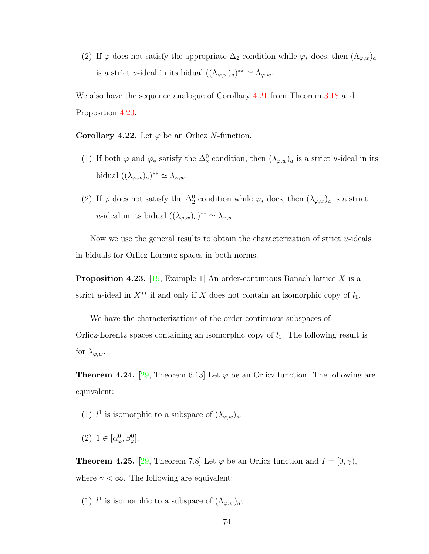(2) If  $\varphi$  does not satisfy the appropriate  $\Delta_2$  condition while  $\varphi_*$  does, then  $(\Lambda_{\varphi,w})_a$ is a strict *u*-ideal in its bidual  $((\Lambda_{\varphi,w})_a)^{**} \simeq \Lambda_{\varphi,w}$ .

We also have the sequence analogue of Corollary [4.21](#page-79-2) from Theorem [3.18](#page-65-0) and Proposition [4.20.](#page-79-1)

Corollary 4.22. Let  $\varphi$  be an Orlicz N-function.

- (1) If both  $\varphi$  and  $\varphi_*$  satisfy the  $\Delta_2^0$  condition, then  $(\lambda_{\varphi,w})_a$  is a strict u-ideal in its bidual  $((\lambda_{\varphi,w})_a)^{**} \simeq \lambda_{\varphi,w}.$
- (2) If  $\varphi$  does not satisfy the  $\Delta_2^0$  condition while  $\varphi_*$  does, then  $(\lambda_{\varphi,w})_a$  is a strict *u*-ideal in its bidual  $((\lambda_{\varphi,w})_a)^{**} \simeq \lambda_{\varphi,w}.$

Now we use the general results to obtain the characterization of strict  $u$ -ideals in biduals for Orlicz-Lorentz spaces in both norms.

**Proposition 4.23.** [\[19,](#page-109-0) Example 1] An order-continuous Banach lattice X is a strict u-ideal in  $X^{**}$  if and only if X does not contain an isomorphic copy of  $l_1$ .

We have the characterizations of the order-continuous subspaces of Orlicz-Lorentz spaces containing an isomorphic copy of  $l_1$ . The following result is for  $\lambda_{\varphi,w}$ .

<span id="page-80-0"></span>**Theorem 4.24.** [\[29,](#page-110-1) Theorem 6.13] Let  $\varphi$  be an Orlicz function. The following are equivalent:

- (1)  $l^1$  is isomorphic to a subspace of  $(\lambda_{\varphi,w})_a$ ;
- (2)  $1 \in [\alpha^0_\varphi, \beta^0_\varphi].$

<span id="page-80-1"></span>**Theorem 4.25.** [\[29,](#page-110-1) Theorem 7.8] Let  $\varphi$  be an Orlicz function and  $I = [0, \gamma)$ , where  $\gamma < \infty$ . The following are equivalent:

(1)  $l^1$  is isomorphic to a subspace of  $(\Lambda_{\varphi,w})_a$ ;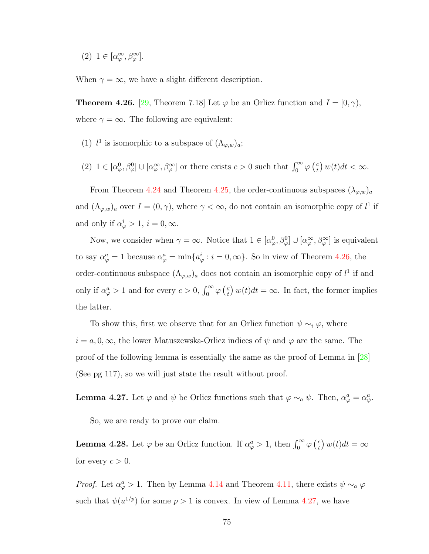(2)  $1 \in [\alpha_{\varphi}^{\infty}, \beta_{\varphi}^{\infty}].$ 

When  $\gamma = \infty$ , we have a slight different description.

<span id="page-81-0"></span>**Theorem 4.26.** [\[29,](#page-110-1) Theorem 7.18] Let  $\varphi$  be an Orlicz function and  $I = [0, \gamma)$ , where  $\gamma = \infty$ . The following are equivalent:

- (1)  $l^1$  is isomorphic to a subspace of  $(\Lambda_{\varphi,w})_a$ ;
- (2)  $1 \in [\alpha_\varphi^0, \beta_\varphi^0] \cup [\alpha_\varphi^\infty, \beta_\varphi^\infty]$  or there exists  $c > 0$  such that  $\int_0^\infty \varphi(\frac{c}{t})$  $\left(\frac{c}{t}\right)w(t)dt < \infty.$

From Theorem [4.24](#page-80-0) and Theorem [4.25,](#page-80-1) the order-continuous subspaces  $(\lambda_{\varphi,w})_a$ and  $(\Lambda_{\varphi,w})_a$  over  $I=(0,\gamma)$ , where  $\gamma<\infty$ , do not contain an isomorphic copy of  $l^1$  if and only if  $\alpha_{\varphi}^{i} > 1$ ,  $i = 0, \infty$ .

Now, we consider when  $\gamma = \infty$ . Notice that  $1 \in [\alpha_\varphi^0, \beta_\varphi^0] \cup [\alpha_\varphi^\infty, \beta_\varphi^\infty]$  is equivalent to say  $\alpha_{\varphi}^a = 1$  because  $\alpha_{\varphi}^a = \min\{a_{\varphi}^i : i = 0, \infty\}$ . So in view of Theorem [4.26,](#page-81-0) the order-continuous subspace  $(\Lambda_{\varphi,w})_a$  does not contain an isomorphic copy of  $l^1$  if and only if  $\alpha_{\varphi}^a > 1$  and for every  $c > 0$ ,  $\int_0^{\infty} \varphi \left(\frac{c}{t}\right)$  $\frac{c}{t}$ )  $w(t)dt = \infty$ . In fact, the former implies the latter.

To show this, first we observe that for an Orlicz function  $\psi \sim_i \varphi$ , where  $i = a, 0, \infty$ , the lower Matuszewska-Orlicz indices of  $\psi$  and  $\varphi$  are the same. The proof of the following lemma is essentially the same as the proof of Lemma in [\[28\]](#page-110-0) (See pg 117), so we will just state the result without proof.

<span id="page-81-1"></span>**Lemma 4.27.** Let  $\varphi$  and  $\psi$  be Orlicz functions such that  $\varphi \sim_a \psi$ . Then,  $\alpha_{\varphi}^a = \alpha_{\psi}^a$ .

So, we are ready to prove our claim.

**Lemma 4.28.** Let  $\varphi$  be an Orlicz function. If  $\alpha_{\varphi}^a > 1$ , then  $\int_0^{\infty} \varphi \left(\frac{c}{t}\right)$  $\left(\frac{c}{t}\right)w(t)dt=\infty$ for every  $c > 0$ .

*Proof.* Let  $\alpha_{\varphi}^a > 1$ . Then by Lemma [4.14](#page-78-2) and Theorem [4.11,](#page-77-1) there exists  $\psi \sim_a \varphi$ such that  $\psi(u^{1/p})$  for some  $p > 1$  is convex. In view of Lemma [4.27,](#page-81-1) we have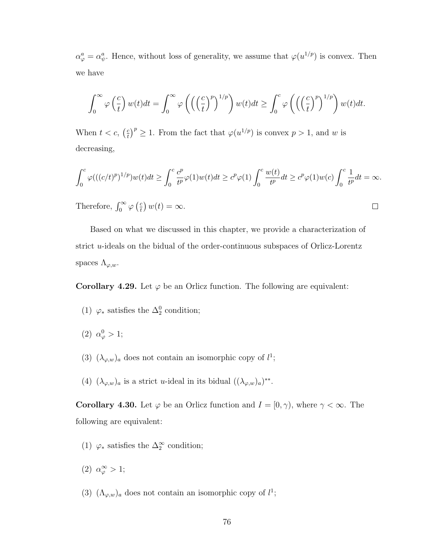$\alpha_{\varphi}^a = \alpha_{\psi}^a$ . Hence, without loss of generality, we assume that  $\varphi(u^{1/p})$  is convex. Then we have

$$
\int_0^\infty \varphi\left(\frac{c}{t}\right) w(t) dt = \int_0^\infty \varphi\left(\left(\left(\frac{c}{t}\right)^p\right)^{1/p}\right) w(t) dt \ge \int_0^c \varphi\left(\left(\left(\frac{c}{t}\right)^p\right)^{1/p}\right) w(t) dt.
$$

When  $t < c$ ,  $\left(\frac{c}{t}\right)$  $\left(\frac{c}{t}\right)^p \geq 1$ . From the fact that  $\varphi(u^{1/p})$  is convex  $p > 1$ , and w is decreasing,

$$
\int_0^c \varphi(((c/t)^p)^{1/p})w(t)dt \ge \int_0^c \frac{c^p}{t^p}\varphi(1)w(t)dt \ge c^p\varphi(1)\int_0^c \frac{w(t)}{t^p}dt \ge c^p\varphi(1)w(c)\int_0^c \frac{1}{t^p}dt = \infty.
$$

 $\Box$ 

Therefore,  $\int_0^\infty \varphi\left(\frac{c}{t}\right)$  $\left(\frac{c}{t}\right)w(t) = \infty.$ 

Based on what we discussed in this chapter, we provide a characterization of strict  $u$ -ideals on the bidual of the order-continuous subspaces of Orlicz-Lorentz spaces  $\Lambda_{\varphi,w}.$ 

<span id="page-82-0"></span>Corollary 4.29. Let  $\varphi$  be an Orlicz function. The following are equivalent:

- (1)  $\varphi_*$  satisfies the  $\Delta_2^0$  condition;
- (2)  $\alpha_{\varphi}^{0} > 1;$
- (3)  $(\lambda_{\varphi,w})_a$  does not contain an isomorphic copy of  $l^1$ ;
- (4)  $(\lambda_{\varphi,w})_a$  is a strict *u*-ideal in its bidual  $((\lambda_{\varphi,w})_a)^{**}$ .

<span id="page-82-1"></span>**Corollary 4.30.** Let  $\varphi$  be an Orlicz function and  $I = [0, \gamma)$ , where  $\gamma < \infty$ . The following are equivalent:

- (1)  $\varphi_*$  satisfies the  $\Delta_2^{\infty}$  condition;
- (2)  $\alpha_{\varphi}^{\infty} > 1;$
- (3)  $(\Lambda_{\varphi,w})_a$  does not contain an isomorphic copy of  $l^1$ ;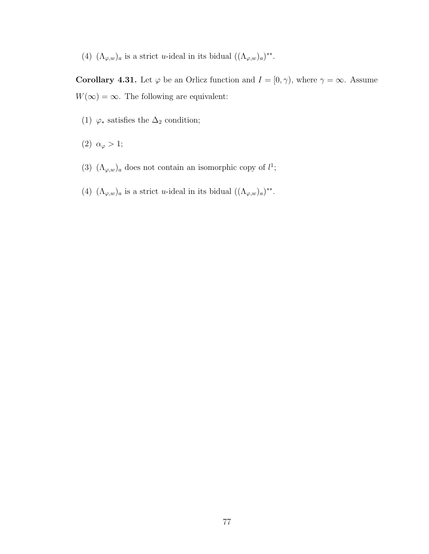(4)  $(\Lambda_{\varphi,w})_a$  is a strict *u*-ideal in its bidual  $((\Lambda_{\varphi,w})_a)^{**}$ .

<span id="page-83-0"></span>Corollary 4.31. Let  $\varphi$  be an Orlicz function and  $I = [0, \gamma)$ , where  $\gamma = \infty$ . Assume  $W(\infty) = \infty$ . The following are equivalent:

- (1)  $\varphi_*$  satisfies the  $\Delta_2$  condition;
- (2)  $\alpha_{\varphi} > 1;$
- (3)  $(\Lambda_{\varphi,w})_a$  does not contain an isomorphic copy of  $l^1$ ;
- (4)  $(\Lambda_{\varphi,w})_a$  is a strict *u*-ideal in its bidual  $((\Lambda_{\varphi,w})_a)^{**}$ .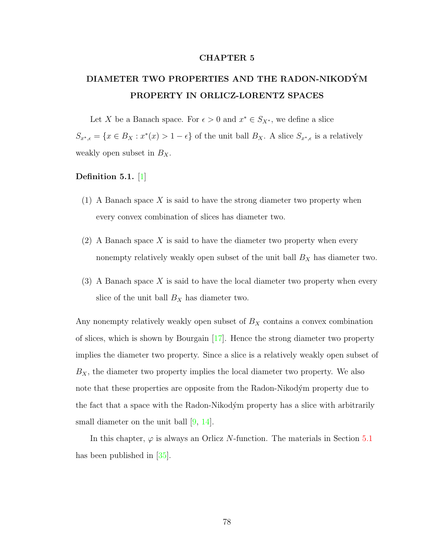## CHAPTER 5

# DIAMETER TWO PROPERTIES AND THE RADON-NIKODYM´ PROPERTY IN ORLICZ-LORENTZ SPACES

Let X be a Banach space. For  $\epsilon > 0$  and  $x^* \in S_{X^*}$ , we define a slice  $S_{x^*,\epsilon} = \{x \in B_X : x^*(x) > 1 - \epsilon\}$  of the unit ball  $B_X$ . A slice  $S_{x^*,\epsilon}$  is a relatively weakly open subset in  $B_X$ .

## Definition 5.1. [\[1\]](#page-108-0)

- (1) A Banach space  $X$  is said to have the strong diameter two property when every convex combination of slices has diameter two.
- (2) A Banach space X is said to have the diameter two property when every nonempty relatively weakly open subset of the unit ball  $B_X$  has diameter two.
- $(3)$  A Banach space X is said to have the local diameter two property when every slice of the unit ball  $B_X$  has diameter two.

Any nonempty relatively weakly open subset of  $B_X$  contains a convex combination of slices, which is shown by Bourgain  $[17]$ . Hence the strong diameter two property implies the diameter two property. Since a slice is a relatively weakly open subset of  $B_X$ , the diameter two property implies the local diameter two property. We also note that these properties are opposite from the Radon-Nikodým property due to the fact that a space with the Radon-Nikodým property has a slice with arbitrarily small diameter on the unit ball [\[9,](#page-108-1) [14\]](#page-109-2).

<span id="page-84-0"></span>In this chapter,  $\varphi$  is always an Orlicz N-function. The materials in Section [5.1](#page-84-0) has been published in [\[35\]](#page-111-2).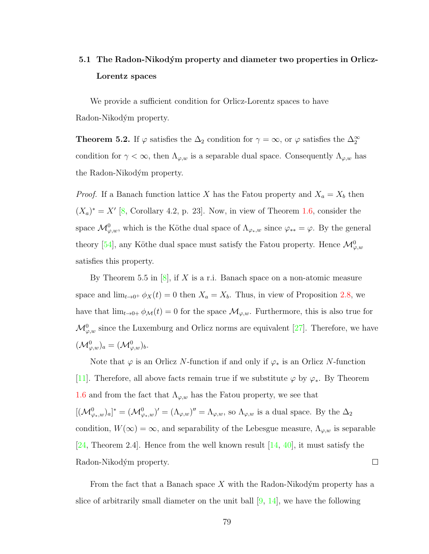# 5.1 The Radon-Nikodým property and diameter two properties in Orlicz-Lorentz spaces

We provide a sufficient condition for Orlicz-Lorentz spaces to have Radon-Nikodým property.

**Theorem 5.2.** If  $\varphi$  satisfies the  $\Delta_2$  condition for  $\gamma = \infty$ , or  $\varphi$  satisfies the  $\Delta_2^{\infty}$ condition for  $\gamma < \infty$ , then  $\Lambda_{\varphi,w}$  is a separable dual space. Consequently  $\Lambda_{\varphi,w}$  has the Radon-Nikodým property.

*Proof.* If a Banach function lattice X has the Fatou property and  $X_a = X_b$  then  $(X_a)^* = X'$  [\[8,](#page-108-2) Corollary 4.2, p. 23]. Now, in view of Theorem [1.6,](#page-18-0) consider the space  $\mathcal{M}^0_{\varphi,w}$ , which is the Köthe dual space of  $\Lambda_{\varphi_*,w}$  since  $\varphi_{**} = \varphi$ . By the general theory [\[54\]](#page-112-1), any Köthe dual space must satisfy the Fatou property. Hence  $\mathcal{M}_{\varphi,w}^0$ satisfies this property.

By Theorem 5.5 in  $[8]$ , if X is a r.i. Banach space on a non-atomic measure space and  $\lim_{t\to 0^+} \phi_X(t) = 0$  then  $X_a = X_b$ . Thus, in view of Proposition [2.8,](#page-36-0) we have that  $\lim_{t\to 0+} \phi_{\mathcal{M}}(t) = 0$  for the space  $\mathcal{M}_{\varphi,w}$ . Furthermore, this is also true for  $\mathcal{M}_{\varphi,w}^0$  since the Luxemburg and Orlicz norms are equivalent [\[27\]](#page-110-2). Therefore, we have  $({\mathcal M}^0_{\varphi,w})_a=({\mathcal M}^0_{\varphi,w})_b.$ 

Note that  $\varphi$  is an Orlicz N-function if and only if  $\varphi_*$  is an Orlicz N-function [\[11\]](#page-108-3). Therefore, all above facts remain true if we substitute  $\varphi$  by  $\varphi_*$ . By Theorem [1.6](#page-18-0) and from the fact that  $\Lambda_{\varphi,w}$  has the Fatou property, we see that  $[({\cal M}^0_{\varphi_*,w})]^* = ({\cal M}^0_{\varphi_*,w})' = ({\Lambda}_{\varphi,w})'' = {\Lambda}_{\varphi,w}$ , so  ${\Lambda}_{\varphi,w}$  is a dual space. By the  $\Delta_2$ condition,  $W(\infty) = \infty$ , and separability of the Lebesgue measure,  $\Lambda_{\varphi,w}$  is separable [\[24,](#page-110-3) Theorem 2.4]. Hence from the well known result  $[14, 40]$  $[14, 40]$  $[14, 40]$ , it must satisfy the Radon-Nikodým property.  $\Box$ 

From the fact that a Banach space  $X$  with the Radon-Nikodým property has a slice of arbitrarily small diameter on the unit ball  $[9, 14]$  $[9, 14]$  $[9, 14]$ , we have the following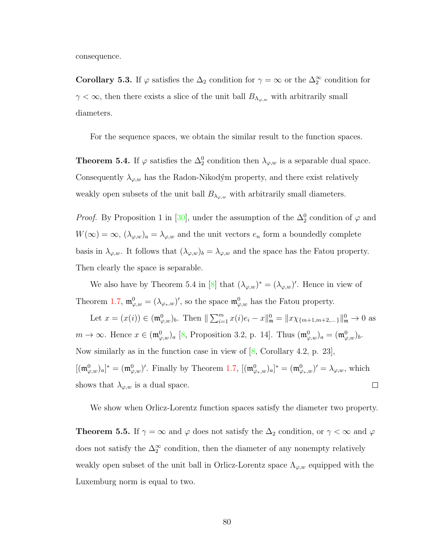consequence.

<span id="page-86-0"></span>Corollary 5.3. If  $\varphi$  satisfies the  $\Delta_2$  condition for  $\gamma = \infty$  or the  $\Delta_2^{\infty}$  condition for  $\gamma < \infty$ , then there exists a slice of the unit ball  $B_{\Lambda_{\varphi,w}}$  with arbitrarily small diameters.

For the sequence spaces, we obtain the similar result to the function spaces.

<span id="page-86-2"></span>**Theorem 5.4.** If  $\varphi$  satisfies the  $\Delta_2^0$  condition then  $\lambda_{\varphi,w}$  is a separable dual space. Consequently  $\lambda_{\varphi,w}$  has the Radon-Nikodým property, and there exist relatively weakly open subsets of the unit ball  $B_{\lambda_{\varphi,w}}$  with arbitrarily small diameters.

*Proof.* By Proposition 1 in [\[30\]](#page-110-4), under the assumption of the  $\Delta_2^0$  condition of  $\varphi$  and  $W(\infty) = \infty$ ,  $(\lambda_{\varphi,w})_a = \lambda_{\varphi,w}$  and the unit vectors  $e_n$  form a boundedly complete basis in  $\lambda_{\varphi,w}$ . It follows that  $(\lambda_{\varphi,w})_b = \lambda_{\varphi,w}$  and the space has the Fatou property. Then clearly the space is separable.

We also have by Theorem 5.4 in [\[8\]](#page-108-2) that  $(\lambda_{\varphi,w})^* = (\lambda_{\varphi,w})'$ . Hence in view of Theorem [1.7,](#page-19-0)  $\mathfrak{m}^0_{\varphi,w} = (\lambda_{\varphi_*,w})'$ , so the space  $\mathfrak{m}^0_{\varphi,w}$  has the Fatou property.

Let  $x = (x(i)) \in (\mathfrak{m}_{\varphi,w}^0)_b$ . Then  $\|\sum_{i=1}^m x(i)e_i - x\|_{\mathfrak{m}}^0 = \|x\chi_{\{m+1,m+2,\dots\}}\|_{\mathfrak{m}}^0 \to 0$  as  $m \to \infty$ . Hence  $x \in (\mathfrak{m}_{\varphi,w}^0)_a$  [\[8,](#page-108-2) Proposition 3.2, p. 14]. Thus  $(\mathfrak{m}_{\varphi,w}^0)_a = (\mathfrak{m}_{\varphi,w}^0)_b$ . Now similarly as in the function case in view of [\[8,](#page-108-2) Corollary 4.2, p. 23],  $[(\mathfrak{m}_{\varphi,w}^0)_a]^* = (\mathfrak{m}_{\varphi,w}^0)'$ . Finally by Theorem [1.7,](#page-19-0)  $[(\mathfrak{m}_{\varphi_*,w}^0)_a]^* = (\mathfrak{m}_{\varphi_*,w}^0)' = \lambda_{\varphi,w}$ , which  $\Box$ shows that  $\lambda_{\varphi,w}$  is a dual space.

We show when Orlicz-Lorentz function spaces satisfy the diameter two property.

<span id="page-86-1"></span>**Theorem 5.5.** If  $\gamma = \infty$  and  $\varphi$  does not satisfy the  $\Delta_2$  condition, or  $\gamma < \infty$  and  $\varphi$ does not satisfy the  $\Delta_2^{\infty}$  condition, then the diameter of any nonempty relatively weakly open subset of the unit ball in Orlicz-Lorentz space  $\Lambda_{\varphi,w}$  equipped with the Luxemburg norm is equal to two.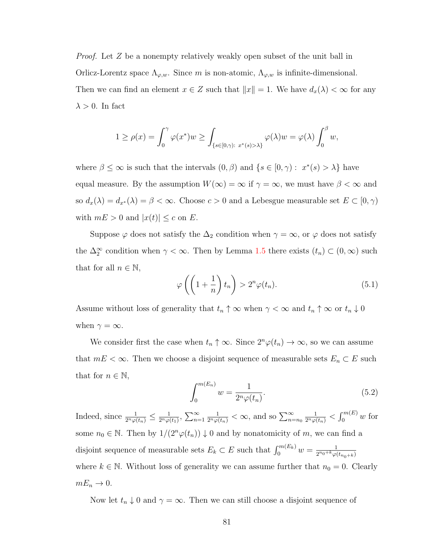*Proof.* Let Z be a nonempty relatively weakly open subset of the unit ball in Orlicz-Lorentz space  $\Lambda_{\varphi,w}$ . Since m is non-atomic,  $\Lambda_{\varphi,w}$  is infinite-dimensional. Then we can find an element  $x \in Z$  such that  $||x|| = 1$ . We have  $d_x(\lambda) < \infty$  for any  $\lambda > 0$ . In fact

$$
1 \ge \rho(x) = \int_0^{\gamma} \varphi(x^*) w \ge \int_{\{s \in [0,\gamma): \ x^*(s) > \lambda\}} \varphi(\lambda) w = \varphi(\lambda) \int_0^{\beta} w,
$$

where  $\beta \leq \infty$  is such that the intervals  $(0, \beta)$  and  $\{s \in [0, \gamma) : x^*(s) > \lambda\}$  have equal measure. By the assumption  $W(\infty) = \infty$  if  $\gamma = \infty$ , we must have  $\beta < \infty$  and so  $d_x(\lambda) = d_{x^*}(\lambda) = \beta < \infty$ . Choose  $c > 0$  and a Lebesgue measurable set  $E \subset [0, \gamma)$ with  $mE > 0$  and  $|x(t)| \leq c$  on E.

Suppose  $\varphi$  does not satisfy the  $\Delta_2$  condition when  $\gamma = \infty$ , or  $\varphi$  does not satisfy the  $\Delta_2^{\infty}$  condition when  $\gamma < \infty$ . Then by Lemma [1.5](#page-17-0) there exists  $(t_n) \subset (0, \infty)$  such that for all  $n \in \mathbb{N}$ ,

<span id="page-87-1"></span>
$$
\varphi\left(\left(1+\frac{1}{n}\right)t_n\right) > 2^n \varphi(t_n). \tag{5.1}
$$

Assume without loss of generality that  $t_n \uparrow \infty$  when  $\gamma < \infty$  and  $t_n \uparrow \infty$  or  $t_n \downarrow 0$ when  $\gamma = \infty$ .

We consider first the case when  $t_n \uparrow \infty$ . Since  $2^n \varphi(t_n) \to \infty$ , so we can assume that  $mE < \infty$ . Then we choose a disjoint sequence of measurable sets  $E_n \subset E$  such that for  $n \in \mathbb{N}$ ,

<span id="page-87-0"></span>
$$
\int_0^{m(E_n)} w = \frac{1}{2^n \varphi(t_n)}.
$$
\n(5.2)

Indeed, since  $\frac{1}{2^n \varphi(t_n)} \leq \frac{1}{2^n \varphi(t_n)}$  $\frac{1}{2^n \varphi(t_1)}$ ,  $\sum_{n=1}^{\infty}$  $\frac{1}{2^n \varphi(t_n)} < \infty$ , and so  $\sum_{n=n_0}^{\infty}$  $\frac{1}{2^n\varphi(t_n)} < \int_0^{m(E)} w \text{ for }$ some  $n_0 \in \mathbb{N}$ . Then by  $1/(2^n\varphi(t_n)) \downarrow 0$  and by nonatomicity of m, we can find a disjoint sequence of measurable sets  $E_k \subset E$  such that  $\int_0^{m(E_k)} w = \frac{1}{2^{n_0+k}\varphi(k)}$  $2^{n_0+k}\varphi(t_{n_0+k})$ where  $k \in \mathbb{N}$ . Without loss of generality we can assume further that  $n_0 = 0$ . Clearly  $mE_n \to 0.$ 

Now let  $t_n \downarrow 0$  and  $\gamma = \infty$ . Then we can still choose a disjoint sequence of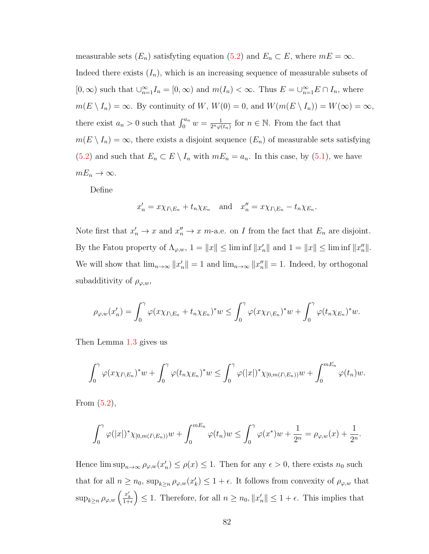measurable sets  $(E_n)$  satisfyting equation [\(5.2\)](#page-87-0) and  $E_n \subset E$ , where  $mE = \infty$ . Indeed there exists  $(I_n)$ , which is an increasing sequence of measurable subsets of  $[0, \infty)$  such that  $\bigcup_{n=1}^{\infty} I_n = [0, \infty)$  and  $m(I_n) < \infty$ . Thus  $E = \bigcup_{n=1}^{\infty} E \cap I_n$ , where  $m(E \setminus I_n) = \infty$ . By continuity of W,  $W(0) = 0$ , and  $W(m(E \setminus I_n)) = W(\infty) = \infty$ , there exist  $a_n > 0$  such that  $\int_0^{a_n} w = \frac{1}{2^n \varphi(a_n)}$  $\frac{1}{2^n\varphi(t_n)}$  for  $n \in \mathbb{N}$ . From the fact that  $m(E \setminus I_n) = \infty$ , there exists a disjoint sequence  $(E_n)$  of measurable sets satisfying [\(5.2\)](#page-87-0) and such that  $E_n \subset E \setminus I_n$  with  $mE_n = a_n$ . In this case, by [\(5.1\)](#page-87-1), we have  $mE_n \to \infty$ .

Define

$$
x'_n = x \chi_{I \setminus E_n} + t_n \chi_{E_n}
$$
 and  $x''_n = x \chi_{I \setminus E_n} - t_n \chi_{E_n}$ .

Note first that  $x'_n \to x$  and  $x''_n \to x$  m-a.e. on I from the fact that  $E_n$  are disjoint. By the Fatou property of  $\Lambda_{\varphi,w}$ ,  $1 = ||x|| \leq \liminf ||x'_n||$  and  $1 = ||x|| \leq \liminf ||x''_n||$ . We will show that  $\lim_{n\to\infty} ||x'_n|| = 1$  and  $\lim_{n\to\infty} ||x''_n|| = 1$ . Indeed, by orthogonal subadditivity of  $\rho_{\varphi,w}$ ,

$$
\rho_{\varphi,w}(x'_n) = \int_0^{\gamma} \varphi(x\chi_{I\setminus E_n} + t_n\chi_{E_n})^* w \leq \int_0^{\gamma} \varphi(x\chi_{I\setminus E_n})^* w + \int_0^{\gamma} \varphi(t_n\chi_{E_n})^* w.
$$

Then Lemma [1.3](#page-12-1) gives us

$$
\int_0^{\gamma} \varphi(x\chi_{I\setminus E_n})^* w + \int_0^{\gamma} \varphi(t_n\chi_{E_n})^* w \leq \int_0^{\gamma} \varphi(|x|)^* \chi_{[0,m(I\setminus E_n))} w + \int_0^{mE_n} \varphi(t_n) w.
$$

From [\(5.2\)](#page-87-0),

$$
\int_0^{\gamma} \varphi(|x|)^* \chi_{[0,m(I\setminus E_n))} w + \int_0^{mE_n} \varphi(t_n) w \leq \int_0^{\gamma} \varphi(x^*) w + \frac{1}{2^n} = \rho_{\varphi,w}(x) + \frac{1}{2^n}.
$$

Hence  $\limsup_{n\to\infty} \rho_{\varphi,w}(x'_n) \leq \rho(x) \leq 1$ . Then for any  $\epsilon > 0$ , there exists  $n_0$  such that for all  $n \geq n_0$ ,  $\sup_{k \geq n} \rho_{\varphi,w}(x_k') \leq 1 + \epsilon$ . It follows from convexity of  $\rho_{\varphi,w}$  that  $\sup_{k\geq n} \rho_{\varphi,w}\left(\frac{x'_k}{1+\epsilon}\right) \leq 1.$  Therefore, for all  $n \geq n_0, \|x'_n\| \leq 1+\epsilon$ . This implies that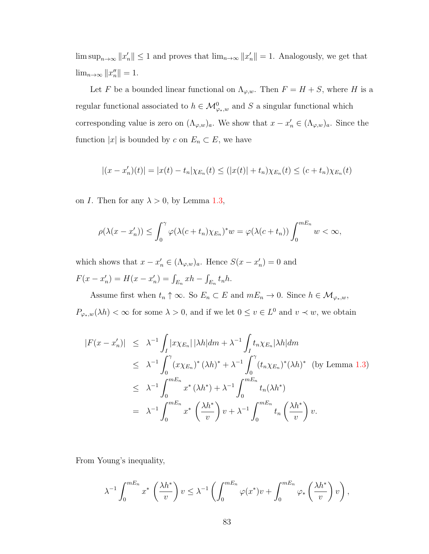$\limsup_{n\to\infty}||x'_n|| \leq 1$  and proves that  $\lim_{n\to\infty}||x'_n|| = 1$ . Analogously, we get that  $\lim_{n\to\infty}||x_n''||=1.$ 

Let F be a bounded linear functional on  $\Lambda_{\varphi,w}$ . Then  $F = H + S$ , where H is a regular functional associated to  $h \in \mathcal{M}_{\varphi_*,w}^0$  and S a singular functional which corresponding value is zero on  $(\Lambda_{\varphi,w})_a$ . We show that  $x - x'_n \in (\Lambda_{\varphi,w})_a$ . Since the function  $|x|$  is bounded by c on  $E_n \subset E$ , we have

$$
|(x - x'_n)(t)| = |x(t) - t_n|\chi_{E_n}(t) \le (|x(t)| + t_n)\chi_{E_n}(t) \le (c + t_n)\chi_{E_n}(t)
$$

on *I*. Then for any  $\lambda > 0$ , by Lemma [1.3,](#page-12-1)

$$
\rho(\lambda(x - x'_n)) \le \int_0^{\gamma} \varphi(\lambda(c + t_n)\chi_{E_n})^* w = \varphi(\lambda(c + t_n)) \int_0^{mE_n} w < \infty,
$$

which shows that  $x - x'_n \in (\Lambda_{\varphi,w})_a$ . Hence  $S(x - x'_n) = 0$  and  $F(x - x'_n) = H(x - x'_n) = \int_{E_n} xh - \int_{E_n} t_n h.$ 

Assume first when  $t_n \uparrow \infty$ . So  $E_n \subset E$  and  $mE_n \to 0$ . Since  $h \in \mathcal{M}_{\varphi_*,w}$ ,  $P_{\varphi_*,w}(\lambda h) < \infty$  for some  $\lambda > 0$ , and if we let  $0 \le v \in L^0$  and  $v \prec w$ , we obtain

$$
|F(x - x'_n)| \leq \lambda^{-1} \int_I |x \chi_{E_n}| |\lambda h| dm + \lambda^{-1} \int_I t_n \chi_{E_n} |\lambda h| dm
$$
  
\n
$$
\leq \lambda^{-1} \int_0^{\gamma} (x \chi_{E_n})^* (\lambda h)^* + \lambda^{-1} \int_0^{\gamma} (t_n \chi_{E_n})^* (\lambda h)^* \text{ (by Lemma 1.3)}
$$
  
\n
$$
\leq \lambda^{-1} \int_0^{mE_n} x^* (\lambda h^*) + \lambda^{-1} \int_0^{mE_n} t_n (\lambda h^*)
$$
  
\n
$$
= \lambda^{-1} \int_0^{mE_n} x^* \left( \frac{\lambda h^*}{v} \right) v + \lambda^{-1} \int_0^{mE_n} t_n \left( \frac{\lambda h^*}{v} \right) v.
$$

From Young's inequality,

$$
\lambda^{-1} \int_0^{mE_n} x^* \left(\frac{\lambda h^*}{v}\right) v \leq \lambda^{-1} \left(\int_0^{mE_n} \varphi(x^*) v + \int_0^{mE_n} \varphi_* \left(\frac{\lambda h^*}{v}\right) v\right),
$$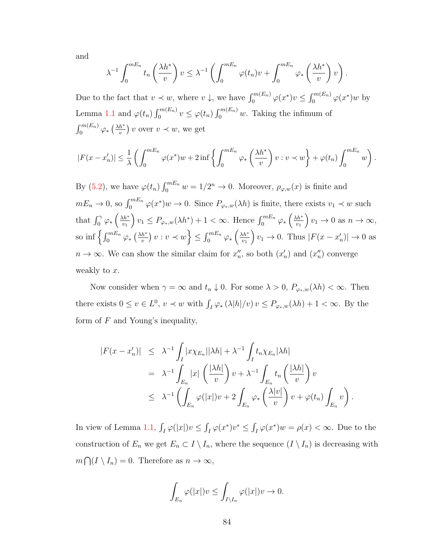and

$$
\lambda^{-1} \int_0^{mE_n} t_n \left(\frac{\lambda h^*}{v}\right) v \leq \lambda^{-1} \left(\int_0^{mE_n} \varphi(t_n)v + \int_0^{mE_n} \varphi_*\left(\frac{\lambda h^*}{v}\right)v\right).
$$

Due to the fact that  $v \prec w$ , where  $v \downarrow$ , we have  $\int_0^{m(E_n)} \varphi(x^*) v \leq \int_0^{m(E_n)} \varphi(x^*) w$  by Lemma [1.1](#page-12-0) and  $\varphi(t_n) \int_0^{m(E_n)} v \leq \varphi(t_n) \int_0^{m(E_n)} w$ . Taking the infimum of  $\int_0^{m(E_n)} \varphi_* \left(\frac{\lambda h^*}{v}\right)$  $\frac{h^*}{v}$ ) v over  $v \prec w$ , we get

$$
|F(x - x'_n)| \leq \frac{1}{\lambda} \left( \int_0^{mE_n} \varphi(x^*) w + 2 \inf \left\{ \int_0^{mE_n} \varphi_* \left( \frac{\lambda h^*}{v} \right) v : v \prec w \right\} + \varphi(t_n) \int_0^{mE_n} w \right).
$$

By [\(5.2\)](#page-87-0), we have  $\varphi(t_n) \int_0^{mE_n} w = 1/2^n \to 0$ . Moreover,  $\rho_{\varphi,w}(x)$  is finite and  $mE_n \to 0$ , so  $\int_0^{mE_n} \varphi(x^*)w \to 0$ . Since  $P_{\varphi_*,w}(\lambda h)$  is finite, there exists  $v_1 \prec w$  such that  $\int_0^{\gamma} \varphi_* \left( \frac{\lambda h^*}{v_1} \right)$  $v_1$  $v_1 \leq P_{\varphi_*,w}(\lambda h^*) + 1 < \infty$ . Hence  $\int_0^{mE_n} \varphi_* \left( \frac{\lambda h^*}{v_1} \right)$  $v_1$  $v_1 \rightarrow 0$  as  $n \rightarrow \infty$ , so inf  $\left\{\int_0^{mE_n} \varphi_*\left(\frac{\lambda h^*}{v}\right)$  $\left\{ \frac{h^*}{v}\right\} v:v\prec w\right\} \leq\int_{0}^{mE_{n}}\varphi_{*}\left(\frac{\lambda h^*}{v_{1}}\right)$  $v_1$  $\bigg| v_1 \to 0.$  Thus  $|F(x - x'_n)| \to 0$  as  $n \to \infty$ . We can show the similar claim for  $x_n''$ , so both  $(x_n')$  and  $(x_n'')$  converge weakly to  $x$ .

Now consider when  $\gamma = \infty$  and  $t_n \downarrow 0$ . For some  $\lambda > 0$ ,  $P_{\varphi_*,w}(\lambda h) < \infty$ . Then there exists  $0 \le v \in L^0$ ,  $v \prec w$  with  $\int_I \varphi_* (\lambda |h|/v) v \le P_{\varphi_*,w}(\lambda h) + 1 < \infty$ . By the form of  $F$  and Young's inequality,

$$
|F(x - x'_n)| \leq \lambda^{-1} \int_I |x \chi_{E_n}||\lambda h| + \lambda^{-1} \int_I t_n \chi_{E_n}|\lambda h|
$$
  
=  $\lambda^{-1} \int_{E_n} |x| \left(\frac{|\lambda h|}{v}\right) v + \lambda^{-1} \int_{E_n} t_n \left(\frac{|\lambda h|}{v}\right) v$   
 $\leq \lambda^{-1} \left(\int_{E_n} \varphi(|x|) v + 2 \int_{E_n} \varphi_* \left(\frac{\lambda |v|}{v}\right) v + \varphi(t_n) \int_{E_n} v \right).$ 

In view of Lemma [1.1,](#page-12-0)  $\int_I \varphi(|x|)v \leq \int_I \varphi(x^*)v^* \leq \int_I \varphi(x^*)w = \rho(x) < \infty$ . Due to the construction of  $E_n$  we get  $E_n \subset I \setminus I_n$ , where the sequence  $(I \setminus I_n)$  is decreasing with  $m \bigcap (I \setminus I_n) = 0$ . Therefore as  $n \to \infty$ ,

$$
\int_{E_n} \varphi(|x|)v \leq \int_{I \setminus I_n} \varphi(|x|)v \to 0.
$$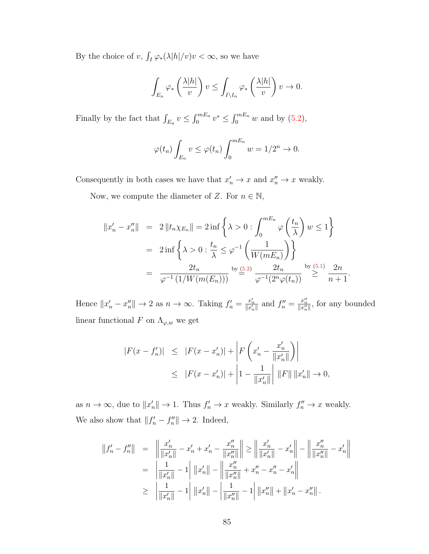By the choice of v,  $\int_I \varphi_*(\lambda |h|/v)v < \infty$ , so we have

$$
\int_{E_n} \varphi_*\left(\frac{\lambda|h|}{v}\right)v \le \int_{I\setminus I_n} \varphi_*\left(\frac{\lambda|h|}{v}\right)v \to 0.
$$

Finally by the fact that  $\int_{E_n} v \leq \int_0^{mE_n} v^* \leq \int_0^{mE_n} w$  and by [\(5.2\)](#page-87-0),

$$
\varphi(t_n)\int_{E_n} v \leq \varphi(t_n)\int_0^{mE_n} w = 1/2^n \to 0.
$$

Consequently in both cases we have that  $x'_n \to x$  and  $x''_n \to x$  weakly.

Now, we compute the diameter of Z. For  $n \in \mathbb{N}$ ,

$$
||x'_{n} - x''_{n}|| = 2 ||t_{n} \chi_{E_{n}}|| = 2 \inf \left\{ \lambda > 0 : \int_{0}^{mE_{n}} \varphi \left( \frac{t_{n}}{\lambda} \right) w \le 1 \right\}
$$
  
=  $2 \inf \left\{ \lambda > 0 : \frac{t_{n}}{\lambda} \le \varphi^{-1} \left( \frac{1}{W(mE_{n})} \right) \right\}$   
=  $\frac{2t_{n}}{\varphi^{-1} (1/W(m(E_{n})))}$  by  $\frac{(5.2)}{\varphi^{-1} (2^{n} \varphi(t_{n}))} \stackrel{\text{by (5.1)}}{\ge} \frac{2n}{n+1}$ 

.

Hence  $||x'_n - x''_n|| \to 2$  as  $n \to \infty$ . Taking  $f'_n = \frac{x'_n}{||x'_n||}$  and  $f''_n = \frac{x''_n}{||x''_n||}$ , for any bounded linear functional  $F$  on  $\Lambda_{\varphi,w}$  we get

$$
|F(x - f'_n)| \leq |F(x - x'_n)| + \left| F\left(x'_n - \frac{x'_n}{\|x'_n\|}\right) \right|
$$
  

$$
\leq |F(x - x'_n)| + \left| 1 - \frac{1}{\|x'_n\|} \right| \|F\| \|x'_n\| \to 0,
$$

as  $n \to \infty$ , due to  $||x'_n|| \to 1$ . Thus  $f'_n \to x$  weakly. Similarly  $f''_n \to x$  weakly. We also show that  $||f'_n - f''_n|| \to 2$ . Indeed,

$$
||f'_{n} - f''_{n}|| = ||\frac{x'_{n}}{||x'_{n}||} - x'_{n} + x'_{n} - \frac{x''_{n}}{||x''_{n}||}|| \ge ||\frac{x'_{n}}{||x'_{n}||} - x'_{n}|| - ||\frac{x''_{n}}{||x''_{n}||} - x'_{n}||
$$
  

$$
= ||\frac{1}{||x'_{n}||} - 1||||x'_{n}|| - ||\frac{x''_{n}}{||x''_{n}||} + x''_{n} - x''_{n} - x'_{n}||
$$
  

$$
\ge ||\frac{1}{||x'_{n}||} - 1||||x'_{n}|| - ||\frac{1}{||x''_{n}||} - 1||||x''_{n}|| + ||x'_{n} - x''_{n}||.
$$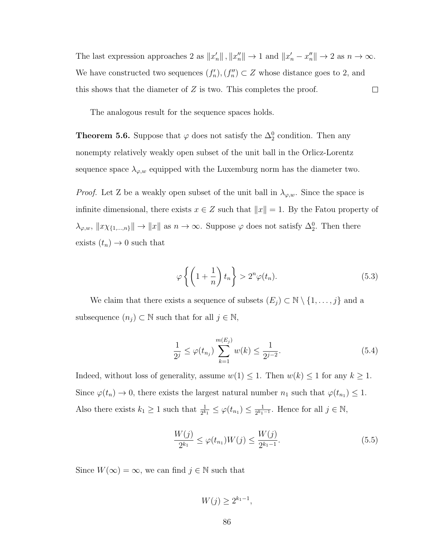The last expression approaches 2 as  $||x'_n||$ ,  $||x''_n|| \to 1$  and  $||x'_n - x''_n|| \to 2$  as  $n \to \infty$ . We have constructed two sequences  $(f'_n), (f''_n) \subset Z$  whose distance goes to 2, and this shows that the diameter of Z is two. This completes the proof.  $\Box$ 

The analogous result for the sequence spaces holds.

<span id="page-92-3"></span>**Theorem 5.6.** Suppose that  $\varphi$  does not satisfy the  $\Delta_2^0$  condition. Then any nonempty relatively weakly open subset of the unit ball in the Orlicz-Lorentz sequence space  $\lambda_{\varphi,w}$  equipped with the Luxemburg norm has the diameter two.

*Proof.* Let Z be a weakly open subset of the unit ball in  $\lambda_{\varphi,w}$ . Since the space is infinite dimensional, there exists  $x \in Z$  such that  $||x|| = 1$ . By the Fatou property of  $\lambda_{\varphi,w}, \|x\chi_{\{1,\ldots,n\}}\| \to \|x\|$  as  $n \to \infty$ . Suppose  $\varphi$  does not satisfy  $\Delta_2^0$ . Then there exists  $(t_n) \to 0$  such that

<span id="page-92-2"></span>
$$
\varphi\left\{ \left(1+\frac{1}{n}\right)t_n\right\} > 2^n \varphi(t_n). \tag{5.3}
$$

We claim that there exists a sequence of subsets  $(E_j) \subset \mathbb{N} \setminus \{1, \ldots, j\}$  and a subsequence  $(n_j) \subset \mathbb{N}$  such that for all  $j \in \mathbb{N}$ ,

<span id="page-92-1"></span>
$$
\frac{1}{2^j} \le \varphi(t_{n_j}) \sum_{k=1}^{m(E_j)} w(k) \le \frac{1}{2^{j-2}}.
$$
\n(5.4)

Indeed, without loss of generality, assume  $w(1) \leq 1$ . Then  $w(k) \leq 1$  for any  $k \geq 1$ . Since  $\varphi(t_n) \to 0$ , there exists the largest natural number  $n_1$  such that  $\varphi(t_{n_1}) \leq 1$ . Also there exists  $k_1 \geq 1$  such that  $\frac{1}{2^{k_1}} \leq \varphi(t_{n_1}) \leq \frac{1}{2^{k_1}}$  $\frac{1}{2^{k_1-1}}$ . Hence for all  $j \in \mathbb{N}$ ,

<span id="page-92-0"></span>
$$
\frac{W(j)}{2^{k_1}} \le \varphi(t_{n_1}) W(j) \le \frac{W(j)}{2^{k_1 - 1}}.
$$
\n(5.5)

Since  $W(\infty) = \infty$ , we can find  $j \in \mathbb{N}$  such that

 $W(j) \geq 2^{k_1-1}$ ,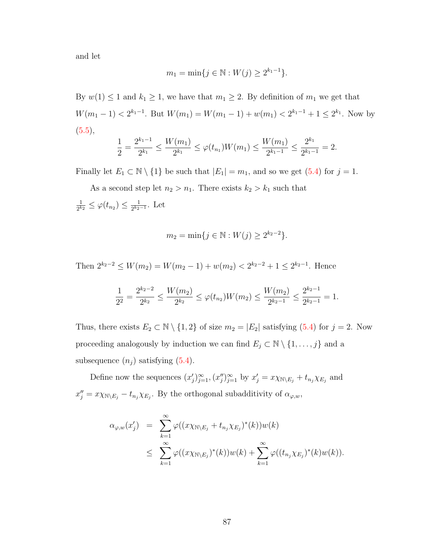and let

$$
m_1 = \min\{j \in \mathbb{N} : W(j) \ge 2^{k_1 - 1}\}.
$$

By  $w(1) \leq 1$  and  $k_1 \geq 1$ , we have that  $m_1 \geq 2$ . By definition of  $m_1$  we get that  $W(m_1 - 1) < 2^{k_1 - 1}$ . But  $W(m_1) = W(m_1 - 1) + w(m_1) < 2^{k_1 - 1} + 1 \leq 2^{k_1}$ . Now by  $(5.5),$  $(5.5),$ 

$$
\frac{1}{2} = \frac{2^{k_1 - 1}}{2^{k_1}} \le \frac{W(m_1)}{2^{k_1}} \le \varphi(t_{n_1}) W(m_1) \le \frac{W(m_1)}{2^{k_1 - 1}} \le \frac{2^{k_1}}{2^{k_1 - 1}} = 2.
$$

Finally let  $E_1 \subset \mathbb{N} \setminus \{1\}$  be such that  $|E_1| = m_1$ , and so we get [\(5.4\)](#page-92-1) for  $j = 1$ .

As a second step let  $n_2 > n_1$ . There exists  $k_2 > k_1$  such that 1  $\frac{1}{2^{k_2}} \leq \varphi(t_{n_2}) \leq \frac{1}{2^{k_2}}$  $\frac{1}{2^{k_2-1}}$ . Let

$$
m_2 = \min\{j \in \mathbb{N} : W(j) \ge 2^{k_2 - 2}\}.
$$

Then  $2^{k_2-2} \le W(m_2) = W(m_2-1) + w(m_2) < 2^{k_2-2} + 1 \le 2^{k_2-1}$ . Hence

$$
\frac{1}{2^2} = \frac{2^{k_2 - 2}}{2^{k_2}} \le \frac{W(m_2)}{2^{k_2}} \le \varphi(t_{n_2}) W(m_2) \le \frac{W(m_2)}{2^{k_2 - 1}} \le \frac{2^{k_2 - 1}}{2^{k_2 - 1}} = 1.
$$

Thus, there exists  $E_2 \subset \mathbb{N} \setminus \{1,2\}$  of size  $m_2 = |E_2|$  satisfying  $(5.4)$  for  $j = 2$ . Now proceeding analogously by induction we can find  $E_j \subset \mathbb{N} \setminus \{1, \ldots, j\}$  and a subsequence  $(n_j)$  satisfying  $(5.4)$ .

Define now the sequences  $(x'_j)_{j=1}^{\infty}$ ,  $(x''_j)_{j=1}^{\infty}$  by  $x'_j = x \chi_{\mathbb{N} \setminus E_j} + t_{n_j} \chi_{E_j}$  and  $x''_j = x \chi_{\mathbb{N} \setminus E_j} - t_{n_j} \chi_{E_j}$ . By the orthogonal subadditivity of  $\alpha_{\varphi,w}$ ,

$$
\alpha_{\varphi,w}(x'_j) = \sum_{k=1}^{\infty} \varphi((x\chi_{\mathbb{N}\setminus E_j} + t_{n_j}\chi_{E_j})^*(k))w(k)
$$
  

$$
\leq \sum_{k=1}^{\infty} \varphi((x\chi_{\mathbb{N}\setminus E_j})^*(k))w(k) + \sum_{k=1}^{\infty} \varphi((t_{n_j}\chi_{E_j})^*(k)w(k)).
$$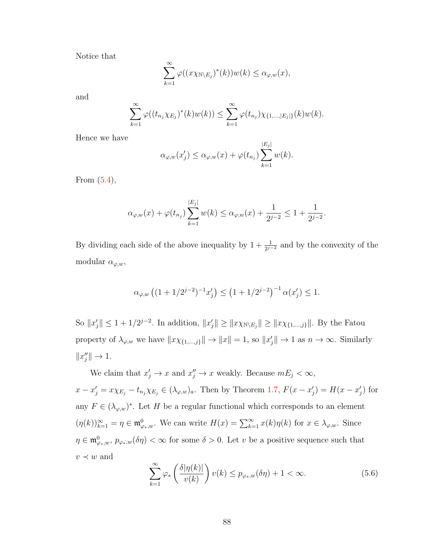Notice that

$$
\sum_{k=1}^{\infty} \varphi((x \chi_{\mathbb{N} \setminus E_j})^*(k)) w(k) \leq \alpha_{\varphi,w}(x),
$$

and

$$
\sum_{k=1}^{\infty} \varphi((t_{n_j} \chi_{E_j})^*(k)w(k)) \leq \sum_{k=1}^{\infty} \varphi(t_{n_j}) \chi_{\{1,\dots,|E_j|\}}(k)w(k).
$$

Hence we have

$$
\alpha_{\varphi,w}(x'_j) \leq \alpha_{\varphi,w}(x) + \varphi(t_{n_j}) \sum_{k=1}^{|E_j|} w(k).
$$

From [\(5.4\)](#page-92-1),

$$
\alpha_{\varphi,w}(x) + \varphi(t_{n_j}) \sum_{k=1}^{|E_j|} w(k) \le \alpha_{\varphi,w}(x) + \frac{1}{2^{j-2}} \le 1 + \frac{1}{2^{j-2}}.
$$

By dividing each side of the above inequality by  $1 + \frac{1}{2^{j-2}}$  and by the convexity of the modular  $\alpha_{\varphi,w}$ ,

$$
\alpha_{\varphi,w}\left((1+1/2^{j-2})^{-1}x_j'\right) \le \left(1+1/2^{j-2}\right)^{-1}\alpha(x_j') \le 1.
$$

So  $||x'_j|| \leq 1 + 1/2^{j-2}$ . In addition,  $||x'_j|| \geq ||x\chi_{\{1,\dots,j\}}||$ . By the Fatou property of  $\lambda_{\varphi,w}$  we have  $||x\chi_{\{1,\dots,j\}}|| \to ||x|| = 1$ , so  $||x'_j|| \to 1$  as  $n \to \infty$ . Similarly  $||x''_j|| \to 1.$ 

We claim that  $x'_j \to x$  and  $x''_j \to x$  weakly. Because  $mE_j < \infty$ ,  $x - x'_j = x\chi_{E_j} - t_{n_j}\chi_{E_j} \in (\lambda_{\varphi,w})_a$ . Then by Theorem [1.7,](#page-19-0)  $F(x - x'_j) = H(x - x'_j)$  for any  $F \in (\lambda_{\varphi,w})^*$ . Let H be a regular functional which corresponds to an element  $(\eta(k))_{k=1}^{\infty} = \eta \in \mathfrak{m}_{\varphi_*,w}^0$ . We can write  $H(x) = \sum_{k=1}^{\infty} x(k)\eta(k)$  for  $x \in \lambda_{\varphi,w}$ . Since  $\eta \in \mathfrak{m}_{\varphi_*,w}^0$ ,  $p_{\varphi_*,w}(\delta \eta) < \infty$  for some  $\delta > 0$ . Let v be a positive sequence such that  $v \prec w$  and

<span id="page-94-0"></span>
$$
\sum_{k=1}^{\infty} \varphi_* \left( \frac{\delta |\eta(k)|}{v(k)} \right) v(k) \le p_{\varphi_*,w}(\delta \eta) + 1 < \infty. \tag{5.6}
$$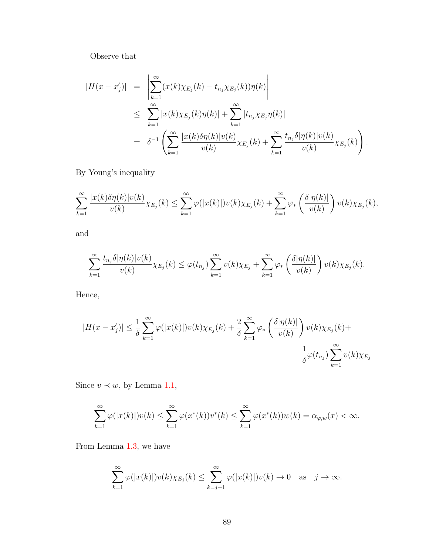Observe that

$$
|H(x - x'_j)| = \left| \sum_{k=1}^{\infty} (x(k)\chi_{E_j}(k) - t_{n_j}\chi_{E_j}(k))\eta(k) \right|
$$
  
\n
$$
\leq \sum_{k=1}^{\infty} |x(k)\chi_{E_j}(k)\eta(k)| + \sum_{k=1}^{\infty} |t_{n_j}\chi_{E_j}\eta(k)|
$$
  
\n
$$
= \delta^{-1} \left( \sum_{k=1}^{\infty} \frac{|x(k)\delta\eta(k)|v(k)}{v(k)}\chi_{E_j}(k) + \sum_{k=1}^{\infty} \frac{t_{n_j}\delta|\eta(k)|v(k)}{v(k)}\chi_{E_j}(k) \right).
$$

By Young's inequality

$$
\sum_{k=1}^{\infty} \frac{|x(k)\delta\eta(k)|v(k)}{v(k)}\chi_{E_j}(k) \leq \sum_{k=1}^{\infty} \varphi(|x(k)|)v(k)\chi_{E_j}(k) + \sum_{k=1}^{\infty} \varphi_*\left(\frac{\delta|\eta(k)|}{v(k)}\right)v(k)\chi_{E_j}(k),
$$

and

$$
\sum_{k=1}^{\infty} \frac{t_{n_j} \delta |\eta(k)| v(k)}{v(k)} \chi_{E_j}(k) \leq \varphi(t_{n_j}) \sum_{k=1}^{\infty} v(k) \chi_{E_j} + \sum_{k=1}^{\infty} \varphi_* \left( \frac{\delta |\eta(k)|}{v(k)} \right) v(k) \chi_{E_j}(k).
$$

Hence,

$$
|H(x - x'_j)| \leq \frac{1}{\delta} \sum_{k=1}^{\infty} \varphi(|x(k)|)v(k)\chi_{E_j}(k) + \frac{2}{\delta} \sum_{k=1}^{\infty} \varphi_* \left(\frac{\delta |\eta(k)|}{v(k)}\right) v(k)\chi_{E_j}(k) + \frac{1}{\delta} \varphi(t_{n_j}) \sum_{k=1}^{\infty} v(k)\chi_{E_j}
$$

Since  $v \prec w$ , by Lemma [1.1,](#page-12-0)

$$
\sum_{k=1}^{\infty} \varphi(|x(k)|)v(k) \leq \sum_{k=1}^{\infty} \varphi(x^*(k))v^*(k) \leq \sum_{k=1}^{\infty} \varphi(x^*(k))w(k) = \alpha_{\varphi,w}(x) < \infty.
$$

From Lemma [1.3,](#page-12-1) we have

$$
\sum_{k=1}^{\infty} \varphi(|x(k)|)v(k)\chi_{E_j}(k) \leq \sum_{k=j+1}^{\infty} \varphi(|x(k)|)v(k) \to 0 \quad \text{as} \quad j \to \infty.
$$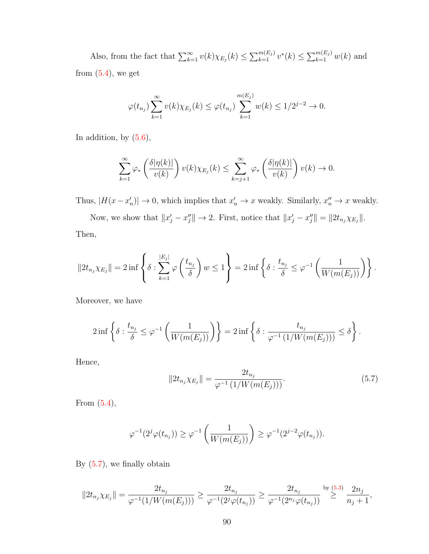Also, from the fact that  $\sum_{k=1}^{\infty} v(k) \chi_{E_j}(k) \leq \sum_{k=1}^{m(E_j)} v^*(k) \leq \sum_{k=1}^{m(E_j)} w(k)$  and from  $(5.4)$ , we get

$$
\varphi(t_{n_j}) \sum_{k=1}^{\infty} v(k) \chi_{E_j}(k) \leq \varphi(t_{n_j}) \sum_{k=1}^{m(E_j)} w(k) \leq 1/2^{j-2} \to 0.
$$

In addition, by  $(5.6)$ ,

$$
\sum_{k=1}^{\infty} \varphi_*\left(\frac{\delta |\eta(k)|}{v(k)}\right) v(k) \chi_{E_j}(k) \le \sum_{k=j+1}^{\infty} \varphi_*\left(\frac{\delta |\eta(k)|}{v(k)}\right) v(k) \to 0.
$$

Thus,  $|H(x-x'_n)| \to 0$ , which implies that  $x'_n \to x$  weakly. Similarly,  $x''_n \to x$  weakly.

Now, we show that  $||x'_j - x''_j|| \to 2$ . First, notice that  $||x'_j - x''_j|| = ||2t_{n_j}\chi_{E_j}||$ . Then,

$$
||2t_{n_j}\chi_{E_j}|| = 2\inf\left\{\delta : \sum_{k=1}^{|E_j|} \varphi\left(\frac{t_{n_j}}{\delta}\right)w \le 1\right\} = 2\inf\left\{\delta : \frac{t_{n_j}}{\delta} \le \varphi^{-1}\left(\frac{1}{W(m(E_j))}\right)\right\}.
$$

Moreover, we have

$$
2\inf\left\{\delta:\frac{t_{n_j}}{\delta}\leq\varphi^{-1}\left(\frac{1}{W(m(E_j))}\right)\right\}=2\inf\left\{\delta:\frac{t_{n_j}}{\varphi^{-1}\left(1/W(m(E_j))\right)}\leq\delta\right\}.
$$

Hence,

<span id="page-96-0"></span>
$$
||2t_{n_j}\chi_{E_j}|| = \frac{2t_{n_j}}{\varphi^{-1}(1/W(m(E_j)))}.
$$
\n(5.7)

From [\(5.4\)](#page-92-1),

$$
\varphi^{-1}(2^j \varphi(t_{n_j})) \geq \varphi^{-1}\left(\frac{1}{W(m(E_j))}\right) \geq \varphi^{-1}(2^{j-2} \varphi(t_{n_j})).
$$

By  $(5.7)$ , we finally obtain

$$
||2t_{n_j}\chi_{E_j}|| = \frac{2t_{n_j}}{\varphi^{-1}(1/W(m(E_j)))} \ge \frac{2t_{n_j}}{\varphi^{-1}(2^j\varphi(t_{n_j}))} \ge \frac{2t_{n_j}}{\varphi^{-1}(2^{n_j}\varphi(t_{n_j}))} \stackrel{\text{by (5.3)}}{\ge} \frac{2n_j}{n_j+1},
$$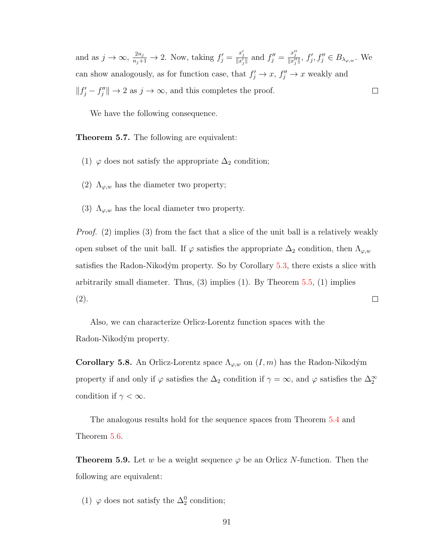and as  $j \to \infty$ ,  $\frac{2n_j}{n_j+1} \to 2$ . Now, taking  $f'_j = \frac{x'_j}{||x'_j||}$  and  $f''_j = \frac{x''_j}{||x''_j||}$ ,  $f'_j, f''_j \in B_{\lambda_{\varphi,w}}$ . We can show analogously, as for function case, that  $f'_j \to x$ ,  $f''_j \to x$  weakly and  $||f'_j - f''_j|| \to 2$  as  $j \to \infty$ , and this completes the proof.  $\Box$ 

We have the following consequence.

Theorem 5.7. The following are equivalent:

- (1)  $\varphi$  does not satisfy the appropriate  $\Delta_2$  condition;
- (2)  $\Lambda_{\varphi,w}$  has the diameter two property;
- (3)  $\Lambda_{\varphi,w}$  has the local diameter two property.

Proof. (2) implies (3) from the fact that a slice of the unit ball is a relatively weakly open subset of the unit ball. If  $\varphi$  satisfies the appropriate  $\Delta_2$  condition, then  $\Lambda_{\varphi,w}$ satisfies the Radon-Nikodým property. So by Corollary  $5.3$ , there exists a slice with arbitrarily small diameter. Thus,  $(3)$  implies  $(1)$ . By Theorem [5.5,](#page-86-1)  $(1)$  implies (2).  $\Box$ 

Also, we can characterize Orlicz-Lorentz function spaces with the Radon-Nikodým property.

**Corollary 5.8.** An Orlicz-Lorentz space  $\Lambda_{\varphi,w}$  on  $(I,m)$  has the Radon-Nikodým property if and only if  $\varphi$  satisfies the  $\Delta_2$  condition if  $\gamma = \infty$ , and  $\varphi$  satisfies the  $\Delta_2^{\infty}$ condition if  $\gamma < \infty$ .

The analogous results hold for the sequence spaces from Theorem [5.4](#page-86-2) and Theorem [5.6.](#page-92-3)

**Theorem 5.9.** Let w be a weight sequence  $\varphi$  be an Orlicz N-function. Then the following are equivalent:

(1)  $\varphi$  does not satisfy the  $\Delta_2^0$  condition;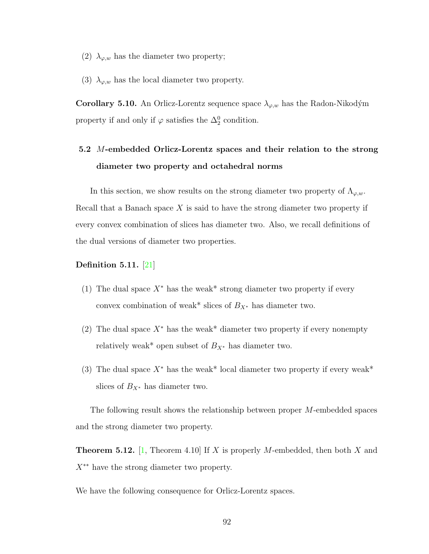- (2)  $\lambda_{\varphi,w}$  has the diameter two property;
- (3)  $\lambda_{\varphi,w}$  has the local diameter two property.

**Corollary 5.10.** An Orlicz-Lorentz sequence space  $\lambda_{\varphi,w}$  has the Radon-Nikodým property if and only if  $\varphi$  satisfies the  $\Delta_2^0$  condition.

# 5.2 M-embedded Orlicz-Lorentz spaces and their relation to the strong diameter two property and octahedral norms

In this section, we show results on the strong diameter two property of  $\Lambda_{\varphi,w}$ . Recall that a Banach space  $X$  is said to have the strong diameter two property if every convex combination of slices has diameter two. Also, we recall definitions of the dual versions of diameter two properties.

## Definition 5.11. [\[21\]](#page-109-3)

- (1) The dual space  $X^*$  has the weak\* strong diameter two property if every convex combination of weak\* slices of  $B_{X^*}$  has diameter two.
- (2) The dual space  $X^*$  has the weak\* diameter two property if every nonempty relatively weak\* open subset of  $B_{X^*}$  has diameter two.
- (3) The dual space  $X^*$  has the weak\* local diameter two property if every weak\* slices of  $B_{X^*}$  has diameter two.

The following result shows the relationship between proper M-embedded spaces and the strong diameter two property.

<span id="page-98-0"></span>**Theorem 5.12.** [\[1,](#page-108-0) Theorem 4.10] If X is properly M-embedded, then both X and  $X^*$ <sup>\*\*</sup> have the strong diameter two property.

We have the following consequence for Orlicz-Lorentz spaces.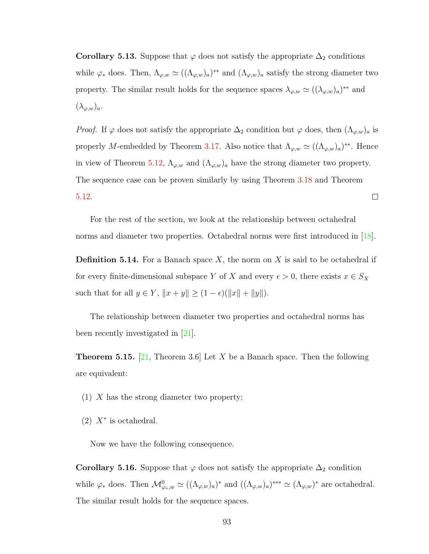<span id="page-99-0"></span>**Corollary 5.13.** Suppose that  $\varphi$  does not satisfy the appropriate  $\Delta_2$  conditions while  $\varphi_*$  does. Then,  $\Lambda_{\varphi,w} \simeq ((\Lambda_{\varphi,w})_a)^{**}$  and  $(\Lambda_{\varphi,w})_a$  satisfy the strong diameter two property. The similar result holds for the sequence spaces  $\lambda_{\varphi,w} \simeq ((\lambda_{\varphi,w})_a)^{**}$  and  $(\lambda_{\varphi,w})_a.$ 

*Proof.* If  $\varphi$  does not satisfy the appropriate  $\Delta_2$  condition but  $\varphi$  does, then  $(\Lambda_{\varphi,w})_a$  is properly M-embedded by Theorem [3.17.](#page-63-0) Also notice that  $\Lambda_{\varphi,w} \simeq ((\Lambda_{\varphi,w})_a)^{**}$ . Hence in view of Theorem [5.12,](#page-98-0)  $\Lambda_{\varphi,w}$  and  $(\Lambda_{\varphi,w})_a$  have the strong diameter two property. The sequence case can be proven similarly by using Theorem [3.18](#page-65-0) and Theorem  $\Box$ [5.12.](#page-98-0)

For the rest of the section, we look at the relationship between octahedral norms and diameter two properties. Octahedral norms were first introduced in [\[18\]](#page-109-4).

**Definition 5.14.** For a Banach space X, the norm on X is said to be octahedral if for every finite-dimensional subspace Y of X and every  $\epsilon > 0$ , there exists  $x \in S_X$ such that for all  $y \in Y$ ,  $||x + y|| \ge (1 - \epsilon)(||x|| + ||y||)$ .

The relationship between diameter two properties and octahedral norms has been recently investigated in [\[21\]](#page-109-3).

<span id="page-99-1"></span>**Theorem 5.15.** [\[21,](#page-109-3) Theorem 3.6] Let X be a Banach space. Then the following are equivalent:

- (1) X has the strong diameter two property;
- $(2)$  X<sup>\*</sup> is octahedral.

Now we have the following consequence.

<span id="page-99-2"></span>Corollary 5.16. Suppose that  $\varphi$  does not satisfy the appropriate  $\Delta_2$  condition while  $\varphi_*$  does. Then  $\mathcal{M}_{\varphi_*,w}^0 \simeq ((\Lambda_{\varphi,w})_a)^*$  and  $((\Lambda_{\varphi,w})_a)^{***} \simeq (\Lambda_{\varphi,w})^*$  are octahedral. The similar result holds for the sequence spaces.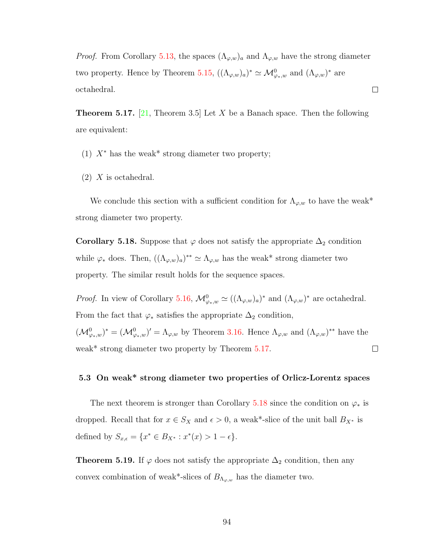*Proof.* From Corollary [5.13,](#page-99-0) the spaces  $(\Lambda_{\varphi,w})_a$  and  $\Lambda_{\varphi,w}$  have the strong diameter two property. Hence by Theorem [5.15,](#page-99-1)  $((\Lambda_{\varphi,w})_a)^* \simeq \mathcal{M}_{\varphi_*,w}^0$  and  $(\Lambda_{\varphi,w})^*$  are  $\Box$ octahedral.

<span id="page-100-0"></span>**Theorem 5.17.** [\[21,](#page-109-3) Theorem 3.5] Let X be a Banach space. Then the following are equivalent:

- (1)  $X^*$  has the weak<sup>\*</sup> strong diameter two property;
- $(2)$  X is octahedral.

We conclude this section with a sufficient condition for  $\Lambda_{\varphi,w}$  to have the weak\* strong diameter two property.

<span id="page-100-1"></span>Corollary 5.18. Suppose that  $\varphi$  does not satisfy the appropriate  $\Delta_2$  condition while  $\varphi_*$  does. Then,  $((\Lambda_{\varphi,w})_a)^{**} \simeq \Lambda_{\varphi,w}$  has the weak\* strong diameter two property. The similar result holds for the sequence spaces.

*Proof.* In view of Corollary [5.16,](#page-99-2)  $\mathcal{M}_{\varphi_*,w}^0 \simeq ((\Lambda_{\varphi,w})_a)^*$  and  $(\Lambda_{\varphi,w})^*$  are octahedral. From the fact that  $\varphi_*$  satisfies the appropriate  $\Delta_2$  condition,  $({\cal M}_{\varphi_*,w}^0)^* = ({\cal M}_{\varphi_*,w}^0)' = \Lambda_{\varphi,w}$  by Theorem [3.16.](#page-63-1) Hence  $\Lambda_{\varphi,w}$  and  $(\Lambda_{\varphi,w})^{**}$  have the weak\* strong diameter two property by Theorem [5.17.](#page-100-0)  $\Box$ 

# 5.3 On weak\* strong diameter two properties of Orlicz-Lorentz spaces

The next theorem is stronger than Corollary [5.18](#page-100-1) since the condition on  $\varphi_*$  is dropped. Recall that for  $x \in S_X$  and  $\epsilon > 0$ , a weak\*-slice of the unit ball  $B_{X^*}$  is defined by  $S_{x,\epsilon} = \{x^* \in B_{X^*} : x^*(x) > 1 - \epsilon\}.$ 

**Theorem 5.19.** If  $\varphi$  does not satisfy the appropriate  $\Delta_2$  condition, then any convex combination of weak\*-slices of  $B_{\Lambda_{\varphi,w}}$  has the diameter two.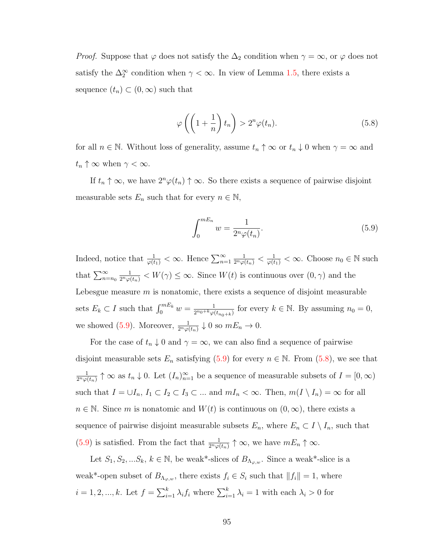*Proof.* Suppose that  $\varphi$  does not satisfy the  $\Delta_2$  condition when  $\gamma = \infty$ , or  $\varphi$  does not satisfy the  $\Delta_2^{\infty}$  condition when  $\gamma < \infty$ . In view of Lemma [1.5,](#page-17-0) there exists a sequence  $(t_n) \subset (0,\infty)$  such that

<span id="page-101-1"></span>
$$
\varphi\left(\left(1+\frac{1}{n}\right)t_n\right) > 2^n \varphi(t_n). \tag{5.8}
$$

for all  $n \in \mathbb{N}$ . Without loss of generality, assume  $t_n \uparrow \infty$  or  $t_n \downarrow 0$  when  $\gamma = \infty$  and  $t_n \uparrow \infty$  when  $\gamma < \infty$ .

If  $t_n \uparrow \infty$ , we have  $2^n \varphi(t_n) \uparrow \infty$ . So there exists a sequence of pairwise disjoint measurable sets  $E_n$  such that for every  $n \in \mathbb{N}$ ,

<span id="page-101-0"></span>
$$
\int_{0}^{mE_n} w = \frac{1}{2^n \varphi(t_n)}.
$$
\n(5.9)

Indeed, notice that  $\frac{1}{\varphi(t_1)} < \infty$ . Hence  $\sum_{n=1}^{\infty}$  $\frac{1}{2^n \varphi(t_n)} < \frac{1}{\varphi(t_1)} < \infty$ . Choose  $n_0 \in \mathbb{N}$  such that  $\sum_{n=n_0}^{\infty}$  $\frac{1}{2^n\varphi(t_n)} < W(\gamma) \leq \infty$ . Since  $W(t)$  is continuous over  $(0, \gamma)$  and the Lebesgue measure  $m$  is nonatomic, there exists a sequence of disjoint measurable sets  $E_k \subset I$  such that  $\int_0^{mE_k} w = \frac{1}{2^{n_0+k}\varphi(k)}$  $\frac{1}{2^{n_0+k}\varphi(t_{n_0+k})}$  for every  $k \in \mathbb{N}$ . By assuming  $n_0 = 0$ , we showed [\(5.9\)](#page-101-0). Moreover,  $\frac{1}{2^n \varphi(t_n)} \downarrow 0$  so  $mE_n \to 0$ .

For the case of  $t_n \downarrow 0$  and  $\gamma = \infty$ , we can also find a sequence of pairwise disjoint measurable sets  $E_n$  satisfying [\(5.9\)](#page-101-0) for every  $n \in \mathbb{N}$ . From [\(5.8\)](#page-101-1), we see that 1  $\frac{1}{2^n\varphi(t_n)}\uparrow\infty$  as  $t_n\downarrow 0$ . Let  $(I_n)_{n=1}^{\infty}$  be a sequence of measurable subsets of  $I=[0,\infty)$ such that  $I = \cup I_n$ ,  $I_1 \subset I_2 \subset I_3 \subset \dots$  and  $mI_n < \infty$ . Then,  $m(I \setminus I_n) = \infty$  for all  $n \in \mathbb{N}$ . Since m is nonatomic and  $W(t)$  is continuous on  $(0, \infty)$ , there exists a sequence of pairwise disjoint measurable subsets  $E_n$ , where  $E_n \subset I \setminus I_n$ , such that [\(5.9\)](#page-101-0) is satisfied. From the fact that  $\frac{1}{2^n\varphi(t_n)} \uparrow \infty$ , we have  $mE_n \uparrow \infty$ .

Let  $S_1, S_2, ... S_k, k \in \mathbb{N}$ , be weak<sup>\*</sup>-slices of  $B_{\Lambda_{\varphi,w}}$ . Since a weak<sup>\*</sup>-slice is a weak<sup>\*</sup>-open subset of  $B_{\Lambda_{\varphi,w}}$ , there exists  $f_i \in S_i$  such that  $||f_i|| = 1$ , where  $i = 1, 2, ..., k$ . Let  $f = \sum_{i=1}^{k} \lambda_i f_i$  where  $\sum_{i=1}^{k} \lambda_i = 1$  with each  $\lambda_i > 0$  for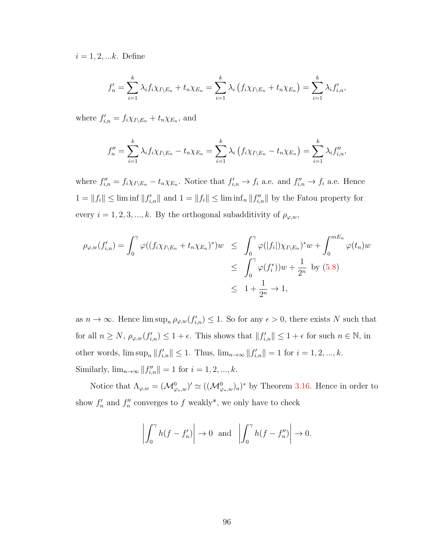$i = 1, 2, ...k$ . Define

$$
f'_{n} = \sum_{i=1}^{k} \lambda_{i} f_{i} \chi_{I \setminus E_{n}} + t_{n} \chi_{E_{n}} = \sum_{i=1}^{k} \lambda_{i} \left( f_{i} \chi_{I \setminus E_{n}} + t_{n} \chi_{E_{n}} \right) = \sum_{i=1}^{k} \lambda_{i} f'_{i,n},
$$

where  $f'_{i,n} = f_i \chi_{I \setminus E_n} + t_n \chi_{E_n}$ , and

$$
f''_n = \sum_{i=1}^k \lambda_i f_i \chi_{I \setminus E_n} - t_n \chi_{E_n} = \sum_{i=1}^k \lambda_i \left( f_i \chi_{I \setminus E_n} - t_n \chi_{E_n} \right) = \sum_{i=1}^k \lambda_i f''_{i,n},
$$

where  $f''_{i,n} = f_i \chi_{I \setminus E_n} - t_n \chi_{E_n}$ . Notice that  $f'_{i,n} \to f_i$  a.e. and  $f''_{i,n} \to f_i$  a.e. Hence  $1 = ||f_i|| \leq \liminf ||f'_{i,n}||$  and  $1 = ||f_i|| \leq \liminf ||f''_{i,n}||$  by the Fatou property for every  $i = 1, 2, 3, ..., k$ . By the orthogonal subadditivity of  $\rho_{\varphi,w}$ ,

$$
\rho_{\varphi,w}(f'_{i,n}) = \int_0^{\gamma} \varphi((f_i \chi_{I \setminus E_n} + t_n \chi_{E_n})^*) w \leq \int_0^{\gamma} \varphi(|f_i|) \chi_{I \setminus E_n})^* w + \int_0^{mE_n} \varphi(t_n) w
$$
  

$$
\leq \int_0^{\gamma} \varphi(f_i^*) w + \frac{1}{2^n} \text{ by (5.8)}
$$
  

$$
\leq 1 + \frac{1}{2^n} \to 1,
$$

as  $n \to \infty$ . Hence  $\limsup_n \rho_{\varphi,w}(f'_{i,n}) \leq 1$ . So for any  $\epsilon > 0$ , there exists N such that for all  $n \ge N$ ,  $\rho_{\varphi,w}(f'_{i,n}) \le 1 + \epsilon$ . This shows that  $||f'_{i,n}|| \le 1 + \epsilon$  for such  $n \in \mathbb{N}$ , in other words,  $\limsup_n ||f'_{i,n}|| \leq 1$ . Thus,  $\lim_{n \to \infty} ||f'_{i,n}|| = 1$  for  $i = 1, 2, ..., k$ . Similarly,  $\lim_{n\to\infty} ||f''_{i,n}|| = 1$  for  $i = 1, 2, ..., k$ .

Notice that  $\Lambda_{\varphi,w} = (\mathcal{M}_{\varphi_*,w}^0)' \simeq ((\mathcal{M}_{\varphi_*,w}^0)_a)^*$  by Theorem [3.16.](#page-63-1) Hence in order to show  $f'_n$  and  $f''_n$  converges to f weakly\*, we only have to check

$$
\left| \int_0^{\gamma} h(f - f'_n) \right| \to 0 \text{ and } \left| \int_0^{\gamma} h(f - f''_n) \right| \to 0.
$$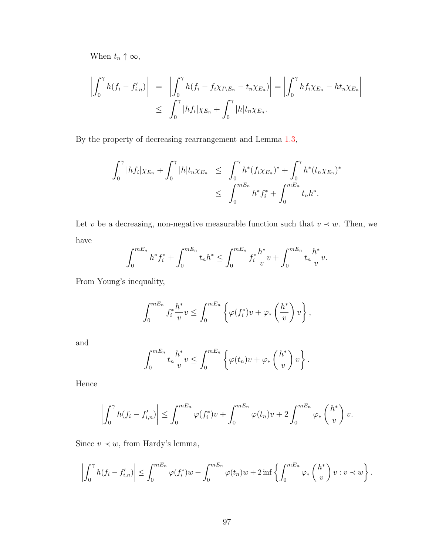When  $t_n \uparrow \infty$ ,

$$
\left| \int_0^{\gamma} h(f_i - f'_{i,n}) \right| = \left| \int_0^{\gamma} h(f_i - f_i \chi_{I \setminus E_n} - t_n \chi_{E_n}) \right| = \left| \int_0^{\gamma} h f_i \chi_{E_n} - h t_n \chi_{E_n} \right|
$$
  

$$
\leq \int_0^{\gamma} |h f_i| \chi_{E_n} + \int_0^{\gamma} |h| t_n \chi_{E_n}.
$$

By the property of decreasing rearrangement and Lemma [1.3,](#page-12-1)

$$
\int_0^{\gamma} |hf_i|\chi_{E_n} + \int_0^{\gamma} |h|t_n\chi_{E_n} \leq \int_0^{\gamma} h^*(f_i\chi_{E_n})^* + \int_0^{\gamma} h^*(t_n\chi_{E_n})^* \leq \int_0^{mE_n} h^* f_i^* + \int_0^{mE_n} t_n h^*.
$$

Let v be a decreasing, non-negative measurable function such that  $v \prec w$ . Then, we have

$$
\int_0^{mE_n} h^* f_i^* + \int_0^{mE_n} t_n h^* \le \int_0^{mE_n} f_i^* \frac{h^*}{v} v + \int_0^{mE_n} t_n \frac{h^*}{v} v.
$$

From Young's inequality,

$$
\int_0^{mE_n} f_i^* \frac{h^*}{v} v \le \int_0^{mE_n} \left\{ \varphi(f_i^*) v + \varphi_* \left( \frac{h^*}{v} \right) v \right\},\,
$$

and

$$
\int_0^{mE_n} t_n \frac{h^*}{v} v \le \int_0^{mE_n} \left\{ \varphi(t_n)v + \varphi_*\left(\frac{h^*}{v}\right)v \right\}.
$$

Hence

$$
\left| \int_0^{\gamma} h(f_i - f'_{i,n}) \right| \leq \int_0^{mE_n} \varphi(f_i^*) v + \int_0^{mE_n} \varphi(t_n) v + 2 \int_0^{mE_n} \varphi_* \left( \frac{h^*}{v} \right) v.
$$

Since  $v \prec w$ , from Hardy's lemma,

$$
\left|\int_0^{\gamma} h(f_i - f'_{i,n})\right| \leq \int_0^{mE_n} \varphi(f_i^*) w + \int_0^{mE_n} \varphi(t_n) w + 2 \inf \left\{ \int_0^{mE_n} \varphi_*\left(\frac{h^*}{v}\right) v : v \prec w \right\}.
$$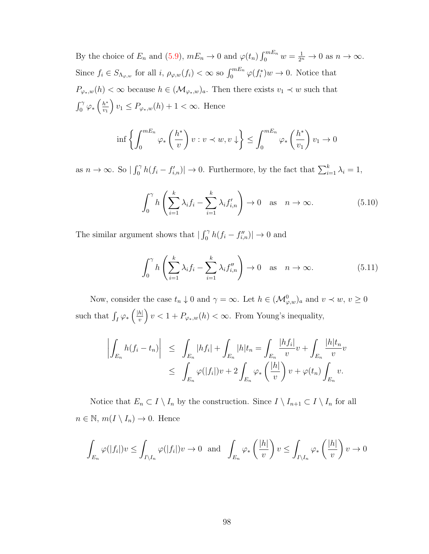By the choice of  $E_n$  and [\(5.9\)](#page-101-0),  $mE_n \to 0$  and  $\varphi(t_n) \int_0^{mE_n} w = \frac{1}{2^n} \to 0$  as  $n \to \infty$ . Since  $f_i \in S_{\Lambda_{\varphi,w}}$  for all  $i, \rho_{\varphi,w}(f_i) < \infty$  so  $\int_0^{mE_n} \varphi(f_i^*)w \to 0$ . Notice that  $P_{\varphi_*,w}(h)<\infty$  because  $h\in (\mathcal{M}_{\varphi_*,w})_a.$  Then there exists  $v_1\prec w$  such that  $\int_0^\gamma \varphi_* \left( \frac{h^*}{v_1} \right)$  $v_1$  $\left\{ v_1 \leq P_{\varphi_*,w}(h) + 1 < \infty. \text{ Hence} \right\}$ 

$$
\inf \left\{ \int_0^{mE_n} \varphi_* \left( \frac{h^*}{v} \right) v : v \prec w, v \downarrow \right\} \le \int_0^{mE_n} \varphi_* \left( \frac{h^*}{v_1} \right) v_1 \to 0
$$

as  $n \to \infty$ . So  $|\int_0^{\gamma} h(f_i - f'_{i,n})| \to 0$ . Furthermore, by the fact that  $\sum_{i=1}^k \lambda_i = 1$ ,

<span id="page-104-0"></span>
$$
\int_0^{\gamma} h\left(\sum_{i=1}^k \lambda_i f_i - \sum_{i=1}^k \lambda_i f'_{i,n}\right) \to 0 \quad \text{as} \quad n \to \infty. \tag{5.10}
$$

The similar argument shows that  $|\int_0^{\gamma} h(f_i - f''_{i,n})| \to 0$  and

<span id="page-104-1"></span>
$$
\int_0^{\gamma} h\left(\sum_{i=1}^k \lambda_i f_i - \sum_{i=1}^k \lambda_i f_{i,n}''\right) \to 0 \quad \text{as} \quad n \to \infty. \tag{5.11}
$$

Now, consider the case  $t_n \downarrow 0$  and  $\gamma = \infty$ . Let  $h \in (\mathcal{M}_{\varphi,w}^0)_a$  and  $v \prec w, v \ge 0$ such that  $\int_I \varphi_* \left( \frac{|h|}{v} \right)$  $\left(\frac{h|}{v}\right)v < 1 + P_{\varphi_*,w}(h) < \infty$ . From Young's inequality,

$$
\left| \int_{E_n} h(f_i - t_n) \right| \leq \int_{E_n} |hf_i| + \int_{E_n} |h|t_n = \int_{E_n} \frac{|hf_i|}{v} v + \int_{E_n} \frac{|h|t_n}{v} v
$$
  

$$
\leq \int_{E_n} \varphi(|f_i|) v + 2 \int_{E_n} \varphi_* \left( \frac{|h|}{v} \right) v + \varphi(t_n) \int_{E_n} v.
$$

Notice that  $E_n \subset I \setminus I_n$  by the construction. Since  $I \setminus I_{n+1} \subset I \setminus I_n$  for all  $n \in \mathbb{N}, m(I \setminus I_n) \to 0.$  Hence

$$
\int_{E_n} \varphi(|f_i|) v \le \int_{I \setminus I_n} \varphi(|f_i|) v \to 0 \text{ and } \int_{E_n} \varphi_* \left(\frac{|h|}{v}\right) v \le \int_{I \setminus I_n} \varphi_* \left(\frac{|h|}{v}\right) v \to 0
$$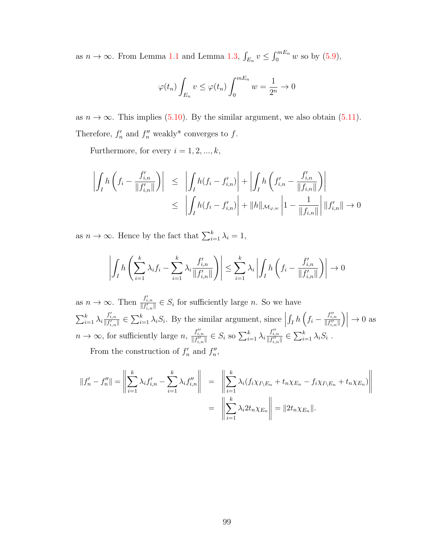as  $n \to \infty$ . From Lemma [1.1](#page-12-0) and Lemma [1.3,](#page-12-1)  $\int_{E_n} v \leq \int_0^{mE_n} w$  so by [\(5.9\)](#page-101-0),

$$
\varphi(t_n) \int_{E_n} v \le \varphi(t_n) \int_0^{mE_n} w = \frac{1}{2^n} \to 0
$$

as  $n \to \infty$ . This implies [\(5.10\)](#page-104-0). By the similar argument, we also obtain [\(5.11\)](#page-104-1). Therefore,  $f'_n$  and  $f''_n$  weakly\* converges to f.

Furthermore, for every  $i = 1, 2, ..., k$ ,

$$
\left| \int_{I} h \left( f_{i} - \frac{f'_{i,n}}{\|f'_{i,n}\|} \right) \right| \leq \left| \int_{I} h (f_{i} - f'_{i,n}) \right| + \left| \int_{I} h \left( f'_{i,n} - \frac{f'_{i,n}}{\|f_{i,n}\|} \right) \right|
$$
  

$$
\leq \left| \int_{I} h (f_{i} - f'_{i,n}) \right| + \|h\|_{\mathcal{M}_{\varphi,w}} \left| 1 - \frac{1}{\|f_{i,n}\|} \right| \|f'_{i,n}\| \to 0
$$

as  $n \to \infty$ . Hence by the fact that  $\sum_{i=1}^{k} \lambda_i = 1$ ,

$$
\left| \int_I h\left(\sum_{i=1}^k \lambda_i f_i - \sum_{i=1}^k \lambda_i \frac{f'_{i,n}}{\|f'_{i,n}\|}\right) \right| \le \sum_{i=1}^k \lambda_i \left| \int_I h\left(f_i - \frac{f'_{i,n}}{\|f'_{i,n}\|}\right) \right| \to 0
$$

as  $n \to \infty$ . Then  $\frac{f'_{i,n}}{\|f'_{i,n}\|} \in S_i$  for sufficiently large n. So we have  $\sum_{i=1}^k \lambda_i \frac{f'_{i,n}}{\|f'_{i,n}\|} \in \sum_{i=1}^k \lambda_i S_i$ . By the similar argument, since  $\int_I h\left(f_i-\frac{f''_{i,n}}{\|f''_{i,n}\|}\right)$  $\Big) \Big|$  $\rightarrow 0$  as  $n \to \infty$ , for sufficiently large  $n, \frac{f''_{i,n}}{\|f''_{i,n}\|} \in S_i$  so  $\sum_{i=1}^k \lambda_i \frac{f''_{i,n}}{\|f''_{i,n}\|} \in \sum_{i=1}^k \lambda_i S_i$ . From the construction of  $f'_n$  and  $f''_n$ ,

$$
||f'_{n} - f''_{n}|| = \left\| \sum_{i=1}^{k} \lambda_{i} f'_{i,n} - \sum_{i=1}^{k} \lambda_{i} f''_{i,n} \right\| = \left\| \sum_{i=1}^{k} \lambda_{i} (f_{i} \chi_{I \setminus E_{n}} + t_{n} \chi_{E_{n}} - f_{i} \chi_{I \setminus E_{n}} + t_{n} \chi_{E_{n}}) \right\|
$$
  

$$
= \left\| \sum_{i=1}^{k} \lambda_{i} 2t_{n} \chi_{E_{n}} \right\| = ||2t_{n} \chi_{E_{n}}||.
$$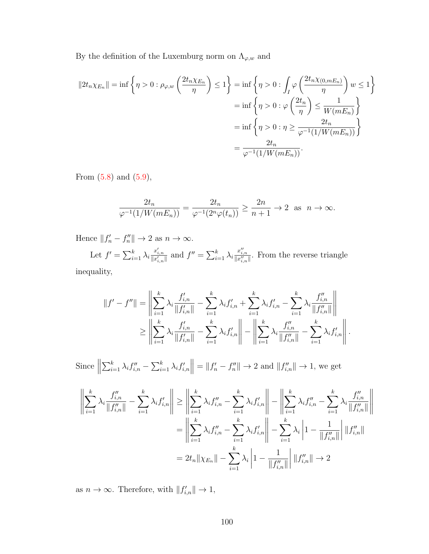By the definition of the Luxemburg norm on  $\Lambda_{\varphi,w}$  and

$$
||2t_n\chi_{E_n}|| = \inf \left\{\eta > 0 : \rho_{\varphi,w}\left(\frac{2t_n\chi_{E_n}}{\eta}\right) \le 1\right\} = \inf \left\{\eta > 0 : \int_I \varphi\left(\frac{2t_n\chi_{(0,mE_n)}}{\eta}\right) w \le 1\right\}
$$

$$
= \inf \left\{\eta > 0 : \varphi\left(\frac{2t_n}{\eta}\right) \le \frac{1}{W(mE_n)}\right\}
$$

$$
= \inf \left\{\eta > 0 : \eta \ge \frac{2t_n}{\varphi^{-1}(1/W(mE_n))}\right\}
$$

$$
= \frac{2t_n}{\varphi^{-1}(1/W(mE_n))}.
$$

From  $(5.8)$  and  $(5.9)$ ,

$$
\frac{2t_n}{\varphi^{-1}(1/W(mE_n))} = \frac{2t_n}{\varphi^{-1}(2^n\varphi(t_n))} \ge \frac{2n}{n+1} \to 2 \text{ as } n \to \infty.
$$

Hence  $||f'_n - f''_n|| \to 2$  as  $n \to \infty$ .

Let  $f' = \sum_{i=1}^k \lambda_i \frac{x'_{i,n}}{\|x'_{i,n}\|}$  and  $f'' = \sum_{i=1}^k \lambda_i \frac{x''_{i,n}}{\|x''_{i,n}\|}$ . From the reverse triangle inequality,

$$
||f' - f''|| = \left\| \sum_{i=1}^{k} \lambda_i \frac{f'_{i,n}}{||f'_{i,n}||} - \sum_{i=1}^{k} \lambda_i f'_{i,n} + \sum_{i=1}^{k} \lambda_i f'_{i,n} - \sum_{i=1}^{k} \lambda_i \frac{f''_{i,n}}{||f''_{i,n}||} \right\|
$$
  
\n
$$
\ge \left\| \sum_{i=1}^{k} \lambda_i \frac{f'_{i,n}}{||f'_{i,n}||} - \sum_{i=1}^{k} \lambda_i f'_{i,n} \right\| - \left\| \sum_{i=1}^{k} \lambda_i \frac{f''_{i,n}}{||f''_{i,n}||} - \sum_{i=1}^{k} \lambda_i f'_{i,n} \right\|.
$$

Since  $\parallel$  $\sum_{i=1}^k \lambda_i f''_{i,n} - \sum_{i=1}^k \lambda_i f'_{i,n} \| = \|f'_n - f''_n\| \to 2$  and  $\|f''_{i,n}\| \to 1$ , we get

$$
\left\| \sum_{i=1}^{k} \lambda_{i} \frac{f_{i,n}''}{\|f_{i,n}''\|} - \sum_{i=1}^{k} \lambda_{i} f_{i,n}' \right\| \ge \left\| \sum_{i=1}^{k} \lambda_{i} f_{i,n}'' - \sum_{i=1}^{k} \lambda_{i} f_{i,n}' \right\| - \left\| \sum_{i=1}^{k} \lambda_{i} f_{i,n}'' - \sum_{i=1}^{k} \lambda_{i} \frac{f_{i,n}''}{\|f_{i,n}''\|} \right\|
$$

$$
= \left\| \sum_{i=1}^{k} \lambda_{i} f_{i,n}'' - \sum_{i=1}^{k} \lambda_{i} f_{i,n}' \right\| - \sum_{i=1}^{k} \lambda_{i} \left| 1 - \frac{1}{\|f_{i,n}''\|} \right| \|f_{i,n}''\|
$$

$$
= 2t_{n} \|\chi_{E_n}\| - \sum_{i=1}^{k} \lambda_{i} \left| 1 - \frac{1}{\|f_{i,n}''\|} \right| \|f_{i,n}''\| \to 2
$$

as  $n \to \infty$ . Therefore, with  $||f'_{i,n}|| \to 1$ ,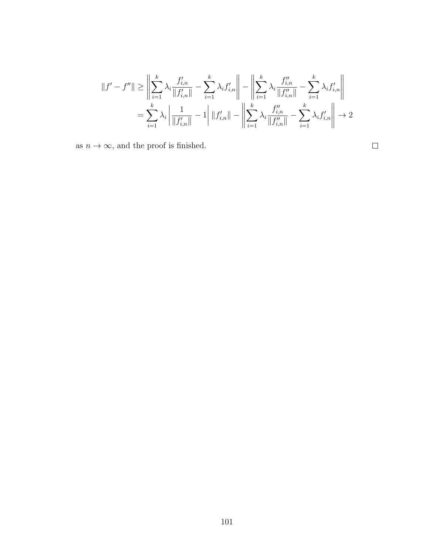$$
||f' - f''|| \ge \left\| \sum_{i=1}^{k} \lambda_i \frac{f'_{i,n}}{||f'_{i,n}||} - \sum_{i=1}^{k} \lambda_i f'_{i,n} \right\| - \left\| \sum_{i=1}^{k} \lambda_i \frac{f''_{i,n}}{||f''_{i,n}||} - \sum_{i=1}^{k} \lambda_i f'_{i,n} \right\|
$$
  

$$
= \sum_{i=1}^{k} \lambda_i \left\| \frac{1}{||f'_{i,n}||} - 1 \right\| ||f'_{i,n}|| - \left\| \sum_{i=1}^{k} \lambda_i \frac{f''_{i,n}}{||f''_{i,n}||} - \sum_{i=1}^{k} \lambda_i f'_{i,n} \right\| \to 2
$$

as  $n \to \infty$ , and the proof is finished.

 $\Box$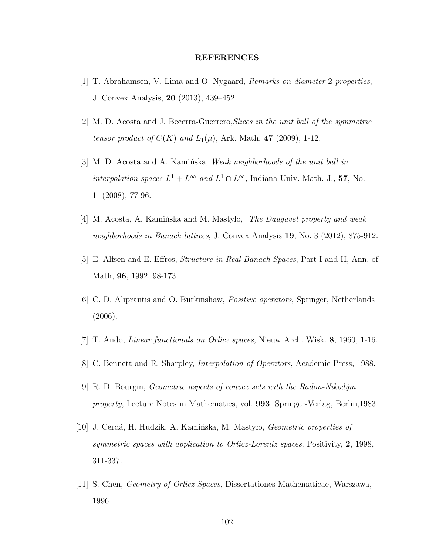## REFERENCES

- [1] T. Abrahamsen, V. Lima and O. Nygaard, Remarks on diameter 2 properties, J. Convex Analysis, 20 (2013), 439–452.
- [2] M. D. Acosta and J. Becerra-Guerrero,Slices in the unit ball of the symmetric tensor product of  $C(K)$  and  $L_1(\mu)$ , Ark. Math. 47 (2009), 1-12.
- [3] M. D. Acosta and A. Kaminska, Weak neighborhoods of the unit ball in interpolation spaces  $L^1 + L^\infty$  and  $L^1 \cap L^\infty$ , Indiana Univ. Math. J., 57, No. 1 (2008), 77-96.
- [4] M. Acosta, A. Kamińska and M. Mastylo, The Daugavet property and weak neighborhoods in Banach lattices, J. Convex Analysis 19, No. 3 (2012), 875-912.
- [5] E. Alfsen and E. Effros, Structure in Real Banach Spaces, Part I and II, Ann. of Math, 96, 1992, 98-173.
- [6] C. D. Aliprantis and O. Burkinshaw, Positive operators, Springer, Netherlands (2006).
- [7] T. Ando, Linear functionals on Orlicz spaces, Nieuw Arch. Wisk. 8, 1960, 1-16.
- [8] C. Bennett and R. Sharpley, Interpolation of Operators, Academic Press, 1988.
- $[9]$  R. D. Bourgin, *Geometric aspects of convex sets with the Radon-Nikodym* property, Lecture Notes in Mathematics, vol. 993, Springer-Verlag, Berlin,1983.
- [10] J. Cerdá, H. Hudzik, A. Kamińska, M. Mastyło, *Geometric properties of* symmetric spaces with application to Orlicz-Lorentz spaces, Positivity,  $2$ , 1998, 311-337.
- [11] S. Chen, Geometry of Orlicz Spaces, Dissertationes Mathematicae, Warszawa, 1996.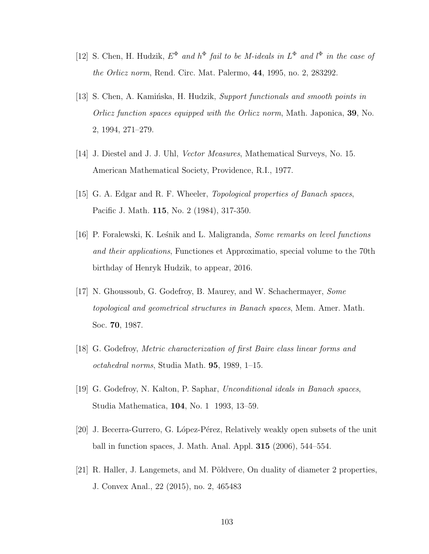- [12] S. Chen, H. Hudzik,  $E^{\Phi}$  and  $h^{\Phi}$  fail to be M-ideals in  $L^{\Phi}$  and  $l^{\Phi}$  in the case of the Orlicz norm, Rend. Circ. Mat. Palermo, 44, 1995, no. 2, 283292.
- [13] S. Chen, A. Kamińska, H. Hudzik, Support functionals and smooth points in Orlicz function spaces equipped with the Orlicz norm, Math. Japonica, 39, No. 2, 1994, 271–279.
- [14] J. Diestel and J. J. Uhl, Vector Measures, Mathematical Surveys, No. 15. American Mathematical Society, Providence, R.I., 1977.
- [15] G. A. Edgar and R. F. Wheeler, Topological properties of Banach spaces, Pacific J. Math. 115, No. 2 (1984), 317-350.
- [16] P. Foralewski, K. Leśnik and L. Maligranda, *Some remarks on level functions* and their applications, Functiones et Approximatio, special volume to the 70th birthday of Henryk Hudzik, to appear, 2016.
- [17] N. Ghoussoub, G. Godefroy, B. Maurey, and W. Schachermayer, Some topological and geometrical structures in Banach spaces, Mem. Amer. Math. Soc. 70, 1987.
- [18] G. Godefroy, Metric characterization of first Baire class linear forms and octahedral norms, Studia Math. 95, 1989, 1–15.
- [19] G. Godefroy, N. Kalton, P. Saphar, Unconditional ideals in Banach spaces, Studia Mathematica, 104, No. 1 1993, 13–59.
- [20] J. Becerra-Gurrero, G. L´opez-P´erez, Relatively weakly open subsets of the unit ball in function spaces, J. Math. Anal. Appl. 315 (2006), 544–554.
- [21] R. Haller, J. Langemets, and M. Põldvere, On duality of diameter 2 properties, J. Convex Anal., 22 (2015), no. 2, 465483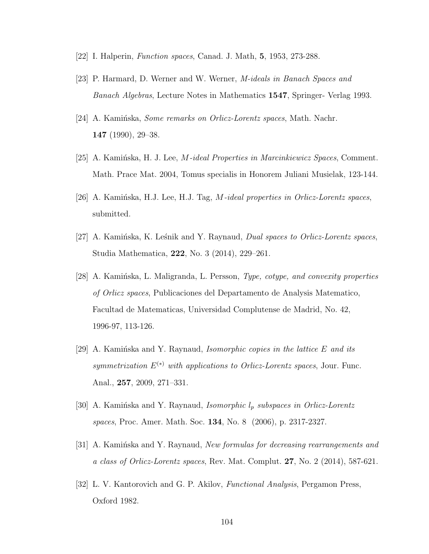- [22] I. Halperin, Function spaces, Canad. J. Math, 5, 1953, 273-288.
- [23] P. Harmard, D. Werner and W. Werner, M-ideals in Banach Spaces and Banach Algebras, Lecture Notes in Mathematics 1547, Springer- Verlag 1993.
- [24] A. Kaminska, *Some remarks on Orlicz-Lorentz spaces*, Math. Nachr. 147 (1990), 29–38.
- [25] A. Kaminska, H. J. Lee, *M-ideal Properties in Marcinkiewicz Spaces*, Comment. Math. Prace Mat. 2004, Tomus specialis in Honorem Juliani Musielak, 123-144.
- [26] A. Kaminska, H.J. Lee, H.J. Tag,  $M$ -ideal properties in Orlicz-Lorentz spaces, submitted.
- [27] A. Kaminska, K. Lesnik and Y. Raynaud, *Dual spaces to Orlicz-Lorentz spaces*, Studia Mathematica, 222, No. 3 (2014), 229–261.
- [28] A. Kamińska, L. Maligranda, L. Persson, Type, cotype, and convexity properties of Orlicz spaces, Publicaciones del Departamento de Analysis Matematico, Facultad de Matematicas, Universidad Complutense de Madrid, No. 42, 1996-97, 113-126.
- [29] A. Kaminska and Y. Raynaud, *Isomorphic copies in the lattice E and its* symmetrization  $E^{(*)}$  with applications to Orlicz-Lorentz spaces, Jour. Func. Anal., 257, 2009, 271–331.
- [30] A. Kamińska and Y. Raynaud, *Isomorphic*  $l_p$  subspaces in Orlicz-Lorentz spaces, Proc. Amer. Math. Soc. 134, No. 8 (2006), p. 2317-2327.
- $[31]$  A. Kaminska and Y. Raynaud, *New formulas for decreasing rearrangements and* a class of Orlicz-Lorentz spaces, Rev. Mat. Complut.  $27$ , No. 2 (2014), 587-621.
- [32] L. V. Kantorovich and G. P. Akilov, Functional Analysis, Pergamon Press, Oxford 1982.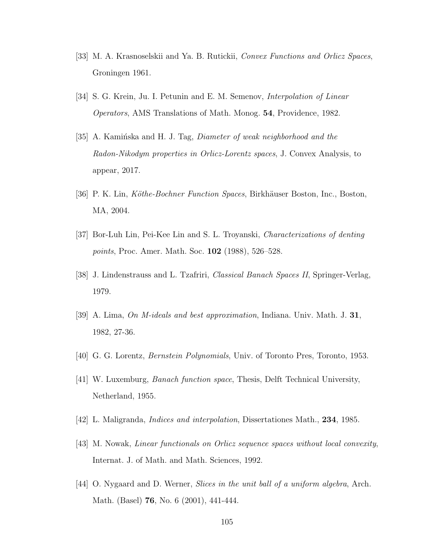- [33] M. A. Krasnoselskii and Ya. B. Rutickii, Convex Functions and Orlicz Spaces, Groningen 1961.
- [34] S. G. Krein, Ju. I. Petunin and E. M. Semenov, *Interpolation of Linear* Operators, AMS Translations of Math. Monog. 54, Providence, 1982.
- [35] A. Kaminska and H. J. Tag, *Diameter of weak neighborhood and the* Radon-Nikodym properties in Orlicz-Lorentz spaces, J. Convex Analysis, to appear, 2017.
- [36] P. K. Lin, Köthe-Bochner Function Spaces, Birkhäuser Boston, Inc., Boston, MA, 2004.
- [37] Bor-Luh Lin, Pei-Kee Lin and S. L. Troyanski, Characterizations of denting points, Proc. Amer. Math. Soc. **102** (1988), 526–528.
- [38] J. Lindenstrauss and L. Tzafriri, Classical Banach Spaces II, Springer-Verlag, 1979.
- [39] A. Lima, On M-ideals and best approximation, Indiana. Univ. Math. J. 31, 1982, 27-36.
- [40] G. G. Lorentz, Bernstein Polynomials, Univ. of Toronto Pres, Toronto, 1953.
- [41] W. Luxemburg, Banach function space, Thesis, Delft Technical University, Netherland, 1955.
- [42] L. Maligranda, Indices and interpolation, Dissertationes Math., 234, 1985.
- [43] M. Nowak, Linear functionals on Orlicz sequence spaces without local convexity, Internat. J. of Math. and Math. Sciences, 1992.
- [44] O. Nygaard and D. Werner, *Slices in the unit ball of a uniform algebra*, Arch. Math. (Basel) 76, No. 6 (2001), 441-444.